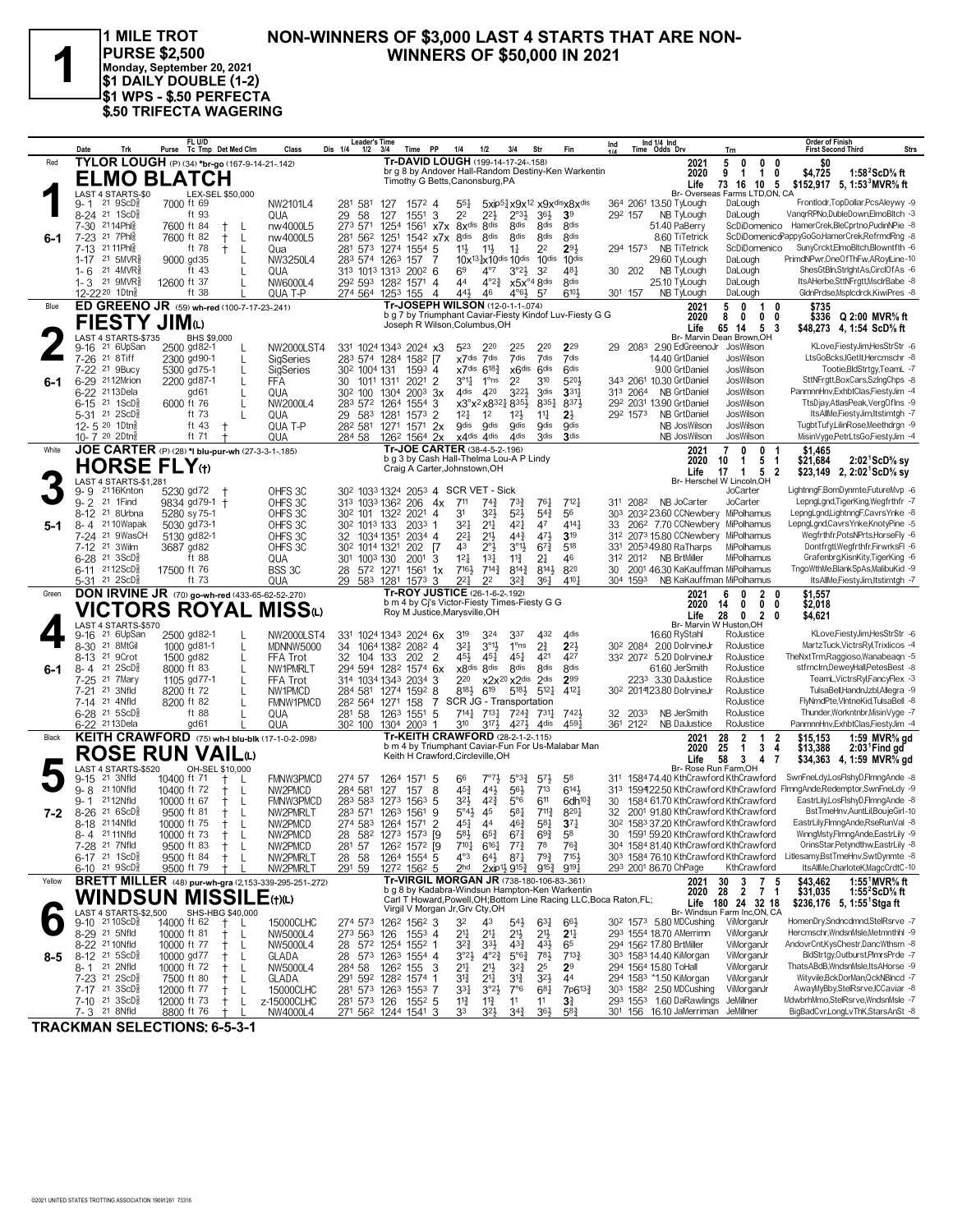

1 MILE TROT PURSE \$2,500<br>Monday, September 20, 2021<br>\$1 DAILY DOUBLE (1-2) \$1 WPS - \$.50 PERFECTA \$.50 TRIFECTA WAGERING

#### NON-WINNERS OF \$3,000 LAST 4 STARTS THAT ARE NON-**WINNERS OF \$50,000 IN 2021**

|         | Date<br>Trk                                              | FL U/D<br>Purse Tc Tmp Det Med Clm                           | Class                         | <b>Leader's Time</b><br>Dis 1/4<br>$1/2$ $3/4$       | Time PP                                                                                      |                      | 1/4<br>1/2                                                                                 | 3/4                                                                            | Str                                  | Fin                                                                | Ind     | Ind 1/4 Ind<br>Time Odds Drv                                  |                                       | Trn                                                                             | <b>Order of Finish</b><br>Strs<br><b>First Second Third</b>                                                      |
|---------|----------------------------------------------------------|--------------------------------------------------------------|-------------------------------|------------------------------------------------------|----------------------------------------------------------------------------------------------|----------------------|--------------------------------------------------------------------------------------------|--------------------------------------------------------------------------------|--------------------------------------|--------------------------------------------------------------------|---------|---------------------------------------------------------------|---------------------------------------|---------------------------------------------------------------------------------|------------------------------------------------------------------------------------------------------------------|
| Red     |                                                          | TYLOR LOUGH (P) (34) *br-go (167-9-14-21-142)                |                               |                                                      | Tr-DAVID LOUGH (199-14-17-24-158)                                                            |                      |                                                                                            |                                                                                |                                      |                                                                    |         |                                                               | 2021                                  | 5<br>$\mathbf 0$<br>0                                                           | 0<br>\$0                                                                                                         |
|         |                                                          | <b>ELMO BLATCH</b>                                           |                               |                                                      | Timothy G Betts, Canonsburg, PA                                                              |                      |                                                                                            |                                                                                |                                      | br g 8 by Andover Hall-Random Destiny-Ken Warkentin                |         |                                                               | 2020                                  | 9<br>$\mathbf{1}$<br>$\mathbf{1}$                                               | \$4,725<br>1:58 $2$ ScD $\%$ ft<br>0                                                                             |
|         | LAST 4 STARTS-\$0                                        | LEX-SEL \$50,000                                             |                               |                                                      |                                                                                              |                      |                                                                                            |                                                                                |                                      |                                                                    |         |                                                               | Life                                  | 73 16 10 5<br>Br- Overseas Farms LTD.ON. CA                                     | \$152,917 5, 1:53 MVR % ft                                                                                       |
|         | 21 9ScD<br>9- 1                                          | 7000 ft 69                                                   | NW2101L4                      | 281<br>581                                           | 127<br>$157^2$ 4                                                                             |                      | $55\frac{1}{4}$                                                                            |                                                                                |                                      | 5xip51x9x12 x9xdisx8xdis                                           |         | 364 2061 13.50 TyLough                                        |                                       | DaLough                                                                         | Frontlodr, TopDollar, PcsAleywy -9                                                                               |
|         | 8-24 <sup>21</sup> 1ScD <sup>3</sup>                     | ft 93                                                        | QUA                           | 29<br>58                                             | 1551<br>127                                                                                  | 3                    | 2 <sup>2</sup><br>22}                                                                      | $2^{03}$                                                                       | 36}                                  | 3 <sup>9</sup>                                                     | 292 157 |                                                               | NB TyLough                            | DaLough                                                                         | VangrRPNo,DubleDown,ElmoBltch -3                                                                                 |
|         | 7-30 2114Phls                                            | 7600 ft 84                                                   | nw4000L5                      | 273 571                                              | 1254                                                                                         | 1561 x7x 8xdis       | <b>R</b> dis                                                                               | <b>8dis</b>                                                                    | <b>8dis</b>                          | <b>8dis</b>                                                        |         | 51.40 PaBerry                                                 |                                       |                                                                                 | ScDiDomenico HamerCrek,BleCprtno,PudinNPie -8<br>ScDiDomenicoPappyGoGo,HamerCrek,RefrmdRng -8                    |
| $6 - 1$ | 7-23 <sup>21</sup> 7Phls<br>21 11 Ph<br>$7-13$           | 7600 ft 82<br>L<br>ft 78<br>$^+$                             | nw4000L5<br>Qua               | 281<br>281 573 1274                                  | 562 1251<br>$155^4$ 5                                                                        | 154 <sup>2</sup> x7x | 8 <sub>dis</sub><br>8 <sub>dis</sub><br>$11\frac{1}{2}$<br>$11\frac{1}{2}$                 | 8 <sup>dis</sup><br>$1\frac{1}{4}$                                             | 8 <sub>dis</sub><br>2 <sup>2</sup>   | 8 <sub>dis</sub><br>293                                            |         | 294 1573                                                      | 8.60 TiTetrick<br><b>NB TiTetrick</b> | ScDiDomenico                                                                    | SunyCrckt,ElmoBltch,Blowntfth -6                                                                                 |
|         | 1-17 <sup>21</sup> 5MVR <sup>3</sup>                     | 9000 gd35                                                    | NW3250L4                      | 283 574 1263                                         | 157                                                                                          | 7                    | 10x <sup>131</sup> <sub>2</sub> x10dis 10dis 10dis                                         |                                                                                |                                      | 10dis                                                              |         | 29.60 TyLough                                                 |                                       | DaLough                                                                         | PrimdNPwr, OneOfThFw, ARoylLine-10                                                                               |
|         | 21<br>4MVR§<br>$1 - 6$                                   | ft 43                                                        | QUA                           |                                                      | 313 1013 1313 2002 6                                                                         |                      | 69<br>$4^{\circ}7$                                                                         | $3^{o_2}\frac{1}{2}$                                                           | 3 <sup>2</sup>                       | 481                                                                | 30 202  |                                                               | NB TyLough                            | DaLough                                                                         | ShesGtBln,StrIghtAs,CirclOfAs -6                                                                                 |
|         | 21 9MVR <sup>5</sup><br>$1 - 3$                          | 12600 ft 37                                                  | NW6000L4                      |                                                      | 292 593 1282 1571 4                                                                          |                      | 44                                                                                         | $4^{\circ}2^3$ $x5x^{\circ}48$ dis                                             |                                      | 8 <sub>dis</sub>                                                   |         | 25.10 TyLough                                                 |                                       | DaLough                                                                         | ItsAHerbe,SttNFrgtt,MsclrBabe -8                                                                                 |
|         | 12-22 <sup>20</sup> 1Dtng                                | ft 38                                                        | QUA T-P                       |                                                      | 274 564 1253 155                                                                             | $\overline{4}$       | 44}<br>46                                                                                  | $4^{\circ}6\frac{1}{2}$                                                        | 57                                   | 610}                                                               | 301 157 |                                                               | NB TyLough                            | DaLough                                                                         | GldnPrdse.Msplcdrck.KiwiPres -8                                                                                  |
| Blue    |                                                          | ED GREENO JR (59) wh-red (100-7-17-23-.241)                  |                               |                                                      | Tr-JOSEPH WILSON (12-0-1-1-.074)                                                             |                      |                                                                                            |                                                                                |                                      | b g 7 by Triumphant Caviar-Fiesty Kindof Luv-Fiesty G G            |         |                                                               | 2021<br>2020                          | 5<br>0<br>1<br>8<br>0<br>0                                                      | 0<br>\$735<br>\$336 Q 2:00 MVR% ft<br>0                                                                          |
|         | FIESTY JIMω                                              |                                                              |                               |                                                      | Joseph R Wilson, Columbus, OH                                                                |                      |                                                                                            |                                                                                |                                      |                                                                    |         |                                                               | Life                                  | 5 <sub>3</sub><br>65<br>14                                                      | \$48,273 4, 1:54 ScD% ft                                                                                         |
|         | LAST 4 STARTS-\$735                                      | BHS \$9,000                                                  |                               |                                                      |                                                                                              |                      |                                                                                            |                                                                                |                                      |                                                                    |         |                                                               |                                       | Br- Marvin Dean Brown, OH                                                       |                                                                                                                  |
|         | 21 6UpSan<br>$9 - 16$                                    | 2500 gd82-1                                                  | NW2000LST4                    |                                                      | 331 1024 1343 2024 x3<br>1582 [7                                                             |                      | 523<br>220                                                                                 | 225<br>7dis                                                                    | 220<br>7dis                          | 229<br>7dis                                                        |         | 29 2083 2.90 EdGreenoJr                                       |                                       | JosWilson                                                                       | KLove,FiestyJim,HesStrStr -6<br>LtsGoBcks,IGetIt,Hercmschr -8                                                    |
|         | 7-26 <sup>21</sup> 8Tiff<br>21 9Bucy<br>$7 - 22$         | 2300 gd90-1<br>5300 gd75-1                                   | <b>SigSeries</b><br>SigSeries | 283 574 1284<br>30 <sup>2</sup> 100 <sup>4</sup> 131 | $1593$ 4                                                                                     |                      | x7dis 7dis<br>x7dis 6183                                                                   |                                                                                | x6dis 6dis                           | 6 <sup>dis</sup>                                                   |         | 14.40 GrtDaniel                                               | 9.00 GrtDaniel                        | JosWilson<br>JosWilson                                                          | Tootie, BldStrtgy, TeamL -7                                                                                      |
| 6-1     | 6-29 <sup>21</sup> 12Mrion                               | 2200 gd87-1                                                  | FFA                           | 30                                                   | 1011 1311<br>2021                                                                            | $\overline{2}$       | $3^{01}$<br>1°ns                                                                           | 2 <sup>2</sup>                                                                 | 310                                  | 5201                                                               |         | 343 2061 10.30 GrtDaniel                                      |                                       | JosWilson                                                                       | SttNFrgtt,BoxCars,SzIngChps -8                                                                                   |
|         | 6-22 2113Dela                                            | gd 61                                                        | QUA                           | 302 100                                              | 2003<br>1304                                                                                 | 3x                   | 420<br>4 <sub>dis</sub>                                                                    | 3224                                                                           | 3 <sub>dis</sub>                     | 331                                                                |         | 313 2064                                                      | <b>NB GrtDaniel</b>                   | JosWilson                                                                       | PanmnnHnv,ExhbtClas,FiestyJim -4                                                                                 |
|         | $6-15$ 21 1ScD <sup>5</sup>                              | 6000 ft 76                                                   | NW2000L4                      | 283 572 1264                                         | 1554                                                                                         | 3                    | x3°x <sup>2</sup> x8 <sup>32</sup> <sup>1</sup> 8 <sup>35</sup> <sup>1</sup>               |                                                                                | 8351                                 | 8373                                                               |         | 292 2031 13.90 GrtDaniel                                      |                                       | JosWilson                                                                       | TtsDjay,AtlasPeak,VergOfIns -9                                                                                   |
|         | 5-31 <sup>21</sup> 2ScD <sup>3</sup><br>12-5 20 1Dtns    | ft 73<br>ft $43$                                             | QUA                           | 29<br>583                                            | 1281<br>1573                                                                                 | 2                    | $12\frac{1}{4}$<br>1 <sup>2</sup>                                                          | $12\frac{1}{2}$                                                                | 11                                   | $2\frac{1}{2}$<br><b>Odis</b>                                      |         | 292 1573                                                      | NB GrtDaniel                          | JosWilson                                                                       | ItsAllMe,FiestyJim,Itstimtgh -7<br>TugbtTufy,LilinRose,Meethdrgn -9                                              |
|         | 10-7 20 2Dtna                                            | $^{\mathrm{+}}$<br>ft 71                                     | QUA T-P<br><b>QUA</b>         | 284 58                                               | 28 <sup>2</sup> 581 1271 1571 2x<br>126 <sup>2</sup> 1564 2x                                 |                      | <b>g</b> dis<br><b>g</b> dis<br>x4dis 4dis                                                 | <b>gdis</b><br>4 <sup>dis</sup>                                                | <b>g</b> dis<br>3 <sub>dis</sub>     | 3 <sub>dis</sub>                                                   |         |                                                               | NB JosWilson<br>NB JosWilson          | JosWilson<br>JosWilson                                                          | MisinVyge,PetrLtsGo,FiestyJim -4                                                                                 |
| White   |                                                          | JOE CARTER (P) (28) *I blu-pur-wh (27-3-3-1-185)             |                               |                                                      | Tr-JOE CARTER (38-4-5-2-196)                                                                 |                      |                                                                                            |                                                                                |                                      |                                                                    |         |                                                               | 2021                                  | $\overline{7}$<br>0<br>0                                                        | \$1.465                                                                                                          |
|         |                                                          |                                                              |                               |                                                      | b g 3 by Cash Hall-Thelma Lou-A P Lindy                                                      |                      |                                                                                            |                                                                                |                                      |                                                                    |         |                                                               | 2020                                  | 10<br>5 1<br>-1                                                                 | \$21,684<br>$2:02^1$ ScD% sy                                                                                     |
|         | <b>HORSE FLY</b> tt                                      |                                                              |                               |                                                      | Craig A Carter, Johnstown, OH                                                                |                      |                                                                                            |                                                                                |                                      |                                                                    |         |                                                               | Life                                  | 17<br>1 5                                                                       | $\overline{\mathbf{2}}$<br>\$23,149 2, $2:02^1$ ScD <sup>5</sup> / <sub>8</sub> sy                               |
|         | LAST 4 STARTS-\$1,281<br>2116Knton<br>9- 9               | 5230 gd72                                                    | OHFS 3C                       |                                                      | 30 <sup>2</sup> 103 <sup>3</sup> 1324 2053 4 SCR VET - Sick                                  |                      |                                                                                            |                                                                                |                                      |                                                                    |         |                                                               |                                       | Br- Herschel W Lincoln, OH<br>JoCarter                                          | LightnngF,BomDynmte,FutureMvp -6                                                                                 |
|         | 9-2 <sup>21</sup> 1 Find                                 | 9834 gd79-1 +                                                | OHFS <sub>3C</sub>            |                                                      | 313 1033 1362 206                                                                            | 4x                   | 711<br>$74\frac{3}{4}$                                                                     | 73}                                                                            | $76\frac{1}{4}$                      | $7^{12}$                                                           |         | 311 2082                                                      | NR JoCarter                           | JoCarter                                                                        | LepngLgnd,TigerKing,Wegfrthfr -7                                                                                 |
|         | 8-12 <sup>21</sup> 8Urbna                                | 5280 sy 75-1                                                 | OHFS 3C                       |                                                      | 30 <sup>2</sup> 101 132 <sup>2</sup> 2021                                                    | $\overline{4}$       | 324<br>3 <sup>1</sup>                                                                      | 52}                                                                            | $5^{4}$                              | 56                                                                 |         |                                                               |                                       | 303 2032 23.60 CCNewbery MiPolhamus                                             | LepngLgnd,LightnngF,CavrsYnke -8                                                                                 |
| 5-1     | 8-4 2110Wapak                                            | 5030 gd73-1                                                  | OHFS 3C                       | 30 <sup>2</sup> 101 <sup>3</sup> 133                 | $2033$ 1                                                                                     |                      | 321<br>$2^{11}$                                                                            | 421                                                                            | 47                                   | 4141                                                               | 33      |                                                               |                                       | 206 <sup>2</sup> 7.70 CCNewbery MiPolhamus                                      | LepngLgnd,CavrsYnke,KnotyPine -5<br>Wegfrthfr,PotsNPrts,HorseFly -6                                              |
|         | 7-24 21 9WasCH<br>21 3Wilm<br>$7-12$                     | 5130 gd82-1<br>3687 gd82                                     | OHFS <sub>3C</sub><br>OHFS 3C | 32 1034 1351<br>30 <sup>2</sup> 1014 1321            | 2034 4<br>202                                                                                | - 17                 | $2^{2}$<br>$21\frac{1}{2}$<br>43<br>$2^{\circ}$                                            | $44\frac{3}{4}$<br>$3^{011}$                                                   | 471<br>$6^{73}$                      | 3 <sup>19</sup><br>518                                             | 312     | 331 2053 49.80 RaTharps                                       |                                       | 2073 15.80 CCNewbery MiPolhamus<br>MiPolhamus                                   | Dontfrgtl, Wegfrthfr, FirwrksFI -6                                                                               |
|         | $6-28$ 21 3ScD <sup>3</sup>                              | ft 88                                                        | QUA                           | 301 1003 130                                         | 2001                                                                                         | 3                    | $12\frac{1}{4}$<br>$13\frac{1}{4}$                                                         | $11\frac{3}{4}$                                                                | 2 <sup>1</sup>                       | 46                                                                 |         | <b>NB BrtMiller</b><br>312 2012                               |                                       | MiPolhamus                                                                      | Grafenbrg, Kisn Kity, Tiger King -6                                                                              |
|         | $6-11$ 2112ScD <sup>3</sup>                              | 17500 ft 76                                                  | BSS 3C                        |                                                      | 28 572 1271 1561 1x                                                                          |                      | $7^{14}$<br>7161                                                                           | $8^{14}\frac{3}{4}$                                                            | 8143                                 | 820                                                                | 30      |                                                               |                                       | 2001 46.30 KaKauffman MiPolhamus                                                | TngoWthMe,BlankSpAs,MalibuKid -9                                                                                 |
|         | 5-31 21 2ScD <sup>3</sup>                                | ft 73                                                        | QUA                           | 29                                                   | 583 1281 1573 3                                                                              |                      | 221<br>2 <sup>2</sup>                                                                      | $3^{22}$                                                                       | 36 <sup>1</sup>                      | 4101                                                               |         | 304 1593                                                      |                                       | NB KaKauffman MiPolhamus                                                        | ItsAllMe,FiestyJim,Itstimtgh -7                                                                                  |
| Green   |                                                          | <b>DON IRVINE JR</b> (70) go-wh-red (433-65-62-52-270)       |                               |                                                      | Tr-ROY JUSTICE (26-1-6-2-.192)<br>b m 4 by Cj's Victor-Fiesty Times-Fiesty G G               |                      |                                                                                            |                                                                                |                                      |                                                                    |         |                                                               | 2021<br>2020                          | 6<br>0<br>2 0<br>14<br>0<br>0 <sub>0</sub>                                      | \$1,557<br>\$2,018                                                                                               |
|         |                                                          | <b>VICTORS ROYAL MISS</b> (L)                                |                               |                                                      | Roy M Justice, Marysville, OH                                                                |                      |                                                                                            |                                                                                |                                      |                                                                    |         |                                                               | Life                                  | 28<br>$\mathbf 0$<br>$\overline{2}$                                             | 0<br>\$4,621                                                                                                     |
|         | LAST 4 STARTS-\$570                                      |                                                              |                               |                                                      |                                                                                              |                      |                                                                                            |                                                                                |                                      |                                                                    |         |                                                               |                                       | Br- Marvin W Huston, OH                                                         |                                                                                                                  |
|         | 21 6UpSan<br>$9 - 16$<br>21 8MtGil<br>$8 - 30$           | 2500 gd82-1<br>1000 gd81-1                                   | NW2000LST4                    |                                                      | 331 1024 1343 2024 6x                                                                        |                      | 3 <sup>19</sup><br>324<br>$3^{2}$<br>$3^{01}$                                              | 337<br>$1^{\circ}$ ns                                                          | 432<br>$2^{3}$                       | 4 <sub>dis</sub><br>$2^{2}$                                        |         | 16.60 RyStahl<br>30 <sup>2</sup> 2084 2.00 DolrvineJr         |                                       | RoJustice<br>RoJustice                                                          | KLove,FiestyJim,HesStrStr -6<br>MartzTuck, VictrsRyl, Trixlicos -4                                               |
|         | 21 9Crot<br>$8 - 13$                                     | L                                                            | MDNNW5000<br>FFA Trot         | 34<br>32<br>104 133                                  | 1064 1382 2082 4<br>202                                                                      | $\overline{2}$       | $45\frac{1}{4}$<br>45}                                                                     | $45\frac{1}{4}$                                                                | 421                                  | 427                                                                |         | 332 2072 5.20 DolrvineJr                                      |                                       | RoJustice                                                                       | TheNxtTrm,Raggioso,Wanabeaqn -5                                                                                  |
| $6 - 1$ |                                                          |                                                              |                               |                                                      |                                                                                              |                      |                                                                                            |                                                                                |                                      | <b>8dis</b>                                                        |         |                                                               | 61.60 JerSmith                        | RoJustice                                                                       |                                                                                                                  |
|         | 21<br>2ScD                                               | 1500 gd82                                                    |                               |                                                      |                                                                                              |                      |                                                                                            |                                                                                | 8 <sub>dis</sub>                     |                                                                    |         |                                                               |                                       |                                                                                 | stfrnclrn,DeweyHall,PetesBest -8                                                                                 |
|         | 8-4<br>$7 - 25$<br>21 7Mary                              | 8000 ft 83<br>1105 gd77-1                                    | NW1PMRLT<br>FFA Trot          | 294 594 1282                                         | $1574$ 6x<br>314 1034 1343 2034 3                                                            |                      | x8dis 8dis<br>220                                                                          | 8 <sub>dis</sub><br>x2x <sup>20</sup> x2dis 2dis                               |                                      | 299                                                                |         | 2233 3.30 DaJustice                                           |                                       | RoJustice                                                                       | TeamL, VictrsRyl, FancyFlex -3                                                                                   |
|         | 3Nfld<br>21<br>7-21                                      | 8200 ft 72<br>L                                              | NW1PMCD                       | 284 581 1274                                         | 1592 8                                                                                       |                      | 8181<br>619                                                                                | 5183                                                                           | $5^{12}$                             | 4121                                                               |         | 302 201423.80 DolrvineJr                                      |                                       | RoJustice                                                                       | TulsaBell,HandnJzbl,Allegra -9                                                                                   |
|         | 7-14 21 4Nfld                                            | 8200 ft 82                                                   | FMNW1PMCD                     |                                                      | 28 <sup>2</sup> 564 1271 158                                                                 | 7                    | SCR JG - Transportation                                                                    |                                                                                |                                      |                                                                    |         |                                                               |                                       | RoJustice                                                                       | FlyNmdPte,VIntneKid,TulsaBell -8                                                                                 |
|         | 6-28 21 5ScD <sup>5</sup>                                | ft 88                                                        | QUA                           | 281 58                                               | 1263 1551                                                                                    | 5                    | $7^{14}\frac{1}{4}$ $7^{13}\frac{1}{4}$                                                    |                                                                                | 7243, 7311                           | 7421                                                               |         | 32 2033                                                       | NB JerSmith                           | RoJustice                                                                       | Thunder, Workntnbr, MisinVyge -7                                                                                 |
| Black   | 6-22 <sup>21</sup> 13Dela                                | gd61                                                         | QUA                           |                                                      | 30 <sup>2</sup> 100 130 <sup>4</sup> 200 <sup>3</sup> 1<br>Tr-KEITH CRAWFORD (28-2-1-2-.115) |                      | $3^{10}$<br>$3^{17}\frac{1}{2}$                                                            |                                                                                | $4^{27}\frac{1}{2}$ 4 <sup>dis</sup> | 459                                                                |         | 361 2122                                                      | <b>NB DaJustice</b>                   | RoJustice<br>$\mathbf{1}$                                                       | PanmnnHnv,ExhbtClas,FiestyJim -4                                                                                 |
|         |                                                          | KEITH CRAWFORD (75) wh-I blu-blk (17-1-0-2-.098)             |                               |                                                      |                                                                                              |                      |                                                                                            |                                                                                |                                      | b m 4 by Triumphant Caviar-Fun For Us-Malabar Man                  |         |                                                               | 2021<br>2020                          | $\frac{2}{1}$<br>28<br>25<br>3                                                  | 1:59 MVR% gd<br>$\overline{\mathbf{2}}$<br>\$15,153<br>$\overline{4}$<br>\$13,388<br>$2:03$ <sup>1</sup> Find gd |
|         |                                                          | <b>ROSE RUN VAIL</b> W                                       |                               |                                                      | Keith H Crawford, Circleville, OH                                                            |                      |                                                                                            |                                                                                |                                      |                                                                    |         |                                                               | Life                                  | 58<br>3<br>4                                                                    | \$34,363 4, 1:59 MVR% gd<br>7                                                                                    |
|         | LAST 4 STARTS-\$520<br>21 3Nfld<br>$9 - 15$              | OH-SEL \$10,000<br>10400 ft 71<br>L                          | <b>FMNW3PMCD</b>              | 274 57                                               | 1264 1571 5                                                                                  |                      | 66<br>$7^{\circ}7^{\circ}$                                                                 | $5^{03}\frac{3}{4}$                                                            | $5^{7}\frac{1}{2}$                   | 58                                                                 |         |                                                               |                                       | Br- Rose Run Farm.OH<br>311 158474.40 KthCrawford KthCrawford                   | SwnFneLdy,LosFlshyD,FlmngAnde -8                                                                                 |
|         | $9 - 8$<br>21 10Nfld                                     | 10400 ft 72                                                  | NW2PMCD                       | 284 581                                              | 127<br>157                                                                                   | 8                    | $45\frac{3}{4}$<br>443                                                                     | $56\frac{1}{2}$                                                                | $7^{13}$                             | $6^{14}$                                                           |         |                                                               |                                       |                                                                                 | 313 159422.50 KthCrawford KthCrawford FimngAnde,Redemptor,SwnFneLdy -9                                           |
|         | 2112Nfld<br>$9 - 1$                                      | 10000 ft 67<br>L                                             | <b>FMNW3PMCD</b>              |                                                      | 283 583 1273 1563                                                                            | 5                    | 32}<br>$4^{2}\frac{3}{4}$                                                                  | $5^{\circ}6$                                                                   | 611                                  | 6dh $10\frac{3}{4}$                                                | 30      |                                                               |                                       | 1584 61.70 KthCrawford KthCrawford                                              | EastrLilv.LosFlshvD.FlmngAnde -8                                                                                 |
| 7-2     | 8-26 21 6ScD <sup>3</sup>                                | 9500 ft 81<br>$\mathbf{I}$                                   | NW2PMRLT                      |                                                      | 283 571 1263 1561                                                                            | 9                    | 5°43<br>45                                                                                 | 581                                                                            | 7113                                 | 8201                                                               |         |                                                               |                                       | 32 2001 91.80 KthCrawford KthCrawford                                           | BstTmeHnv,AuntLil,BoujeGirl-10                                                                                   |
|         | 8-18 2114Nfld                                            | 10000 ft 75<br>$^+$<br>L                                     | NW2PMCD                       |                                                      | 274 583 1264 1571 2                                                                          |                      | $45\frac{1}{4}$<br>44                                                                      | 46}                                                                            | 581                                  | $3^{7}{}_{4}$                                                      |         |                                                               |                                       | 302 1583 37.20 KthCrawford KthCrawford                                          | EastrLily,FImngAnde,RseRunVal -8                                                                                 |
|         | 8-4 2111Nfld<br>7-28 <sup>21</sup> 7Nfld                 | 10000 ft 73<br>L<br>9500 ft 83<br>$^+$<br>L                  | NW2PMCD<br>NW2PMCD            | 281 57                                               | 28 582 1273 1573 [9<br>1262 1572 [9                                                          |                      | $5^{8}{}_{2}$<br>$65\frac{3}{4}$<br>$7^{10\frac{1}{4}}$<br>$6^{16}\frac{1}{4}$             | $6^{73}$<br>$7^{73}$                                                           | $69\frac{3}{4}$<br>78                | 5 <sup>8</sup><br>$76\frac{3}{4}$                                  |         |                                                               |                                       | 30 1591 59.20 KthCrawford KthCrawford<br>304 1584 81.40 KthCrawford KthCrawford | WinngMsty,FImngAnde,EastrLily -9<br>OrinsStar,Petyndthw,EastrLily -8                                             |
|         | $6-17$ 21 1ScD <sup>3</sup>                              | 9500 ft 84<br>$^+$<br>L                                      | NW2PMRLT                      | 2858                                                 | 1264 1554 5                                                                                  |                      | $4^{\circ}3$<br>$6^{4}\frac{1}{2}$                                                         | $8^{7\frac{1}{4}}$                                                             | $79\frac{3}{4}$ $715\frac{1}{2}$     |                                                                    |         |                                                               |                                       | 303 1584 76.10 KthCrawford KthCrawford                                          | Litlesamy,BstTmeHnv,SwtDynmte -8                                                                                 |
|         | $6-10$ 21 $9$ ScD $\frac{3}{8}$                          | 9500 ft 79                                                   | NW2PMRLT                      |                                                      | 291 59 1272 1562 5                                                                           |                      | 2 <sup>hd</sup>                                                                            | $2$ xip <sup>11</sup> / <sub>2</sub> 9 <sup>15</sup> <sup>2</sup> <sub>4</sub> | $9^{15\frac{3}{4}}$                  | 9191                                                               |         | 293 2001 86.70 ChPage                                         |                                       | KthCrawford                                                                     | ItsAllMe,CharloteK,MagcCrdtC-10                                                                                  |
| Yellow  |                                                          | <b>BRETT MILLER</b> (48) pur-wh-gra (2,153-339-295-251-.272) |                               |                                                      | Tr-VIRGIL MORGAN JR (738-180-106-83-.361)                                                    |                      |                                                                                            |                                                                                |                                      |                                                                    |         |                                                               | 2021                                  | 30                                                                              | \$43,462<br>1:55 <sup>1</sup> MVR <sup>5</sup> / <sub>8</sub> ft                                                 |
|         |                                                          | WINDSUN MISSILE(t)(L)                                        |                               |                                                      | b g 8 by Kadabra-Windsun Hampton-Ken Warkentin                                               |                      |                                                                                            |                                                                                |                                      | Carl T Howard, Powell, OH; Bottom Line Racing LLC, Boca Raton, FL; |         |                                                               | 2020 28                               | $\begin{array}{cc} 3 & 7 & 5 \\ 2 & 7 & 1 \end{array}$<br>Life 180 24 32 18     | 1:55 $2$ ScD $\%$ ft<br>\$31,035<br>\$236,176 5, 1:55 Stga ft                                                    |
|         | LAST 4 STARTS-\$2,500                                    | SHS-HBG \$40,000                                             |                               |                                                      | Virgil V Morgan Jr, Grv Cty, OH                                                              |                      |                                                                                            |                                                                                |                                      |                                                                    |         |                                                               |                                       | Br- Windsun Farm Inc,ON, CA                                                     |                                                                                                                  |
|         | 9-10 21 10 ScD <sup>3</sup>                              | 14000 ft 62<br>$\pm$<br>└                                    | 15000CLHC                     |                                                      | 274 573 1262 1562 3                                                                          |                      | 32<br>43                                                                                   | $54\frac{1}{2}$                                                                | $63\frac{1}{4}$                      | $66\frac{1}{2}$                                                    |         | 30 <sup>2</sup> 157 <sup>3</sup> 5.80 MDCushing               |                                       | ViMorganJr                                                                      | HomenDry,Sndncdmnd,StelRsrve -7                                                                                  |
|         | 8-29 <sup>21</sup> 5Nfld                                 | 10000 ft 81<br>L<br>10000 ft 77<br>Ť.                        | NW5000L4                      | 273 563 126                                          | 1553 4                                                                                       |                      | $2^{11}$<br>$2^{11}$                                                                       | $2^{1\frac{1}{2}}$                                                             | $21\frac{1}{2}$<br>43}               | 2 <sup>11</sup><br>65                                              |         | 293 1554 18.70 AMerrimn<br>294 1562 17.80 BrtMiller           |                                       | ViMorganJr<br>ViMorganJr                                                        | Hercmschr, WndsnMsle, Metmnthhl -9<br>AndovrCnt,KysChestr,DancWthsm -8                                           |
| 8-5     | 8-22 21 10Nfld<br>$8-12$ <sup>21</sup> 5ScD <sup>5</sup> | L<br>10000 gd77                                              | NW5000L4<br>GLADA             |                                                      | 28 572 1254 1552 1<br>28 573 1263 1554 4                                                     |                      | $3^{2}\frac{3}{4}$<br>3 <sup>3</sup><br>$3^{o_2}\frac{1}{2}$<br>$4^{\circ}2^{\frac{3}{4}}$ | 43}<br>$5^{\circ}6\frac{3}{4}$                                                 | $78\frac{1}{2}$                      | $7^{13}\frac{3}{4}$                                                |         | 303 1583 14.40 KiMorgan                                       |                                       | ViMorganJr                                                                      | BldStrtgy,Outburst,PImrsPrde -7                                                                                  |
|         | 8-1 <sup>21</sup> 2Nfld                                  | 10000 ft 72                                                  | NW5000L4                      |                                                      | 284 58 1262 155 3                                                                            |                      | $2^{11}$<br>$21\frac{1}{2}$                                                                | $3^{2}\frac{3}{4}$                                                             | 25                                   | 2 <sup>9</sup>                                                     |         | 294 1564 15.80 ToHall                                         |                                       | ViMorganJr                                                                      | ThatsABdB,WndsnMsle,ItsAHorse -9                                                                                 |
|         | 7-23 <sup>21</sup> 2ScD <sup>3</sup>                     | 7500 ft 80<br>L                                              | GLADA                         |                                                      | 291 592 1282 1574 1                                                                          |                      | $3^{12}$<br>$2^{11}$                                                                       | 31}                                                                            | $3^{2}\frac{1}{2}$                   | 44                                                                 |         | 294 1583 *1.50 KiMorgan                                       |                                       | ViMorganJr                                                                      | Wityvile,BckDorMan,QckNBlncd -7                                                                                  |
|         | 7-17 21 3ScD <sup>5</sup><br>7-10 21 3ScD <sup>3</sup>   | 12000 ft 77<br>$\mathbf{I}$<br>12000 ft 73<br>Ť.<br>L        | 15000CLHC<br>z-15000CLHC      |                                                      | 281 573 1263 1553 7<br>28 <sup>1</sup> 57 <sup>3</sup> 126 155 <sup>2</sup> 5                |                      | $3^{o_2}\frac{1}{2}$<br>3 <sup>31</sup><br>$11\frac{3}{4}$<br>$11\frac{3}{4}$              | 7°6<br>11                                                                      | 681<br>11                            | 7p6 <sup>133</sup><br>$3\frac{3}{4}$                               |         | 303 1582 2.50 MDCushing<br>293 1553 1.60 DaRawlings JeMillner |                                       | ViMorganJr                                                                      | AwayMyBby,StelRsrve,ICCaviar -8<br>MdwbrhMmo,StelRsrve,WndsnMsle -7                                              |

**TRACKMAN SELECTIONS: 6-5-3-1**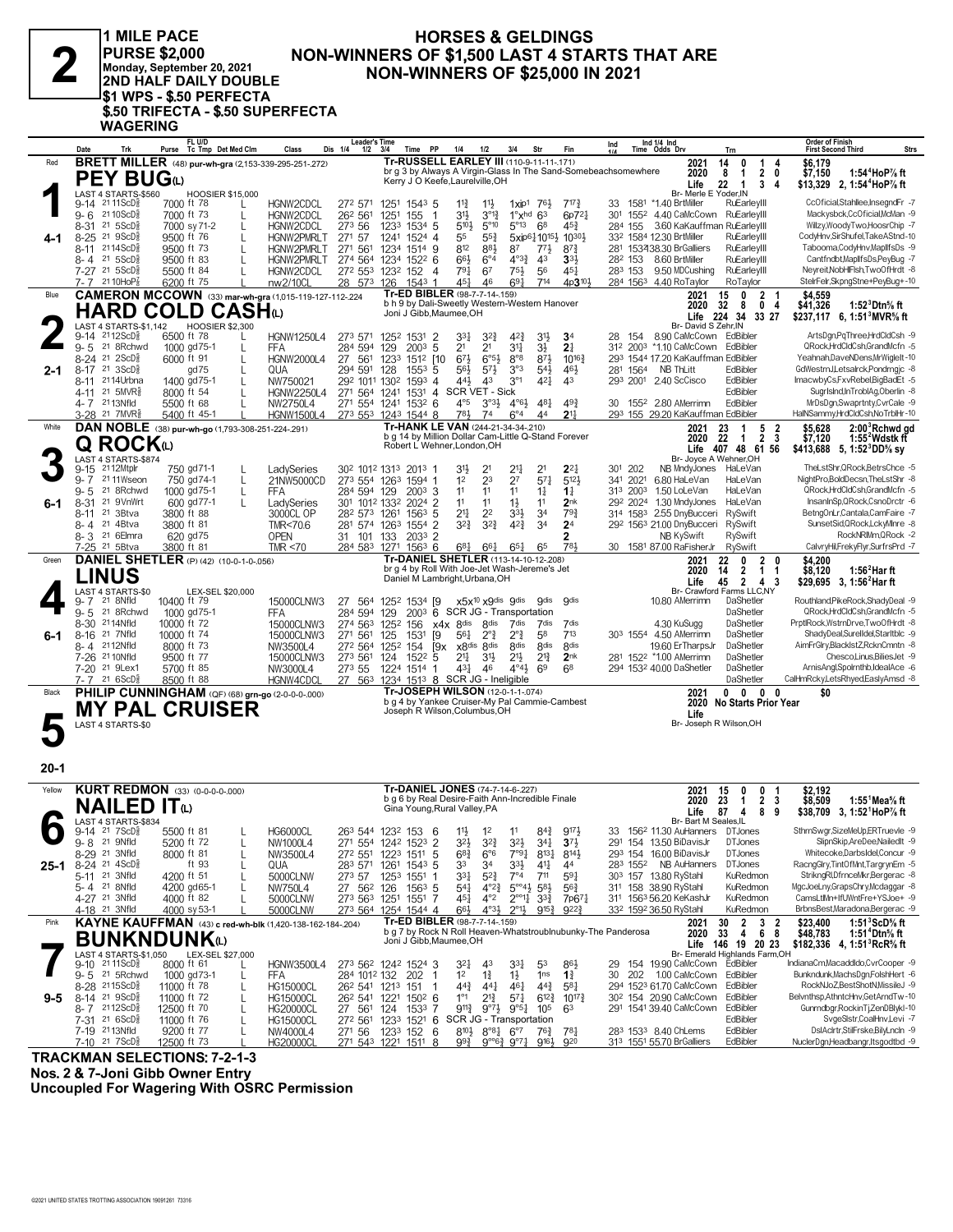1 MILE PACE **PURSE \$2,000** Monday, September 20, 2021<br>Monday, September 20, 2021<br>2ND HALF DAILY DOUBLE S1 WPS - \$.50 PERFECTA! \$.50 TRIFECTA - \$.50 SUPERFECTA

**WAGERING** 

#### **HORSES & GELDINGS** NON-WINNERS OF \$1,500 LAST 4 STARTS THAT ARE **NON-WINNERS OF \$25,000 IN 2021**

|         | Date<br>Trk                                                       | FL U/D<br>Tc Tmp Det Med Clm<br>Purse                            | Class<br>Dis 1/4                                   | <b>Leader's Time</b><br>$1/2$ $3/4$<br>Time PP<br>1/4<br>1/2                                                                                                  | 3/4<br>Str<br>Fin                                                                                                    | Ind 1/4 Ind<br>Ind<br>Time Odds Drv<br>Trn<br>11A                                                 | <b>Order of Finish</b><br><b>First Second Third</b><br><b>Strs</b>        |
|---------|-------------------------------------------------------------------|------------------------------------------------------------------|----------------------------------------------------|---------------------------------------------------------------------------------------------------------------------------------------------------------------|----------------------------------------------------------------------------------------------------------------------|---------------------------------------------------------------------------------------------------|---------------------------------------------------------------------------|
| Red     |                                                                   | <b>BRETT MILLER</b> (48) pur-wh-gra (2,153-339-295-251-272)      |                                                    | Tr-RUSSELL EARLEY III (110-9-11-11-171)<br>br g 3 by Always A Virgin-Glass In The Sand-Somebeachsomewhere                                                     |                                                                                                                      | 14<br>2021<br>0<br>1<br>4                                                                         | \$6.179                                                                   |
|         | <b>PEY BUG</b> W                                                  |                                                                  |                                                    | Kerry J O Keefe, Laurelville, OH                                                                                                                              |                                                                                                                      | 2020<br>8<br>$\overline{1}$<br>$\overline{2}$<br>0<br>22<br>Life<br>$\overline{1}$<br>3<br>4      | 1:54 <sup>4</sup> HoP% ft<br>\$7,150<br>\$13,329 2, 1:54 HoP % ft         |
|         | LAST 4 STARTS-\$560                                               | <b>HOOSIER \$15,000</b>                                          |                                                    |                                                                                                                                                               |                                                                                                                      | Br- Merle E Yoder.IN                                                                              |                                                                           |
|         | 9-14 2111ScD§<br>$9 - 6$ 21 10 ScD <sup>5</sup>                   | 7000 ft 78<br>7000 ft 73<br>L                                    | HGNW2CDCL<br>HGNW2CDCL<br>26 <sup>2</sup> 561      | 272 571 1251 1543 5<br>$11\frac{3}{4}$<br>$11\frac{1}{2}$<br>1251<br>155<br>31}<br>$3^{012}$<br>-1                                                            | $7^{17}\frac{3}{4}$<br>76}<br>$1 \times 10^{1}$<br>1°xhd<br>63<br>6p72                                               | 1581 *1.40 BrtMiller<br>RuEarleyIII<br>33<br>301 1552 4.40 CaMcCown RuEarleyIII                   | CcOficial,Stahllee,InsegndFr -7<br>Mackysbck,CcOficial,McMan -9           |
|         | 21 5 ScD<br>8-31                                                  | 7000 sy 71-2<br>L                                                | 273 56<br>HGNW2CDCL                                | $5^{\circ}10$<br>1233<br>1534 5<br>$5^{10}$                                                                                                                   | $5^{\circ}13$<br>68<br>$45\frac{3}{4}$                                                                               | 3.60 KaKauffman RuEarleyIII<br>284 155                                                            | Willzy, Woody Two, Hoosr Chip -7                                          |
| 4-1     | 8-25 <sup>21</sup> 9ScD <sup>5</sup>                              | 9500 ft 76<br>L                                                  | HGNW2PMRLT<br>271 57                               | 55<br>$55\frac{3}{4}$<br>1241 1524 4                                                                                                                          | 5xip6110 <sup>151</sup> 2 10301                                                                                      | 33 <sup>2</sup> 1584 12.30 BrtMiller<br>RuEarleyIII                                               | CodyHnv,SirShufel,TakeAStnd-10                                            |
|         | 8-11 2114ScD <sup>5</sup><br>8-4 21 5ScD                          | 9500 ft 73<br>L<br>9500 ft 83                                    | HGNW2PMRLT<br>271 561<br>HGNW2PMRLT                | 812<br>883<br>1234 1514 9<br>66}<br>274 564 1234 1522 6<br>$6^{\circ}4$                                                                                       | 87<br>$7^{71}$<br>$8^{7}\frac{3}{4}$<br>$4^{\circ}3^3$<br>43<br>3 <sup>3</sup>                                       | 281 153438.30 BrGalliers<br>RuEarlevIII<br>RuEarleyIII<br>28 <sup>2</sup> 153 8.60 BrtMiller      | Tabooma,CodyHnv,MapllfsDs -9<br>Cantfndbt, Maplifs Ds, PeyBug -7          |
|         | 7-27 21 5ScD                                                      | 5500 ft 84                                                       | HGNW2CDCL                                          | 272 553 1232 152<br>791<br>67<br>-4                                                                                                                           | $75\frac{1}{2}$<br>56<br>$45\frac{1}{4}$                                                                             | RuEarleyIII<br>9.50 MDCushing<br>283 153                                                          | Neyreit, NobHIFIsh, TwoOfHrdt -8                                          |
|         | 7-7 2110HoP <sub>8</sub>                                          | 6200 ft 75                                                       | nw2/10CL<br>28 573 126                             | 451<br>1543 1<br>46                                                                                                                                           | $69\frac{1}{4}$<br>714<br>4p3 <sup>10</sup> }                                                                        | 284 1563 4.40 RoTaylor<br>RoTaylor                                                                | StelrFelr, SkpngStne+PeyBug+-10                                           |
| Blue    |                                                                   | <b>CAMERON MCCOWN</b> (33) mar-wh-gra (1,015-119-127-112-224     |                                                    | Tr-ED BIBLER (98-7-7-14-159)<br>b h 9 by Dali-Sweetly Western-Western Hanover                                                                                 |                                                                                                                      | $\mathbf{2}$<br>2021<br>15<br>0<br>2020<br>32<br>- 8<br>0 <sub>4</sub>                            | \$4,559<br>\$41,326<br>1:52 Dtn% ft                                       |
|         |                                                                   | <b>HARD COLD CASH</b> (L)                                        |                                                    | Joni J Gibb, Maumee, OH                                                                                                                                       |                                                                                                                      | Life 224 34<br>33 27                                                                              | \$237,117 6, 1:51 MVR% ft                                                 |
|         | LAST 4 STARTS-\$1,142<br>$9-14$ 2112ScD <sup>5</sup>              | <b>HOOSIER \$2,300</b><br>6500 ft 78                             | <b>HGNW1250L4</b>                                  | 273 571 1252 1531<br>$\overline{2}$<br>33}<br>$3^{2}\frac{3}{4}$                                                                                              | $4^{2}\frac{3}{4}$<br>3 <sup>1</sup><br>3 <sup>4</sup>                                                               | Br- David S Zehr, IN<br>8.90 CaMcCown EdBibler<br>154<br>28                                       | ArtsDgn,PqThree,HrdCldCsh -9                                              |
|         | $9 - 5$<br>21 8Rchwd                                              | 1000 gd 75-1<br>L                                                | 284 594<br>FFA                                     | $200^3$ 5<br>2 <sup>1</sup><br>21<br>129                                                                                                                      | 34<br>$3\frac{1}{2}$<br>21                                                                                           | 312 2003 *1.10 CaMcCown EdBibler                                                                  | QRock.HrdCldCsh.GrandMcfn -5                                              |
|         | $8-24$ 21 $2$ ScD <sup>5</sup>                                    | 6000 ft 91<br>L                                                  | <b>HGNW2000L4</b><br>27 561                        | $67\frac{1}{2}$<br>$6°5\frac{1}{2}$<br>1233 1512 [10                                                                                                          | $8^{\circ}8$<br>$87\frac{1}{2}$<br>$10^{16}$                                                                         | 293 1544 17.20 KaKauffman EdBibler                                                                | Yeahnah,DaveNDens,MrWigleIt-10                                            |
| $2 - 1$ | $8-17$ 21 $3$ ScD <sup>5</sup> <sub>8</sub><br>2114Urbna<br>8-11  | gd 75<br>L<br>1400 gd75-1                                        | 294 591<br>QUA<br>NW750021                         | $5^{7}\frac{1}{2}$<br>128<br>$155^3$ 5<br>$56\frac{1}{2}$<br>292 1011 1302 1593 4<br>441,<br>43                                                               | 3°3<br>46}<br>$5^{4}$<br>3 <sup>°1</sup><br>$4^{2}$<br>43                                                            | <b>NB ThLitt</b><br>281 1564<br>EdBibler<br>2.40 ScCisco<br>EdBibler<br>293 2001                  | GdWestrnJ,Letsalrck,Pondrngjc -8<br>ImacwbyCs,FxvRebel,BigBadEt -5        |
|         | 4-11 21 5MVR <sup>3</sup>                                         | 8000 ft 54                                                       | <b>HGNW2250L4</b>                                  | SCR VET - Sick<br>271 564 1241 1531 4                                                                                                                         |                                                                                                                      | EdBibler                                                                                          | SugrIsInd,InTroblAg,Oberlin -8                                            |
|         | 4-7 2113Nfld                                                      | 5500 ft 68<br>$\mathbf{L}$                                       | NW2750L4                                           | $4^{\circ}5$<br>271 554 1241 1532 6<br>$3^{03}\frac{1}{2}$                                                                                                    | $4^{\circ}6\frac{1}{2}$ $4^{\circ}8\frac{1}{4}$<br>493                                                               | 30 1552 2.80 AMerrimn<br>EdBibler                                                                 | MrDsDgn,Swaprtnty,CvrCale -9                                              |
| White   | 3-28 <sup>21</sup> 7MVR <sup>§</sup>                              | 5400 ft 45-1                                                     | <b>HGNW1500L4</b>                                  | 781<br>273 553 1243 1544 8<br>74<br>Tr-HANK LE VAN (244-21-34-34-.210)                                                                                        | $6^{\circ}4$<br>$21\frac{1}{4}$<br>4 <sup>4</sup>                                                                    | 293 155 29.20 KaKauffman EdBibler                                                                 | HalNSammy,HrdCldCsh,NoTrblHr-10                                           |
|         |                                                                   | DAN NOBLE (38) pur-wh-go (1,793-308-251-224-.291)                |                                                    | b g 14 by Million Dollar Cam-Little Q-Stand Forever                                                                                                           |                                                                                                                      | 23<br>5 2<br>2021<br>-1<br>$\overline{2}$<br>-3<br>2020<br>22<br>-1                               | \$5,628<br>2:00 Rchwd gd<br>\$7,120<br>1:55 Wdstk ft                      |
|         | Q ROCKய                                                           |                                                                  |                                                    | Robert L Wehner, London, OH                                                                                                                                   |                                                                                                                      | 407 48 61 56<br>Life                                                                              | \$413,688 5, 1:52 DD % sy                                                 |
|         | LAST 4 STARTS-\$874<br>9-15 2112Mtplr                             | 750 gd71-1                                                       | LadySeries                                         | 302 1012 1313 2013 1<br>31}<br>21                                                                                                                             | $2^{11}$<br>2 <sup>1</sup><br>22}                                                                                    | Br- Joyce A Wehner, OH<br>301 202<br>NB MndyJones<br>HaLeVan                                      | TheLstShr,QRock,BetrsChce -5                                              |
|         | 2111Wseon<br>$9 - 7$                                              | 750 gd74-1<br>L                                                  | 21NW5000CD                                         | 23<br>1 <sup>2</sup><br>273 554 1263 1594 1                                                                                                                   | 2 <sup>7</sup><br>$57\frac{1}{4}$<br>$5^{12}$                                                                        | 341 2021<br>6.80 HaLeVan<br>HaLeVan                                                               | NightPro,BoldDecsn,TheLstShr -8                                           |
|         | 21 8Rchwd<br>$9 - 5$<br>21 9VnWrt<br>8-31                         | 1000 gd75-1<br>L<br>600 gd77-1                                   | 284 594 129<br>FFA                                 | 1 <sup>1</sup><br>11<br>$200^3$ 3<br>301 1012 1332 2024 2<br>11<br>11                                                                                         | 11<br>$1\frac{1}{4}$<br>$1\frac{1}{4}$<br>$1\frac{1}{2}$<br>11<br>2 <sub>nk</sub>                                    | 313 2003<br>1.50 LoLeVan<br>HaLeVan<br>29 <sup>2</sup> 202 <sup>4</sup> 1.30 MndyJones<br>HaLeVan | QRock,HrdCldCsh,GrandMcfn -5<br>InsanInSp, QRock, CsnoDrctr -6            |
| 6-1     | 21 3Btva<br>8-11                                                  | 3800 ft 88                                                       | LadySeries<br>3000CL OP                            | 21‡<br>2 <sup>2</sup><br>28 <sup>2</sup> 57 <sup>3</sup> 126 <sup>1</sup> 156 <sup>3</sup> 5                                                                  | 3 <sup>4</sup><br>$79\frac{3}{4}$<br>33}                                                                             | 314 1583 2.55 DnyBucceri<br>RySwift                                                               | BetngOnLr.Cantala.CamFaire -7                                             |
|         | 8-4 21 4Btva                                                      | 3800 ft 81                                                       | TMR<70.6                                           | $3^{2}\frac{3}{4}$<br>$3^{2}\frac{3}{4}$<br>281 574 1263 1554 2                                                                                               | $4^{2}\frac{3}{4}$<br>34<br>2 <sup>4</sup>                                                                           | 292 1563 21.00 DnyBucceri RySwift                                                                 | SunsetSid, QRock, LckyMInre -8                                            |
|         | 8-3 <sup>21</sup> 6 Elmra<br>7-25 <sup>21</sup> 5Btva             | 620 gd75<br>3800 ft 81                                           | <b>OPEN</b><br>31 101 133<br>TMR $<$ 70<br>284 583 | 2033 2<br>1271 1563 6<br>$6^{8}$ <sub>4</sub><br>$66\frac{1}{4}$                                                                                              | 2<br>781<br>$65\frac{1}{4}$<br>65                                                                                    | NB KySwift<br>RySwift<br>30 1581 87.00 RaFisherJr<br>RySwift                                      | RockNRIMm, QRock -2<br>CalvryHil,FrekyFlyr,SurfrsPrd -7                   |
| Green   |                                                                   | <b>DANIEL SHETLER</b> (P) (42) (10-0-1-0-.056)                   |                                                    | Tr-DANIEL SHETLER (113-14-10-12-208)                                                                                                                          |                                                                                                                      | 22<br>0<br>$\mathbf{2}$<br>2021                                                                   | \$4,200                                                                   |
|         | <b>LINUS</b>                                                      |                                                                  |                                                    | br g 4 by Roll With Joe-Jet Wash-Jereme's Jet<br>Daniel M Lambright, Urbana, OH                                                                               |                                                                                                                      | $\overline{2}$<br>2020<br>14<br>1<br>-1                                                           | 1:56 $2$ Harft<br>\$8,120                                                 |
|         | LAST 4 STARTS-\$0                                                 | LEX-SEL \$20,000                                                 |                                                    |                                                                                                                                                               |                                                                                                                      | $\overline{2}$<br>Life<br>45<br>43<br>Br- Crawford Farms LLC,NY                                   | \$29,695 3, 1:56 <sup>2</sup> Har ft                                      |
|         | 9-7 <sup>21</sup> 8Nfld                                           | 10400 ft 79                                                      | 15000CLNW3<br>27 564                               | 1252 1534 [9]<br>x5x <sup>10</sup> x9dis 9dis                                                                                                                 | <b>gdis</b><br><b>gdis</b>                                                                                           | 10.80 AMerrimn<br>DaShetler                                                                       | Routhland, PikeRock, ShadyDeal -9                                         |
|         | 21 8Rchwd<br>$9 - 5$<br>8-30 2114Nfld                             | 1000 gd75-1<br>10000 ft 72                                       | 284 594 129<br>FFA<br>15000CLNW3                   | 2003 6 SCR JG - Transportation<br>274 563 1252 156<br>x4x 8dis<br>8 <sub>dis</sub>                                                                            | 7dis<br>7dis<br>7dis                                                                                                 | DaShetler<br>DaShetler<br>4.30 KuSugg                                                             | QRock,HrdCldCsh,GrandMcfn -5<br>PrptlRock, WstmDrve, TwoOfHrdt -8         |
| 6-1     | 8-16 21 7Nfld                                                     | 10000 ft 74                                                      | 15000CLNW3<br>271 561                              | 125<br>1531<br>[9<br>$56\frac{1}{4}$<br>$2^{\circ}$                                                                                                           | $2^{\circ}$<br>58<br>713                                                                                             | 303 1554 4.50 AMerrimn<br>DaShetler                                                               | ShadyDeal,SurelIdel,StarItblc -9                                          |
|         | 8-4 2112Nfld                                                      | 8000 ft 73                                                       | NW3500L4                                           | 272 564 1252 154<br>[9x<br>x8 <sup>dis</sup> 8 <sup>dis</sup>                                                                                                 | <b>8dis</b><br><b>8dis</b><br><b><i><u>Rdis</u></i></b>                                                              | 19.60 ErTharpsJr<br>DaShetler                                                                     | AimFrGlry,BlackIstZ,RcknCmntn -8                                          |
|         | 7-26 <sup>21</sup> 10Nfld<br>7-20 <sup>21</sup> 9Lex1             | 9500 ft 77<br>5700 ft 85                                         | 273 561<br>15000CLNW3<br>NW3000L4<br>273 55        | $21\frac{1}{4}$<br>124 1522 5<br>31,<br>1224 1514 1<br>$43\frac{1}{4}$<br>46                                                                                  | 2 <sup>1</sup><br>$2^{13}$<br>2 <sub>nk</sub><br>$4^{\circ}4^{\circ}$<br>69<br>68                                    | DaShetler<br>281 1522 *1.00 AMerrimn<br>294 1532 40.00 DaShetler<br>DaShetler                     | Chesco,Linus,BiliesJet -9<br>ArnisAngl,Spolrnthb,IdealAce -6              |
|         | 7-7 21 6ScD                                                       | 8500 ft 88                                                       | HGNW4CDCI                                          | 27 563 1234 1513 8 SCR JG - Ineligible                                                                                                                        |                                                                                                                      | DaShetler                                                                                         | CalHmRcky,LetsRhyed,EaslyAmsd -8                                          |
| Black   |                                                                   | PHILIP CUNNINGHAM (QF) (68) grn-go (2-0-0-0-000)                 |                                                    | <b>Tr-JOSEPH WILSON (12-0-1-1-074)</b><br>b g 4 by Yankee Cruiser-My Pal Cammie-Cambest                                                                       |                                                                                                                      | $0\quad 0$<br>2021<br>$0\quad 0$<br>2020<br><b>No Starts Prior Year</b>                           | \$0                                                                       |
|         |                                                                   | <b>MY PAL CRUISER</b>                                            |                                                    | Joseph R Wilson, Columbus, OH                                                                                                                                 |                                                                                                                      | Life                                                                                              |                                                                           |
|         | LAST 4 STARTS-\$0                                                 |                                                                  |                                                    |                                                                                                                                                               |                                                                                                                      | Br- Joseph R Wilson, OH                                                                           |                                                                           |
|         |                                                                   |                                                                  |                                                    |                                                                                                                                                               |                                                                                                                      |                                                                                                   |                                                                           |
| 20-1    |                                                                   |                                                                  |                                                    |                                                                                                                                                               |                                                                                                                      |                                                                                                   |                                                                           |
|         |                                                                   |                                                                  |                                                    |                                                                                                                                                               |                                                                                                                      |                                                                                                   |                                                                           |
| Yellow  |                                                                   | <b>KURT REDMON</b> (33) (0-0-0-0-000)                            |                                                    | Tr-DANIEL JONES (74-7-14-6-.227)<br>b q 6 by Real Desire-Faith Ann-Incredible Finale                                                                          |                                                                                                                      | 2021<br>15<br>0<br>0<br>23<br>2 <sub>3</sub><br>2020<br>$\mathbf{1}$                              | \$2,192<br>\$8,509<br>1:55 <sup>1</sup> Mea% ft                           |
|         | <b>NAILED</b>                                                     | IT                                                               |                                                    | Gina Young, Rural Valley, PA                                                                                                                                  |                                                                                                                      | Life<br>87<br>$\overline{4}$<br>89                                                                | \$38,709 3, 1:52 HoP% ft                                                  |
|         | LAST 4 STARTS-\$834<br>9-14 <sup>21</sup> 7ScD <sup>3</sup>       | 5500 ft 81                                                       | <b>HG6000CL</b>                                    | 263 544 1232 153 6<br>$1^2$                                                                                                                                   | $84\frac{3}{4}$<br>9174<br>11                                                                                        | Br- Bart M Seales, IL<br>156 <sup>2</sup> 11.30 AuHanners DTJones<br>33                           | SthrnSwgr,SizeMeUp,ERTruevle -9                                           |
|         | 9-8 <sup>21</sup> 9Nfld                                           | 5200 ft 72                                                       | NW1000L4                                           | $1\frac{1}{2}$<br>271 554 1242 1523 2<br>32}<br>$3^{2}\frac{3}{4}$                                                                                            | 3 <sup>2</sup><br>341<br>$3^{7}\frac{1}{2}$                                                                          | 291 154 13.50 BiDavisJr<br><b>DTJones</b>                                                         | SlipnSkip,AreDee,NailedIt -9                                              |
|         | 8-29 21 3Nfld                                                     | 8000 ft 81<br>L                                                  | NW3500L4                                           | $6^{8}$ <sub>4</sub><br>272 551 1223 1511 5<br>6°6                                                                                                            | $7°9\frac{1}{4}$<br>$8^{13}\frac{1}{4}$<br>$8^{14}\frac{1}{2}$                                                       | <b>DTJones</b><br>293 154 16.00 BiDavisJr                                                         | Whitecoke,DarbsIdel,Concur -9                                             |
| 25-1    | $8-24$ 21 $4$ ScD <sup>5</sup><br>5-11 21 3Nfld                   | ft 93<br>L<br>4200 ft 51                                         | 283 571<br>QUA                                     | 1261 1543 5<br>33<br>34<br>3 <sup>31</sup><br>$5^{2}\frac{3}{4}$<br>-1                                                                                        | $3^{3}\frac{1}{2}$<br>41<br>44<br>$7^{\circ}4$<br>711<br>$59\frac{1}{4}$                                             | NB AuHanners<br>283 1552<br><b>DTJones</b><br>303 157 13.80 RyStahl<br>KuRedmon                   | RacngGlry,TintOfMnt,TargrynEm -5<br>StrikngRI,DfrnceMkr,Bergerac -8       |
|         | 5-4 21 8Nfld                                                      | L<br>4200 gd65-1                                                 | 5000CLNW<br>273 57<br><b>NW750L4</b><br>27 562 126 | 1253 1551<br>$156^3$ 5<br>54 <sup>1</sup><br>$4^{\circ}2^{\frac{3}{4}}$                                                                                       | $5^{\circ 4}$ <sup>3</sup><br>$5^{8}$<br>$56\frac{3}{4}$                                                             | 311 158 38.90 RyStahl<br>KuRedmon                                                                 | MgcJoeLny,GrapsChry,Mcdaggar -8                                           |
|         | 4-27 <sup>21</sup> 3Nfld                                          | 4000 ft 82                                                       | 5000CLNW                                           | $45\frac{1}{4}$<br>$4^{\circ}2$<br>273 563 1251 1551 7                                                                                                        | $2^{\circ 11}$<br>$3^{3}\frac{3}{4}$<br>7p671                                                                        | 311 1563 56.20 KeKashJr<br>KuRedmon                                                               | CamsLtlMn+IfUWntFre+YSJoe+ -9                                             |
|         | 4-18 <sup>21</sup> 3Nfld                                          | 4000 sy 53-1                                                     | 5000CLNW<br>273 564                                | 1254 1544 4<br>66}<br>$4^{\circ}3\frac{1}{2}$<br>Tr-ED BIBLER (98-7-7-14-.159)                                                                                | $2^{\circ}1\frac{1}{2}$<br>$9^{15}\frac{3}{4}$<br>$9^{22}\frac{3}{4}$                                                | KuRedmon<br>332 1592 36.50 RyStahl                                                                | BrbnsBest, Maradona, Bergerac -9                                          |
| Pink    |                                                                   | <b>KAYNE KAUFFMAN</b> (43) c red-wh-blk (1,420-138-162-184-.204) |                                                    | b g 7 by Rock N Roll Heaven-Whatstroublnubunky-The Panderosa                                                                                                  |                                                                                                                      | 30<br>$\overline{2}$<br>3 <sub>2</sub><br>2021<br>68<br>2020<br>33<br>$\overline{4}$              | 1:51 $3$ ScD $\%$ ft<br>\$23,400<br>\$48,783<br>1:51 <sup>+</sup> Dtn% ft |
|         | <b>BUNKNDUNK</b> W                                                |                                                                  |                                                    | Joni J Gibb, Maumee, OH                                                                                                                                       |                                                                                                                      | Life 146 19 20 23<br>Br- Emerald Highlands Farm, OH                                               | \$182,336 4, 1:51 RcR <sup>5</sup> / <sub>8</sub> ft                      |
|         | LAST 4 STARTS-\$1,050<br>$9-10^{21}$ 11ScD <sup>5</sup>           | LEX-SEL \$27,000<br>8000 ft 61                                   | HGNW3500L4                                         | 273 562 1242 1524 3<br>32}<br>43                                                                                                                              | 331<br>53<br>$86\frac{1}{2}$                                                                                         | 154 19.90 CaMcCown EdBibler<br>29                                                                 | IndianaCm,MacaddIdo,CvrCooper -9                                          |
|         | 9-5 21 5 Rchwd                                                    | 1000 gd 73-1<br>L                                                | <b>FFA</b>                                         | $1\frac{3}{4}$<br>1 <sup>2</sup><br>284 1012 132 202<br>-1                                                                                                    | $1\frac{1}{2}$<br>1 <sub>ns</sub><br>$1\frac{3}{4}$                                                                  | 202 1.00 CaMcCown<br>EdBibler<br>30                                                               | Bunkndunk, MachsDgn, FolshHert -6                                         |
| 9-5     | 8-28 2115ScD <sup>3</sup><br>8-14 <sup>21</sup> 9ScD <sup>3</sup> | 11000 ft 78<br>L<br>11000 ft 72<br>L                             | <b>HG15000CL</b><br><b>HG15000CL</b>               | $44\frac{3}{4}$<br>26 <sup>2</sup> 541 1213 151<br>$\mathbf{1}$<br>$44\frac{1}{4}$<br>$1^{\circ}1$<br>$2^{13}$<br>26 <sup>2</sup> 541 1221 150 <sup>2</sup> 6 | $46\frac{1}{4}$<br>$44\frac{3}{4}$<br>$5^{8}$ <sub>4</sub><br>$5^{7}$<br>$6^{12}\frac{3}{4}$<br>$10^{17}\frac{3}{4}$ | 294 1523 61.70 CaMcCown<br>EdBibler<br>30 <sup>2</sup> 154 20.90 CaMcCown<br>EdBibler             | RockNJoZ,BestShotN,MissileJ -9<br>Belvnthsp, AthntcHnv, GetArndTw-10      |
|         | 8-7 2112ScD <sup>5</sup>                                          | 12500 ft 70<br>L                                                 | <b>HG20000CL</b><br>27 561 124                     | $9^{11\frac{3}{4}}$<br>$9^{07}\frac{1}{2}$<br>1533 7                                                                                                          | $9^{\circ}5^{\frac{1}{4}}$ 10 <sup>5</sup><br>63                                                                     | 291 1541 39.40 CaMcCown<br>EdBibler                                                               | Gunrndbgr, RockinTj, ZenDBlykl-10                                         |
|         | 7-31 21 6ScD <sup>3</sup>                                         | 11000 ft 76<br>L                                                 | <b>HG15000CL</b>                                   | 272 561 1233 1521 6 SCR JG - Transportation                                                                                                                   |                                                                                                                      | EdBibler                                                                                          | SvgeSlstr,CoalHnv,Levi -7                                                 |
|         | 7-19 2113Nfld<br>$7-10$ 21 $7$ ScD <sup>5</sup> <sub>8</sub>      | 9200 ft 77<br>$\mathbf{L}$<br>12500 ft 73                        | NW4000L4<br>271 56<br><b>HG20000CL</b>             | $8^{10}\frac{1}{2}$ $8^{08}\frac{1}{4}$ $6^{07}$<br>1233 152 6<br>271 543 1221 1511 8<br>$9^{9}\frac{3}{4}$                                                   | $76\frac{3}{4}$<br>781<br>920<br>$9^{\circ}6^3$ $9^{\circ}7^1$<br>$9^{16}\frac{1}{2}$                                | EdBibler<br>283 1533 8.40 ChLems<br>313 1551 55.70 BrGalliers<br>EdBibler                         | DsIAclrtr,StilFrske,BilyLncln -9<br>NuclerDgn,Headbangr,Itsgodtbd -9      |
|         |                                                                   |                                                                  |                                                    |                                                                                                                                                               |                                                                                                                      |                                                                                                   |                                                                           |

**TRACKMAN SELECTIONS: 7-2-1-3** Nos. 2 & 7-Joni Gibb Owner Entry

**Uncoupled For Wagering With OSRC Permission**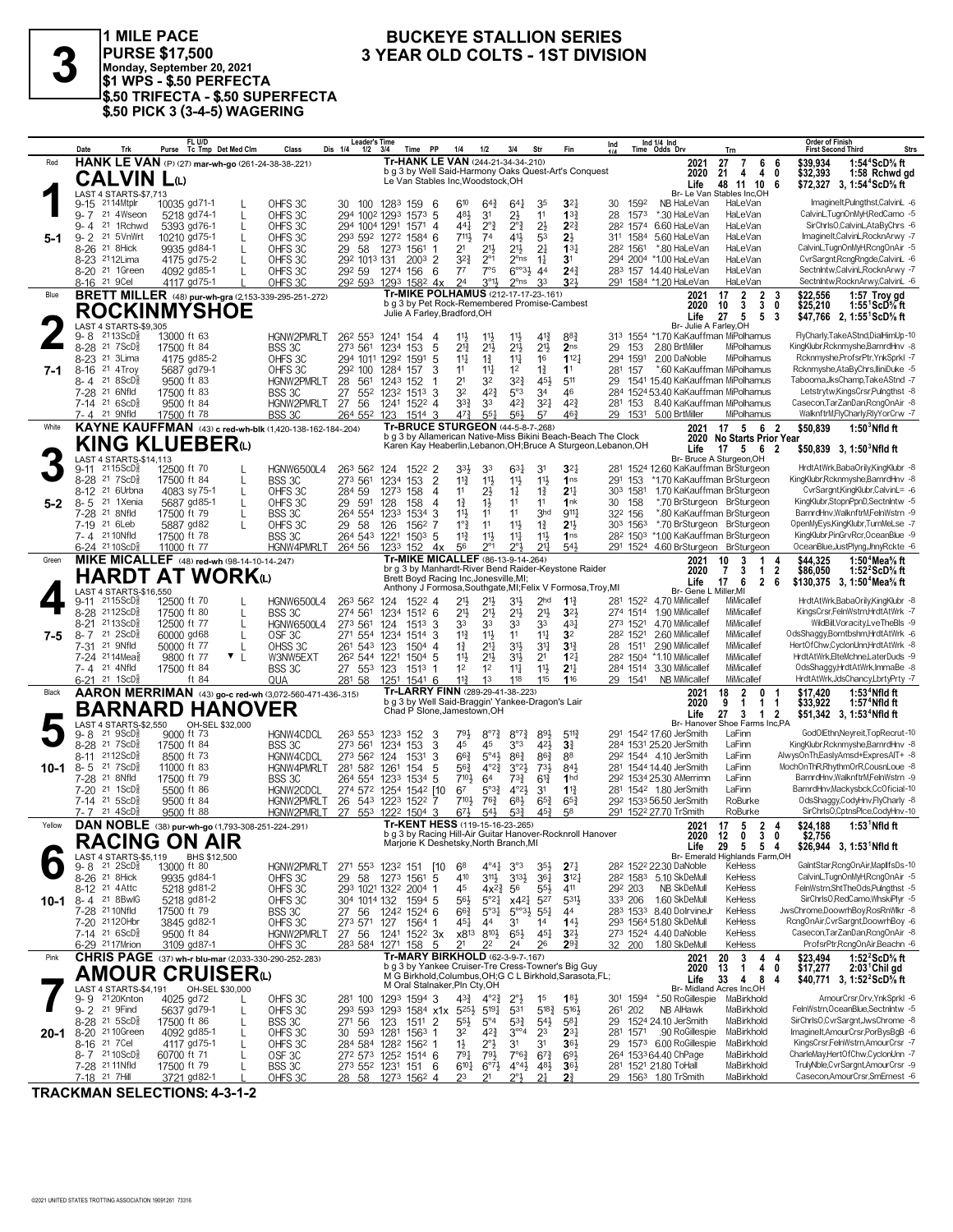

1 MILE PACE PURSE \$17,500<br>Monday, September 20, 2021<br>\$1 WPS - \$.50 PERFECTA \$.50 TRIFECTA - \$.50 SUPERFECTA<br>\$.50 PICK 3 (3-4-5) WAGERING

#### **BUCKEYE STALLION SERIES** 3 YEAR OLD COLTS - 1ST DIVISION

|        | Trk<br>Date                                                             | FL U/D<br>Tc Tmp Det Med Clm<br>Purse              | Class                                                       | <b>Leader's Time</b><br>Dis 1/4<br>$1/2$ $3/4$ | Time PP                                                                                                         | 1/4                                 | 1/2<br>3/4                                                                         | Str                                           | Fin                                        | Ind 1/4 Ind<br>Ind<br>Time Odds Drv<br>Trn                                                                                                                                        | <b>Order of Finish</b><br><b>Strs</b><br><b>First Second Third</b>       |
|--------|-------------------------------------------------------------------------|----------------------------------------------------|-------------------------------------------------------------|------------------------------------------------|-----------------------------------------------------------------------------------------------------------------|-------------------------------------|------------------------------------------------------------------------------------|-----------------------------------------------|--------------------------------------------|-----------------------------------------------------------------------------------------------------------------------------------------------------------------------------------|--------------------------------------------------------------------------|
| Red    |                                                                         | HANK LE VAN (P) (27) mar-wh-go (261-24-38-38-.221) |                                                             |                                                | Tr-HANK LE VAN (244-21-34-34-210)                                                                               |                                     |                                                                                    |                                               |                                            | 6 6<br>2021<br>27<br>7                                                                                                                                                            | 1:54 <sup>4</sup> ScD% ft<br>\$39,934                                    |
|        | <b>CALVIN Las</b>                                                       |                                                    |                                                             |                                                | b g 3 by Well Said-Harmony Oaks Quest-Art's Conquest<br>Le Van Stables Inc, Woodstock, OH                       |                                     |                                                                                    |                                               |                                            | 2020<br>21<br>4<br>4<br>0                                                                                                                                                         | \$32,393<br>1:58 Rchwd gd                                                |
|        | LAST 4 STARTS-\$7,713                                                   |                                                    |                                                             |                                                |                                                                                                                 |                                     |                                                                                    |                                               |                                            | 48 11 10 6<br>Life<br>Br- Le Van Stables Inc.OH                                                                                                                                   | \$72,327 3, 1:54 <sup>4</sup> ScD% ft                                    |
|        | 2114Mtplr<br>$9 - 15$                                                   | 10035 gd71-1                                       | OHFS 3C                                                     | 30                                             | 100 1283<br>159 6                                                                                               | 610                                 | $64\frac{3}{7}$<br>$64\frac{1}{4}$                                                 | 35                                            | $3^{21}$                                   | 1592<br>NB HaLeVan<br>30<br>HaLeVan                                                                                                                                               | ImagineIt,Pulngthst,CalvinL -6                                           |
|        | $9 - 7$<br>21 4Wseon                                                    | 5218 gd74-1                                        | OHFS 3C<br>$\mathbf{I}$                                     | 294 1002 1293                                  | $1573$ 5                                                                                                        | 481                                 | 3 <sup>1</sup><br>2}                                                               | 11                                            | $13\frac{3}{4}$                            | *.30 HaLeVan<br>HaLeVan<br>28<br>1573                                                                                                                                             | CalvinL,TugnOnMyH,RedCamo -5                                             |
|        | 21 1Rchwd<br>$9 - 4$<br>9-2 <sup>21</sup> 5VnWrt                        | 5393 gd76-1<br>10210 gd75-1                        | OHFS 3C<br>OHFS 3C                                          | 294 1004 1291                                  | $1571$ 4<br>293 592 1272 1584 6                                                                                 | $44\frac{1}{4}$<br>711}             | $2^{\circ}$ $\frac{3}{4}$<br>$2^{\circ}$<br>74<br>41}                              | $2\frac{1}{2}$<br>53                          | $2^{2}\frac{3}{4}$<br>$2\frac{1}{2}$       | 28 <sup>2</sup> 1574 6.60 HaLeVan<br>HaLeVan<br>311 1584 5.60 HaLeVan<br>HaLeVan                                                                                                  | SirChrlsO,CalvinL,AtaByChrs -6<br>ImagineIt,CalvinL,RocknArwy -7         |
| 5-1    | 8-26 <sup>21</sup> 8Hick                                                | 9935 gd84-1                                        | OHFS 3C                                                     | 29 58                                          | 1273 1561                                                                                                       | 2 <sup>1</sup>                      | $21\frac{1}{2}$<br>$21\frac{1}{2}$                                                 | 2 <sup>1</sup>                                | $13\frac{1}{4}$                            | *.80 HaLeVan<br>282 1561<br>HaLeVan                                                                                                                                               | CalvinL,TugnOnMyH,RcngOnAir -5                                           |
|        | 8-23 <sup>21</sup> 12 Lima                                              | 4175 gd75-2                                        | OHFS 3C                                                     | 292 1013 131                                   | $200^3$ 2                                                                                                       | $3^{2}3$                            | $2^{\circ}1$<br>$2^{\circ}$ ns                                                     | $1\frac{1}{4}$                                | 3 <sup>1</sup>                             | 294 2004 *1.00 HaLeVan<br>HaLeVan                                                                                                                                                 | CvrSargnt, RcngRngde, CalvinL -6                                         |
|        | 8-20 <sup>21</sup> 1Green                                               | 4092 gd85-1                                        | OHFS <sub>3C</sub>                                          | 292 59                                         | 1274 156<br>6                                                                                                   | 77                                  | 7°5<br>$6^{003}\frac{1}{2}$                                                        | 4 <sup>4</sup>                                | $24\frac{3}{4}$                            | 283 157 14.40 HaLeVan<br>HaLeVan                                                                                                                                                  | Sectnintw,CalvinL,RocknArwy -7                                           |
|        | 8-16 <sup>21</sup> 9 Cel                                                | 4117 gd75-1                                        | OHFS <sub>3C</sub>                                          |                                                | 292 593 1293 1582 4x<br>Tr-MIKE POLHAMUS (212-17-17-23-.161)                                                    | 2 <sup>4</sup>                      | 3°13<br>$2^{\circ}$ ns                                                             | 3 <sup>3</sup>                                | 3 <sup>2</sup>                             | HaLeVan<br>291 1584 *1.20 HaLeVan                                                                                                                                                 | Sectnintw, RocknArwy, CalvinL -6                                         |
| Blue   |                                                                         |                                                    | <b>BRETT MILLER</b> (48) pur-wh-gra (2,153-339-295-251-272) |                                                | b g 3 by Pet Rock-Remembered Promise-Cambest                                                                    |                                     |                                                                                    |                                               |                                            | 17<br>2 <sub>2</sub><br>2021<br>- 3<br>10<br>$\mathbf{3}$<br>3 <sub>0</sub><br>2020                                                                                               | \$22,556<br>1:57 Troy gd<br>\$25,210<br>$1:55^1$ ScD% ft                 |
|        |                                                                         | <b>ROCKINMYSHOE</b>                                |                                                             |                                                | Julie A Farley, Bradford, OH                                                                                    |                                     |                                                                                    |                                               |                                            | 27<br>5 <sub>3</sub><br>Life<br>5                                                                                                                                                 | \$47,766 2, 1:55 ScD% ft                                                 |
|        | LAST 4 STARTS-\$9,305<br>2113ScD <sup>5</sup><br>$9 - 8$                | 13000 ft 63                                        | HGNW2PMRLT                                                  | 26 <sup>2</sup> 55 <sup>3</sup> 1241           |                                                                                                                 |                                     |                                                                                    | $4^{13}$                                      | $8^{8}$ <sub>4</sub>                       | Br- Julie A Farley, OH<br>313 1554 *1.70 KaKauffman MiPolhamus                                                                                                                    | FlyCharly,TakeAStnd,DialHimUp-10                                         |
|        | 8-28 21 7ScD <sup>5</sup>                                               | 17500 ft 84                                        | BSS 3C                                                      | 273 561                                        | 154<br>4<br>153<br>1234<br>5                                                                                    | $11\frac{1}{2}$<br>$2^{13}$         | $11\frac{1}{2}$<br>11}<br>$2^{11}$<br>$21\frac{1}{2}$                              | $2^{11}$                                      | 2 <sub>ns</sub>                            | MiPolhamus<br>29 153<br>2.80 BrtMiller                                                                                                                                            | KingKlubr, Rcknmyshe, BarnrdHnv -8                                       |
|        | 8-23 <sup>21</sup> 3Lima                                                | 4175 gd85-2                                        | OHFS 3C                                                     | 294 1011 1292                                  | 1591<br>5                                                                                                       | $11\frac{1}{4}$                     | $1\frac{3}{4}$<br>$11\frac{1}{4}$                                                  | 16                                            | 112 <sub>7</sub>                           | 294 1591<br>2.00 DaNoble<br>MiPolhamus                                                                                                                                            | Rcknmyshe.ProfsrPtr.YnkSprkI -7                                          |
| 7-1    | $8 - 16$<br>21 4 Troy                                                   | 5687 gd79-1                                        | OHFS 3C                                                     | 292 100 1284                                   | 157<br>3                                                                                                        | 11                                  | 1 <sup>2</sup><br>$11\frac{1}{4}$                                                  | $1\frac{3}{4}$                                | 1 <sup>1</sup>                             | 281 157<br>*.60 KaKauffman MiPolhamus                                                                                                                                             | Rcknmyshe,AtaByChrs,IliniDuke -5                                         |
|        | 218SCD <sub>8</sub><br>8-4<br>7-28 21 6Nfld                             | 9500 ft 83<br>17500 ft 83                          | HGNW2PMRLT<br>BSS 3C                                        | 28<br>561<br>27<br>552                         | 1243 152<br>$151^3$ 3<br>1232                                                                                   | 2 <sup>1</sup><br>32                | $3^{2^{3}}$<br>32<br>$4^{2}\frac{3}{4}$<br>5°3                                     | 45}<br>34                                     | 511<br>46                                  | 29<br>1541 15.40 KaKauffman MiPolhamus<br>284 1524 53.40 KaKauffman MiPolhamus                                                                                                    | Tabooma, JksChamp, Take AStnd -7<br>Letstrytw,KingsCrsr,Pulngthst -8     |
|        | 7-14 21 6ScD <sup>3</sup>                                               | 9500 ft 84                                         | HGNW2PMRLT                                                  | 27 56                                          | 1241<br>1522 4                                                                                                  | 3 <sup>3</sup>                      | 423<br>33                                                                          | $3^{2}$                                       | $4^{2^{3}}$                                | 281 153 8.40 KaKauffman MiPolhamus                                                                                                                                                | Casecon,TarZanDan,RcngOnAir -8                                           |
|        | 7-4 21 9Nfld                                                            | 17500 ft 78                                        | BSS 3C                                                      | 264 552 123                                    | 1514 3                                                                                                          | $47\frac{3}{4}$                     | 55 <sup>1</sup><br>56}                                                             | 57                                            | 463                                        | 29 1531 5.00 BrtMiller<br>MiPolhamus                                                                                                                                              | WalknftrM,FlyCharly,RlyYorCrw -7                                         |
| White  |                                                                         |                                                    | KAYNE KAUFFMAN (43) c red-wh-blk (1,420-138-162-184-.204)   |                                                | <b>Tr-BRUCE STURGEON (44-5-8-7-268)</b>                                                                         |                                     |                                                                                    |                                               |                                            | $17 \quad 5 \quad 6 \quad 2$<br>2021                                                                                                                                              | $1:503$ Nfld ft<br>\$50,839                                              |
|        |                                                                         | <b>KING KLUEBER(L)</b>                             |                                                             |                                                |                                                                                                                 |                                     |                                                                                    |                                               |                                            | b g 3 by Allamerican Native-Miss Bikini Beach-Beach The Clock<br>2020 No Starts Prior Year<br>Karen Kay Heaberlin, Lebanon, OH; Bruce A Sturgeon, Lebanon, OH<br>Life<br>17 5 6 2 | \$50,839 3, 1:50 <sup>3</sup> Nfld ft                                    |
|        | LAST 4 STARTS-\$14,113                                                  |                                                    |                                                             |                                                |                                                                                                                 |                                     |                                                                                    |                                               |                                            | Br- Bruce A Sturgeon, OH                                                                                                                                                          |                                                                          |
|        | 2115ScD៖<br>$9 - 11$                                                    | 12500 ft 70                                        | <b>HGNW6500L4</b>                                           | 263 562                                        | 124<br>1522 2                                                                                                   | 333                                 | 33<br>$63\frac{1}{4}$                                                              | 31                                            | 3 <sup>2</sup>                             | 281 1524 12.60 KaKauffman BrSturgeon                                                                                                                                              | HrdtAtWrk.BabaOrily.KingKlubr -8                                         |
|        | 8-28 21 7ScD <sup>5</sup><br>21 6Urbna<br>$8 - 12$                      | 17500 ft 84<br>4083 sy 75-1                        | BSS 3C<br>L<br>OHFS 3C<br>L                                 | 273 561<br>284 59                              | 2<br>1234<br>153<br>1273<br>158<br>4                                                                            | $11\frac{3}{4}$<br>11               | $11\frac{1}{2}$<br>$11\frac{1}{2}$<br>$2\frac{1}{2}$<br>$1\frac{1}{4}$             | 11<br>$1\frac{3}{4}$                          | 1 <sub>ns</sub><br>2 <sup>11</sup>         | *1.70 KaKauffman BrSturgeon<br>291 153<br>1.70 KaKauffman BrSturgeon<br>303 1581                                                                                                  | KingKlubr, Rcknmyshe, BarnrdHnv -8<br>CvrSargnt,KingKlubr,CalvinL= -6    |
| 5-2    | 8-5 <sup>21</sup> 1Xenia                                                | 5687 gd85-1                                        | OHFS 3C                                                     | 29<br>591                                      | 128<br>158<br>4                                                                                                 | $1\frac{3}{4}$                      | $1\frac{1}{2}$<br>11                                                               | 11                                            | 1nk                                        | 30 158<br>*.70 BrSturgeon BrSturgeon                                                                                                                                              | KingKlubr,StopnPpnD,SectnIntw -5                                         |
|        | 7-28 21 8Nfld                                                           | 17500 ft 79                                        | BSS 3C                                                      | 264 554 1233                                   | 3<br>1534                                                                                                       | $11\frac{1}{2}$                     | 11<br>11                                                                           | 3 <sub>hd</sub>                               | 9111                                       | *.80 KaKauffman BrSturgeon<br>32 <sup>2</sup> 156                                                                                                                                 | BarnrdHnv, WalknftrM, FelnWstrn -9                                       |
|        | 7-19 21 6Leb                                                            | 5887 gd82                                          | OHFS 3C                                                     | 29 58                                          | 126<br>1562<br>7                                                                                                | $1^{\circ}$                         | 11<br>$11\frac{1}{2}$                                                              | $1\frac{3}{4}$                                | 2 <sup>1</sup>                             | *.70 BrSturgeon BrSturgeon<br>303 1563                                                                                                                                            | OpenMyEys,KingKlubr,TurnMeLse -7                                         |
|        | 7-4 2110Nfld<br>6-24 2110ScD <sup>5</sup>                               | 17500 ft 78<br>11000 ft 77                         | BSS 3C<br>HGNW4PMRLT                                        | 264 543 1221<br>264 56                         | $150^3$ 5<br>1233<br>152 4x                                                                                     | $11\frac{3}{4}$<br>56               | $11\frac{1}{2}$<br>$11\frac{1}{4}$<br>$2^{\circ}3$<br>$2^{\circ}1$                 | 11<br>2 <sup>11</sup>                         | 1 <sub>ns</sub><br>541                     | 28 <sup>2</sup> 150 <sup>3</sup> *1.00 KaKauffman BrSturgeon<br>291 1524 4.60 BrSturgeon BrSturgeon                                                                               | KingKlubr, PinGrvRcr, Ocean Blue -9<br>OceanBlue,JustPlyng,JhnyRckte -6  |
| Green  |                                                                         | MIKE MICALLEF (48) red-wh (98-14-10-14-247)        |                                                             |                                                | Tr-MIKE MICALLEF (86-13-9-14-.264)                                                                              |                                     |                                                                                    |                                               |                                            | 2021<br>10<br>3<br>1                                                                                                                                                              | \$44.325<br>1:50 $4$ Mea $\%$ ft                                         |
|        |                                                                         | HARDT AT WORKຝ                                     |                                                             |                                                | br g 3 by Manhardt-River Bend Raider-Keystone Raider                                                            |                                     |                                                                                    |                                               |                                            | 3<br>$\overline{2}$<br>2020<br>$\overline{7}$<br>$\mathbf{1}$                                                                                                                     | \$86,050<br>1:52 $2$ ScD $\%$ ft                                         |
|        | LAST 4 STARTS-\$16,550                                                  |                                                    |                                                             |                                                | Brett Boyd Racing Inc, Jonesville, MI;<br>Anthony J Formosa, Southgate, MI; Felix V Formosa, Troy, MI           |                                     |                                                                                    |                                               |                                            | Life<br>17<br>6<br>2 6<br>Br- Gene L Miller, MI                                                                                                                                   | \$130,375 3, 1:50 <sup>4</sup> Mea <sup>5</sup> / <sub>8</sub> ft        |
|        | 2115ScD $\frac{5}{8}$<br>$9 - 11$                                       | 12500 ft 70                                        | <b>HGNW6500L4</b>                                           | 263 562 124                                    | 1522 4                                                                                                          | 21}                                 | 3½<br>$21\frac{1}{2}$                                                              | 2 <sub>hd</sub>                               | $1^{13}$                                   | 281 1522 4.70 MiMicallef<br><b>MiMicallef</b>                                                                                                                                     | HrdtAtWrk,BabaOrily,KingKlubr -8                                         |
|        | 8-28 <sup>21</sup> 12ScD <sup>3</sup>                                   | 17500 ft 80                                        | BSS 3C                                                      | 274 561                                        | $151^2$ 6<br>1234                                                                                               | 2 <sup>1</sup>                      | $21\frac{1}{2}$<br>$21\frac{1}{2}$                                                 | 2 <sup>1</sup>                                | $3^{2}$                                    | 274 1514 1.90 MiMicallef<br>MiMicallef                                                                                                                                            | KingsCrsr,FelnWstrn,HrdtAtWrk -7                                         |
|        | 8-21 2113ScD <sup>5</sup>                                               | 12500 ft 77                                        | <b>HGNW6500L4</b>                                           | 273 561                                        | 124<br>1513<br>3                                                                                                | 33                                  | 33<br>33                                                                           | 33                                            | 431                                        | 273 1521 4.70 MiMicallef<br>MiMicallef                                                                                                                                            | WildBill, Voracity, LveTheBls -9                                         |
| 7-5    | $21 \text{ } 2SCD\frac{5}{8}$<br>$8 - 7$<br>7-31 21 9Nfld               | 60000 gd68<br>50000 ft 77                          | OSF <sub>3C</sub><br>OHSS 3C                                | 271 554 1234<br>261 543 123                    | 1514<br>3<br>1504 4                                                                                             | $11\frac{3}{4}$<br>$1\frac{3}{4}$   | $11\frac{1}{2}$<br>11<br>3 <sup>1</sup><br>$21\frac{1}{4}$                         | $11\frac{1}{4}$<br>3 <sup>11</sup>            | 3 <sup>2</sup><br>$3^{13}$                 | MiMicallef<br>282 1521<br>2.60 MiMicallef<br>MiMicallef<br>2.90 MiMicallef<br>28 1511                                                                                             | OdsShaggy,Borntbshm,HrdtAtWrk -6<br>HertOfChw,CyclonUnn,HrdtAtWrk -8     |
|        | 7-24 2114Mea                                                            | 9800 ft 77                                         | ▼ L<br>W3NW5EXT                                             | 26 <sup>2</sup> 544 1221                       | 1504 5                                                                                                          | 11}                                 | $2^{11}$<br>34                                                                     | 2 <sup>1</sup>                                | $12\frac{1}{4}$                            | 28 <sup>2</sup> 150 <sup>4</sup> *1.10 MiMicallef<br>MiMicallef                                                                                                                   | HrdtAtWrk, ElteMchne, LaterDuds -9                                       |
|        | 21 4Nfld<br>7- 4                                                        | 17500 ft 84                                        | BSS 3C                                                      | 27 553 123                                     | 1513<br>-1                                                                                                      | 1 <sup>2</sup>                      | $11\frac{1}{4}$<br>1 <sup>2</sup>                                                  | $11\frac{1}{2}$                               | 2 <sup>11</sup>                            | 284 1514<br>3.30 MiMicallef<br><b>MiMicallef</b>                                                                                                                                  | OdsShaggy,HrdtAtWrk,ImmaBe -8                                            |
|        | $6-21$ 21 1ScD <sup>3</sup>                                             | ft 84                                              | QUA                                                         | 281 58                                         | 1251<br>$154^1$ 6<br>Tr-LARRY FINN (289-29-41-38-.223)                                                          | $11\frac{3}{4}$                     | 1 <sup>3</sup><br>118                                                              | 115                                           | 116                                        | 29 1541<br>MiMicallef<br><b>NB MiMicallef</b>                                                                                                                                     | HrdtAtWrk,JdsChancy,LbrtyPrty -7                                         |
| Black  |                                                                         |                                                    | AARON MERRIMAN (43) go-c red-wh (3,072-560-471-436-.315)    |                                                | b g 3 by Well Said-Braggin' Yankee-Dragon's Lair                                                                |                                     |                                                                                    |                                               |                                            | 18<br>$\overline{2}$<br>0<br>2021<br>-1<br>9<br>2020<br>$\overline{1}$<br>$\mathbf 1$<br>$\overline{1}$                                                                           | \$17,420<br>$1:534$ Nfld ft<br>1:57 <sup>4</sup> Nfld ft<br>\$33.922     |
|        |                                                                         | <b>BARNARD HANOVER</b>                             |                                                             |                                                | Chad P Slone, Jamestown, OH                                                                                     |                                     |                                                                                    |                                               |                                            | Life<br>27<br>3<br>$\overline{1}$<br>-2                                                                                                                                           | \$51,342 3, 1:53 <sup>4</sup> Nfld ft                                    |
|        | LAST 4 STARTS-\$2.550<br>21<br>9ScDj<br>9-8                             | OH-SEL \$32,000<br>9000 ft 73                      | HGNW4CDCL                                                   |                                                | 263 553 1233 152<br>-3                                                                                          | 79}                                 | $8^{\circ}7^{\circ}$<br>$8^{07}\frac{3}{4}$                                        | $89\frac{1}{2}$                               | $5^{11}$                                   | Br- Hanover Shoe Farms Inc,PA<br>291 1542 17.60 JerSmith<br>LaFinn                                                                                                                | GodOlEthn, Neyreit, TopRecrut-10                                         |
|        | 8-28 <sup>21</sup> 7ScD <sup>3</sup>                                    | 17500 ft 84                                        | BSS 3C                                                      | 273 561                                        | 1234<br>153<br>3                                                                                                | 45                                  | 3°3<br>45                                                                          | 42}                                           | $3\frac{3}{4}$                             | LaFinn<br>284 1531 25.20 JerSmith                                                                                                                                                 | KingKlubr, Rcknmyshe, BarnrdHnv -8                                       |
|        | 8-11 2112ScD <sup>5</sup>                                               | 8500 ft 73                                         | HGNW4CDCL                                                   | 273 562 124                                    | 1531<br>3                                                                                                       | $66\frac{3}{4}$                     | $86\frac{3}{4}$<br>$5^{\circ}4\frac{1}{2}$                                         | $86\frac{3}{4}$                               | 88                                         | LaFinn<br>292 1544 4.10 JerSmith                                                                                                                                                  | AlwysOnTh,EaslyAmsd+ExpresAlT+ -8                                        |
| 10-1   | 21 7 ScD<br>8-5                                                         | 11000 ft 83                                        | HGNW4PMRLT                                                  | 281 582 1261                                   | 154<br>5                                                                                                        | $56\frac{3}{4}$                     | $4^{\circ}2^{\frac{3}{4}}$<br>$3^{o_2}\frac{1}{2}$                                 | $73\frac{1}{2}$                               | 84}                                        | LaFinn<br>281 1544 14.40 JerSmith                                                                                                                                                 | MochOnThR,RhythmOrR,CousnLoue -8                                         |
|        | 7-28 <sup>21</sup> 8Nfld<br>$21 \text{ } 1SCD_8^5$<br>$7 - 20$          | 17500 ft 79<br>5500 ft 86                          | BSS 3C<br>HGNW2CDCL                                         | 264 554 1233<br>274 572 1254                   | 1534<br>5<br>1542 [10                                                                                           | 7104<br>6 <sup>7</sup>              | 6 <sup>4</sup><br>$73\frac{3}{4}$<br>$4^{o}2\frac{1}{2}$<br>$5^{03}\frac{3}{4}$    | $6^{13}$<br>3 <sup>1</sup>                    | 1 <sub>hd</sub><br>$1\frac{13}{4}$         | 292 1534 25.30 AMerrimn<br>LaFinn<br>281 1542 1.80 JerSmith<br>LaFinn                                                                                                             | BarnrdHnv, WalknftrM, FelnWstrn -9<br>BarnrdHnv, Mackysbck, CcOficial-10 |
|        | 7-14 21 5ScD                                                            | 9500 ft 84                                         | HGNW2PMRLT                                                  |                                                | 26 543 1223 1522<br>7                                                                                           | 710}                                | $76\frac{3}{4}$<br>$6^{8}$                                                         | $65\frac{3}{4}$                               | $65\frac{3}{4}$                            | 292 1533 56.50 JerSmith<br>RoBurke                                                                                                                                                | OdsShaggy,CodyHnv,FlyCharly -8                                           |
|        | 21 4ScD<br>7- 7                                                         | 9500 ft 88                                         | HGNW2PMRLT                                                  |                                                | 27 553 1222 1504 3                                                                                              | $67\frac{1}{2}$                     | $5^{4}$<br>$5^{3}\frac{3}{4}$                                                      | $45\frac{3}{4}$                               | 58                                         | 291 1522 27.70 TrSmith<br>RoBurke                                                                                                                                                 | SirChrIsO,CptnsPlce,CodyHnv-10                                           |
| Yellow |                                                                         | DAN NOBLE (38) pur-wh-go (1,793-308-251-224-.291)  |                                                             |                                                | Tr-KENT HESS (119-15-16-23-.265)<br>b a 3 by Racing Hill-Air Guitar Hanover-Rocknroll Hanover                   |                                     |                                                                                    |                                               |                                            | 17<br>2021<br>5<br>2 4<br>2020<br>12<br>3 <sub>0</sub><br>$\mathbf{0}$                                                                                                            | $1:531$ Nfld ft<br>\$24,188                                              |
|        |                                                                         | <b>RACING ON AIR</b>                               |                                                             |                                                | Marjorie K Deshetsky, North Branch, MI                                                                          |                                     |                                                                                    |                                               |                                            | Life<br>29<br>5 5 4                                                                                                                                                               | \$2,756<br>\$26,944 3, 1:53 <sup>1</sup> Nfld ft                         |
|        | LAST 4 STARTS-\$5,119                                                   | BHS \$12,500                                       |                                                             |                                                |                                                                                                                 |                                     |                                                                                    |                                               |                                            | Br- Emerald Highlands Farm, OH                                                                                                                                                    |                                                                          |
|        | 21 2 ScD <sup>3</sup><br>9-8<br>8-26 <sup>21</sup> 8 Hick               | 13000 ft 80<br>9935 gd84-1                         | HGNW2PMRLT                                                  | 29<br>58                                       | 271 553 1232 151 [10]<br>1273 1561 5                                                                            | 68<br>410                           | $4^{\circ}4^{\circ}$<br>$3^{\circ}3$<br>$3^{11}\frac{1}{2}$<br>$3^{13}\frac{1}{2}$ | $35\frac{1}{2}$<br>361                        | $2^{7\frac{1}{4}}$<br>$3^{12}$             | 28 <sup>2</sup> 152 <sup>2</sup> 22.30 DaNoble<br>KeHess<br>28 <sup>2</sup> 158 <sup>3</sup> 5.10 SkDeMull<br>KeHess                                                              | GaintStar, RcngOnAir, MaplifsDs-10<br>CalvinL,TugnOnMyH,RcngOnAir -5     |
|        | 8-12 21 4 Attc                                                          | 5218 gd81-2                                        | OHFS 3C<br>OHFS 3C                                          |                                                | 293 1021 1322 2004 1                                                                                            | 45                                  | 56<br>$4x^2\frac{3}{4}$                                                            | $55\frac{1}{2}$                               | 411                                        | <b>NB SkDeMull</b><br>292 203<br>KeHess                                                                                                                                           | FelnWstrn,ShtTheOds,Pulngthst -5                                         |
|        | 10-1 8-4 <sup>21</sup> 8BwlG                                            | 5218 gd81-2                                        | OHFS 3C                                                     | 304 1014 132                                   | 1594 5                                                                                                          | $56\frac{1}{2}$                     | $5^{\circ}2\frac{1}{4}$                                                            | $x4^{24}$ 5 <sup>27</sup>                     | 531}                                       | 1.60 SkDeMull<br>333 206<br>KeHess                                                                                                                                                | SirChrlsO,RedCamo,WhskiPlyr -5                                           |
|        | 7-28 21 10 Nfld                                                         | 17500 ft 79                                        | BSS 3C                                                      | 27 56                                          | 1242 1524 6                                                                                                     | $66\frac{3}{4}$                     | $5^{\circ}3_{4}^{1}$                                                               | $5^{\circ\circ}3\frac{1}{2}$ 55 $\frac{1}{4}$ | 44                                         | 283 1533 8.40 DolrvineJr<br>KeHess                                                                                                                                                | JwsChrome,DoowrhBoy,RosRnWlkr -8                                         |
|        | 7-20 21120Hbr<br>7-14 21 6ScD <sup>3</sup>                              | 3845 gd82-1<br>9500 ft 84                          | OHFS 3C                                                     | 27 56                                          | 273 571 127 1564 1<br>1241 1522 3x                                                                              | $45\frac{1}{4}$<br>x8 <sup>13</sup> | 44<br>31<br>$8^{10}\frac{1}{2}$<br>$65\frac{1}{2}$                                 | 1 <sup>4</sup><br>$45\frac{1}{4}$             | $14\frac{1}{2}$<br>3 <sup>2</sup>          | 293 1564 51.80 SkDeMull<br>KeHess<br>273 1524 4.40 DaNoble<br>KeHess                                                                                                              | RcngOnAir,CvrSargnt,DoowrhBoy -6<br>Casecon, TarZanDan, RcngOnAir -8     |
|        | 6-29 2117Mrion                                                          | 3109 gd87-1                                        | HGNW2PMRLT<br>OHFS 3C                                       |                                                | 283 584 1271 158 5                                                                                              | 2 <sup>1</sup>                      | 22<br>24                                                                           | 26                                            | 29 <sub>7</sub>                            | KeHess<br>32 200 1.80 SkDeMull                                                                                                                                                    | ProfsrPtr, RcngOnAir, Beachn -6                                          |
| Pink   |                                                                         |                                                    | CHRIS PAGE (37) wh-r blu-mar (2,033-330-290-252-.283)       |                                                | Tr-MARY BIRKHOLD (62-3-9-7-.167)                                                                                |                                     |                                                                                    |                                               |                                            | $3 \quad 4 \quad 4$<br>20<br>2021                                                                                                                                                 | 1:52 $2$ ScD $\%$ ft<br>\$23,494                                         |
|        |                                                                         | <b>AMOUR CRUISER</b> <sup>(L)</sup>                |                                                             |                                                | b g 3 by Yankee Cruiser-Tre Cress-Towner's Big Guy<br>M G Birkhold, Columbus, OH; G C L Birkhold, Sarasota, FL; |                                     |                                                                                    |                                               |                                            | 13<br>$\overline{1}$<br>4<br>2020<br>0                                                                                                                                            | \$17,277<br>$2:03$ Chil gd                                               |
|        | LAST 4 STARTS-\$4,191                                                   | OH-SEL \$30,000                                    |                                                             |                                                | M Oral Stalnaker, Pln Cty, OH                                                                                   |                                     |                                                                                    |                                               |                                            | 33<br>Life<br>4<br>8<br>4<br>Br- Midland Acres Inc,OH                                                                                                                             | \$40,771 3, 1:52 ScD % ft                                                |
|        | 9-9 2120Knton                                                           | 4025 gd72                                          | OHFS 3C                                                     |                                                | 281 100 1293 1594 3                                                                                             | $43\frac{3}{4}$                     | $4^{\circ}2^{\frac{3}{4}}$<br>$2^{\circ}$ <sub>2</sub>                             | 15                                            | $18\frac{1}{2}$                            | *.50 RoGillespie<br>MaBirkhold<br>301 1594                                                                                                                                        | AmourCrsr, Orv, YnkSprkl -6                                              |
|        | 9-2 <sup>21</sup> 9 Find                                                | 5637 gd79-1                                        | OHFS 3C<br>L                                                |                                                | 293 593 1293 1584 x1x 525}                                                                                      |                                     | $5^{19}\frac{1}{4}$<br>531                                                         | $5^{18}\frac{3}{4}$                           | 5163                                       | 261 202<br>NB AlHawk<br>MaBirkhold                                                                                                                                                | FelnWstrn, OceanBlue, Sectnintw -5                                       |
|        | 8-28 <sup>21</sup> 5ScD <sup>3</sup><br>20-1 8-20 <sup>21</sup> 10Green | 17500 ft 86<br>4092 gd85-1                         | BSS 3C<br>OHFS 3C                                           | 271 56<br>30 593 1281                          | 123<br>$151^1$ 2<br>$1563$ 1                                                                                    | 5 <sup>5</sup><br>32                | $5^{3}\frac{3}{4}$<br>$5^{\circ}4$<br>$4^{2}\frac{3}{4}$<br>$3^{\circ\circ}4$      | $54\frac{1}{2}$<br>23                         | $5^{8}$ <sup>1</sup><br>$2^{3}\frac{1}{4}$ | 29 1524 24.10 JerSmith<br>MaBirkhold<br>.90 RoGillespie<br>281 1571<br>MaBirkhold                                                                                                 | SirChrlsO,CvrSargnt,JwsChrome -8<br>ImagineIt,AmourCrsr,PorBysBgB -6     |
|        | 8-16 <sup>21</sup> 7 Cel                                                | 4117 gd75-1                                        | OHFS 3C                                                     |                                                | 284 584 1282 1562 1                                                                                             | 1}                                  | $2^{\circ}$ }<br>31                                                                | 31                                            | $36\frac{1}{2}$                            | MaBirkhold<br>29 1573 6.00 RoGillespie                                                                                                                                            | KingsCrsr,FelnWstrn,AmourCrsr -7                                         |
|        | 8-7 2110ScD <sup>3</sup>                                                | 60700 ft 71                                        | OSF <sub>3C</sub>                                           |                                                | 272 573 1252 1514 6                                                                                             | $79\frac{1}{4}$                     | $79\frac{1}{2}$<br>$7^{\circ}6^{\circ}$                                            | $6^{73}$                                      | 693                                        | 264 1533 64.40 ChPage<br>MaBirkhold                                                                                                                                               | CharleMay,HertOfChw,CyclonUnn -7                                         |
|        | 7-28 21 11 Nfld                                                         | 17500 ft 79                                        | BSS 3C                                                      |                                                | 273 552 1231 151 6                                                                                              | $6^{10}\frac{1}{4}$                 | $6^{07}\frac{1}{2}$<br>$4^{\circ}4^{\frac{1}{2}}$                                  | 48}                                           | $36\frac{1}{2}$                            | MaBirkhold<br>281 1521 21.80 ToHall                                                                                                                                               | TrulyNble,CvrSargnt,AmourCrsr -9                                         |
|        | 7-18 21 7Hill                                                           | 3721 ad82-1                                        | OHES 3C                                                     |                                                | 28 58 1273 1562 4                                                                                               | 23                                  | 21<br>$2^{\circ}3$                                                                 | 21                                            | 2 <sup>3</sup>                             | 29 1563 1.80 TrSmith<br>MaBirkhold                                                                                                                                                | Casecon, AmourCrsr, SmErnest -6                                          |

**TRACKMAN SELECTIONS: 4-3-1-2**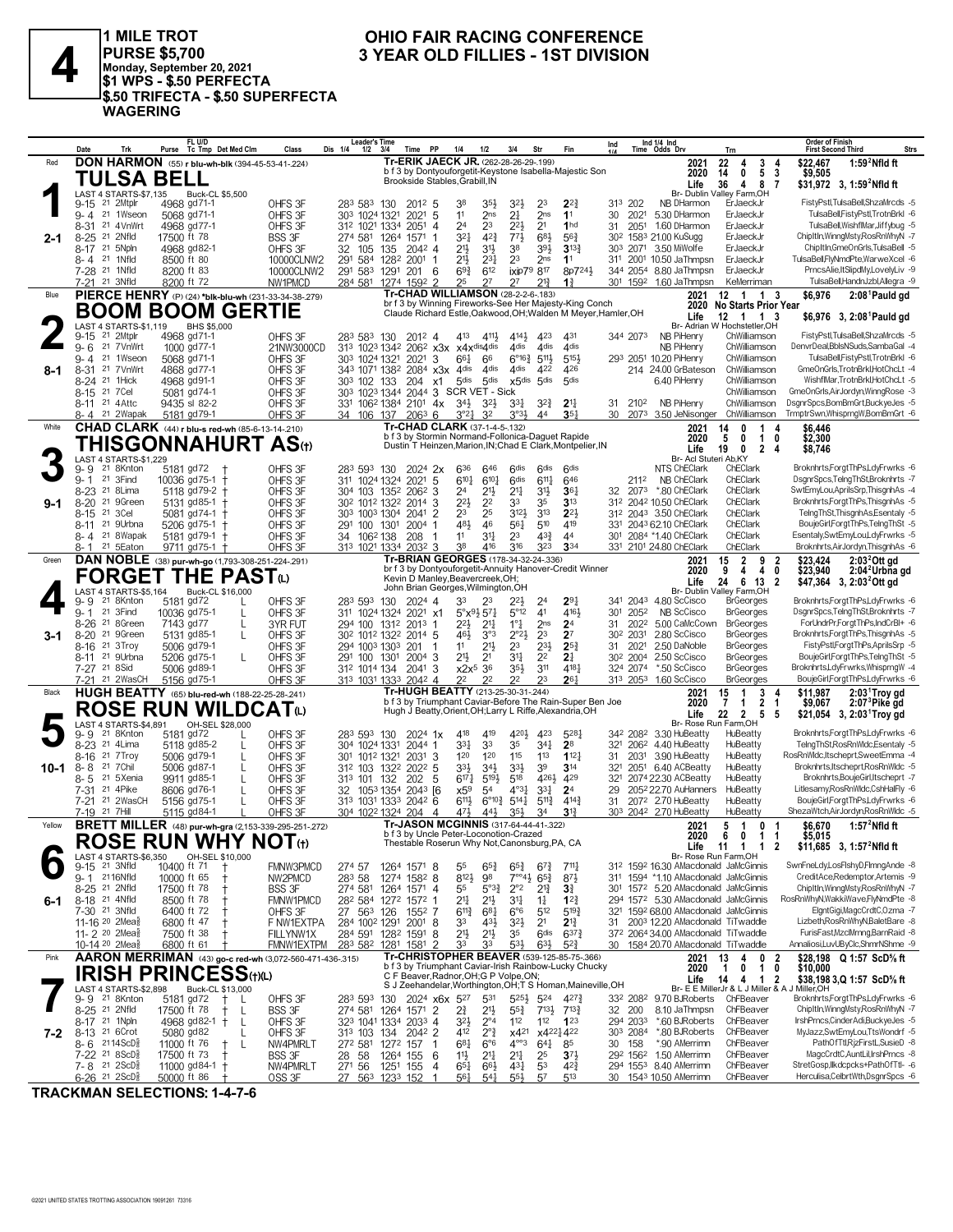

1 MILE TROT **1 DELAND ON OND FAIR RACING CONFERENCE**<br>
PURSE \$5,700 3 YEAR OLD FILLIES - 1ST DIVISION<br>
\$1 WPS - \$.50 PERFECTA **PURSE \$5,700 Monday, September 20, 2021 \$1 WPS - \$.50 PERFECTA \$.50 TRIFECTA - \$.50 SUPERFECTA WAGERING**

### **OHIO FAIR RACING CONFERENCE<br>3 YEAR OLD FILLIES - 1ST DIVISION**

|         | Date                                                  | Trk                                                   | Purse                      | FL U/D<br>Tc Tmp Det Med Clm                           | Class                                                           | <b>Leader's Time</b><br>Dis 1/4<br>1/2                                    | 3/4                        | Time<br><b>PP</b>     | 1/4                                                                               | 1/2                        | 3/4                                           | Str                                                      | Fin                                                           | Ind      |                                  | Ind 1/4 Ind<br>Time Odds Drv                                                 | Trn                                                                                            | Order of Finish<br>Strs<br>First Second Third                                |
|---------|-------------------------------------------------------|-------------------------------------------------------|----------------------------|--------------------------------------------------------|-----------------------------------------------------------------|---------------------------------------------------------------------------|----------------------------|-----------------------|-----------------------------------------------------------------------------------|----------------------------|-----------------------------------------------|----------------------------------------------------------|---------------------------------------------------------------|----------|----------------------------------|------------------------------------------------------------------------------|------------------------------------------------------------------------------------------------|------------------------------------------------------------------------------|
| Red     |                                                       |                                                       |                            |                                                        | <b>DON HARMON</b> (55) r blu-wh-blk (394-45-53-41-.224)         |                                                                           |                            |                       | Tr-ERIK JAECK JR. (262-28-26-29-.199)                                             |                            |                                               |                                                          |                                                               |          |                                  | 2021                                                                         | 22<br>3<br>4                                                                                   | \$22,467<br>$1:592$ Nfld ft<br>4                                             |
|         |                                                       | TULSA BELL                                            |                            |                                                        |                                                                 |                                                                           |                            |                       | Brookside Stables, Grabill, IN                                                    |                            |                                               |                                                          | b f 3 by Dontyouforgetit-Keystone Isabella-Majestic Son       |          |                                  | 2020<br>Life                                                                 | 5 <sub>3</sub><br>14<br>0<br>36<br>4 8 7                                                       | \$9,505<br>\$31,972 3, 1:59 <sup>2</sup> Nfld ft                             |
|         |                                                       | LAST 4 STARTS-\$7,135                                 |                            | <b>Buck-CL \$5,500</b>                                 |                                                                 |                                                                           |                            |                       |                                                                                   |                            |                                               |                                                          |                                                               |          |                                  |                                                                              | Br- Dublin Valley Farm, OH                                                                     |                                                                              |
|         | 9-15                                                  | 21 2Mtplr                                             | 4968 gd71-1                |                                                        | OHFS 3F                                                         | 283 583 130                                                               |                            | $201^2$ 5             | 38                                                                                | 35}                        | 32}                                           | 23                                                       | $2^{2}$                                                       |          | 313 202                          | NB DHarmon                                                                   | ErJaeckJr                                                                                      | FistyPstl,TulsaBell,ShzaMrcds -5                                             |
|         | $9 - 4$<br>$8 - 31$                                   | 21 1Wseon<br>21 4VnWrt                                | 5068 gd71-1<br>4968 gd77-1 |                                                        | OHFS 3F<br>OHFS 3F                                              | 303 1024 1321<br>312 1021 1334                                            |                            | $2021$ 5<br>2051<br>4 | 11<br>24                                                                          | 2 <sub>ns</sub><br>23      | 2 <sup>1</sup><br>$2^{21}$                    | 2 <sub>ns</sub><br>2 <sup>1</sup>                        | 1 <sup>1</sup><br>1 <sub>hd</sub>                             | 30<br>31 | 2021<br>2051                     | 5.30 DHarmon<br>1.60 DHarmon                                                 | ErJaeckJr<br>ErJaeckJr                                                                         | TulsaBell,FistyPstl,TrotnBrkl -6<br>TulsaBell, WishflMar, Jiffybug -5        |
| $2 - 1$ | $8 - 25$                                              | 21 2Nfld                                              | 17500 ft 78                |                                                        | BSS 3F                                                          | 274 581                                                                   | 1264                       | 1571                  | 321                                                                               | $4^{2}\frac{3}{4}$         | $77\frac{1}{2}$                               | $6^{8}$                                                  | $56\frac{3}{4}$                                               |          |                                  | 30 <sup>2</sup> 158 <sup>3</sup> 21.00 KuSugg                                | ErJaeckJr                                                                                      | ChipItIn, Winng Msty, Ros Rn Why N - 7                                       |
|         | 8-17 21 5Npln                                         |                                                       | 4968 gd82-1                |                                                        | OHFS 3F                                                         | 32 105 135                                                                |                            | $204^2$ 4             | 21}                                                                               | 3 <sup>1</sup>             | 38                                            | 393                                                      | $3^{13}$                                                      |          |                                  | 303 2071 3.50 MiWolfe                                                        | ErJaeckJr                                                                                      | ChipItIn, GmeOnGrls, TulsaBell -5                                            |
|         | 8-4 <sup>21</sup> 1Nfld                               |                                                       | 8500 ft 80                 |                                                        | 10000CLNW2                                                      | 291 584                                                                   | 1282 2001 1                |                       | 21}                                                                               | $2^{3}\frac{1}{4}$         | 2 <sup>3</sup>                                | 2 <sub>ns</sub>                                          | 1 <sup>1</sup>                                                |          |                                  | 311 2001 10.50 JaThmpsn                                                      | ErJaeckJr                                                                                      | TulsaBell,FlyNmdPte,WarweXcel -6                                             |
|         | 7-28 21 1Nfld                                         |                                                       | 8200 ft 83                 |                                                        | 10000CLNW2                                                      | 291 583 1291 201                                                          |                            | 6                     | $69\frac{3}{4}$                                                                   | 612                        | ixip79 817                                    |                                                          | 8p7241                                                        |          |                                  | 344 2054 8.80 JaThmpsn                                                       | ErJaeckJr                                                                                      | PrncsAlie, ItSlipdMy,LovelyLiv -9                                            |
| Blue    | 7-21 <sup>21</sup> 3Nfld                              |                                                       | 8200 ft 72                 |                                                        | NW1PMCD<br>PIERCE HENRY (P) (24) *blk-blu-wh (231-33-34-38-279) | 284 581 1274 1592 2                                                       |                            |                       | 25<br>Tr-CHAD WILLIAMSON (28-2-2-6-.183)                                          | 27                         | 27                                            | $2^{13}$                                                 | $1\frac{3}{4}$                                                |          |                                  | 301 1592 1.60 JaThmpsn<br>2021                                               | KeMerriman<br>12 1 1                                                                           | TulsaBell,HandnJzbl,Allegra -9<br>2:08 <sup>1</sup> Pauld gd<br>3<br>\$6,976 |
|         |                                                       |                                                       |                            | <b>BOOM BOOM GERTIE</b>                                |                                                                 |                                                                           |                            |                       |                                                                                   |                            |                                               |                                                          | br f 3 by Winning Fireworks-See Her Majesty-King Conch        |          |                                  |                                                                              | 2020 No Starts Prior Year                                                                      |                                                                              |
|         |                                                       |                                                       |                            |                                                        |                                                                 |                                                                           |                            |                       |                                                                                   |                            |                                               |                                                          | Claude Richard Estle, Oakwood, OH; Walden M Meyer, Hamler, OH |          |                                  | Life                                                                         | 12 1 1 3                                                                                       | \$6,976 3, 2:08 Pauld gd                                                     |
|         | $9 - 15$                                              | LAST 4 STARTS-\$1.119<br>21 2Mtplr                    | 4968 gd71-1                | BHS \$5,000                                            | OHFS 3F                                                         | 283 583 130                                                               |                            | 2012 4                | 413                                                                               | 4111,                      | 4141                                          | 423                                                      | 431                                                           |          | 344 2073                         | NB PiHenry                                                                   | Br- Adrian W Hochstetler, OH<br>ChWilliamson                                                   | FistyPstl,TulsaBell,ShzaMrcds -5                                             |
|         | $9 - 6$                                               | 21 7VnWrt                                             | 1000 gd77-1                |                                                        | 21NW3000CD                                                      | 313 1023 1342 2062 x3x x4xdis4dis                                         |                            |                       |                                                                                   |                            | 4dis                                          | 4 <sub>dis</sub>                                         | 4dis                                                          |          |                                  | <b>NB PiHenry</b>                                                            | ChWilliamson                                                                                   | DenvrDeal,BblsNSuds,SambaGal -4                                              |
|         |                                                       | 9-4 <sup>21</sup> 1Wseon                              | 5068 gd71-1                |                                                        | OHFS 3F                                                         | 303 1024 1321                                                             |                            | 2021<br>3             | 661                                                                               | 66                         |                                               | $6^{\circ}16\frac{3}{4}$ 511 <sup>1</sup> / <sub>2</sub> | 5151                                                          |          |                                  | 293 2051 10.20 PiHenry                                                       | ChWilliamson                                                                                   | TulsaBell,FistyPstl,TrotnBrkl -6                                             |
| 8-1     | 8-31 <sup>21</sup> 7 Vn Wrt                           |                                                       | 4868 gd77-1                |                                                        | OHFS 3F                                                         | 343 1071 1382 2084 x3x 4dis                                               |                            |                       |                                                                                   | 4 <sub>dis</sub>           | 4 <sub>dis</sub><br>x5dis 5dis                | 422                                                      | 426                                                           |          |                                  | 214 24.00 GrBateson                                                          | ChWilliamson                                                                                   | GmeOnGrls, TrotnBrkl, HotChcLt -4<br>WishflMar, TrotnBrkl, HotChcLt -5       |
|         | 8-24<br>8-15 21 7 Cel                                 | 21 1Hick                                              | 4968 gd91-1<br>5081 gd74-1 |                                                        | OHFS 3F<br>OHFS 3F                                              | 303 102 133<br>303 1023 1344 2044 3 SCR VET - Sick                        |                            | 204<br>x1             | 5 <sub>dis</sub>                                                                  | 5 <sub>dis</sub>           |                                               |                                                          | 5 <sub>dis</sub>                                              |          |                                  | 6.40 PiHenry                                                                 | ChWilliamson<br>ChWilliamson                                                                   | GmeOnGrls, AirJordyn, WinngRose -3                                           |
|         | 8-11 21 4 Attc                                        |                                                       | 9435 sl 82-2               |                                                        | OHFS 3F                                                         | 331 1062 1384 2101 4x                                                     |                            |                       | $3^{4}\frac{1}{2}$                                                                | $3^{2}\frac{1}{2}$         | 331                                           | $3^{2}\frac{3}{4}$                                       | $2^{11}$                                                      |          | 31 2102                          | NB PiHenry                                                                   | ChWilliamson                                                                                   | DsgnrSpcs,BomBmGrt,BuckyeJes -5                                              |
|         |                                                       | 8-4 <sup>21</sup> 2Wapak                              | 5181 gd79-1                |                                                        | OHFS 3F                                                         | 34 106 137                                                                |                            | $206^3$ 6             | $3^{°2}4$                                                                         | 32                         | $3^{03}\frac{1}{2}$                           | 44                                                       | $35\frac{1}{4}$                                               |          |                                  | 30 2073 3.50 JeNisonger ChWilliamson                                         |                                                                                                | TrmptrSwn,WhisprngW,BomBmGrt -6                                              |
| White   |                                                       |                                                       |                            | <b>CHAD CLARK</b> (44) r blu-s red-wh (85-6-13-14-210) |                                                                 |                                                                           |                            |                       | Tr-CHAD CLARK (37-1-4-5-.132)<br>b f 3 by Stormin Normand-Follonica-Daguet Rapide |                            |                                               |                                                          |                                                               |          |                                  | 2021                                                                         | 14<br>1<br>0<br>4                                                                              | \$6,446                                                                      |
|         |                                                       |                                                       |                            |                                                        | THISGONNAHURT AS⊕                                               |                                                                           |                            |                       |                                                                                   |                            |                                               |                                                          | Dustin T Heinzen, Marion, IN; Chad E Clark, Montpelier, IN    |          |                                  | 2020<br>Life                                                                 | 5<br>0<br>$\mathbf{1}$<br>19<br>$\mathbf{0}$<br>$\overline{2}$<br>-4                           | \$2,300<br>0<br>\$8,746                                                      |
|         |                                                       | LAST 4 STARTS-\$1,229                                 |                            |                                                        |                                                                 |                                                                           |                            |                       |                                                                                   |                            |                                               |                                                          |                                                               |          |                                  | Br- Acl Stuteri Ab, KY                                                       |                                                                                                |                                                                              |
|         | 9-9<br>$9 - 1$                                        | 21 8Knton<br>21 3Find                                 | 5181 gd72                  |                                                        | OHFS 3F                                                         | 283 593 130                                                               |                            | $2024$ 2x             | 636<br>6101                                                                       | 646                        | <b>Gdis</b><br>6 <sup>dis</sup>               | <b>Gdis</b>                                              | <b>Gdis</b>                                                   |          |                                  | NTS ChEClark<br>NB ChEClark                                                  | ChEClark<br>ChEClark                                                                           | Broknhrts,ForgtThPs,LdyFrwrks -6<br>DsgnrSpcs,TelngThSt,Broknhrts -7         |
|         | 8-23                                                  | 21 8Lima                                              | 10036 gd75-1               | 5118 gd79-2                                            | OHFS 3F<br>OHFS 3F                                              | 311 1024 1324 2021<br>304 103 1352 2062 3                                 |                            | 5                     | 24                                                                                | $6^{10}$<br>21}            | 21                                            | $6^{11}\frac{1}{4}$<br>3 <sup>1</sup>                    | 646<br>$36\frac{1}{4}$                                        |          | 2112                             | 32 2073 *.80 ChEClark                                                        | ChEClark                                                                                       | SwtEmyLou,AprilsSrp,ThisgnhAs -4                                             |
| 9-1     | 8-20                                                  | 21 9Green                                             | 5131 gd85-1                |                                                        | OHFS 3F                                                         | 30 <sup>2</sup> 101 <sup>2</sup> 132 <sup>2</sup> 2014 3                  |                            |                       | $2^{21}$                                                                          | 2 <sup>2</sup>             | 33                                            | 35                                                       | 3 <sup>13</sup>                                               |          |                                  | 312 2042 10.50 ChEClark                                                      | ChEClark                                                                                       | Broknhrts,ForgtThPs,ThisgnhAs -5                                             |
|         | $8 - 15$                                              | 21 3 Cel                                              | 5081 gd74-1                |                                                        | OHFS 3F                                                         | 303 1003 1304 2041 2                                                      |                            |                       | 23                                                                                | 25                         | 3123                                          | 3 <sup>13</sup>                                          | $2^{2}$                                                       |          |                                  | 312 2043 3.50 ChEClark                                                       | ChEClark                                                                                       | TelngThSt,ThisgnhAs,Esentaly -5                                              |
|         | 8-11 <sup>21</sup> 9Urbna                             |                                                       | 5206 gd75-1                |                                                        | OHFS 3F                                                         | 291 100 1301                                                              |                            | $2004$ 1              | 481                                                                               | 46                         | 561                                           | 510                                                      | 419                                                           |          |                                  | 331 2043 62.10 ChEClark                                                      | ChEClark                                                                                       | BoujeGirl,ForgtThPs,TelngThSt -5                                             |
|         |                                                       | 8-4 <sup>21</sup> 8Wapak<br>8-1 <sup>21</sup> 5 Eaton |                            | 5181 gd79-1 +<br>9711 gd75-1 †                         | OHFS 3F<br>OHFS 3F                                              | 34 106 <sup>2</sup> 138<br>313 1021 1334 2032 3                           |                            | 208<br>-1             | 11<br>38                                                                          | 34<br>416                  | 23<br>316                                     | $43\frac{3}{4}$<br>323                                   | 44<br>334                                                     |          |                                  | 301 2084 *1.40 ChEClark<br>331 2101 24.80 ChEClark                           | ChEClark<br>ChEClark                                                                           | Esentaly,SwtEmyLou,LdyFrwrks -5<br>Broknhrts, AirJordyn, ThisgnhAs -6        |
| Green   |                                                       |                                                       |                            |                                                        | DAN NOBLE (38) pur-wh-go (1,793-308-251-224-.291)               |                                                                           |                            |                       | Tr-BRIAN GEORGES (178-34-32-24-.336)                                              |                            |                                               |                                                          |                                                               |          |                                  | 2021                                                                         | $\overline{2}$<br>15<br>9 2                                                                    | \$23,424<br>$2:032Ott$ gd                                                    |
|         |                                                       |                                                       |                            | <b>FORGET THE PAST</b> (L)                             |                                                                 |                                                                           |                            |                       |                                                                                   |                            |                                               |                                                          | br f 3 by Dontyouforgetit-Annuity Hanover-Credit Winner       |          |                                  | 2020                                                                         | 9<br>4<br>4<br>0                                                                               | \$23,940<br>2:04 <sup>2</sup> Urbna gd                                       |
|         |                                                       | LAST 4 STARTS-\$5,164                                 |                            | Buck-CL \$16,000                                       |                                                                 |                                                                           |                            |                       | Kevin D Manley, Beavercreek, OH;<br>John Brian Georges,Wilmington,OH              |                            |                                               |                                                          |                                                               |          |                                  | Life                                                                         | 6<br>24<br>13<br>$\overline{\mathbf{2}}$<br>Br- Dublin Valley Farm, OH                         | \$47,364 3, 2:03 <sup>2</sup> Ott gd                                         |
|         | 9-9                                                   | 21 8Knton                                             | 5181 gd72                  |                                                        | OHFS 3F                                                         | 283 593 130                                                               |                            | $2024$ 4              | 33                                                                                | 23                         | 22}                                           | 2 <sup>4</sup>                                           | $29\frac{1}{4}$                                               |          |                                  | 341 2043 4.80 ScCisco                                                        | <b>BrGeorges</b>                                                                               | Broknhrts,ForgtThPs,LdyFrwrks -6                                             |
|         | $9 - 1$                                               | 21 3Find                                              | 10036 gd75-1               | L                                                      | OHFS 3F                                                         | 311 1024 1324 2021 x1                                                     |                            |                       | $5^{\circ}x^{9}\overline{2}57\overline{4}$                                        |                            | $5^{\circ}12$                                 | 4 <sup>1</sup>                                           | 4161                                                          |          | 301 2052                         | NB ScCisco                                                                   | <b>BrGeorges</b>                                                                               | DsgnrSpcs,TelngThSt,Broknhrts -7                                             |
|         | 8-26                                                  | 21 8Green                                             | 7143 gd77                  | L                                                      | 3YR FUT                                                         | 294 100                                                                   | 1312 2013 1                |                       | 22}                                                                               | $21\frac{1}{4}$            | $1°\frac{1}{4}$                               | 2 <sub>ns</sub>                                          | 2 <sup>4</sup>                                                | 31       | 2022                             | 5.00 CaMcCown                                                                | <b>BrGeorges</b>                                                                               | ForUndrPr,ForgtThPs,IndCrBI+ -6                                              |
| 3-1     | 8-20 <sup>21</sup> 9Green<br>8-16                     | 21 3Troy                                              | 5131 gd85-1<br>5006 gd79-1 | L                                                      | OHFS 3F<br>OHFS 3F                                              | 30 <sup>2</sup> 101 <sup>2</sup> 132 <sup>2</sup> 2014 5<br>294 1003 1303 |                            | 201                   | 461<br>11                                                                         | 3°3<br>$21\frac{1}{2}$     | $2^{\circ}2^{\circ}$<br>2 <sup>3</sup>        | 2 <sup>3</sup><br>$2^{3}\frac{1}{2}$                     | 2 <sup>7</sup><br>$2^{5}$                                     |          | 30 <sup>2</sup> 2031<br>31 2021  | 2.80 ScCisco<br>2.50 DaNoble                                                 | <b>BrGeorges</b><br><b>BrGeorges</b>                                                           | Broknhrts, Forgt ThPs, ThisgnhAs -5<br>FistyPstl,ForgtThPs,AprilsSrp -5      |
|         | $8 - 11$                                              | 21 9Urbna                                             | 5206 gd75-1                | L                                                      | OHFS 3F                                                         | 291 100 1301                                                              |                            | $2004$ 3              | 21}                                                                               | 2 <sup>1</sup>             | 34                                            | 2 <sup>2</sup>                                           | 21                                                            |          | 30 <sup>2</sup> 200 <sup>4</sup> | 2.50 ScCisco                                                                 | <b>BrGeorges</b>                                                                               | BoujeGirl,ForgtThPs,TelngThSt -5                                             |
|         | 7-27 <sup>21</sup> 8Sid                               |                                                       | 5006 gd89-1                |                                                        | OHFS 3F                                                         | 312 1014 134                                                              |                            | 2041 3                | $x2x^5$ 36                                                                        |                            | $35\frac{1}{2}$                               | 311                                                      | 4181                                                          |          | 324 2074                         | *.50 ScCisco                                                                 | <b>BrGeorges</b>                                                                               | Broknhrts,LdyFrwrks,WhisprngW -4                                             |
|         |                                                       | 7-21 <sup>21</sup> 2WasCH                             | 5156 gd75-1                |                                                        | OHFS 3F                                                         | 313 1031 1333                                                             |                            | $204^2$ 4             | 22<br>Tr-HUGH BEATTY (213-25-30-31-.244)                                          | 2 <sup>2</sup>             | 22                                            | 23                                                       | 261                                                           |          |                                  | 313 2053 1.60 ScCisco                                                        | <b>BrGeorges</b>                                                                               | BoujeGirl,ForgtThPs,LdyFrwrks -6                                             |
| Black   |                                                       |                                                       |                            |                                                        | HUGH BEATTY (65) blu-red-wh (188-22-25-28-.241)                 |                                                                           |                            |                       |                                                                                   |                            |                                               |                                                          | b f 3 by Triumphant Caviar-Before The Rain-Super Ben Joe      |          |                                  | 2021<br>2020                                                                 | 15<br>$\overline{1}$<br>3 <sub>4</sub><br>$\overline{2}$<br>$\overline{7}$<br>1<br>$\mathbf 1$ | \$11.987<br>2:03 <sup>1</sup> Troy gd<br>$2:073$ Pike gd<br>\$9,067          |
|         |                                                       |                                                       |                            |                                                        | ROSE RUN WILDCATω                                               |                                                                           |                            |                       |                                                                                   |                            |                                               |                                                          | Hugh J Beatty, Orient, OH; Larry L Riffe, Alexandria, OH      |          |                                  | Life                                                                         | 22<br>$\overline{2}$<br>5<br>- 5                                                               | \$21,054 3, 2:03 Troy gd                                                     |
|         | 9- 9                                                  | LAST 4 STARTS-\$4.891<br>21 8Knton                    | 5181 gd72                  | OH-SEL \$28,000                                        | OHFS 3F                                                         | 283 593 130                                                               |                            | $2024$ 1x             | 418                                                                               | 419                        | 4204                                          | 423                                                      | 5281                                                          |          |                                  | 34 <sup>2</sup> 208 <sup>2</sup> 3.30 HuBeatty                               | Br- Rose Run Farm, OH<br>HuBeatty                                                              | Broknhrts,ForgtThPs,LdyFrwrks -6                                             |
|         | 8-23 <sup>21</sup> 4 Lima                             |                                                       | 5118 gd85-2                | L                                                      | OHFS 3F                                                         | 304 1024 1331                                                             |                            | 2044 1                | $3^{3}$                                                                           | 33                         | 35                                            | $34\frac{1}{4}$                                          | 2 <sup>8</sup>                                                |          |                                  | 321 206 <sup>2</sup> 4.40 HuBeatty                                           | HuBeatty                                                                                       | TelngThSt,RosRnWldc,Esentaly -5                                              |
|         | $8 - 16$                                              | 21 7 Troy                                             | 5006 gd79-1                | L                                                      | OHFS 3F                                                         | 301 1012 1321                                                             |                            | $2031$ 3              | 120                                                                               | 120                        | 115                                           | 113                                                      | 112 <sub>7</sub>                                              |          |                                  | 31 2031 3.90 HuBeatty                                                        | HuBeatty                                                                                       | RosRnWldc, Itscheprt, SweetEmma -4                                           |
| 10-1    | $8 - 8$                                               | 21 7 Chil                                             | 5006 gd87-1                |                                                        | OHFS 3F                                                         | 312 103 1322                                                              |                            | $202^2$ 5             | 33}                                                                               | $34\frac{1}{2}$            | 33}                                           | 39                                                       | $3^{14}$                                                      |          |                                  | 321 2051 6.40 ACBeatty                                                       | HuBeatty                                                                                       | Broknhrts, Itscheprt, Ros Rn Widc -5                                         |
|         | 8-5<br>7-31 <sup>21</sup> 4Pike                       | 21 5Xenia                                             | 9911 gd85-1<br>8606 gd76-1 |                                                        | OHFS 3F<br>OHFS 3F                                              | 313 101 132<br>32 1053 1354 2043 [6]                                      |                            | 202 5                 | $6^{17}$<br>x59                                                                   | $5^{19}$<br>5 <sup>4</sup> | 518<br>$4^{\circ}3\frac{1}{4}$                | 426}<br>$3^{31}$                                         | 429<br>2 <sup>4</sup>                                         | 29       |                                  | 321 2074 22.30 ACBeatty<br>205 <sup>2</sup> 22.70 AuHanners                  | HuBeatty<br>HuBeatty                                                                           | Broknhrts, BoujeGirl, Itscheprt -7<br>Litlesamy, Ros Rn Wldc, CshHalFly -6   |
|         | 7-21                                                  | 21 2WasCH                                             | 5156 gd75-1                |                                                        | OHFS 3F                                                         | 313 1031 1333 2042 6                                                      |                            |                       | $6^{11}\frac{1}{2}$                                                               |                            | $6^{\circ}10^{\frac{3}{4}}$ 514 $\frac{1}{4}$ | $5^{11}\frac{3}{4}$                                      | $4^{14}\frac{3}{4}$                                           |          |                                  | 31 2072 2.70 HuBeatty                                                        | HuBeatty                                                                                       | BoujeGirl,ForgtThPs,LdyFrwrks -6                                             |
|         | 7-19 21 7Hill                                         |                                                       | 5115 gd84-1                |                                                        | OHFS 3F                                                         | 304 1022 1324 204                                                         |                            | 4                     | 471                                                                               | 443                        | 35}                                           | 34                                                       | $3^{13}$                                                      |          |                                  | 303 2042 2.70 HuBeatty                                                       | HuBeatty                                                                                       | ShezaWtch, AirJordyn, Ros Rn Wldc -5                                         |
| Yellow  |                                                       |                                                       |                            |                                                        | <b>BRETT MILLER</b> (48) pur-wh-gra (2,153-339-295-251-272)     |                                                                           |                            |                       | Tr-JASON MCGINNIS (317-64-44-41-322)<br>b f 3 by Uncle Peter-Loconotion-Crazed    |                            |                                               |                                                          |                                                               |          |                                  | 2021                                                                         | 5<br>$\overline{1}$<br>0 <sub>1</sub>                                                          | \$6,670<br>1:57 $^2$ Nfld ft                                                 |
|         |                                                       |                                                       |                            |                                                        | <b>ROSE RUN WHY NOT</b> (t)                                     |                                                                           |                            |                       | Thestable Roserun Why Not,Canonsburg,PA, CA                                       |                            |                                               |                                                          |                                                               |          |                                  | 2020                                                                         | 6011<br>Life 11 1 1                                                                            | \$5.015<br>\$11,685 3, 1:57 <sup>2</sup> Nfld ft<br>2                        |
|         |                                                       | LAST 4 STARTS-\$6.350                                 |                            | OH-SEL \$10,000                                        |                                                                 |                                                                           |                            |                       |                                                                                   |                            |                                               |                                                          |                                                               |          |                                  |                                                                              | Br- Rose Run Farm, OH                                                                          |                                                                              |
|         | 9-15<br>9-1 2116Nfld                                  | 21 3Nfld                                              | 10400 ft 71<br>10000 ft 65 |                                                        | FMNW3PMCD<br>NW2PMCD                                            | 274 57<br>283 58                                                          | 1264 1571 8<br>1274 1582 8 |                       | 55<br>8121                                                                        | $65\frac{3}{4}$<br>98      | $65\frac{3}{4}$<br>$7^{\circ}$ <sup>4</sup> } | $6^{7}$<br>$65\frac{3}{4}$                               | $7^{11}\frac{1}{4}$<br>873                                    |          |                                  | 312 1592 16.30 AMacdonald JaMcGinnis<br>311 1594 *1.10 AMacdonald JaMcGinnis |                                                                                                | SwnFneLdy,LosFlshyD,FlmngAnde -8<br>CreditAce,Redemptor,Artemis -9           |
|         | 8-25 <sup>21</sup> 2Nfld                              |                                                       | 17500 ft 78                |                                                        | <b>BSS 3F</b>                                                   | 274 581                                                                   | 1264                       | 1571 4                | 55                                                                                | $5^{03}\frac{3}{4}$        | $2^{\circ}2$                                  | $2^{13}$                                                 | $3\frac{3}{4}$                                                |          |                                  | 301 1572 5.20 AMacdonald JaMcGinnis                                          |                                                                                                | ChipItIn, Winng Msty, Ros Rn Why N - 7                                       |
| 6-1     | 8-18 <sup>21</sup> 4Nfld                              |                                                       | 8500 ft 78                 |                                                        | FMNW1PMCD                                                       | 282 584 1272 1572 1                                                       |                            |                       | 21‡                                                                               | 21}                        | 34                                            | $1\frac{1}{4}$                                           | $12\frac{3}{4}$                                               |          |                                  | 294 1572 5.30 AMacdonald JaMcGinnis                                          |                                                                                                | RosRnWhyN, WakkiWave, FlyNmdPte -8                                           |
|         | 7-30 <sup>21</sup> 3Nfld                              |                                                       | 6400 ft 72                 |                                                        | OHFS 3F                                                         | 27 563 126                                                                |                            | 1552 7                | $6^{11}\frac{3}{4}$                                                               | $6^{8}$ <sub>1</sub>       | $6^{\circ}6$                                  | 512                                                      | $5^{19}$                                                      |          |                                  | 321 1592 68.00 AMacdonald JaMcGinnis                                         |                                                                                                | ElantGiai.MagcCrdtC.Ozma -7                                                  |
|         | 11-16 <sup>20</sup> 2Mea <sup>§</sup><br>11-2 20 2Mea |                                                       | 6800 ft 47<br>7500 ft 38   |                                                        | F NW1EXTPA                                                      | 284 1002 1291 2001 8                                                      |                            |                       | 33<br>$21\frac{1}{2}$                                                             | 431                        | $3^{21}$<br>35                                | 2 <sup>1</sup><br>6 <sup>dis</sup>                       | $2^{13}$<br>$6^{37}\frac{3}{4}$                               | 31       |                                  | 2003 12.20 AMacdonald TiTwaddle<br>372 2064 34.00 AMacdonald TiTwaddle       |                                                                                                | Lizbeth, Ros Rn Why N, Balet Bare -8<br>FurisFast, MzclMrnng, BarnRaid -8    |
|         | 10-14 20 2Mea                                         |                                                       | 6800 ft 61                 |                                                        | FILLYNW1X<br>FMNW1EXTPM                                         | 284 591 1282 1591 8<br>283 582 1281 1581 2                                |                            |                       | 33                                                                                | 2 <sup>11</sup><br>33      | 53}                                           | $63\frac{1}{2}$                                          | $5^{2}$                                                       |          |                                  | 30 1584 20.70 AMacdonald TiTwaddle                                           |                                                                                                | Annaliosi,LuvUByClc,ShmrNShme -9                                             |
| Pink    |                                                       |                                                       |                            |                                                        | AARON MERRIMAN (43) go-c red-wh (3,072-560-471-436-.315)        |                                                                           |                            |                       |                                                                                   |                            |                                               |                                                          | Tr-CHRISTOPHER BEAVER (539-125-85-75-366)                     |          |                                  | 2021                                                                         | $\overline{2}$<br>13<br>4<br>0                                                                 | \$28.198 Q 1:57 ScD% ft                                                      |
|         |                                                       |                                                       |                            | <b>IRISH PRINCESS(t)(L)</b>                            |                                                                 |                                                                           |                            |                       | C F Beaver, Radnor, OH; G P Volpe, ON;                                            |                            |                                               |                                                          | b f 3 by Triumphant Caviar-Irish Rainbow-Lucky Chucky         |          |                                  | 2020                                                                         | $\mathbf{1}$<br>$\overline{1}$<br>0                                                            | 0<br>\$10,000                                                                |
|         |                                                       | LAST 4 STARTS-\$2,898                                 |                            | Buck-CL \$13,000                                       |                                                                 |                                                                           |                            |                       |                                                                                   |                            |                                               |                                                          | S J Zeehandelar, Worthington, OH; T S Homan, Maineville, OH   |          |                                  | Life                                                                         | 14<br>4<br>$\overline{1}$<br>-2<br>Br- E E MillerJr & L J Miller & A                           | \$38,198 3,Q 1:57 ScD% ft<br>J Miller,OH                                     |
|         | 9-9 21 8Knton                                         |                                                       | 5181 gd72                  | L                                                      | OHFS 3F                                                         | 283 593 130                                                               |                            | 2024 x6x 527          |                                                                                   | 531                        | $5^{25}$                                      | 524                                                      | $4^{27}\frac{3}{4}$                                           |          |                                  | 332 2082 9.70 BJRoberts ChFBeaver                                            |                                                                                                | Broknhrts,ForgtThPs,LdyFrwrks -6                                             |
|         | 8-25 21 2Nfld<br>8-17 21 1Npln                        |                                                       | 17500 ft 78                | L                                                      | <b>BSS 3F</b>                                                   | 274 581                                                                   | 1264 1571                  | $\overline{2}$        | 21<br>32}                                                                         | 21}<br>$2^{\circ 4}$       | $55\frac{3}{4}$<br>112                        | $7^{13}\frac{1}{2}$<br>112                               | $7^{13}\frac{3}{4}$<br>$1^{23}$                               |          | 32 200                           | 8.10 JaThmpsn<br>294 2033 *.60 BJRoberts                                     | ChFBeaver<br>ChFBeaver                                                                         | ChipItIn, Winng Msty, Ros Rn Why N - 7<br>IrshPrncs,CinderAdi,BuckyeJes -5   |
| 7-2     | 8-13 <sup>21</sup> 6Crot                              |                                                       | 5080 gd82                  | 4968 gd82-1 +                                          | OHFS 3F<br>OHFS 3F                                              | 323 1041 1334 2033 4<br>313 103 134                                       |                            | 2042 2                | 412                                                                               | $2^{\circ}$ $\frac{3}{4}$  | x421                                          | x422}422                                                 |                                                               |          | 303 2084                         | *.80 BJRoberts                                                               | ChFBeaver                                                                                      | MyJazz,SwtEmyLou,TtsWondrf -5                                                |
|         | $8 - 6$ 2114ScD <sup>3</sup>                          |                                                       | 11000 ft 76                | L                                                      | NW4PMRLT                                                        | 272 581                                                                   | 1272 157 1                 |                       | 681                                                                               | $6^{\circ}6$               | $4^{\circ\circ}3$                             | $64\frac{1}{4}$                                          | 85                                                            |          | 30 158                           | *.90 AMerrimn                                                                | ChFBeaver                                                                                      | PathOfTtl,RjzFirstL,SusieD -8                                                |
|         | 7-22 21 8 ScD                                         |                                                       | 17500 ft 73                |                                                        | <b>BSS 3F</b>                                                   | 58<br>28                                                                  | 1264 155 6                 |                       | 11至                                                                               | $2^{11}$                   | 21                                            | 25                                                       | $3^{7}$                                                       |          |                                  | 292 1562 1.50 AMerrimn                                                       | ChFBeaver                                                                                      | MagcCrdtC,AuntLil,IrshPrncs -8                                               |
|         | $7 - 8$ 21 $2$ ScD $\frac{5}{8}$                      |                                                       |                            | 11000 gd84-1 +                                         | NW4PMRLT                                                        | 271 56                                                                    | 1251 155                   | 4                     | $65\frac{1}{4}$                                                                   | $66\frac{1}{2}$            | 431                                           | 53                                                       | $4^{2}\frac{3}{4}$                                            |          |                                  | 294 1553 8.40 AMerrimn                                                       | ChFBeaver                                                                                      | StretGosp,llkdcpcks+PathOfTtl- -6<br>Herculisa,CelbrtWth,DsgnrSpcs -6        |
|         | $6-26$ <sup>21</sup> 2ScD <sup>5</sup>                |                                                       | 50000 ft 86                |                                                        | OSS 3F                                                          | 27 563 1233 152                                                           |                            |                       | 561                                                                               | 541                        | $5^{5}\frac{1}{2}$                            | 57                                                       | 513                                                           |          |                                  | 30 1543 10.50 AMerrimn                                                       | ChFBeaver                                                                                      |                                                                              |

**TRACKMAN SELECTIONS: 1-4-7-6**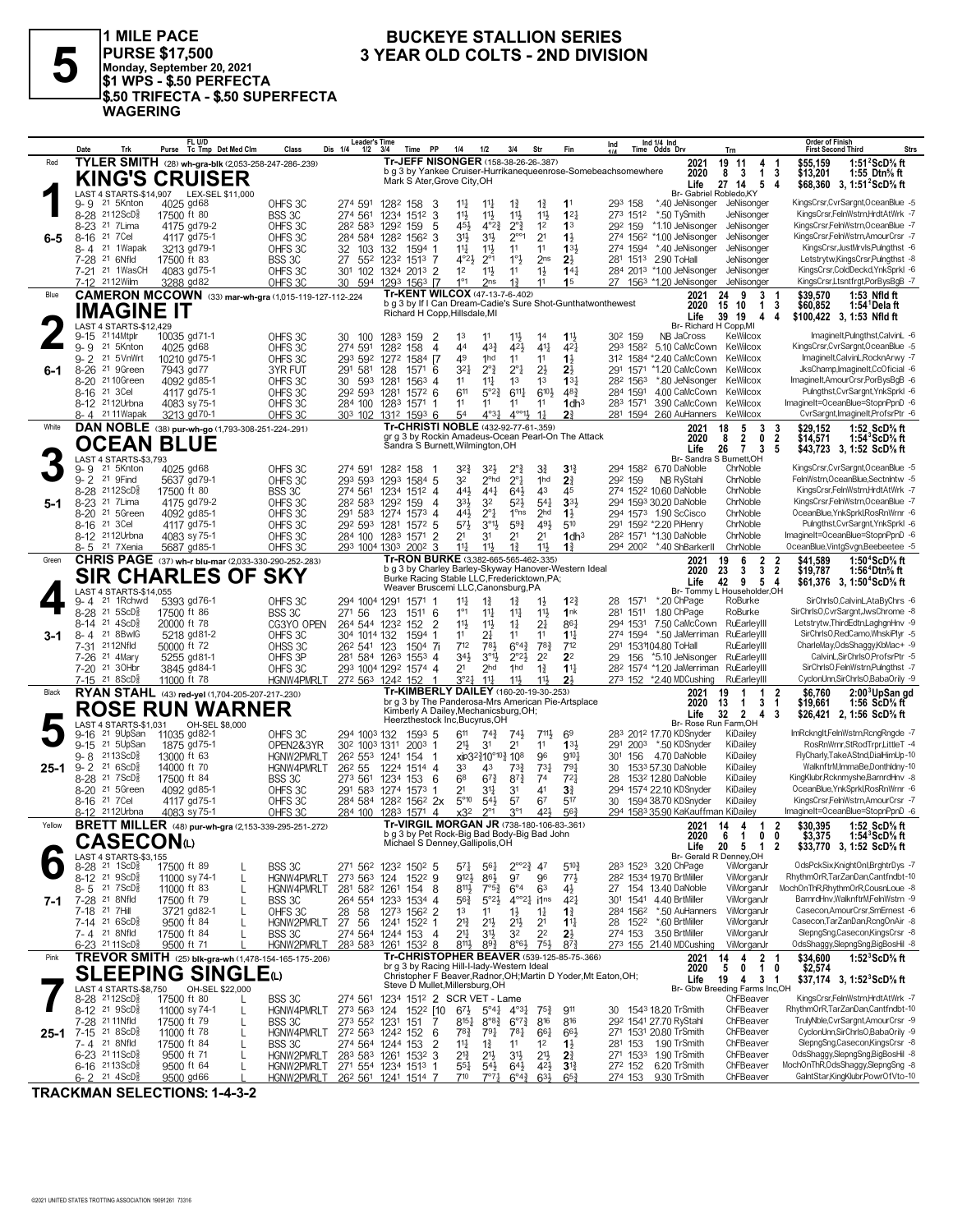

1 MILE PACE PURSE \$17,500<br>Monday, September 20, 2021<br>\$1 WPS - \$.50 PERFECTA \$.50 TRIFECTA - \$.50 SUPERFECTA **WAGERING** 

#### **BUCKEYE STALLION SERIES** 3 YEAR OLD COLTS - 2ND DIVISION

|        | Date<br>Trk                                                      | FL U/D<br>Purse Tc Tmp Det Med Clm                          | Class                       | Leader's Time<br>Dis 1/4<br>1/2                   | Time PP<br>- 3/4                                                                            | 1/4                                       | 1/2<br>3/4                                              | Str                                 | Fin                                                             | Ind                                                           | Ind $1/4$ Ind<br>Time Odds Drv                        | Trn                                               | Order of Finish<br><b>Strs</b><br><b>First Second Third</b>                                                                      |
|--------|------------------------------------------------------------------|-------------------------------------------------------------|-----------------------------|---------------------------------------------------|---------------------------------------------------------------------------------------------|-------------------------------------------|---------------------------------------------------------|-------------------------------------|-----------------------------------------------------------------|---------------------------------------------------------------|-------------------------------------------------------|---------------------------------------------------|----------------------------------------------------------------------------------------------------------------------------------|
| Red    |                                                                  | TYLER SMITH (28) wh-gra-blk (2,053-258-247-286-239)         |                             |                                                   | Tr-JEFF NISONGER (158-38-26-26-.387)                                                        |                                           |                                                         |                                     |                                                                 |                                                               | 2021                                                  | 19 11<br>4                                        | \$55.159<br>1:51 $2$ ScD $\%$ ft                                                                                                 |
|        |                                                                  | <b>KING'S CRUISER</b>                                       |                             |                                                   | Mark S Ater, Grove City, OH                                                                 |                                           |                                                         |                                     |                                                                 | b g 3 by Yankee Cruiser-Hurrikanequeenrose-Somebeachsomewhere | 2020                                                  | 8 3<br>$\mathbf{1}$                               | 3<br>\$13,201<br>1:55 Dtn $\%$ ft                                                                                                |
|        |                                                                  | LAST 4 STARTS-\$14,907 LEX-SEL \$11,000                     |                             |                                                   |                                                                                             |                                           |                                                         |                                     |                                                                 |                                                               | Life                                                  | 27 14<br>5<br>Br- Gabriel Robledo, KY             | -4<br>\$68,360 3, 1:51 ${}^{\prime}$ ScD ${}^{\prime}$ s ft                                                                      |
|        | 9- 9<br>21 5Knton                                                | 4025 gd68                                                   | OHFS 3C                     | 274 591                                           | 1282 158                                                                                    | 3<br>$11\frac{1}{4}$                      | $1\frac{3}{4}$<br>$11\frac{1}{4}$                       | $1\frac{3}{4}$                      | 11                                                              | 293 158                                                       | *.40 JeNisonger                                       | JeNisonger                                        | KingsCrsr,CvrSargnt,OceanBlue -5                                                                                                 |
|        | 8-28 2112ScD <sup>3</sup>                                        | 17500 ft 80                                                 | BSS 3C                      | 274 561                                           | 1234 1512                                                                                   | 3<br>11}                                  | $11\frac{1}{2}$<br>$11\frac{1}{2}$                      | 11                                  | $1^{2}$                                                         | 273 1512                                                      | *.50 TySmith                                          | JeNisonger                                        | KingsCrsr,FelnWstrn,HrdtAtWrk -7                                                                                                 |
|        | 8-23 <sup>21</sup> 7 Lima                                        | 4175 gd79-2                                                 | OHFS 3C                     |                                                   | 282 583 1292 159                                                                            | 5<br>45}                                  | $2^{\circ}$ $\frac{3}{4}$<br>$4^{\circ}2^{\frac{3}{4}}$ | 1 <sup>2</sup>                      | 1 <sup>3</sup>                                                  | 292 159                                                       | *1.10 JeNisonger                                      | JeNisonger                                        | KingsCrsr,FelnWstrn,OceanBlue -7                                                                                                 |
| 6-5    | 21 7 Cel<br>$8 - 16$                                             | 4117 gd75-1                                                 | OHFS 3C                     |                                                   | 284 584 1282 1562 3                                                                         | 31}                                       | 31}<br>$2^{\circ\circ}1$                                | 2 <sup>1</sup>                      | $1\frac{1}{2}$                                                  | 274 1562                                                      | *1.00 JeNisonger                                      | JeNisonger                                        | KingsCrsr,FelnWstrn,AmourCrsr -7                                                                                                 |
|        | 21 1Wapak<br>8-4                                                 | 3213 gd79-1                                                 | OHFS 3C                     | 32<br>103                                         | 132<br>1594                                                                                 | $11\frac{1}{4}$<br>-1                     | $11\frac{1}{2}$<br>11                                   | 11                                  | 133                                                             | 274 1594                                                      | *.40 JeNisonger                                       | JeNisonger                                        | KingsCrsr, JustMrvls, Pulngthst -6                                                                                               |
|        | 7-28 <sup>21</sup> 6Nfld<br>21 1WasCH                            | 17500 ft 83                                                 | BSS 3C                      | 27                                                | 552 1232 1513 7                                                                             | $4^{\circ}2\frac{1}{2}$<br>1 <sup>2</sup> | 1°3<br>$2^{\circ}1$<br>11                               | 2 <sub>ns</sub>                     | $2\frac{1}{2}$                                                  | 281 1513                                                      | 2.90 ToHall                                           | JeNisonger<br>JeNisonger                          | Letstrytw,KingsCrsr,Pulngthst -8<br>KingsCrsr,ColdDeckd,YnkSprkl -6                                                              |
|        | 7-21<br>7-12 2112 Wilm                                           | 4083 gd75-1<br>3288 gd82                                    | OHFS 3C<br>OHFS 3C          | 301 102<br>30<br>594                              | 1324 2013 2<br>1293 1563 17                                                                 | $1^{\circ}1$                              | $11\frac{1}{2}$<br>2 <sub>ns</sub><br>$1\frac{3}{4}$    | $1\frac{1}{2}$<br>11                | $14\frac{1}{4}$<br>1 <sub>5</sub>                               |                                                               | 284 2013 *1.00 JeNisonger<br>27 1563 *1.20 JeNisonger | JeNisonger                                        | KingsCrsr,Ltsntfrgt,PorBysBgB -7                                                                                                 |
| Blue   |                                                                  | CAMERON MCCOWN (33) mar-wh-gra (1,015-119-127-112-.224      |                             |                                                   | Tr-KENT WILCOX (47-13-7-6-.402)                                                             |                                           |                                                         |                                     |                                                                 |                                                               | 2021                                                  | 9<br>3<br>24                                      | \$39,570<br>1:53 Nfld ft<br>-1                                                                                                   |
|        |                                                                  |                                                             |                             |                                                   |                                                                                             |                                           |                                                         |                                     | b g 3 by If I Can Dream-Cadie's Sure Shot-Gunthatwonthewest     |                                                               | 2020                                                  | 15 10<br>1 3                                      | \$60,852<br>1:54 <sup>1</sup> Delaft                                                                                             |
|        | <b>IMAGINE IT</b>                                                |                                                             |                             |                                                   | Richard H Copp, Hillsdale, MI                                                               |                                           |                                                         |                                     |                                                                 |                                                               | Life                                                  | 39 19<br>4                                        | 4<br>\$100.422 3.1:53 Nfld ft                                                                                                    |
|        | <b>LAST 4 STARTS-\$12.429</b><br>2114Mtplr                       |                                                             | OHFS 3C                     |                                                   |                                                                                             | 1 <sup>3</sup>                            | 11                                                      |                                     |                                                                 | 30 <sup>2</sup> 159                                           | NB JaCross                                            | Br- Richard H Copp.MI<br>KeWilcox                 | ImagineIt,Pulngthst,CalvinL -6                                                                                                   |
|        | $9 - 15$<br>$9 - 9$<br>21 5Knton                                 | 10035 gd71-1<br>4025 gd68                                   | OHFS 3C                     | 30<br>100<br>274 591                              | 1283 159<br>1282 158                                                                        | 2<br>44<br>4                              | $11\frac{1}{2}$<br>$43\frac{3}{4}$<br>42}               | 1 <sup>4</sup><br>$41\frac{1}{4}$   | $11\frac{1}{2}$<br>421                                          | 293 1582                                                      | 5.10 CaMcCown                                         | KeWilcox                                          | KingsCrsr,CvrSargnt,OceanBlue -5                                                                                                 |
|        | $9 - 2$<br>21 5VnWrt                                             | 10210 gd75-1                                                | OHFS 3C                     | 293 592                                           | 1584 <sub>17</sub><br>1272                                                                  | 49                                        | 1hd<br>11                                               | 11                                  | 1}                                                              |                                                               | 312 1584 *2.40 CaMcCown                               | KeWilcox                                          | ImagineIt,CalvinL,RocknArwy -7                                                                                                   |
| 6-1    | 8-26 <sup>21</sup> 9Green                                        | 7943 gd77                                                   | 3YR FUT                     | 291 581                                           | 128<br>$1571$ 6                                                                             | 3 <sup>2</sup>                            | $2^{\circ}1$<br>$2^{\circ}$ $\frac{3}{4}$               | $2\frac{1}{2}$                      | $2\frac{1}{2}$                                                  | 291 1571                                                      | *1.20 CaMcCown                                        | KeWilcox                                          | JksChamp, ImagineIt, CcOficial -6                                                                                                |
|        | 8-20 21 10 Green                                                 | 4092 gd85-1                                                 | OHFS 3C                     | 30<br>593                                         | 1281<br>$156^3$ 4                                                                           | 11                                        | 1 <sup>3</sup><br>$11\frac{1}{4}$                       | 1 <sup>3</sup>                      | $13\frac{1}{4}$                                                 | 282 1563                                                      | *.80 JeNisonger                                       | KeWilcox                                          | ImagineIt,AmourCrsr,PorBysBgB -6                                                                                                 |
|        | 8-16 21 3 Cel                                                    | 4117 gd75-1                                                 | OHFS 3C                     | 292 593 1281                                      | 1572 6                                                                                      | 611                                       | $6^{11}\frac{1}{4}$<br>$5^{\circ}2^{\frac{3}{4}}$       | $6^{10}$                            | $48\frac{3}{7}$                                                 | 284 1591                                                      | 4.00 CaMcCown                                         | KeWilcox                                          | Pulngthst, CvrSargnt, YnkSprkl -6                                                                                                |
|        | 8-12 2112Urbna                                                   | 4083 sy 75-1                                                | OHFS 3C                     |                                                   | 284 100 1283 1571                                                                           | 11                                        | 11<br>11                                                | 11                                  | $1$ dh <sup>3</sup>                                             | 283 1571                                                      | 3.90 CaMcCown                                         | KeWilcox                                          | ImagineIt=OceanBlue=StopnPpnD -6                                                                                                 |
|        | 8-4 2111 Wapak                                                   | 3213 gd70-1                                                 | OHFS 3C                     |                                                   | 303 102 1312 1593 6<br>Tr-CHRISTI NOBLE (432-92-77-61-359)                                  | 54                                        | $4^{\circ}$ <sup>11</sup><br>$4^{\circ}3\frac{1}{4}$    | $1\frac{1}{4}$                      | 2 <sup>3</sup>                                                  |                                                               | 281 1594 2.60 AuHanners                               | KeWilcox                                          | CvrSargnt, ImagineIt, ProfsrPtr -6                                                                                               |
| White  |                                                                  | DAN NOBLE (38) pur-wh-go (1,793-308-251-224-.291)           |                             |                                                   |                                                                                             |                                           |                                                         |                                     | gr g 3 by Rockin Amadeus-Ocean Pearl-On The Attack              |                                                               | 2021<br>2020                                          | 18<br>5<br>3<br>8<br>$\overline{2}$<br>0          | 1:52 ScD% ft<br>\$29.152<br>3<br>$\overline{2}$<br>\$14.571<br>1:54 $^{\circ}$ ScD $\%$ ft                                       |
|        | <b>OCEAN BLUE</b>                                                |                                                             |                             |                                                   | Sandra S Burnett, Wilmington, OH                                                            |                                           |                                                         |                                     |                                                                 |                                                               | Life                                                  | 26 7<br>3                                         | 5<br>\$43,723 3, 1:52 ScD <sup>5</sup> / <sub>8</sub> ft                                                                         |
|        | LAST 4 STARTS-\$3,793                                            |                                                             |                             |                                                   |                                                                                             |                                           |                                                         |                                     |                                                                 |                                                               |                                                       | Br- Sandra S Burnett, OH                          |                                                                                                                                  |
|        | 9-9<br>21 5Knton                                                 | 4025 gd68                                                   | OHFS 3C                     | 274 591                                           | 1282 158                                                                                    | 32}                                       | 3 <sup>2</sup><br>$2^{\circ}$                           | 31                                  | $3^{\frac{13}{4}}$                                              |                                                               | 294 1582 6.70 DaNoble                                 | ChrNoble                                          | KingsCrsr,CvrSargnt,OceanBlue -5                                                                                                 |
|        | 9-2 <sup>21</sup> 9Find                                          | 5637 gd79-1<br>17500 ft 80                                  | OHFS 3C                     | 293 593                                           | 1293 1584 5                                                                                 | 32<br>443                                 | 2 <sup>o</sup> hd<br>$2^{\circ}1$<br>$44\frac{1}{4}$    | 1hd<br>43                           | 2 <sup>3</sup><br>45                                            | 292 159                                                       | NB RyStahl<br>274 1522 10.60 DaNoble                  | ChrNoble<br>ChrNoble                              | FelnWstrn, Ocean Blue, Sectnintw -5<br>KingsCrsr,FelnWstrn,HrdtAtWrk -7                                                          |
| $5-1$  | 8-28 2112ScD§<br>8-23 <sup>21</sup> 7 Lima                       | 4175 gd79-2                                                 | BSS 3C<br>OHFS 3C           | 274 561                                           | 1234 1512 4<br>28 <sup>2</sup> 583 129 <sup>2</sup> 159                                     | 333<br>4                                  | $64\frac{1}{2}$<br>3 <sup>2</sup><br>$5^{21}$           | $5^{41}$                            | 3 <sup>3</sup>                                                  |                                                               | 294 1593 30.20 DaNoble                                | ChrNoble                                          | KingsCrsr,FelnWstrn,OceanBlue -7                                                                                                 |
|        | 8-20 21 5Green                                                   | 4092 gd85-1                                                 | OHFS 3C                     |                                                   | 291 583 1274 1573                                                                           | 443<br>$\overline{4}$                     | $2^{\circ}1$<br>1 <sup>o</sup> ns                       | 2 <sub>hd</sub>                     | $1\frac{1}{2}$                                                  |                                                               | 294 1573 1.90 ScCisco                                 | ChrNoble                                          | OceanBlue, YnkSprkl, Ros Rn Wrnr - 6                                                                                             |
|        | 8-16 21 3 Cel                                                    | 4117 gd75-1                                                 | OHFS 3C                     |                                                   | 292 593 1281 1572 5                                                                         | $5^{7}\frac{1}{2}$                        | $59\frac{3}{4}$<br>$3^{01}\frac{1}{2}$                  | 491                                 | 510                                                             |                                                               | 291 1592 *2.20 PiHenry                                | ChrNoble                                          | Pulngthst, CvrSargnt, YnkSprkl -6                                                                                                |
|        | 8-12 <sup>21</sup> 12Urbna                                       | 4083 sy 75-1                                                | OHFS 3C                     |                                                   | 284 100 1283 1571                                                                           | 2 <sup>1</sup><br>2                       | 2 <sup>1</sup><br>31                                    | 2 <sup>1</sup>                      | 1dh <sup>3</sup>                                                |                                                               | 28 <sup>2</sup> 1571 *1.30 DaNoble                    | ChrNoble                                          | ImagineIt=OceanBlue=StopnPpnD -6                                                                                                 |
|        | 8-5 <sup>21</sup> 7Xenia                                         | 5687 gd85-1                                                 | OHFS 3C                     |                                                   | 293 1004 1303 2002                                                                          | $11\frac{1}{4}$<br>3                      | 11}<br>$1\frac{3}{4}$                                   | 11}                                 | $1\frac{3}{4}$                                                  |                                                               | 294 2002 *.40 ShBarkerII                              | ChrNoble                                          | OceanBlue, VintgSvgn, Beebeetee -5                                                                                               |
| Green  |                                                                  | <b>CHRIS PAGE</b> (37) wh-r blu-mar (2,033-330-290-252-283) |                             |                                                   | Tr-RON BURKE (3,382-665-565-462-.335)                                                       |                                           |                                                         |                                     | b g 3 by Charley Barley-Skyway Hanover-Western Ideal            |                                                               | 2021                                                  | 19<br>6<br>$\overline{2}$<br>3                    | \$41,589<br>1:50 $4$ ScD $\%$ ft<br>2                                                                                            |
|        |                                                                  | <b>SIR CHARLES OF SKY</b>                                   |                             |                                                   | Burke Racing Stable LLC, Fredericktown, PA;                                                 |                                           |                                                         |                                     |                                                                 |                                                               | 2020<br>Life                                          | 23<br>3<br>42 9<br>5                              | $\overline{2}$<br>\$19,787<br>1:56 <sup>+</sup> Dtn% ft<br>4<br>\$61,376 3, 1:50 <sup>4</sup> ScD <sup>5</sup> / <sub>8</sub> ft |
|        | LAST 4 STARTS-\$14,055                                           |                                                             |                             |                                                   | Weaver Bruscemi LLC, Canonsburg, PA                                                         |                                           |                                                         |                                     |                                                                 |                                                               |                                                       | Br- Tommy L Householder, OH                       |                                                                                                                                  |
|        | 21 1Rchwd<br>9-4                                                 | 5393 gd76-1                                                 | OHFS 3C                     | 294 1004 1291                                     | 1571 1                                                                                      | $11\frac{1}{4}$                           | $1\frac{3}{4}$<br>$1\frac{3}{4}$                        | $1\frac{1}{2}$                      | $1^{2}$                                                         | 28<br>1571                                                    | *.20 ChPage                                           | RoBurke                                           | SirChrlsO,CalvinL,AtaByChrs -6                                                                                                   |
|        | 8-28 21 5ScD <sup>5</sup>                                        | 17500 ft 86                                                 | BSS 3C                      | 271 56                                            | 123<br>1511 6                                                                               | $1^{\circ}1$                              | $11\frac{1}{4}$<br>$11\frac{1}{4}$                      | 11}                                 | 1nk                                                             | 281<br>1511                                                   | 1.80 ChPage                                           | RoBurke                                           | SirChrlsO,CvrSargnt,JwsChrome -8                                                                                                 |
|        | $21 \text{ } 4\text{ScD}^5_8$<br>8-14<br>21 8BwlG<br>8-4         | 20000 ft 78<br>5218 gd81-2                                  | CG3YO OPEN<br>OHFS 3C       | 304 1014 132                                      | 264 544 1232 152<br>1594                                                                    | 11}<br>$\overline{2}$<br>11<br>-1         | 11}<br>$1\frac{1}{4}$<br>21<br>11                       | 21<br>11                            | 861<br>$11\frac{1}{4}$                                          | 294 1531                                                      | 7.50 CaMcCown<br>274 1594 *.50 JaMerriman             | RuEarleyIII<br>RuEarleyIII                        | Letstrytw, ThirdEdtn, LaghgnHnv -9<br>SirChrlsO,RedCamo,WhskiPlyr -5                                                             |
| 3-1    | 7-31 2112Nfld                                                    | 50000 ft 72                                                 | OHSS 3C                     | 26 <sup>2</sup> 541 123                           | $1504$ 7i                                                                                   | 712                                       | 781<br>$6^{\circ}4^{\frac{3}{4}}$                       | $78\frac{3}{4}$                     | 712                                                             |                                                               | 291 1531104.80 ToHall                                 | RuEarleyIII                                       | CharleMay,OdsShaggy,KbMac+ -9                                                                                                    |
|        | 7-26 <sup>21</sup> 4Mary                                         | 5255 gd81-1                                                 | OHFS 3P                     | 281 584 1263                                      | $155^3$ 4                                                                                   | 34}                                       | $3^{01}$<br>$2^{\circ}2^{\frac{1}{2}}$                  | 2 <sup>2</sup>                      | 2 <sup>2</sup>                                                  | 29<br>156                                                     | *5.10 JeNisonger                                      | RuEarleyIII                                       | CalvinL,SirChrlsO,ProfsrPtr -5                                                                                                   |
|        | 7-20 <sup>21</sup> 30Hbr                                         | 3845 gd84-1                                                 | OHFS 3C                     |                                                   | 293 1004 1292 1574 4                                                                        | 21                                        | 2 <sub>hd</sub><br>1hd                                  | $1\frac{3}{4}$                      | $1^{11}$                                                        |                                                               | 28 <sup>2</sup> 1574 *1.20 JaMerriman                 | RuEarleyIII                                       | SirChrIsO,FelnWstrn,Pulngthst -7                                                                                                 |
|        | $7-15$ 21 8ScD <sup>5</sup>                                      | 11000 ft 78                                                 | HGNW4PMRLT                  |                                                   | 272 563 1242 152                                                                            | $3^{\circ}2^{\frac{1}{4}}$<br>-1          | $11\frac{1}{4}$<br>$11\frac{1}{2}$                      | $11\frac{1}{2}$                     | 2 <sup>1</sup>                                                  |                                                               | 273 152 *2.40 MDCushing                               | RuEarleyIII                                       | CyclonUnn,SirChrIsO,BabaOrily -9                                                                                                 |
| Black  |                                                                  | RYAN STAHL (43) red-yel (1,704-205-207-217-.230)            |                             |                                                   | Tr-KIMBERLY DAILEY (160-20-19-30-.253)                                                      |                                           |                                                         |                                     |                                                                 |                                                               | 2021                                                  | $\mathbf 1$<br>19<br>1                            | $\mathbf{2}$<br>\$6.760<br>2:00 <sup>3</sup> UpSan gd                                                                            |
|        |                                                                  | <b>ROSE RUN WARNER</b>                                      |                             |                                                   | br g 3 by The Panderosa-Mrs American Pie-Artsplace<br>Kimberly A Dailey, Mechanicsburg, OH; |                                           |                                                         |                                     |                                                                 |                                                               | 2020<br>Life                                          | 13<br>$\mathbf 1$<br>3<br>$\mathbf{2}$<br>32<br>4 | \$19,661<br>1:56 $ScD%$ ft<br>-1<br>3<br>\$26,421 2, 1:56 ScD% ft                                                                |
|        | LAST 4 STARTS-\$1,031                                            | OH-SEL \$8,000                                              |                             |                                                   | Heerzthestock Inc, Bucyrus, OH                                                              |                                           |                                                         |                                     |                                                                 |                                                               |                                                       | Br- Rose Run Farm, OH                             |                                                                                                                                  |
|        | 21 9UpSan<br>9-16                                                | 11035 gd82-1                                                | OHFS 3C                     | 294 1003 132                                      | 1593 5                                                                                      | 611                                       | $74\frac{3}{4}$<br>74}                                  | 711,                                | 69                                                              |                                                               | 283 2012 17.70 KDSnyder                               | KiDailey                                          | ImRckngIt,FelnWstrn,RcngRngde -7                                                                                                 |
|        | 9-15 21 5UpSan                                                   | 1875 gd75-1                                                 | OPEN2&3YR                   | 30 <sup>2</sup> 100 <sup>3</sup> 131 <sup>1</sup> | $2003$ 1                                                                                    | 2 <sup>11</sup>                           | 3 <sup>1</sup><br>21                                    | 11                                  | $13\frac{1}{2}$                                                 | 291                                                           | 2003 *.50 KDSnyder                                    | KiDailey                                          | RosRnWrnr,StRodTrpr,LittleT -4                                                                                                   |
|        | 2113ScD <sup>3</sup><br>$9 - 8$<br>$9 - 2$ 21 6 ScD <sup>5</sup> | 13000 ft 63                                                 | <b>HGNW2PMRLT</b>           | 26 <sup>2</sup> 55 <sup>3</sup> 1241<br>262 55    | 154<br>1224 1514 4                                                                          |                                           | xip32}10°10} 108                                        | 96                                  | 9101                                                            | 301                                                           | 156 4.70 DaNoble                                      | KiDailey<br>KiDailey                              | FlyCharly,TakeAStnd,DialHimUp-10<br>WalknftrM,ImmaBe,Donthldny-10                                                                |
| 25-1   | 8-28 <sup>21</sup> 7 ScD <sup>3</sup>                            | 14000 ft 70<br>17500 ft 84                                  | <b>HGNW4PMRLT</b><br>BSS 3C | 273 561                                           | 1234<br>153                                                                                 | 33<br>6 <sup>8</sup><br>6                 | 43<br>$73\frac{3}{4}$<br>$67\frac{3}{4}$<br>$8^{73}$    | $73\frac{1}{4}$<br>7 <sup>4</sup>   | 791<br>$72\frac{1}{4}$                                          | 30<br>28                                                      | 1533 57.30 DaNoble<br>153 <sup>2</sup> 12.80 DaNoble  | KiDailey                                          | KingKlubr, Rcknmyshe, BarnrdHnv -8                                                                                               |
|        | 8-20 <sup>21</sup> 5Green                                        | 4092 gd85-1                                                 | OHFS 3C                     |                                                   | 291 583 1274 1573                                                                           | 21<br>-1                                  | 34<br>3 <sup>1</sup>                                    | 41                                  | $3\frac{3}{4}$                                                  |                                                               | 294 1574 22.10 KDSnyder                               | KiDailey                                          | OceanBlue, YnkSprkl, RosRnWrnr -6                                                                                                |
|        | 8-16 <sup>21</sup> 7 Cel                                         | 4117 gd75-1                                                 | OHFS 3C                     |                                                   | 284 584 1282 1562 2x                                                                        | $5^{\circ}10$                             | $5^{4}$<br>57                                           | 67                                  | 517                                                             |                                                               | 30 1594 38.70 KDSnyder                                | KiDailey                                          | KingsCrsr,FelnWstrn,AmourCrsr -7                                                                                                 |
|        | 8-12 2112Urbna                                                   | 4083 sy 75-1                                                | OHFS <sub>3C</sub>          | 284 100                                           | 1283 1571                                                                                   | x32<br>4                                  | 3 <sup>°1</sup><br>$2^{\circ}1$                         | 421                                 | 563                                                             |                                                               | 294 1583 35.90 KaKauffman KiDailey                    |                                                   | ImagineIt=OceanBlue=StopnPpnD -6                                                                                                 |
| Yellow |                                                                  | <b>BRETT MILLER</b> (48) pur-wh-gra (2,153-339-295-251-272) |                             |                                                   | Tr-VIRGIL MORGAN JR (738-180-106-83-.361)                                                   |                                           |                                                         |                                     |                                                                 |                                                               | 2021                                                  | 4<br>14<br>1                                      | \$30.395<br>1:52 ScD% ft<br>2                                                                                                    |
|        | <b>CASECON</b> (L)                                               |                                                             |                             |                                                   | b g 3 by Pet Rock-Big Bad Body-Big Bad John<br>Michael S Denney, Gallipolis, OH             |                                           |                                                         |                                     |                                                                 |                                                               | 2020                                                  | 6<br>1<br>0                                       | \$3,375<br>0<br>1:54 $^{\circ}$ ScD $\%$ ft                                                                                      |
|        | LAST 4 STARTS-\$3,155                                            |                                                             |                             |                                                   |                                                                                             |                                           |                                                         |                                     |                                                                 |                                                               | Life                                                  | 20 5 1 2<br>Br- Gerald R Denney, OH               | \$33,770 3, 1:52 ScD% ft                                                                                                         |
|        | 8-28 <sup>21</sup> 1ScD <sup>5</sup>                             | 17500 ft 89                                                 | BSS 3C                      |                                                   | 271 562 1232 1502 5                                                                         | $5^{71}$                                  | $56\frac{1}{4}$                                         | $2^{\circ}2^{\frac{3}{4}}$ 47       | $5^{10}$                                                        |                                                               | 283 1523 3.20 ChPage                                  | ViMorganJr                                        | OdsPckSix,KnightOnl,BrghtrDys -7                                                                                                 |
|        | 8-12 21 9ScD <sup>3</sup>                                        | 11000 sy 74-1<br>L                                          | HGNW4PMRLT                  |                                                   | 273 563 124 1522 9                                                                          | $9^{12}\frac{1}{2}$                       | $86\frac{1}{2}$<br>97                                   | 96                                  | $77\frac{1}{2}$                                                 |                                                               | 28 <sup>2</sup> 1534 19.70 BrtMiller                  | ViMorganJr                                        | RhythmOrR,TarZanDan,Cantfndbt-10                                                                                                 |
|        | $8 - 5$ 21 7 ScD <sup>5</sup>                                    | 11000 ft 83<br>L                                            | HGNW4PMRLT                  | 281 582 1261                                      | 154                                                                                         | $8^{11}\frac{1}{2}$<br>8                  | $7^{\circ}5^{\frac{3}{4}}$<br>$6^{\circ}4$              | 63                                  | $4\frac{1}{2}$                                                  |                                                               | 27 154 13.40 DaNoble                                  | ViMorganJr                                        | MochOnThR,RhythmOrR,CousnLoue -8                                                                                                 |
| 7-1    | 7-28 <sup>21</sup> 8Nfld<br>7-18 21 7Hill                        | 17500 ft 79<br>L                                            | BSS 3C                      | 264 554                                           | 1233 1534 4                                                                                 | $56\frac{3}{4}$<br>1 <sup>3</sup>         | 5°2 <sup>1</sup><br>11                                  | $4^{\circ}2^{\frac{1}{4}}$<br>i1ns  | 421                                                             | 284 1562                                                      | 301 1541 4.40 BrtMiller                               | ViMorganJr<br>ViMorganJr                          | BarnrdHnv, WalknftrM, FelnWstrn -9<br>Casecon, AmourCrsr, SmErnest -6                                                            |
|        | 7-14 21 6ScD <sup>3</sup>                                        | 3721 gd82-1<br>L<br>9500 ft 84                              | OHFS 3C<br>HGNW2PMRLT       | 28 58<br>27 56                                    | 1273 1562 2<br>1241 1522 1                                                                  | $2^{13}$                                  | $1\frac{1}{2}$<br>$21\frac{1}{2}$<br>2 <sup>11</sup>    | $1\frac{1}{4}$<br>2 <sup>1</sup>    | $1\frac{3}{4}$<br>$1^{11}$                                      |                                                               | *.50 AuHanners<br>28 1522 *.60 BrtMiller              | ViMorganJr                                        | Casecon, TarZanDan, RcngOnAir -8                                                                                                 |
|        | 7-4 21 8Nfld                                                     | 17500 ft 84                                                 | BSS 3C                      | 274 564                                           | 1244 153                                                                                    | 2 <sup>11</sup><br>$\overline{4}$         | 31}<br>32                                               | 22                                  | $2\frac{1}{2}$                                                  | 274 153                                                       | 3.50 BrtMiller                                        | ViMorganJr                                        | SlepngSng,Casecon,KingsCrsr -8                                                                                                   |
|        | 6-23 2111ScD <sup>3</sup>                                        | 9500 ft 71                                                  | HGNW2PMRLT                  |                                                   | 283 583 1261 1532 8                                                                         | $8^{11}\frac{1}{2}$                       | $89\frac{3}{4}$                                         | $8°6\frac{1}{2}$<br>$75\frac{1}{2}$ | $8^{7}{}_{4}^{3}$                                               |                                                               | 273 155 21.40 MDCushing                               | ViMorganJr                                        | OdsShaggy,SlepngSng,BigBosHil -8                                                                                                 |
|        |                                                                  |                                                             |                             |                                                   |                                                                                             |                                           |                                                         |                                     | Tr-CHRISTOPHER BEAVER (539-125-85-75-.366)                      |                                                               | 2021                                                  | 2 <sub>1</sub><br>14<br>4                         | \$34,600<br>1:52 $3$ ScD $\%$ ft                                                                                                 |
| Pink   | TREVOR SMITH (25) blk-gra-wh (1,478-154-165-175-206)             |                                                             |                             |                                                   |                                                                                             |                                           |                                                         |                                     |                                                                 |                                                               |                                                       |                                                   |                                                                                                                                  |
|        |                                                                  |                                                             |                             |                                                   | br g 3 by Racing Hill-I-lady-Western Ideal                                                  |                                           |                                                         |                                     |                                                                 |                                                               | 2020                                                  | 5<br>10<br>0                                      | \$2,574                                                                                                                          |
|        |                                                                  | <b>SLEEPING SINGLE</b>                                      |                             |                                                   | Steve D Mullet, Millersburg, OH                                                             |                                           |                                                         |                                     | Christopher F Beaver, Radnor, OH; Martin D Yoder, Mt Eaton, OH; |                                                               | Life                                                  | 19<br>3 <sub>1</sub><br>4                         | \$37,174 3, 1:52 ${}^3$ ScD ${}^5$ s ft                                                                                          |
|        | LAST 4 STARTS-\$8,750<br>8-28 2112ScD <sup>3</sup>               | OH-SEL \$22,000<br>17500 ft 80                              |                             | 274 561                                           | 1234 1512 2 SCR VET - Lame                                                                  |                                           |                                                         |                                     |                                                                 |                                                               |                                                       | Br- Gbw Breeding Farms Inc,OH<br>ChFBeaver        | KingsCrsr,FelnWstrn,HrdtAtWrk -7                                                                                                 |
|        | 8-12 <sup>21</sup> 9ScD <sup>3</sup>                             | 11000 sy 74-1<br>L                                          | BSS 3C<br>HGNW4PMRLT        | 273 563                                           | 124<br>1522 [10                                                                             | $6^{7}\frac{1}{2}$                        | $5^{\circ}4^{\circ}$<br>$4^{\circ}3^{\frac{1}{4}}$      | $75\frac{3}{4}$                     | 911                                                             |                                                               | 30 1543 18.20 TrSmith                                 | ChFBeaver                                         | RhythmOrR,TarZanDan,Cantfndbt-10                                                                                                 |
|        | 7-28 21 11 Nfld                                                  | 17500 ft 79<br>L                                            | BSS 3C                      | 273 552 1231                                      | 151                                                                                         | $8^{15}\frac{1}{4}$<br>7                  | $8^{\circ}8_{4}^{3}$<br>$6^{07}\frac{3}{4}$             | 816                                 | 816                                                             |                                                               | 292 1541 27.70 RyStahl                                | ChFBeaver                                         | TrulyNble,CvrSargnt,AmourCrsr -9                                                                                                 |
| 25-1   | 7-15 21 8ScD <sup>5</sup>                                        | 11000 ft 78<br>L                                            | HGNW4PMRLT                  |                                                   | 272 563 1242 152                                                                            | 78}<br>-6                                 | $79\frac{1}{4}$<br>78}                                  | 661                                 | $66\frac{1}{2}$                                                 |                                                               | 271 1531 20.80 TrSmith                                | ChFBeaver                                         | CyclonUnn,SirChrIsO,BabaOrily -9                                                                                                 |
|        | 7-4 <sup>21</sup> 8Nfld                                          | 17500 ft 84                                                 | BSS 3C                      |                                                   | 274 564 1244 153                                                                            | 11<br>2                                   | $1\frac{3}{4}$<br>11                                    | 1 <sup>2</sup>                      | $1\frac{1}{2}$                                                  |                                                               | 281 153 1.90 TrSmith                                  | ChFBeaver                                         | SlepngSng,Casecon,KingsCrsr -8                                                                                                   |
|        | 6-23 2111ScD <sup>5</sup><br>$6-16$ 2113ScD <sup>3</sup>         | 9500 ft 71<br>9500 ft 64                                    | HGNW2PMRLT<br>HGNW2PMRLT    |                                                   | 283 583 1261 1532 3<br>271 554 1234 1513 1                                                  | $2^{13}$<br>551                           | 2 <sup>1</sup><br>31}<br>$5^{4}$<br>$64\frac{1}{2}$     | 2 <sup>1</sup><br>$42\frac{1}{2}$   | $2\frac{3}{4}$<br>$3^{\frac{13}{4}}$                            |                                                               | 271 1533 1.90 TrSmith<br>272 152 6.20 TrSmith         | ChFBeaver<br>ChFBeaver                            | OdsShaggy,SlepngSng,BigBosHil -8<br>MochOnThR,OdsShaggy,SlepngSng -8                                                             |

**TRACKMAN SELECTIONS: 1-4-3-2**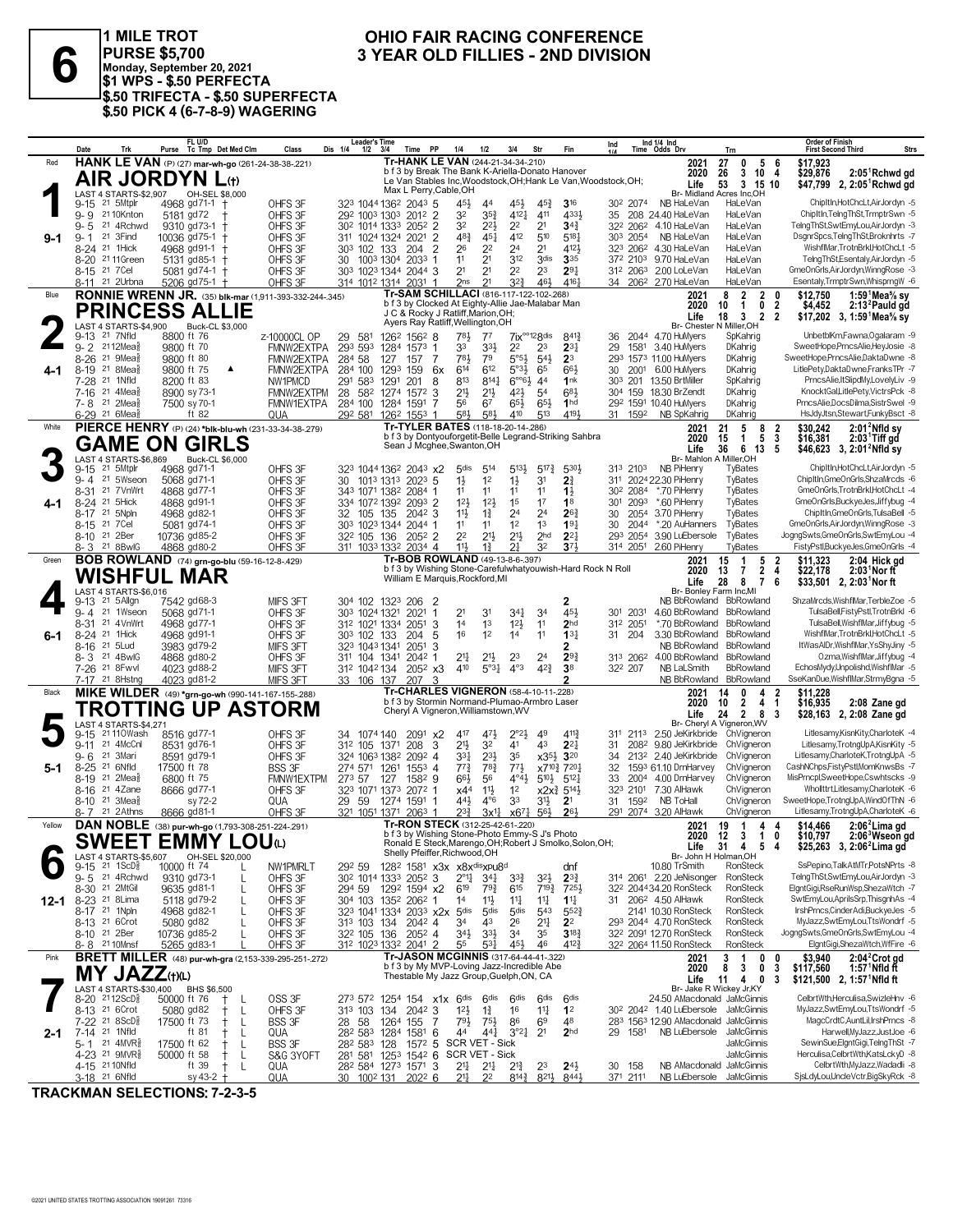

1 MILE TROT **1 DIVISION OHIO FAIR RACING CONFERENCE**<br>
PURSE \$5,700 3 YEAR OLD FILLIES - 2ND DIVISION<br>
\$1 WPS - \$.50 PERFECTA **PURSE \$5,700 Monday, September 20, 2021 \$1 WPS - \$.50 PERFECTA \$.50 TRIFECTA - \$.50 SUPERFECTA \$.50 PICK 4 (6-7-8-9) WAGERING**

# **OHIO FAIR RACING CONFERENCE<br>3 YEAR OLD FILLIES - 2ND DIVISION**

|          | Date<br>Trk                                                         | FL U/D<br>Purse Tc Tmp Det Med Clm                                             | Class                      | <b>Leader's Time</b><br>Time PP<br>Dis 1/4<br>$1/2$ $3/4$                              | 1/4<br>1/2<br>3/4                                                                                         | Str<br>Fin                                                             | Ind 1/4 Ind<br>Ind<br>Time Odds Drv                                                | Trn                                                                   | Order of Finish<br><b>First Second Third</b><br>Strs                         |
|----------|---------------------------------------------------------------------|--------------------------------------------------------------------------------|----------------------------|----------------------------------------------------------------------------------------|-----------------------------------------------------------------------------------------------------------|------------------------------------------------------------------------|------------------------------------------------------------------------------------|-----------------------------------------------------------------------|------------------------------------------------------------------------------|
| Red      |                                                                     | HANK LE VAN (P) (27) mar-wh-go (261-24-38-38-.221)                             |                            |                                                                                        | Tr-HANK LE VAN (244-21-34-34-210)<br>b f 3 by Break The Bank K-Ariella-Donato Hanover                     |                                                                        | 2021                                                                               | 27<br>0<br>$\overline{\phantom{a}}$<br>- 6                            | \$17,923                                                                     |
|          |                                                                     | <b>AIR JORDYN L</b> (t)                                                        |                            |                                                                                        | Le Van Stables Inc, Woodstock, OH; Hank Le Van, Woodstock, OH;                                            |                                                                        | 2020<br>Life                                                                       | $3 \t10 \t4$<br>26<br>53<br>3 15 10                                   | $2:05^1$ Rchwd gd<br>\$29,876<br>2, $2:05$ <sup>1</sup> Rchwd gd<br>\$47,799 |
|          | LAST 4 STARTS-\$2,907                                               | OH-SEL \$8,000                                                                 |                            | Max L Perry, Cable, OH                                                                 |                                                                                                           |                                                                        |                                                                                    | Br- Midland Acres Inc,OH                                              |                                                                              |
|          | 21 5Mtplr<br>9-15                                                   | 4968 gd71-1                                                                    | OHFS 3F                    | 323 1044 1362 2043 5                                                                   | 45}<br>$45\frac{1}{2}$<br>44                                                                              | 316<br>$45\frac{3}{7}$                                                 | 302 2074<br>NB HaLeVan                                                             | HaLeVan                                                               | ChipItIn,HotChcLt,AirJordyn -5                                               |
|          | 9-9 2110Knton<br>$9 - 5$<br>21 4Rchwd                               | 5181 gd72<br>9310 gd73-1<br>$+$                                                | OHFS 3F<br>OHFS 3F         | 292 1003 1303 2012 2<br>2052<br>2                                                      | 32<br>4121<br>$35\frac{3}{4}$<br>32<br>2 <sup>2</sup><br>22}                                              | 411<br>4331<br>2 <sup>1</sup><br>$34\frac{3}{4}$                       | 35 208 24.40 HaLeVan<br>32 <sup>2</sup> 206 <sup>2</sup> 4.10 HaLeVan              | HaLeVan<br>HaLeVan                                                    | ChipItIn,TelngThSt,TrmptrSwn -5<br>TelngThSt,SwtEmyLou,AirJordyn -3          |
| $9-1$    | 21 3Find<br>9-1                                                     | 10036 gd75-1                                                                   | OHFS 3F                    | 30 <sup>2</sup> 1014 1333<br>311 1024 1324 2021<br>2                                   | 412<br>$48\frac{3}{4}$<br>451                                                                             | 510<br>518                                                             | 303 2054<br>NB HaLeVan                                                             | HaLeVan                                                               | DsgnrSpcs,TelngThSt,Broknhrts -7                                             |
|          | 8-24 <sup>21</sup> 1Hick                                            | 4968 gd91-1                                                                    | OHFS 3F                    | 303 102 133<br>204<br>$\overline{2}$                                                   | 26<br>22<br>2 <sup>4</sup>                                                                                | 2 <sup>1</sup><br>4121                                                 | 323 2062 4.30 HaLeVan                                                              | HaLeVan                                                               | WishflMar, TrotnBrkl, HotChcLt -5                                            |
|          | $8 - 20$<br>21 11 Green                                             | 5131 gd85-1                                                                    | OHFS 3F                    | 30 1003 1304 2033<br>-1                                                                | 2 <sup>1</sup><br>312<br>11                                                                               | 3 <sub>dis</sub><br>335                                                | 372 2103 9.70 HaLeVan                                                              | HaLeVan                                                               | TelngThSt,Esentaly,AirJordyn -5                                              |
|          | 8-15 21 7 Cel<br>21 2Urbna                                          | 5081 gd74-1                                                                    | OHFS 3F                    | 303 1023 1344 2044 3                                                                   | 2 <sup>1</sup><br>2 <sup>1</sup><br>2 <sup>2</sup><br>2 <sup>1</sup><br>2 <sub>ns</sub><br>$3^{2}$        | 2 <sup>3</sup><br>$29\frac{1}{4}$<br>461<br>4161                       | 312 2063 2.00 LoLeVan                                                              | HaLeVan<br>HaLeVan                                                    | GmeOnGrls, AirJordyn, WinngRose -3<br>Esentaly,TrmptrSwn,WhisprngW -6        |
| Blue     | 8-11                                                                | 5206 gd75-1 +<br><b>RONNIE WRENN JR.</b> (35) blk-mar (1,911-393-332-244-.345) | OHFS 3F                    | 314 1012 1314 2031 1                                                                   | Tr-SAM SCHILLACI (816-117-122-102-.268)                                                                   |                                                                        | 34 206 <sup>2</sup> 2.70 HaLeVan<br>2021                                           | $\overline{2}$<br>$\mathbf{2}$<br>8<br>- 0                            | 1:59 $1$ Mea $\%$ sv<br>\$12,750                                             |
|          |                                                                     |                                                                                |                            |                                                                                        | b f 3 by Clocked At Eighty-Allie Jae-Malabar Man                                                          |                                                                        | 2020                                                                               | 10<br>$\mathbf{1}$<br>0<br>2                                          | \$4,452<br>2:13 <sup>2</sup> Pauld gd                                        |
|          |                                                                     | <b>PRINCESS ALLIE</b>                                                          |                            |                                                                                        | J C & Rocky J Ratliff, Marion, OH;<br>Ayers Ray Ratliff, Wellington, OH                                   |                                                                        | Life                                                                               | $\mathbf{3}$<br>$\overline{2}$<br>18<br>-2                            | \$17,202 3, 1:59 Mea% sy                                                     |
|          | LAST 4 STARTS-\$4,900<br>21 7Nfld<br>$9 - 13$                       | Buck-CL \$3,000<br>8800 ft 76                                                  | z-10000CL OP               | 126 <sup>2</sup> 156 <sup>2</sup> 8<br>29<br>581                                       | 781<br>$7^7$                                                                                              | $7$ i $x^{\circ\circ}$ 12 $8$ dis<br>8413                              | Br- Chester<br>36 2044 4.70 HuMyers                                                | N Miller.OH<br>SpKahrig                                               | UnbetblKm,Fawna,Ogalaram -9                                                  |
|          | 9-2 2112Mea                                                         | 9800 ft 70                                                                     | FMNW2EXTPA                 | 293 593<br>1284<br>1573<br>-1                                                          | 33<br>$3^{3}\frac{1}{2}$<br>22                                                                            | 2 <sup>3</sup><br>$2^{3}$                                              | 1581 3.40 HuMyers<br>29                                                            | <b>DKahrig</b>                                                        | SweetHope,PrncsAlie,HevJosie -8                                              |
|          | $21 \text{ 9}$ Mea $\frac{5}{8}$<br>$8 - 26$                        | 9800 ft 80                                                                     | FMNW2EXTPA                 | 284 58<br>127<br>157 7                                                                 | $5°5\frac{1}{2}$<br>783<br>79                                                                             | 2 <sup>3</sup><br>$5^{41}$                                             | 293 1573 11.00 HuMyers                                                             | DKahrig                                                               | SweetHope,PrncsAlie,DaktaDwne -8                                             |
| 4-1      | 21 8Mea<br>$8 - 19$<br>21 1Nfld<br>7-28                             | 9800 ft 75<br>▲<br>8200 ft 83                                                  | FMNW2EXTPA<br>NW1PMCD      | 284 100<br>1293<br>159 6x<br>291 583<br>201<br>1291<br>8                               | 614<br>612<br>$5°3\frac{1}{2}$<br>813<br>$8^{14}$                                                         | 661<br>65<br>$6^{\circ}6\frac{1}{2}$ 44<br>1nk                         | 30 2001 6.00 HuMyers<br>303 201 13.50 BrtMiller                                    | <b>DKahrig</b><br>SpKahrig                                            | LitlePety,DaktaDwne,FranksTPr -7<br>PrncsAlie, ItSlipdMy, LovelyLiv -9       |
|          | 21 $4$ Mea $\frac{5}{8}$<br>$7-16$                                  | 8900 sy 73-1                                                                   | FMNW2EXTPM                 | 28 582 1274<br>$157^2$ 3                                                               | 213<br>$21\frac{1}{2}$<br>421                                                                             | 683<br>5 <sup>4</sup>                                                  | 304 159 18.30 BrZendt                                                              | DKahrig                                                               | KnocktGal,LitlePety,VictrsPck -8                                             |
|          | 7-8 <sup>21</sup> 2Mea                                              | 7500 sy 70-1                                                                   | FMNW1EXTPA                 | 284 100 1284 1591                                                                      | 56<br>$65\frac{1}{2}$<br>67                                                                               | $65\frac{1}{2}$<br>1 <sub>hd</sub>                                     | 292 1591 10.40 HuMyers                                                             | DKahrig                                                               | PrncsAlie,DocsDilma,SistrSwel -9                                             |
|          | 6-29 <sup>21</sup> 6Mea                                             | ft $82$                                                                        | QUA                        | 292 581 1262 1553<br>-1                                                                | 581<br>583<br>410                                                                                         | 513<br>4191                                                            | 31 1592<br>NB SpKahrig                                                             | DKahrig                                                               | HsJdyJtsn,Stewart,FunkyBsct -8                                               |
| White    |                                                                     | PIERCE HENRY (P) (24) *blk-blu-wh (231-33-34-38-279)                           |                            |                                                                                        | Tr-TYLER BATES (118-18-20-14-.286)<br>b f 3 by Dontyouforgetit-Belle Legrand-Striking Sahbra              |                                                                        | 2021<br>2020                                                                       | 8<br>21<br>5<br>$\frac{2}{3}$<br>$\overline{5}$<br>15<br>$\mathbf{1}$ | $2:012$ Nfld sy<br>\$30,242<br>\$16,381<br>$2:03$ Tiff gd                    |
|          |                                                                     | <b>GAME ON GIRLS</b>                                                           |                            |                                                                                        | Sean J Mcghee, Swanton, OH                                                                                |                                                                        | Life                                                                               | 36 6 13<br>- 5                                                        | \$46,623 3, 2:01 <sup>2</sup> Nfld sy                                        |
|          | LAST 4 STARTS-\$6,869                                               | Buck-CL \$6,000                                                                |                            |                                                                                        |                                                                                                           |                                                                        |                                                                                    | Br- Mahlon A Miller.OH                                                |                                                                              |
|          | 21 5Mtplr<br>$9 - 15$<br>9-4 <sup>21</sup> 5Wseon                   | 4968 gd71-1<br>5068 gd71-1                                                     | OHFS 3F<br>OHFS 3F         | 323 1044 1362 2043 x2<br>30<br>1013 1313 2023 5                                        | $5^{13}$<br>5 <sub>dis</sub><br>514<br>$1\frac{1}{2}$<br>1 <sup>2</sup><br>$1\frac{1}{2}$                 | $5^{17}\frac{3}{4}$<br>$5^{30}$<br>3 <sup>1</sup><br>$2\frac{3}{4}$    | 313 2103<br>NB PiHenry<br>311 2024 22.30 PiHenry                                   | TyBates<br>TyBates                                                    | ChipItIn,HotChcLt,AirJordyn -5<br>ChipItIn,GmeOnGrls,ShzaMrcds -6            |
|          | 8-31 21 7 Vn Wrt                                                    | 4868 gd77-1                                                                    | OHFS 3F                    | 343 1071 1382 2084 1                                                                   | 11<br>11<br>11                                                                                            | 11<br>$1\frac{1}{2}$                                                   | *.70 PiHenry<br>30 <sup>2</sup> 2084                                               | TyBates                                                               | GmeOnGrls, TrotnBrkl, HotChcLt -4                                            |
| 4-1      | 8-24 <sup>21</sup> 5Hick                                            | 4868 gd91-1                                                                    | OHFS 3F                    | 334 1072 1392<br>2093 2                                                                | 12 <sup>1</sup><br>12 <sup>1</sup><br>1 <sup>5</sup>                                                      | 17<br>1 <sup>8</sup>                                                   | *.60 PiHenry<br>30 <sup>1</sup><br>2093                                            | TyBates                                                               | GmeOnGrls,BuckyeJes,Jiffybug -4                                              |
|          | 8-17 21 5Npln<br>8-15 21 7 Cel                                      | 4968 gd82-1                                                                    | OHFS 3F                    | 32 105 135<br>$204^2$ 3                                                                | $1\frac{3}{4}$<br>2 <sup>4</sup><br>11}<br>1 <sup>2</sup><br>11<br>11                                     | 2 <sup>4</sup><br>$26\frac{3}{4}$<br>1 <sup>3</sup><br>19 <sub>1</sub> | 2054 3.70 PiHenry<br>30<br>30<br>2044 *.20 AuHanners                               | TyBates<br>TyBates                                                    | ChipItIn,GmeOnGrls,TulsaBell -5<br>GmeOnGrls, AirJordyn, WinngRose -3        |
|          | 8-10 <sup>21</sup> 2Ber                                             | 5081 gd74-1<br>10736 gd85-2                                                    | OHFS 3F<br>OHFS 3F         | 303 1023 1344 2044 1<br>32 <sup>2</sup> 105 136<br>2052 2                              | $21\frac{1}{2}$<br>2 <sup>2</sup><br>$21\frac{1}{2}$                                                      | 2 <sub>hd</sub><br>$2^{2}$                                             | 293 2054<br>3.90 LuEbersole                                                        | TyBates                                                               | JogngSwts,GmeOnGrls,SwtEmyLou -4                                             |
|          | 8-3 <sup>21</sup> 8BwlG                                             | 4868 gd80-2                                                                    | OHFS 3F                    | 311 1033 1332 2034 4                                                                   | $11\frac{1}{2}$<br>$1\frac{3}{4}$<br>21                                                                   | 32<br>$3^{7}$                                                          | 314 2051 2.60 PiHenry                                                              | TyBates                                                               | FistyPstl,BuckyeJes,GmeOnGrls -4                                             |
| Green    |                                                                     | <b>BOB ROWLAND</b> (74) grn-go-blu (59-16-12-8-.429)                           |                            |                                                                                        | Tr-BOB ROWLAND (49-13-8-6-397)                                                                            |                                                                        | 2021                                                                               | 15<br>$\mathbf{1}$<br>5<br>-2                                         | \$11.323<br>2:04 Hick gd                                                     |
|          |                                                                     | <b>WISHFUL MAR</b>                                                             |                            |                                                                                        | b f 3 by Wishing Stone-Carefulwhatyouwish-Hard Rock N Roll<br>William E Marquis, Rockford, MI             |                                                                        | 2020<br>Life                                                                       | $\overline{2}$<br>13<br>7<br>4<br>28<br>8<br>6<br>7                   | \$22,178<br>$2:03$ Nor ft<br>\$33,501 2, 2:03 <sup>1</sup> Nor ft            |
|          | LAST 4 STARTS-\$6,016                                               |                                                                                |                            |                                                                                        |                                                                                                           |                                                                        |                                                                                    | Br- Bonley Farm Inc, MI                                               |                                                                              |
|          | 21 5 Allgn<br>$9 - 13$                                              | 7542 gd68-3                                                                    | MIFS 3FT                   | 304 102 1323 206 2                                                                     |                                                                                                           | 2                                                                      |                                                                                    | NB BbRowland BbRowland                                                | ShzaMrcds, WishflMar, TerbleZoe -5                                           |
|          | 21 1Wseon<br>$9 - 4$<br>21 4VnWrt<br>8-31                           | 5068 gd71-1<br>4968 gd77-1                                                     | OHFS 3F<br>OHFS 3F         | 303 1024 1321<br>2021<br>-1<br>312 1021 1334<br>2051<br>3                              | 31<br>341<br>2 <sup>1</sup><br>12 <sup>1</sup><br>14<br>1 <sup>3</sup>                                    | 451<br>3 <sup>4</sup><br>2 <sub>hd</sub><br>1 <sup>1</sup>             | 301 2031<br>*.70 BbRowland<br>312 2051                                             | 4.60 BbRowland BbRowland<br><b>BbRowland</b>                          | TulsaBell,FistyPstl,TrotnBrkl -6<br>TulsaBell, WishflMar, Jiffybug -5        |
| 6-1      | 8-24 <sup>21</sup> 1Hick                                            | 4968 gd91-1                                                                    | OHFS 3F                    | 303 102 133<br>204<br>-5                                                               | 16<br>1 <sup>2</sup><br>14                                                                                | 11<br>$13\frac{1}{4}$                                                  | 31 204                                                                             | 3.30 BbRowland BbRowland                                              | WishflMar, TrotnBrkl, HotChcLt -5                                            |
|          | 21 5 Lud<br>8-16                                                    | 3983 gd79-2                                                                    | MIFS 3FT                   | 323 1043 1341<br>2051<br>3                                                             |                                                                                                           | 2                                                                      |                                                                                    | NB BbRowland BbRowland                                                | ItWasAIDr, WishflMar, YsShyJiny -5                                           |
|          | 8-3 21 4BwlG<br>7-26 <sup>21</sup> 8 Fwvl                           | 4868 gd80-2<br>4023 gd88-2                                                     | OHFS 3F<br>MIFS 3FT        | 311 104 1341<br>2042<br>-1<br>312 1042 134<br>$205^2$ $x3$                             | 21<br>23<br>$21\frac{1}{2}$<br>$4^{\circ}3$<br>$5^{\circ}3\frac{1}{4}$<br>410                             | $29\frac{3}{4}$<br>2 <sup>4</sup><br>$4^{2}3$<br>3 <sup>8</sup>        | 313 2062 4.00 BbRowland BbRowland<br>32 <sup>2</sup> 207<br>NB LaLSmith            | <b>BbRowland</b>                                                      | Ozma, WishflMar, Jiffybug -4<br>EchosMydy,Unpolishd,WishflMar -5             |
|          | 7-17 <sup>21</sup> 8Hstng                                           | 4023 gd81-2                                                                    | MIFS 3FT                   | 33 106 137<br>207                                                                      |                                                                                                           |                                                                        | NB BbRowland                                                                       | BbRowland                                                             | SseKanDue, WishflMar, StrmyBgna -5                                           |
| Black    |                                                                     | MIKE WILDER (49) *grn-go-wh (990-141-167-155-288)                              |                            |                                                                                        | <b>Tr-CHARLES VIGNERON (58-4-10-11-228)</b>                                                               |                                                                        | 2021                                                                               | 14<br>0<br>4<br>2                                                     | \$11,228                                                                     |
|          |                                                                     | TROTTING UP ASTORM                                                             |                            |                                                                                        | b f 3 by Stormin Normand-Plumao-Armbro Laser<br>Cheryl A Vigneron, Williamstown, WV                       |                                                                        | 2020                                                                               | $\overline{2}$<br>4 <sub>1</sub><br>10<br>2 8 3                       | \$16,935<br>2:08 Zane gd                                                     |
|          | LAST 4 STARTS-\$4,271                                               |                                                                                |                            |                                                                                        |                                                                                                           |                                                                        | Life                                                                               | 24<br>Br- Cheryl A Vigneron, WV                                       | \$28,163 2, 2:08 Zane gd                                                     |
|          | 21 110 Wash<br>$9 - 15$                                             | 8516 gd77-1                                                                    | OHFS 3F                    | 34 1074 140<br>209 <sup>1</sup> x2                                                     | 417<br>471<br>$2^{\circ}2^{\frac{1}{2}}$                                                                  | $4^{11}$<br>49                                                         | 311 2113 2.50 JeKirkbride ChVigneron                                               |                                                                       | Litlesamy,KisnKity,CharloteK -4                                              |
|          | 21 4McCnl<br>$9 - 11$<br>21 3Mari<br>$9 - 6$                        | 8531 gd76-1<br>8591 gd79-1                                                     | OHFS 3F<br>OHFS 3F         | 3<br>31 <sup>2</sup> 105 1371<br>208<br>324 1063 1382<br>2092 4                        | $21\frac{1}{2}$<br>32<br>41<br>233<br>$3^{31}$<br>35                                                      | 43<br>$2^{2}$<br>x35} 320                                              | 208 <sup>2</sup> 9.80 JeKirkbride<br>31<br>213 <sup>2</sup> 2.40 JeKirkbride<br>34 | ChVianeron<br>ChVigneron                                              | Litlesamy,TrotngUpA,KisnKity -5<br>Litlesamy, CharloteK, TrotngUpA -5        |
| $5-1$    | 8-25 21 6Nfld                                                       | 17500 ft 78                                                                    | <b>BSS 3F</b>              | 274 571 1261<br>$155^3$ 4                                                              | $77\frac{3}{4}$<br>$78\frac{3}{4}$<br>$77\frac{1}{2}$                                                     | x7103 7201                                                             | 1593 61.10 DrnHarvey<br>32                                                         | ChVigneron                                                            | CashNChps,FistyPstl,MomKnwsBs -7                                             |
|          | 8-19 21<br>$2$ Mea $\frac{5}{8}$                                    | 6800 ft 75                                                                     | FMNW1EXTPM                 | 273 57 127<br>1582 9                                                                   | $66\frac{1}{2}$<br>56<br>$4^{\circ}4^{\frac{1}{2}}$                                                       | $5^{10}$<br>$5^{12}$                                                   | 33<br>2004 4.00 DrnHarvey                                                          | ChVigneron                                                            | MisPrncpl,SweetHope,Cswhtscks -9                                             |
|          | 21 4Zane<br>8-16                                                    | 8666 gd77-1                                                                    | OHFS 3F                    | 323 1071 1373 2072 1                                                                   | 11支<br>1 <sup>2</sup><br>x4 <sup>4</sup>                                                                  | $x2x_4^3$ 5 <sup>14</sup> / <sub>2</sub>                               | 323 2101<br>7.30 AlHawk                                                            | ChVigneron                                                            | WhollttrtLitlesamv.CharloteK -6<br>SweetHope,TrotngUpA,WindOfThN -6          |
|          | $21 \text{ } 3$ Mea $\frac{5}{8}$<br>8-10<br>21 2 Athns<br>8- 7     | sy 72-2<br>8666 gd81-1                                                         | QUA<br>OHFS 3F             | 29 59<br>1274 1591 1<br>321 1051 1371 2063 1                                           | 33<br>441<br>$4^{\circ}6$<br>$2^{3}\frac{3}{4}$<br>3x <sup>11</sup><br>$x67\frac{1}{4}$                   | 3 <sup>1</sup><br>2 <sup>1</sup><br>56}<br>261                         | 31 1592<br>NB ToHall<br>291 2074 3.20 AlHawk                                       | ChVigneron<br>ChVigneron                                              | Litlesamy,TrotngUpA,CharloteK -6                                             |
| Yellow   |                                                                     | DAN NOBLE (38) pur-wh-go (1,793-308-251-224-.291)                              |                            |                                                                                        | Tr-RON STECK (312-25-42-61-220)                                                                           |                                                                        | 2021                                                                               | 19 1<br>44                                                            | $2:062$ Lima gd<br>\$14,466                                                  |
|          |                                                                     | VI AII<br><b>SWEET EMMY LOU</b> O                                              |                            |                                                                                        | b f 3 by Wishing Stone-Photo Emmy-S J's Photo<br>Ronald E Steck, Marengo, OH; Robert J Smolko, Solon, OH; |                                                                        |                                                                                    | 2020 12 3<br>10                                                       | \$10,797<br>2:06 <sup>3</sup> Wseon ad                                       |
|          | LAST 4 STARTS-\$5,607                                               | OH-SEL \$20,000                                                                |                            | Shelly Pfeiffer, Richwood, OH                                                          |                                                                                                           |                                                                        | Life                                                                               | 31 4 5 4<br>Br- John H Holman, OH                                     | \$25,263 3, 2:06 <sup>2</sup> Lima gd                                        |
|          | $21 \text{ 1ScD}_{8}^5$<br>9-15                                     | 10000 ft 74<br>L                                                               | NW1PMRLT                   | 292 59                                                                                 | 128 <sup>2</sup> 1581 x3x x8x <sup>dis</sup> xpu8 <sup>d</sup>                                            | dnf                                                                    | 10.80 TrSmith                                                                      | RonSteck                                                              | SsPepino,TalkAtMTr,PotsNPrts -8                                              |
|          | 9-5 21 4Rchwd                                                       | 9310 gd73-1<br>$\mathbf{I}$                                                    | OHFS 3F                    | 30 <sup>2</sup> 1014 133 <sup>3</sup> 205 <sup>2</sup> 3<br>1292 1594 x2               | $2^{\circ}1\frac{1}{4}$<br>$34\frac{1}{4}$<br>$3^{34}$                                                    | 32}<br>$2^{3}\frac{3}{4}$                                              | 314 2061 2.20 JeNisonger<br>322 204434.20 RonSteck                                 | RonSteck<br>RonSteck                                                  | TelngThSt,SwtEmyLou,AirJordyn -3<br>ElantGiaiRseRunWsp.ShezaWtch -7          |
| $12 - 1$ | 8-30 <sup>21</sup> 2MtGil<br>8-23 <sup>21</sup> 8 Lima              | 9635 gd81-1<br>5118 gd79-2<br>L                                                | OHFS 3F<br>OHFS 3F         | 294 59<br>304 103 1352 2062 1                                                          | 619<br>$79\frac{3}{4}$<br>615<br>$11\frac{1}{4}$<br>14<br>$11\frac{1}{2}$                                 | $7^{19\frac{3}{4}}$<br>725}<br>11<br>$1^{11}$                          | 31 206 <sup>2</sup> 4.50 AlHawk                                                    | RonSteck                                                              | SwtEmyLou,AprilsSrp,ThisgnhAs -4                                             |
|          | 8-17 21 1Npln                                                       | 4968 gd82-1<br>L                                                               | OHFS 3F                    | 323 1041 1334 2033 x2x 5dis                                                            | 5 <sub>dis</sub><br>5 <sub>dis</sub>                                                                      | 543<br>$552\frac{3}{4}$                                                | 2141 10.30 RonSteck                                                                | RonSteck                                                              | IrshPrncs,CinderAdi,BuckyeJes -5                                             |
|          | 8-13 <sup>21</sup> 6Crot                                            | 5080 gd82                                                                      | OHFS 3F                    | 313 103 134<br>$204^2$ 4                                                               | 34<br>43<br>26                                                                                            | 2 <sup>11</sup><br>2 <sup>2</sup>                                      | 293 2044 4.70 RonSteck                                                             | RonSteck                                                              | MyJazz,SwtEmyLou,TtsWondrf -5                                                |
|          | 8-10 21 2Ber<br>8-8 2110Mnsf                                        | 10736 gd85-2<br>5265 gd83-1                                                    | OHFS 3F<br>OHFS 3F         | 32 <sup>2</sup> 105 136<br>$205^2$ 4<br>312 1023 1332 2041 2                           | $3^{3}\frac{1}{2}$<br>$34\frac{1}{2}$<br>34<br>55<br>$53\frac{1}{4}$<br>45}                               | $3^{18}\frac{3}{4}$<br>35<br>4123<br>46                                | 322 2091 12.70 RonSteck<br>322 2064 11.50 RonSteck                                 | RonSteck<br>RonSteck                                                  | JogngSwts,GmeOnGrls,SwtEmyLou -4<br>ElgntGigi,ShezaWtch,WfFire -6            |
| Pink     |                                                                     | <b>BRETT MILLER</b> (48) pur-wh-gra (2,153-339-295-251-272)                    |                            |                                                                                        | Tr-JASON MCGINNIS (317-64-44-41-322)                                                                      |                                                                        | 2021                                                                               | 0<br>3<br>$\overline{1}$<br>0                                         | 2:04 <sup>2</sup> Crot gd<br>\$3,940                                         |
|          | <b>MY JAZZ</b> (t)(L)                                               |                                                                                |                            |                                                                                        | b f 3 by My MVP-Loving Jazz-Incredible Abe                                                                |                                                                        | 2020                                                                               | 8<br>3<br>0<br>3                                                      | 1:57 $1$ Nfld ft<br>\$117,560                                                |
|          |                                                                     |                                                                                |                            |                                                                                        | Thestable My Jazz Group, Guelph, ON, CA                                                                   |                                                                        | Life                                                                               | 4 0<br>11<br>3                                                        | \$121,500 2, 1:57 Nfld ft                                                    |
|          | LAST 4 STARTS-\$30.400<br>8-20 2112ScD <sup>5</sup>                 | BHS \$6,500<br>50000 ft 76<br>Ť.<br>-L                                         | OSS 3F                     | 273 572 1254 154 x1x 6dis                                                              | 6 <sup>dis</sup><br>6 <sup>dis</sup>                                                                      | 6 <sup>dis</sup><br>6 <sup>dis</sup>                                   | 24.50 AMacdonald JaMcGinnis                                                        | Br- Jake R Wickey Jr, KY                                              | CelbrtWth,Herculisa,SwizleHnv -6                                             |
|          | 8-13 <sup>21</sup> 6Crot                                            | 5080 gd82<br>L<br>ŧ                                                            | OHFS 3F                    | $204^2$ 3<br>313 103 134                                                               | $12\frac{1}{2}$<br>$1\frac{3}{4}$<br>16                                                                   | 11<br>1 <sup>2</sup>                                                   | 30 <sup>2</sup> 204 <sup>2</sup> 1.40 LuEbersole JaMcGinnis                        |                                                                       | MyJazz,SwtEmyLou,TtsWondrf -5                                                |
|          | 7-22 21 8ScD <sup>5</sup>                                           | 17500 ft 73<br>L<br>Ť                                                          | <b>BSS 3F</b>              | 28 58<br>1264 155<br>-7                                                                | 793<br>86<br>$75\frac{1}{2}$                                                                              | 6 <sup>9</sup><br>48                                                   | 283 1563 12.90 AMacdonald JaMcGinnis                                               |                                                                       | MagcCrdtC,AuntLil,IrshPrncs -8                                               |
| $2 - 1$  | 7-14 <sup>21</sup> 1Nfld<br>5-1 $21$ 4MVR <sup>5</sup> <sub>8</sub> | ft 81<br>Ť<br>L                                                                | QUA                        | 28 <sup>2</sup> 58 <sup>3</sup> 1284 1581 6                                            | 3°2 <sub>4</sub><br>44<br>441<br>SCR VET - Sick                                                           | 2 <sup>1</sup><br>2 <sub>hd</sub>                                      | 29 1581                                                                            | NB LuEbersole JaMcGinnis<br>JaMcGinnis                                | Harwell, MyJazz, JustJoe -6<br>SewinSue,ElgntGigi,TelngThSt -7               |
|          | 4-23 <sup>21</sup> 9MVR <sup>3</sup>                                | 17500 ft 62<br>L<br>50000 ft 58<br>Ť<br>L                                      | <b>BSS 3F</b><br>S&G 3YOFT | $157^2$ 5<br>28 <sup>2</sup> 58 <sup>3</sup> 128<br>281 581 1253 1542 6 SCR VET - Sick |                                                                                                           |                                                                        |                                                                                    | JaMcGinnis                                                            | Herculisa,CelbrtWth,KatsLckyD -8                                             |
|          | 4-15 21 10Nfld                                                      | ft 39<br>$^+$<br>L                                                             | QUA                        | 28 <sup>2</sup> 584 1273 1571 3                                                        | 21<br>$2^{11}$<br>$2^{13}$                                                                                | $24\frac{1}{2}$<br>23                                                  | 30 158                                                                             | NB AMacdonald JaMcGinnis                                              | CelbrtWth,MyJazz,Wadadli -8                                                  |
|          | 3-18 <sup>21</sup> 6Nfld                                            | sy 43-2 $+$                                                                    | QUA                        | 30 100 <sup>2</sup> 131 202 <sup>2</sup> 6                                             | 21<br>22<br>$8^{14}\frac{3}{4}$                                                                           | $8^{21}\frac{1}{2}$<br>8443                                            | 371 2111                                                                           | NB LuEbersole JaMcGinnis                                              | SisLdyLou,UncleVctr,BigSkyRck -8                                             |

**TRACKMAN SELECTIONS: 7-2-3-5**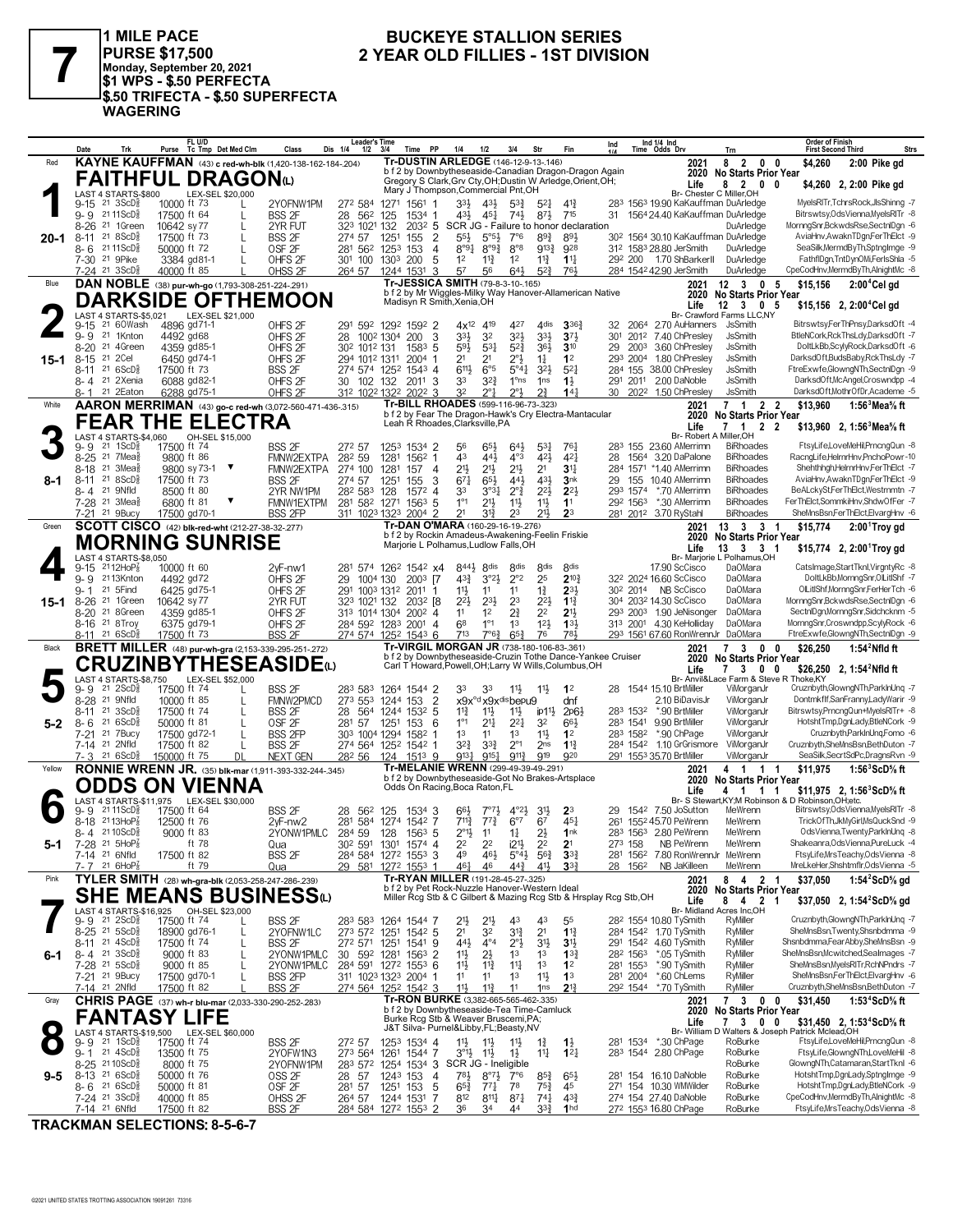

1 MILE PACE PURSE \$17,500<br>Monday, September 20, 2021<br>\$1 WPS - \$.50 PERFECTA \$.50 TRIFECTA - \$.50 SUPERFECTA **WAGERING** 

#### **BUCKEYE STALLION SERIES** 2 YEAR OLD FILLIES - 1ST DIVISION

|         | Date         | Trk                                                                  |                            | Purse Tc Tmp Det Med Clm   |                   | Class                                                         | Leader's Time<br>Dis 1/4<br>$1/2$ $3/4$                   |           | Time PP               | 1/4                                                                             | 1/2                                                   | 3/4                                                         | Str                                   | Fin                                                                                                                   | Ind |                                  | Ind $1/4$ Ind<br>Time Odds Drv                                         | Trn                                              | <b>First Second Third</b>                            | Order of Finish<br><b>Strs</b>                                          |
|---------|--------------|----------------------------------------------------------------------|----------------------------|----------------------------|-------------------|---------------------------------------------------------------|-----------------------------------------------------------|-----------|-----------------------|---------------------------------------------------------------------------------|-------------------------------------------------------|-------------------------------------------------------------|---------------------------------------|-----------------------------------------------------------------------------------------------------------------------|-----|----------------------------------|------------------------------------------------------------------------|--------------------------------------------------|------------------------------------------------------|-------------------------------------------------------------------------|
| Red     |              |                                                                      |                            |                            |                   | KAYNE KAUFFMAN (43) c red-wh-blk (1,420-138-162-184-.204)     |                                                           |           |                       | <b>Tr-DUSTIN ARLEDGE (146-12-9-13-146)</b>                                      |                                                       |                                                             |                                       |                                                                                                                       |     |                                  | 2021                                                                   | 8 2 0 0                                          | \$4,260                                              | 2:00 Pike gd                                                            |
|         |              | FAITHFUL DRAGONω                                                     |                            |                            |                   |                                                               |                                                           |           |                       |                                                                                 |                                                       |                                                             |                                       | b f 2 by Downbytheseaside-Canadian Dragon-Dragon Again                                                                |     |                                  | 2020                                                                   | <b>No Starts Prior Year</b>                      |                                                      |                                                                         |
|         |              |                                                                      |                            |                            |                   |                                                               |                                                           |           |                       | Mary J Thompson, Commercial Pnt, OH                                             |                                                       |                                                             |                                       | Gregory S Clark, Grv Cty, OH; Dustin W Arledge, Orient, OH;                                                           |     |                                  | Life                                                                   | 82                                               | $0\quad 0$                                           | \$4,260 2, 2:00 Pike gd                                                 |
|         |              | LAST 4 STARTS-\$800                                                  |                            | LEX-SEL \$20,000           |                   |                                                               |                                                           |           |                       |                                                                                 |                                                       |                                                             |                                       |                                                                                                                       |     |                                  |                                                                        | Br- Chester C Miller.OH                          |                                                      |                                                                         |
|         |              | $9-15$ 21 $3$ ScD <sup>5</sup> <sub>8</sub><br>21 11 ScD ៖           | 10000 ft 73                |                            | L                 | 2YOFNW1PM                                                     | 272 584 1271 1561                                         |           | -1                    | 33}                                                                             | 431                                                   | $5^{3}$                                                     | $5^{21}$                              | $4^{14}$<br>715                                                                                                       |     |                                  | 283 1563 19.90 KaKauffman DuArledge<br>1564 24.40 KaKauffman DuArledge |                                                  |                                                      | MyelsRITr,TchrsRock,JlsShinng -7<br>Bitrswtsy, Ods Vienna, MyelsRITr -8 |
|         | 9-9          | 21 1Green                                                            | 17500 ft 64<br>10642 sy 77 |                            | L                 | <b>BSS 2F</b>                                                 | 28 56 <sup>2</sup> 125                                    |           | 1534 1                | 431,                                                                            | 451                                                   | 74}                                                         | $8^{7}\frac{1}{2}$                    | 2032 5 SCR JG - Failure to honor declaration                                                                          | 31  |                                  |                                                                        | DuArledge                                        |                                                      | MornngSnr,BckwdsRse,SectnlDgn -6                                        |
|         | 8-26<br>8-11 | 21 8 ScD <sup>3</sup>                                                | 17500 ft 73                |                            | L<br>L            | 2YR FUT<br>BSS <sub>2F</sub>                                  | 323 1021 132<br>274 57                                    | 1251      | $\overline{2}$<br>155 | $55\frac{1}{2}$                                                                 | 5°5 <sup>3</sup>                                      | $7^\circ$ 6                                                 | 89 <sup>3</sup>                       | 891                                                                                                                   |     |                                  | 30 <sup>2</sup> 1564 30.10 KaKauffman DuArledge                        |                                                  |                                                      | AviaHnv, AwaknTDgn, FerThElct -9                                        |
| 20-1    |              | 8-6 2111ScD <sup>5</sup>                                             | 50000 ft 72                |                            | L                 | OSF <sub>2F</sub>                                             | 281 562 1253                                              |           | $\overline{4}$<br>153 | $8°9\frac{1}{4}$                                                                | $8^{99}\%$                                            | $8^{\circ}8$                                                | $9^{13}$                              | 928                                                                                                                   |     |                                  | 312 1583 28.80 JerSmith                                                | DuArledge                                        |                                                      | SeaSilk, MermdBy Th, Sptnglmge -9                                       |
|         |              | 7-30 <sup>21</sup> 9Pike                                             |                            | 3384 gd81-1                |                   | OHFS <sub>2F</sub>                                            | 301 100 1303 200                                          |           | 5                     | 1 <sup>2</sup>                                                                  | $11\frac{3}{4}$                                       | 1 <sup>2</sup>                                              | $11\frac{3}{4}$                       | $1\frac{11}{4}$                                                                                                       |     |                                  | 292 200 1.70 ShBarkerll                                                | DuArledge                                        |                                                      | FathflDgn, TntDynOMi, FerlsShla -5                                      |
|         |              | 7-24 21 3ScD <sup>3</sup>                                            | 40000 ft 85                |                            |                   | OHSS <sub>2F</sub>                                            | 264 57                                                    | 1244 1531 | 3                     | 57                                                                              | 56                                                    | 643                                                         | $5^{2}$                               | 761                                                                                                                   |     |                                  | 284 1542 42.90 JerSmith                                                | DuArledge                                        |                                                      | CpeCodHnv,MermdByTh,AlnightMc -8                                        |
| Blue    |              | DAN NOBLE (38) pur-wh-go (1,793-308-251-224-291)                     |                            |                            |                   |                                                               |                                                           |           |                       | Tr-JESSICA SMITH (79-8-3-10-165)                                                |                                                       |                                                             |                                       |                                                                                                                       |     |                                  | 2021                                                                   | $12 \quad 3 \quad 0 \quad 5$                     | \$15,156                                             | $2:004$ Cel gd                                                          |
|         |              |                                                                      |                            |                            |                   |                                                               |                                                           |           |                       |                                                                                 |                                                       |                                                             |                                       | b f 2 by Mr Wiggles-Milky Way Hanover-Allamerican Native                                                              |     |                                  | 2020                                                                   | No Starts Prior Year                             |                                                      |                                                                         |
|         |              |                                                                      |                            |                            |                   | <b>DARKSIDE OFTHEMOON</b>                                     |                                                           |           |                       | Madisyn R Smith, Xenia, OH                                                      |                                                       |                                                             |                                       |                                                                                                                       |     |                                  | Life                                                                   | $12 \quad 3 \quad 0 \quad 5$                     |                                                      | \$15,156 2, 2:00 <sup>4</sup> Cel gd                                    |
|         |              | LAST 4 STARTS-\$5,021                                                |                            | LEX-SEL \$21,000           |                   |                                                               |                                                           |           |                       |                                                                                 |                                                       |                                                             |                                       |                                                                                                                       |     |                                  |                                                                        | Br- Crawford Farms LLC.NY                        |                                                      |                                                                         |
|         | $9 - 15$     | 21 60Wash                                                            |                            | 4896 gd71-1                |                   | OHFS <sub>2F</sub>                                            | 291 592 1292 1592 2                                       |           |                       | 4x <sup>12</sup>                                                                | 419                                                   | 427                                                         | 4 <sub>dis</sub>                      | $3^{36}$                                                                                                              | 32  |                                  | 2064 2.70 AuHanners                                                    | JsSmith                                          |                                                      | BitrswtsyFerThPnsy,DarksdOft -4                                         |
|         | $9 - 9$      | 21 1Knton                                                            | 4492 gd68                  |                            |                   | OHFS <sub>2F</sub>                                            | 28 100 <sup>2</sup> 130 <sup>4</sup> 200                  |           | 3                     | 33}                                                                             | 32                                                    | $3^{21}$                                                    | $3^{3}\frac{1}{2}$                    | $3^{7}\frac{1}{2}$                                                                                                    | 301 |                                  | 2012 7.40 ChPresley                                                    | <b>JsSmith</b>                                   |                                                      | BtleNCork.RckThsLdv.DarksdOft -7                                        |
|         | $8 - 20$     | 21 4Green                                                            |                            | 4359 gd85-1                |                   | OHFS <sub>2F</sub>                                            | 30 <sup>2</sup> 101 <sup>2</sup> 131                      |           | $1583$ 5              | 593                                                                             | $53\frac{1}{4}$                                       | $5^{2}\frac{3}{4}$                                          | $36\frac{1}{2}$                       | $3^{10}$                                                                                                              | 29  | 2003                             | 3.60 ChPresley                                                         | <b>JsSmith</b>                                   |                                                      | DoltLkBb,ScylyRock,DarksdOft -6                                         |
| 15-1    | $8 - 15$     | 21 2Cel                                                              |                            | 6450 ad74-1                |                   | OHFS <sub>2F</sub>                                            | 294 1012 1311                                             |           | 2004<br>-1            | 2 <sup>1</sup>                                                                  | 21                                                    | 2°3                                                         | $1\frac{1}{4}$                        | 1 <sup>2</sup>                                                                                                        |     | 293 2004                         | 1.80 ChPresley                                                         | <b>JsSmith</b>                                   |                                                      | DarksdOft,BudsBaby,RckThsLdy -7                                         |
|         | 8-11         | 216SCD <sub>8</sub><br>8-4 <sup>21</sup> 2Xenia                      | 17500 ft 73                |                            |                   | <b>BSS 2F</b>                                                 | 274 574 1252 1543 4                                       |           |                       | 6111                                                                            | $6^{\circ}5$                                          | $5^{\circ}4^{\circ}$<br>$1^{\circ}$ ns                      | $3^{21}$                              | $5^{2}1$                                                                                                              |     |                                  | 284 155 38.00 ChPresley<br>2.00 DaNoble                                | <b>JsSmith</b><br><b>JsSmith</b>                 |                                                      | FtreExwfe,GlowngNTh,SectnlDgn -9<br>DarksdOft,McAngel,Croswndpp -4      |
|         | 8-1          | 21 2Eaton                                                            |                            | 6088 gd82-1<br>6288 gd75-1 |                   | OHFS <sub>2F</sub><br>OHFS <sub>2F</sub>                      | 30<br>312 1022 1322 2022 3                                |           | 102 132 2011 3        | 33<br>32                                                                        | $3^{2^{3}}$<br>$2^{\circ}1$                           | $2^{\circ}3$                                                | 1 <sub>ns</sub><br>$2^{3}$            | $1\frac{1}{2}$<br>$14\frac{1}{4}$                                                                                     |     | 291 2011                         | 30 2022 1.50 ChPresley                                                 | <b>JsSmith</b>                                   |                                                      | DarksdOft,MothrOfDr,Academe -5                                          |
|         |              |                                                                      |                            |                            |                   |                                                               |                                                           |           |                       | Tr-BILL RHOADES (599-116-96-73-.323)                                            |                                                       |                                                             |                                       |                                                                                                                       |     |                                  |                                                                        |                                                  |                                                      |                                                                         |
| White   |              |                                                                      |                            |                            |                   | AARON MERRIMAN (43) go-c red-wh (3,072-560-471-436-.315)      |                                                           |           |                       |                                                                                 |                                                       |                                                             |                                       | b f 2 by Fear The Dragon-Hawk's Cry Electra-Mantacular                                                                |     |                                  | 2021<br>2020                                                           | 7 1 2 2<br><b>No Starts Prior Year</b>           | \$13.960                                             | 1:56 $3$ Mea $\%$ ft                                                    |
|         |              | <b>FEAR THE ELECTRA</b>                                              |                            |                            |                   |                                                               |                                                           |           |                       | Leah R Rhoades, Clarksville, PA                                                 |                                                       |                                                             |                                       |                                                                                                                       |     |                                  | Life                                                                   | 7 1 2 2                                          |                                                      | \$13,960 2, 1:56 Mea % ft                                               |
|         |              | LAST 4 STARTS-\$4,060                                                |                            | OH-SEL \$15,000            |                   |                                                               |                                                           |           |                       |                                                                                 |                                                       |                                                             |                                       |                                                                                                                       |     |                                  |                                                                        | Br- Robert A Miller, OH                          |                                                      |                                                                         |
|         | 9-9          | $21 \text{ } 1$ ScD $\frac{5}{8}$                                    | 17500 ft 74                |                            |                   | <b>BSS 2F</b>                                                 | 272 57                                                    |           | 1253 1534 2           | 56                                                                              | 65}                                                   | 643                                                         | $53\frac{1}{4}$                       | $76\frac{1}{4}$                                                                                                       |     |                                  | 283 155 23.60 AMerrimn                                                 | <b>BiRhoades</b>                                 |                                                      | FtsyLife,LoveMeHil,PrncngQun -8                                         |
|         | $8 - 25$     | $21$ 7Mea $\frac{5}{8}$                                              | 9800 ft 86                 |                            |                   | FMNW2EXTPA                                                    | 282 59                                                    | 1281      | 1562 1                | 43                                                                              | 441                                                   | $4^{\circ}3$                                                | $4^{21}$                              | $4^{2}$                                                                                                               | 28  |                                  | 1564 3.20 DaPalone                                                     | <b>BiRhoades</b>                                 |                                                      | RacndLifeHelrnrHnv.PnchoPowr-10                                         |
|         | 8-18         | $21 \t3$ Mea $\frac{1}{2}$                                           |                            | 9800 sy 73-1 ▼             |                   | FMNW2EXTPA                                                    | 274 100 1281                                              |           | 157<br>- 4            | 21}                                                                             | 21}                                                   | 213                                                         | 2 <sup>1</sup>                        | 34                                                                                                                    |     |                                  | 284 1571 *1.40 AMerrimn                                                | <b>BiRhoades</b>                                 |                                                      | Shehthhgh, HelrnrHnv, FerThElct -7                                      |
| 8-1     | 8-11         | 218SCD <sub>8</sub>                                                  | 17500 ft 73                |                            |                   | <b>BSS 2F</b>                                                 | 274 57                                                    | 1251      | 3<br>155              | $67\frac{1}{4}$                                                                 | 65}                                                   | 441                                                         | 431                                   | 3nk                                                                                                                   | 29  | 155                              | 10.40 AMerrimn                                                         | <b>BiRhoades</b>                                 |                                                      | AviaHnv, AwaknTDgn, FerThElct -9                                        |
|         |              | 8-4 21 9Nfld                                                         | 8500 ft 80                 |                            |                   | 2YR NW1PM                                                     | 28 <sup>2</sup> 58 <sup>3</sup> 128                       |           | 1572 4                | 33                                                                              | 3°3 <sub>1</sub>                                      | $2^{\circ}$ $\frac{3}{4}$                                   | $2^{21}$                              | $2^{2}$                                                                                                               |     | 293 1574                         | *.70 AMerrimn                                                          | <b>BiRhoades</b>                                 |                                                      | BeALckySt,FerThElct,Westrnmtn -7                                        |
|         |              | 7-28 <sup>21</sup> 3Mea <sup>5</sup><br>7-21 21 9Bucy                | 6800 ft 81                 |                            |                   | FMNW1EXTPM                                                    | 281 582 1271                                              |           | $156^3$ 5             | $1^{\circ}1$<br>21                                                              | $21\frac{1}{2}$                                       | $11\frac{1}{2}$                                             | 11号<br>$21\frac{1}{2}$                | 1 <sup>1</sup>                                                                                                        |     | 292 1563                         | *.30 AMerrimn                                                          | <b>BiRhoades</b><br><b>BiRhoades</b>             |                                                      | FerThElct,SommkiHnv,ShdwOfFer -7<br>SheMnsBsn,FerThElct,ElvargHnv -6    |
|         |              |                                                                      |                            | 17500 gd70-1               |                   | <b>BSS 2FP</b>                                                | 311 1023 1323                                             |           | $2004$ 2              | Tr-DAN O'MARA (160-29-16-19-276)                                                | 31}                                                   | 23                                                          |                                       | 2 <sup>3</sup>                                                                                                        |     |                                  | 281 2012 3.70 RyStahl                                                  |                                                  |                                                      |                                                                         |
| Green   |              | SCOTT CISCO (42) blk-red-wht (212-27-38-32-.277)                     |                            |                            |                   |                                                               |                                                           |           |                       | b f 2 by Rockin Amadeus-Awakening-Feelin Friskie                                |                                                       |                                                             |                                       |                                                                                                                       |     |                                  | 2021<br>2020                                                           | 13    3    3    1<br><b>No Starts Prior Year</b> | \$15,774                                             | $2:001$ Troy gd                                                         |
|         |              | <b>MORNING SUNRISE</b>                                               |                            |                            |                   |                                                               |                                                           |           |                       | Marjorie L Polhamus, Ludlow Falls, OH                                           |                                                       |                                                             |                                       |                                                                                                                       |     |                                  | Life                                                                   | 13   3   3   1                                   |                                                      | \$15,774 2, $2:00^1$ Troy gd                                            |
|         |              | LAST 4 STARTS-\$8,050                                                |                            |                            |                   |                                                               |                                                           |           |                       |                                                                                 |                                                       |                                                             |                                       |                                                                                                                       |     |                                  |                                                                        | Br- Marjorie L Polhamus, OH                      |                                                      |                                                                         |
|         | 9-15         | $2112HoP_8^7$                                                        | 10000 ft 60                |                            |                   | $2vF-mw1$                                                     | 281 574 1262 1542 x4                                      |           |                       | 8443                                                                            | 8 <sup>dis</sup>                                      | 8 <sub>dis</sub>                                            | 8 <sub>dis</sub>                      | 8 <sub>dis</sub>                                                                                                      |     |                                  | 17.90 ScCisco                                                          | DaOMara                                          |                                                      | CatsImage,StartTknl,VirgntyRc -8                                        |
|         | $9 - 9$      | 2113Knton                                                            | 4492 gd72                  |                            |                   | OHFS <sub>2F</sub>                                            | 29 1004 130                                               |           | $2003$ [7             | $4^{3}\frac{3}{4}$                                                              | $3^{o_2}\frac{1}{2}$                                  | $2^{\circ}2$                                                | 25                                    | $2^{10\frac{3}{4}}$                                                                                                   |     |                                  | 32 <sup>2</sup> 2024 16.60 ScCisco                                     | DaOMara                                          |                                                      | DoltLkBb.MornngSnr.OlLitIShf -7                                         |
|         | 9-1          | 21 5 Find                                                            |                            | 6425 gd75-1                |                   | OHFS <sub>2F</sub>                                            | 291 1003 1312 2011 1                                      |           |                       | 11卦                                                                             | 11                                                    | 11                                                          | $1\frac{3}{4}$                        | $2^{3}$                                                                                                               |     | 30 <sup>2</sup> 2014             | NB ScCisco                                                             | <b>DaOMara</b>                                   |                                                      | OlLitIShf,MornngSnr,FerHerTch -6                                        |
| 15-1    | $8 - 26$     | 21 1Green                                                            | 10642 sy 77                |                            |                   | 2YR FUT                                                       | 323 1021 132                                              |           | 2032 [8               | $2^{2}$                                                                         | $2^{3}$                                               | 2 <sup>3</sup>                                              | $2^{2}$                               | $1\frac{13}{4}$                                                                                                       |     |                                  | 304 2032 14.30 ScCisco                                                 | DaOMara                                          |                                                      | MornngSnr,BckwdsRse,SectnlDgn -6                                        |
|         | 8-20         | 21 8Green                                                            |                            | 4359 gd85-1                |                   | OHFS <sub>2F</sub>                                            | 313 1014 1304 2002 4                                      |           |                       | 11                                                                              | 1 <sup>2</sup>                                        | 21                                                          | 2 <sup>2</sup>                        | 2 <sup>1</sup>                                                                                                        |     |                                  | 293 2003 1.90 JeNisonger<br>313 2001 4.30 KeHolliday                   | DaOMara<br><b>DaOMara</b>                        |                                                      | SectniDgn,MornngSnr,Sidchcknm -5<br>MornngSnr,Croswndpp,ScylyRock -6    |
|         |              | 8-16 <sup>21</sup> 8Troy<br>8-11 21 6ScD                             | 17500 ft 73                | 6375 gd79-1                |                   | OHFS <sub>2F</sub><br><b>BSS 2F</b>                           | 284 592 1283 2001 4<br>274 574 1252 1543 6                |           |                       | 68                                                                              | $1^{\circ}1$                                          | 1 <sup>3</sup>                                              | $12\frac{1}{2}$                       | 133                                                                                                                   |     |                                  |                                                                        |                                                  |                                                      | FtreExwfe,GlowngNTh,SectnlDgn -9                                        |
|         |              |                                                                      |                            |                            |                   |                                                               |                                                           |           |                       |                                                                                 |                                                       |                                                             |                                       |                                                                                                                       |     |                                  |                                                                        |                                                  |                                                      |                                                                         |
|         |              |                                                                      |                            |                            |                   |                                                               |                                                           |           |                       | 713                                                                             | 7°6 <sup>3</sup>                                      | $65\frac{3}{4}$                                             | 76                                    | 781                                                                                                                   |     |                                  | 293 1561 67.60 RonWrennJr DaOMara                                      |                                                  |                                                      |                                                                         |
| Black   |              |                                                                      |                            |                            |                   | <b>BRETT MILLER</b> (48) pur-wh-gra (2,153-339-295-251-272)   |                                                           |           |                       | Tr-VIRGIL MORGAN JR (738-180-106-83-.361)                                       |                                                       |                                                             |                                       |                                                                                                                       |     |                                  | 2021                                                                   | 73                                               | \$26,250<br>$0\quad 0$                               | 1:54 $^2$ Nfld ft                                                       |
|         |              |                                                                      |                            |                            |                   | <b>CRUZINBYTHESEASIDE</b> (L)                                 |                                                           |           |                       |                                                                                 |                                                       |                                                             |                                       | b f 2 by Downbytheseaside-Cruzin Tothe Dance-Yankee Cruiser<br>Carl T Howard, Powell, OH; Larry W Wills, Columbus, OH |     |                                  | 2020                                                                   | No Starts Prior Year                             |                                                      |                                                                         |
|         |              | LAST 4 STARTS-\$8,750                                                |                            | LEX-SEL \$52,000           |                   |                                                               |                                                           |           |                       |                                                                                 |                                                       |                                                             |                                       |                                                                                                                       |     |                                  | Life                                                                   | 7 3 0 0                                          | Br- Anvil&Lace Farm & Steve R Thoke,KY               | \$26,250 2, 1:54 <sup>2</sup> Nfld ft                                   |
|         | 9- 9         | 21 2ScD <sup>3</sup>                                                 | 17500 ft 74                |                            |                   | <b>BSS 2F</b>                                                 | 283 583 1264 1544 2                                       |           |                       | 33                                                                              | 33                                                    | $11\frac{1}{2}$                                             | $11\frac{1}{2}$                       | 1 <sup>2</sup>                                                                                                        | 28  |                                  | 1544 15.10 BrtMiller                                                   | ViMorganJr                                       |                                                      | Cruznbyth, GlowngNTh, ParkInUnq -7                                      |
|         | $8 - 28$     | 21 9Nfld                                                             | 10000 ft 85                |                            |                   | FMNW2PMCD                                                     | 273 553 1244 153                                          |           | $\overline{2}$        |                                                                                 |                                                       | x9x <sup>od</sup> x9x <sup>dis</sup> bepu9                  |                                       | dnf                                                                                                                   |     |                                  | 2.10 BiDavisJr                                                         | ViMorganJr                                       |                                                      | Dontmkflf,SanFranny,LadyWarir -9                                        |
|         | 8-11         | $21 \text{ } 3SCD_2$                                                 | 17500 ft 74                |                            | L                 | <b>BSS 2F</b>                                                 | 28 564 1244 1532 5                                        |           |                       | $11\frac{3}{4}$                                                                 | $11\frac{1}{2}$                                       | $11\frac{1}{2}$                                             | ip1 <sup>1</sup>                      | $2p6\frac{1}{2}$                                                                                                      |     | 283 1532                         | *.90 BrtMiller                                                         | ViMorganJr                                       |                                                      | Bitrswtsy,PrncngQun+MyelsRITr+ -8                                       |
| 5-2     | 8-6          | 216SCD <sub>8</sub>                                                  | 50000 ft 81                |                            | L                 | OSF <sub>2F</sub>                                             | 281 57                                                    | 1251 153  | 6                     | $1^{\circ}1$                                                                    | $21\frac{1}{4}$                                       | $2^{2}$                                                     | 32                                    | 663                                                                                                                   |     | 283 1541                         | 9.90 BrtMiller                                                         | ViMorganJr                                       |                                                      | HotshtTmp,DgnLady,BtleNCork -9                                          |
|         |              | 7-21 21 7Bucy                                                        |                            | 17500 gd72-1               | L                 | <b>BSS 2FP</b>                                                | 303 1004 1294 1582 1                                      |           |                       | 1 <sup>3</sup>                                                                  | 11                                                    | 1 <sup>3</sup>                                              | 11}                                   | 1 <sup>2</sup>                                                                                                        |     | 283 1582                         | *.90 ChPage                                                            | ViMorganJr                                       |                                                      | Cruznbyth,ParkInUng,Fomo -6                                             |
|         |              | 7-14 <sup>21</sup> 2Nfld                                             | 17500 ft 82                |                            | L                 | <b>BSS 2F</b>                                                 | 274 564 1252 1542 1                                       |           |                       | 32}                                                                             | $3^{3}\frac{3}{4}$                                    | $2^{\circ}1$                                                | 2 <sub>ns</sub>                       | $1^{13}$<br>920                                                                                                       |     |                                  | 284 1542 1.10 GrGrismore                                               | ViMorganJr<br>ViMorganJr                         |                                                      | Cruznbyth.SheMnsBsn.BethDuton -7<br>SeaSilk, SecrtSdPc, DragnsRvn -9    |
|         |              | $7 - 3$ 21 6 ScD <sup>3</sup>                                        | 150000 ft 75               |                            | DL                | <b>NEXT GEN</b>                                               | 282 56                                                    |           | 124 1513 9            | 9131                                                                            | $9^{15}$                                              | $9^{11}\frac{3}{4}$                                         | 919                                   |                                                                                                                       |     |                                  | 291 1553 35.70 BrtMiller                                               |                                                  |                                                      |                                                                         |
| Yellow  |              |                                                                      |                            |                            |                   | <b>RONNIE WRENN JR.</b> (35) blk-mar (1,911-393-332-244-.345) |                                                           |           |                       | Tr-MELANIE WRENN (299-49-39-49-.291)                                            |                                                       |                                                             |                                       | b f 2 by Downbytheseaside-Got No Brakes-Artsplace                                                                     |     |                                  | 2021<br>2020                                                           | 4 1 1 1<br><b>No Starts Prior Year</b>           | \$11.975                                             | 1:56 $3$ ScD $\%$ ft                                                    |
|         |              | ODDS ON VIENNA                                                       |                            |                            |                   |                                                               |                                                           |           |                       | Odds On Racing, Boca Raton, FL                                                  |                                                       |                                                             |                                       |                                                                                                                       |     |                                  | Life                                                                   | 4 1 1 1                                          |                                                      | \$11,975 2, 1:56 $^{\circ}$ ScD% ft                                     |
|         |              | LAST 4 STARTS-\$11,975                                               |                            | LEX-SEL \$30,000           |                   |                                                               |                                                           |           |                       |                                                                                 |                                                       |                                                             |                                       |                                                                                                                       |     |                                  |                                                                        |                                                  | Br- S Stewart, KY; M Robinson & D Robinson, OH; etc. |                                                                         |
|         | 9- 9         | 21 11 ScD                                                            | 17500 ft 64                |                            |                   | <b>BSS 2F</b>                                                 | 28 562                                                    | 125       | 1534 3                | 66,                                                                             |                                                       | $4^{\circ}2\frac{1}{2}$                                     | 3 <sup>1</sup>                        | 23                                                                                                                    | 29  |                                  | 1542 7.50 JoSutton                                                     | MeWrenn                                          |                                                      | Bitrswtsy, Ods Vienna, MyelsRITr -8                                     |
|         |              | 8-18 2113HoP                                                         | 12500 ft 76                |                            |                   | $2vF-nw2$                                                     | 281 584 1274 1542 7                                       |           |                       | $7^{11}\frac{3}{4}$                                                             | $77\frac{3}{4}$                                       | $6^{\circ}7$                                                | 67                                    | $45\frac{1}{4}$                                                                                                       |     |                                  | 261 1552 45.70 PeWrenn                                                 | MeWrenn                                          |                                                      | TrickOfTh,JkMyGirl,MsQuckSnd -9                                         |
|         |              | 8-4 2110ScD <sup>5</sup>                                             | 9000 ft 83                 |                            |                   | 2YONW1PMLC                                                    | 284 59 128 1563 5                                         |           |                       | $2^{\circ}1\frac{1}{2}$                                                         | 11                                                    | $1\frac{1}{4}$                                              | 2}                                    | 1nk                                                                                                                   |     |                                  | 283 1563 2.80 PeWrenn                                                  | MeWrenn                                          |                                                      | OdsVienna, Twenty, ParklnUng -8                                         |
| 5-1     |              | 7-28 <sup>21</sup> 5HoP <sup>7</sup>                                 |                            | ft 78                      |                   | Qua                                                           | 302 591 1301 1574 4                                       |           |                       | 22                                                                              | 2 <sup>2</sup>                                        | i2 <sup>11</sup>                                            | 2 <sup>2</sup>                        | 2 <sup>1</sup>                                                                                                        |     | 273 158                          | NB PeWrenn                                                             | MeWrenn                                          |                                                      | Shakeanra, Ods Vienna, PureLuck -4                                      |
|         |              | 7-14 <sup>21</sup> 6Nfld<br>$7 - 7$ 21 6HoP $\frac{7}{8}$            | 17500 ft 82                | ft 79                      |                   | <b>BSS 2F</b>                                                 | 284 584 1272 1553 3                                       |           |                       | 49<br>461                                                                       | 46}<br>46                                             | $5^{\circ}4\frac{1}{2}$ 56 $\frac{3}{4}$<br>$44\frac{3}{4}$ | 41}                                   | $3^{32}$<br>3 <sup>3</sup>                                                                                            |     | 28 1562                          | 281 1562 7.80 RonWrennJr MeWrenn<br>NB JaKilleen                       | MeWrenn                                          |                                                      | FtsyLife,MrsTeachy,OdsVienna -8<br>MreLkeHer,Shshtmflr,OdsVienna -5     |
| Pink    |              |                                                                      |                            |                            |                   | Qua                                                           | 29 581 1272 1553 1                                        |           |                       | Tr-RYAN MILLER (191-28-45-27-.325)                                              |                                                       |                                                             |                                       |                                                                                                                       |     |                                  |                                                                        |                                                  |                                                      |                                                                         |
|         |              |                                                                      |                            |                            |                   | TYLER SMITH (28) wh-gra-blk (2,053-258-247-286-.239)          |                                                           |           |                       | b f 2 by Pet Rock-Nuzzle Hanover-Western Ideal                                  |                                                       |                                                             |                                       |                                                                                                                       |     |                                  | 2021<br>2020                                                           | 8 4 2 1<br>No Starts Prior Year                  | \$37,050                                             | 1:54 $2$ ScD $\%$ gd                                                    |
|         |              |                                                                      |                            |                            |                   | <b>SHE MEANS BUSINESS</b> ധ                                   |                                                           |           |                       |                                                                                 |                                                       |                                                             |                                       | Miller Rcg Stb & C Gilbert & Mazing Rcg Stb & Hrsplay Rcg Stb, OH                                                     |     |                                  | Life                                                                   | 8 4 2 1                                          |                                                      | \$37,050 2, 1:54 <sup>2</sup> ScD <sup>5</sup> / <sub>8</sub> gd        |
|         |              | LAST 4 STARTS-\$16,925 OH-SEL \$23,000                               |                            |                            |                   |                                                               |                                                           |           |                       |                                                                                 |                                                       |                                                             |                                       |                                                                                                                       |     |                                  |                                                                        | Br- Midland Acres Inc,OH                         |                                                      |                                                                         |
|         |              | $9 - 9$ 21 $2$ ScD $\frac{5}{8}$                                     | 17500 ft 74                |                            |                   | <b>BSS 2F</b>                                                 | 283 583 1264 1544 7                                       |           |                       | 21}                                                                             | $21\frac{1}{2}$                                       | 43                                                          | 43                                    | 55                                                                                                                    |     |                                  | 28 <sup>2</sup> 1554 10.80 TySmith                                     | RyMiller                                         |                                                      | Cruznbyth, Glowng NTh, ParklnUnq -7                                     |
|         |              | $8-25$ 21 $5$ ScD <sup>5</sup>                                       | 18900 gd76-1               |                            | L                 | 2YOFNW1LC                                                     | 273 572 1251 1542 5                                       |           |                       | 21                                                                              | 32                                                    | $3^{13}$                                                    | 2 <sup>1</sup>                        | $1\frac{13}{4}$                                                                                                       |     |                                  | 284 1542 1.70 TySmith                                                  | RyMiller                                         |                                                      | SheMnsBsn,Twenty,Shsnbdmma -9                                           |
|         | 8-11         | 21 4ScD                                                              | 17500 ft 74                |                            |                   | <b>BSS 2F</b>                                                 | 272 571 1251 1541 9                                       |           |                       | 443                                                                             | $4^{\circ}4$                                          | $2^{\circ}$ <sub>2</sub>                                    | 3 <sup>1</sup>                        | $3\frac{11}{2}$                                                                                                       |     |                                  | 291 1542 4.60 TySmith                                                  | RyMiller                                         |                                                      | Shsnbdmma,FearAbby,SheMnsBsn -9                                         |
| 6-1     |              | $8 - 4$ 21 3ScD <sup>5</sup><br>7-28 <sup>21</sup> 5ScD <sup>5</sup> | 9000 ft 83                 |                            | $\mathbf{I}$<br>L | 2YONW1PMLC                                                    | 30 592 1281 1563 2                                        |           |                       | $11\frac{1}{2}$                                                                 | $2\frac{1}{2}$<br>$11\frac{3}{4}$                     | 1 <sup>3</sup>                                              | 1 <sup>3</sup><br>1 <sup>3</sup>      | $13\frac{3}{4}$<br>1 <sup>2</sup>                                                                                     |     | 28 <sup>2</sup> 156 <sup>3</sup> | *.05 TySmith<br>*.90 TySmith                                           | RyMiller<br>RyMiller                             |                                                      | SheMnsBsn,Mcwitched,Sealmages -7<br>SheMnsBsn, MyelsRITr, RchNPndrs -7  |
|         |              | 7-21 21 9Bucy                                                        | 9000 ft 85<br>17500 gd70-1 |                            |                   | 2YONW1PMLC<br><b>BSS 2FP</b>                                  | 284 591 1272 1553 6<br>311 1023 1323 2004 1               |           |                       | 11}<br>11                                                                       | 11                                                    | $11\frac{1}{4}$<br>1 <sup>3</sup>                           | 11号                                   | 1 <sup>3</sup>                                                                                                        |     | 281 1553<br>281 2004             | *.60 ChLems                                                            | RyMiller                                         |                                                      | SheMnsBsn,FerThElct,ElvargHnv -6                                        |
|         |              | 7-14 21 2Nfld                                                        | 17500 ft 82                |                            |                   | <b>BSS 2F</b>                                                 | 274 564 1252 1542 3                                       |           |                       | $11\frac{1}{2}$                                                                 | $11\frac{3}{4}$                                       | 11                                                          | 1 <sub>ns</sub>                       | $2^{13}$                                                                                                              |     |                                  | 292 1544 *.70 TySmith                                                  | RyMiller                                         |                                                      | Cruznbyth,SheMnsBsn,BethDuton -7                                        |
| Gray    |              |                                                                      |                            |                            |                   |                                                               |                                                           |           |                       | Tr-RON BURKE (3,382-665-565-462-.335)                                           |                                                       |                                                             |                                       |                                                                                                                       |     |                                  | 2021                                                                   | 7 3 0 0                                          | \$31,450                                             | 1:53 <sup>4</sup> ScD% ft                                               |
|         |              |                                                                      |                            |                            |                   | CHRIS PAGE (37) wh-r blu-mar (2,033-330-290-252-.283)         |                                                           |           |                       | b f 2 by Downbytheseaside-Tea Time-Camluck                                      |                                                       |                                                             |                                       |                                                                                                                       |     |                                  | 2020                                                                   | No Starts Prior Year                             |                                                      |                                                                         |
|         |              | <b>FANTASY LIFE</b>                                                  |                            |                            |                   |                                                               |                                                           |           |                       | Burke Rcg Stb & Weaver Bruscemi, PA;<br>J&T Silva- Purnel&Libby, FL; Beasty, NV |                                                       |                                                             |                                       |                                                                                                                       |     |                                  | Life                                                                   | 7 3 0 0                                          |                                                      | \$31,450 2, 1:53 <sup>4</sup> ScD <sup>5</sup> / <sub>8</sub> ft        |
|         |              | LAST 4 STARTS-\$19,500                                               |                            | LEX-SEL \$60,000           |                   |                                                               |                                                           |           |                       |                                                                                 |                                                       |                                                             |                                       |                                                                                                                       |     |                                  |                                                                        |                                                  | Br- William D Walters & Joseph Patrick Mclead, OH    |                                                                         |
|         |              | $9 - 9$ 21 1 ScD <sup>5</sup><br>$9 - 1$ 21 $4$ ScD <sup>3</sup>     | 17500 ft 74                |                            |                   | <b>BSS 2F</b>                                                 | 272 57                                                    |           | 1253 1534 4           | 11号                                                                             | $11\frac{1}{2}$                                       | $1^{11}$                                                    | $1\frac{3}{4}$                        | $1\frac{1}{2}$                                                                                                        |     |                                  | 281 1534 *.30 ChPage                                                   | RoBurke<br>RoBurke                               |                                                      | FtsyLife,LoveMeHil,PrncngQun -8<br>FtsyLife,GlowngNTh,LoveMeHil -8      |
|         |              |                                                                      | 13500 ft 75                |                            |                   | 2YOFW1N3                                                      | 273 564 1261 1544 7                                       |           |                       |                                                                                 | $3^{\circ}1\frac{1}{2}$ 1 <sup>1</sup> / <sub>2</sub> | $1\frac{1}{2}$                                              | 11                                    | $12\frac{1}{4}$                                                                                                       |     |                                  | 283 1544 2.80 ChPage                                                   | RoBurke                                          |                                                      | GlowngNTh,Catamaran,StartTknl -6                                        |
| $9 - 5$ |              | 8-25 2110ScD <sup>5</sup><br>8-13 21 6ScD <sup>5</sup>               | 8000 ft 75<br>50000 ft 76  |                            |                   | 2YOFNW1PM<br>OSS <sub>2F</sub>                                | 283 572 1254 1534 3 SCR JG - Ineligible<br>28 57 1243 153 |           | -4                    | 783                                                                             | $8^{\circ}7\frac{1}{2}$                               | 7°6                                                         | $85\frac{3}{4}$                       | $65\frac{1}{2}$                                                                                                       |     |                                  | 281 154 16.10 DaNoble                                                  | RoBurke                                          |                                                      | HotshtTmp,DgnLady,SptngImge -9                                          |
|         |              | $8 - 6$ 21 6 ScD <sup>5</sup>                                        | 50000 ft 81                |                            |                   | OSF <sub>2F</sub>                                             | 281 57 1251 153                                           |           | 5                     | $65\frac{3}{4}$                                                                 | $77\frac{1}{4}$                                       | 78                                                          | $75\frac{3}{4}$                       | 45                                                                                                                    |     |                                  | 271 154 10.30 WMWilder                                                 | RoBurke                                          |                                                      | HotshtTmp,DgnLady,BtleNCork -9                                          |
|         |              | 7-24 21 3ScD <sup>5</sup><br>7-14 <sup>21</sup> 6Nfld                | 40000 ft 85<br>17500 ft 82 |                            |                   | OHSS 2F<br><b>BSS 2F</b>                                      | 264 57 1244 1531 7<br>284 584 1272 1553 2                 |           |                       | 812<br>36                                                                       | $8^{11}\frac{1}{4}$<br>34                             | 871<br>44                                                   | $74\frac{1}{4}$<br>$3^{3}\frac{3}{4}$ | $4^{3}\frac{3}{4}$<br>1 <sub>hd</sub>                                                                                 |     |                                  | 274 154 27.40 DaNoble<br>272 1553 16.80 ChPage                         | RoBurke<br>RoBurke                               |                                                      | CpeCodHnv,MermdByTh,AlnightMc -8<br>FtsyLife,MrsTeachy,OdsVienna -8     |

**TRACKMAN SELECTIONS: 8-5-6-7**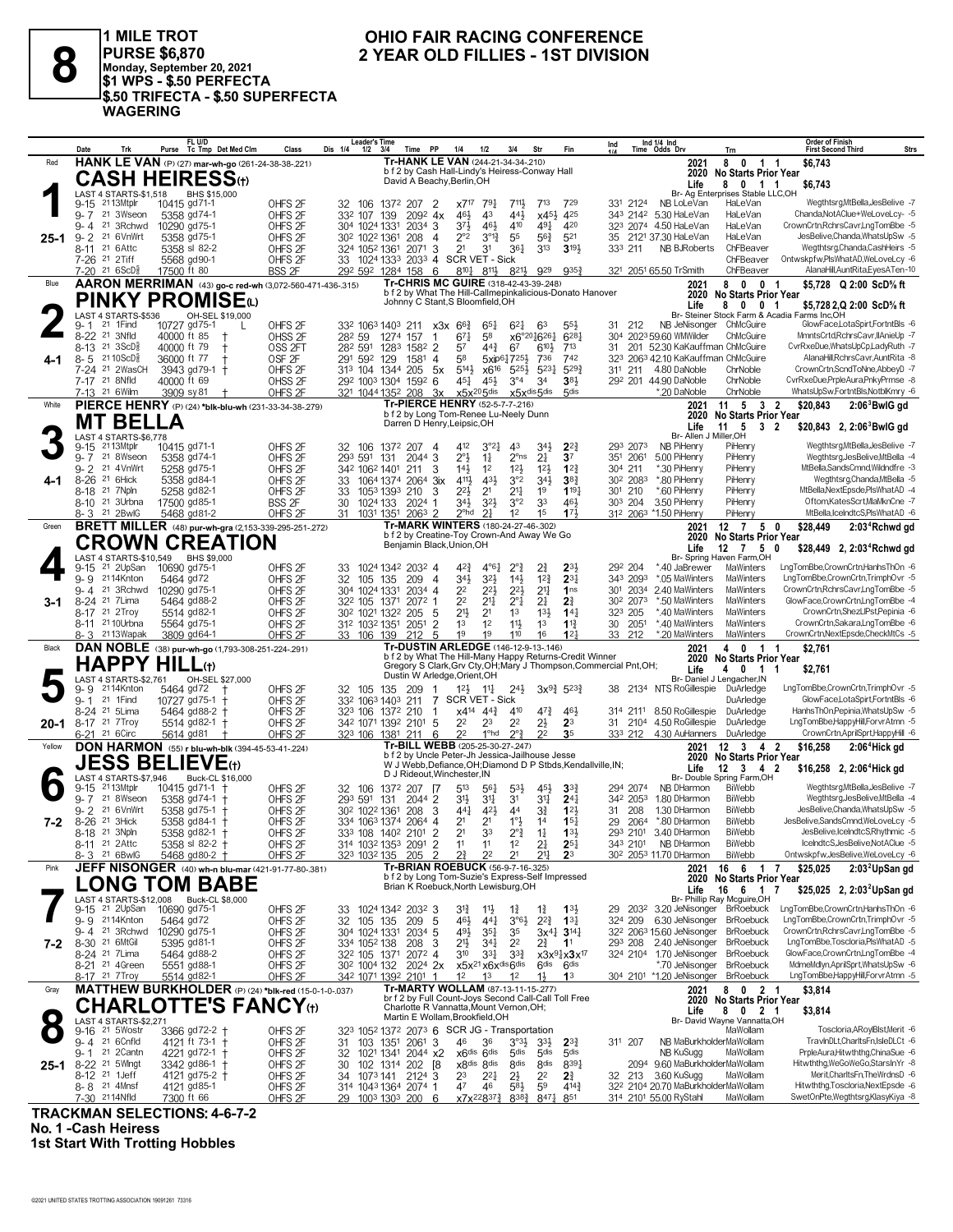

1 MILE TROT<br>|PURSE \$6,870<br>|Monday, September 20, 2021<br>|\$1 WPS - \$.50 PERFECTA \$.50 TRIFECTA - \$.50 SUPERFECTA **WAGERING** 

#### OHIO FAIR RACING CONFERENCE 2 YEAR OLD FILLIES - 1ST DIVISION

|        | Date<br>Trk                                                   | FL U/D<br>Purse Tc Tmp Det Med Clm                             | Class                                    | Leader's Time<br>Dis 1/4<br>3/4<br>1/2                | <b>PP</b><br>Time                                                                                               | 1/4<br>1/2                                   | 3/4                                                                         | Str                                   | Fin                                   | Ind                |                                  | Ind $1/4$ Ind<br>Time Odds Drv                                    | Trn                                                              | Order of Finish<br>Strs<br><b>First Second Third</b>                    |
|--------|---------------------------------------------------------------|----------------------------------------------------------------|------------------------------------------|-------------------------------------------------------|-----------------------------------------------------------------------------------------------------------------|----------------------------------------------|-----------------------------------------------------------------------------|---------------------------------------|---------------------------------------|--------------------|----------------------------------|-------------------------------------------------------------------|------------------------------------------------------------------|-------------------------------------------------------------------------|
| Red    |                                                               | HANK LE VAN (P) (27) mar-wh-go (261-24-38-38-.221)             |                                          |                                                       | Tr-HANK LE VAN (244-21-34-34-.210)                                                                              |                                              |                                                                             |                                       |                                       |                    |                                  | 2021                                                              | 8<br>$\mathbf{0}$<br>11                                          | \$6,743                                                                 |
|        |                                                               | <b>CASH HEIRESS(1)</b>                                         |                                          |                                                       | b f 2 by Cash Hall-Lindy's Heiress-Conway Hall<br>David A Beachy, Berlin, OH                                    |                                              |                                                                             |                                       |                                       |                    |                                  |                                                                   | 2020 No Starts Prior Year                                        |                                                                         |
|        |                                                               |                                                                |                                          |                                                       |                                                                                                                 |                                              |                                                                             |                                       |                                       |                    |                                  | Life                                                              | 8<br>$0 \t1 \t1$                                                 | \$6,743                                                                 |
|        | LAST 4 STARTS-\$1,518<br>9-15 2113Mtplr                       | BHS \$15,000<br>10415 gd71-1                                   | OHFS <sub>2F</sub>                       | 32 106                                                | 1372 207<br>$\overline{2}$                                                                                      | 791<br>x7 <sup>17</sup>                      | 711}                                                                        | $7^{13}$                              | 729                                   |                    | 331 2124                         | NB LoLeVan                                                        | Br- Ag Enterprises Stable LLC,OH<br>HaLeVan                      | Wegthtsrg, MtBella, JesBelive -7                                        |
|        | 21 3Wseon<br>$9 - 7$                                          | 5358 gd74-1                                                    | OHFS <sub>2F</sub>                       | 332 107<br>139                                        | $209^2$ 4x                                                                                                      | 43<br>46}                                    | 443                                                                         | $x45\frac{1}{2}$                      | 425                                   |                    |                                  | 343 2142 5.30 HaLeVan                                             | HaLeVan                                                          | Chanda, Not AClue + WeLoveLcy- - 5                                      |
|        | 21 3Rchwd<br>9-4                                              | 10290 gd75-1                                                   | OHFS <sub>2F</sub>                       | 304 1024 1331                                         | 2034<br>3                                                                                                       | 37}                                          | 410<br>461                                                                  | 491                                   | 420                                   |                    |                                  | 323 2074 4.50 HaLeVan                                             | HaLeVan                                                          | CrownCrtn,RchrsCavr,LngTomBbe -5                                        |
| 25-1   | $9 - 2$<br>21 6VnWrt                                          | 5358 gd75-1                                                    | OHFS <sub>2F</sub>                       | 302 1022 1361                                         | 208<br>$\overline{4}$                                                                                           | $2^{\circ}2$                                 | $3^{012}$<br>55                                                             | $56\frac{3}{4}$                       | 521                                   | 35                 |                                  | 2121 37.30 HaLeVan                                                | HaLeVan                                                          | JesBelive,Chanda,WhatsUpSw -5                                           |
|        | 8-11 <sup>21</sup> 6Attc                                      | 5358 sl 82-2                                                   | OHFS <sub>2F</sub>                       | 324 1052 1361                                         | -3<br>2071                                                                                                      | 2 <sup>1</sup><br>31                         | $36\frac{1}{4}$                                                             | 3 <sup>13</sup>                       | $3^{19}$                              | 333 211            |                                  | <b>NB BJRoberts</b>                                               | ChFBeaver                                                        | Wegthtsrg,Chanda,CashHeirs -5                                           |
|        | 7-26 <sup>21</sup> 2Tiff                                      | 5568 gd90-1                                                    | OHFS <sub>2F</sub>                       |                                                       | 33 1024 1333 2033 4 SCR VET - Sick                                                                              |                                              |                                                                             |                                       |                                       |                    |                                  |                                                                   | ChFBeaver                                                        | Ontwskpfw,PlsWhatAD,WeLoveLcy -6                                        |
|        | $7-20$ 21 6ScD <sup>5</sup>                                   | 17500 ft 80                                                    | <b>BSS 2F</b>                            | 292 592 1284 158                                      | - 6                                                                                                             | 8101                                         | $8^{11}$<br>8213                                                            | 929                                   | 9353                                  |                    |                                  | 321 2051 65.50 TrSmith                                            | ChFBeaver                                                        | AlanaHill, AuntRita, Eyes ATen-10                                       |
| Blue   |                                                               | AARON MERRIMAN (43) go-c red-wh (3,072-560-471-436-.315)       |                                          |                                                       | Tr-CHRIS MC GUIRE (318-42-43-39-.248)<br>b f 2 by What The Hill-Callmepinkalicious-Donato Hanover               |                                              |                                                                             |                                       |                                       |                    |                                  | 2021                                                              | 8<br>$\mathbf{0}$<br>0 <sub>1</sub><br>2020 No Starts Prior Year | \$5,728 Q 2:00 ScD% ft                                                  |
|        |                                                               | PINKY PROMISE(L)                                               |                                          |                                                       | Johnny C Stant, S Bloomfield, OH                                                                                |                                              |                                                                             |                                       |                                       |                    |                                  | Life                                                              | 8<br>$\mathbf{0}$<br>0 <sub>1</sub>                              | \$5,728 2,Q 2:00 ScD% ft                                                |
|        | LAST 4 STARTS-\$536                                           | OH-SEL \$19,000                                                |                                          |                                                       |                                                                                                                 |                                              |                                                                             |                                       |                                       |                    |                                  |                                                                   |                                                                  | Br- Steiner Stock Farm & Acadia Farms Inc,OH                            |
|        | 21 1Find<br>9- 1                                              | 10727 gd75-1                                                   | OHFS <sub>2F</sub>                       | 332 1063 1403 211                                     |                                                                                                                 | x3x 6 <sup>63</sup>                          | $6^{21}$<br>$65\frac{1}{4}$                                                 | 63                                    | $55\frac{1}{2}$                       | 31 212             |                                  | NB JeNisonger ChMcGuire                                           |                                                                  | GlowFace,LotaSpirt,FortntBls -6                                         |
|        | 8-22 <sup>21</sup> 3Nfld                                      | 40000 ft 85<br>$\pm$                                           | OHSS 2F                                  | 282 59                                                | 1274 157<br>$\mathbf{1}$                                                                                        | $67\frac{1}{4}$<br>58                        |                                                                             | x6°2016261                            | $6^{28}$ <sup>1</sup>                 |                    |                                  | 304 2023 59.60 WMWilder                                           | ChMcGuire                                                        | MmntsCrtd,RchrsCavr,IIAnieUp -7                                         |
|        | 8-13 <sup>21</sup> 3ScD∛<br>21 10 ScD <sup>5</sup><br>$8 - 5$ | 40000 ft 79<br>$\pm$<br>36000 ft 77<br>$\ddagger$              | OSS 2FT<br>OSF <sub>2F</sub>             | 282 591 1283<br>291 592<br>129                        | 1582 2<br>1581<br>$\overline{4}$                                                                                | 57<br>58                                     | $44\frac{3}{4}$<br>67<br>5xip617251                                         | $6^{10}$<br>736                       | 713<br>742                            | 31<br>323          |                                  | 201 52.30 KaKauffman ChMcGuire<br>2063 42.10 KaKauffman ChMcGuire |                                                                  | CvrRxeDue, WhatsUpCp, LadyRuth -7<br>AlanaHill, RchrsCavr, AuntRita -8  |
| 4-1    | 7-24 <sup>21</sup> 2WasCH                                     | 3943 gd79-1 †                                                  | OHFS <sub>2F</sub>                       | 313 104 1344                                          | 205<br>5x                                                                                                       | $5^{14}$                                     | $5^{25}$<br>x6 <sup>16</sup>                                                | $5^{23}$                              | 5293                                  | 311 211            |                                  | 4.80 DaNoble                                                      | ChrNoble                                                         | CrownCrtn,ScndToNne,AbbeyD -7                                           |
|        | 7-17 <sup>21</sup> 8Nfld                                      | 40000 ft 69                                                    | OHSS <sub>2F</sub>                       | 292 1003 1304 1592 6                                  |                                                                                                                 | 451                                          | $3^{\circ 4}$<br>45}                                                        | 3 <sup>4</sup>                        | 38 <sup>1</sup>                       |                    |                                  | 292 201 44.90 DaNoble                                             | ChrNoble                                                         | CvrRxeDue,PrpleAura,PnkyPrmse -8                                        |
|        | 7-13 21 6 Wilm                                                | 3909 sy 81                                                     | OHFS <sub>2F</sub>                       | 321 1044 1352 208                                     | -3x                                                                                                             | $x5x^{20}5$ dis                              |                                                                             | x5xdis5dis                            | 5 <sub>dis</sub>                      |                    |                                  | *.20 DaNoble                                                      | ChrNoble                                                         | WhatsUpSw,FortntBls,NotblKmry -6                                        |
| White  |                                                               | PIERCE HENRY (P) (24) *blk-blu-wh (231-33-34-38-279)           |                                          |                                                       | Tr-PIERCE HENRY (52-5-7-7-216)                                                                                  |                                              |                                                                             |                                       |                                       |                    |                                  | 2021                                                              | $11 \quad 5 \quad 3 \quad 2$                                     | \$20,843<br>$2:063$ BwlG gd                                             |
|        | MT BELLA                                                      |                                                                |                                          |                                                       | b f 2 by Long Tom-Renee Lu-Neely Dunn<br>Darren D Henry, Leipsic, OH                                            |                                              |                                                                             |                                       |                                       |                    |                                  | 2020                                                              | <b>No Starts Prior Year</b>                                      |                                                                         |
|        | LAST 4 STARTS-\$6,778                                         |                                                                |                                          |                                                       |                                                                                                                 |                                              |                                                                             |                                       |                                       |                    |                                  | Life<br>Br- Allen J Miller.OH                                     | - 5<br>11<br>$\mathbf{3}$                                        | -2<br>\$20,843 2, 2:06 BwlG gd                                          |
|        | 2113Mtplr<br>$9 - 15$                                         | 10415 gd71-1                                                   | OHFS <sub>2F</sub>                       | 32<br>106                                             | 1372 207<br>-4                                                                                                  | 412                                          | 3°2 <sub>4</sub><br>43                                                      | 34}                                   | $2^{2}$                               |                    | 293 2073                         | NB PiHenry                                                        | PiHenry                                                          | Wegthtsrg, MtBella, JesBelive -7                                        |
|        | $9 - 7$<br>21 8Wseon                                          | 5358 gd74-1                                                    | OHFS <sub>2F</sub>                       | 293 591<br>131                                        | 2044 3                                                                                                          | $2^{\circ}$<br>$1\frac{1}{4}$                | $2^{\circ}$ ns                                                              | 2 <sup>1</sup>                        | 3 <sup>7</sup>                        |                    | 351 2061                         | 5.00 PiHenry                                                      | PiHenry                                                          | Weathtsra.JesBelive.MtBella -4                                          |
|        | 9-2 21 4VnWrt                                                 | 5258 gd75-1                                                    | OHFS <sub>2F</sub>                       | 342 1062 1401 211                                     | 3                                                                                                               | $14\frac{1}{2}$<br>1 <sup>2</sup>            | $12\frac{1}{2}$                                                             | $12\frac{1}{2}$                       | 12 <sub>7</sub>                       | 304 211            |                                  | *.30 PiHenry                                                      | PiHenry                                                          | MtBella,SandsCmnd,Wildndfre -3                                          |
| 4-1    | $8 - 26$<br>21 6Hick<br>8-18 <sup>21</sup> 7Npln              | 5358 ad84-1                                                    | OHFS <sub>2F</sub>                       | 1064 1374<br>33                                       | $2064$ 3ix                                                                                                      | 411,<br>2 <sup>1</sup>                       | 3°2<br>431<br>2 <sup>11</sup>                                               | 34}<br>1 <sup>9</sup>                 | 383<br>$1^{19}$                       |                    | 30 <sup>2</sup> 208 <sup>3</sup> | *.80 PiHenry<br>*.60 PiHenry                                      | PiHenry<br>PiHenry                                               | Wegthtsrg, Chanda, MtBella -5<br>MtBella, NextEpsde, PlsWhatAD -4       |
|        | 8-10 <sup>21</sup> 3Urbna                                     | 5258 gd82-1<br>17500 gd85-1                                    | OHFS <sub>2F</sub><br><b>BSS 2F</b>      | 1053 1393 210<br>33<br>1024 133<br>30                 | 3<br>2024 1                                                                                                     | 22}<br>34}                                   | $3^{2}\frac{1}{2}$<br>3°2                                                   | 33                                    | 461                                   | 301 210<br>303 204 |                                  | 3.50 PiHenry                                                      | PiHenry                                                          | Oftom,KatesScrt,MlaMknCne -7                                            |
|        | 21 2BwlG<br>$8 - 3$                                           | 5468 gd81-2                                                    | OHFS <sub>2F</sub>                       | 31<br>1031 1351                                       | 2063<br>2                                                                                                       | 2 <sup>o</sup> hd<br>2 <sup>1</sup>          | 1 <sup>2</sup>                                                              | 1 <sup>5</sup>                        | 173                                   |                    |                                  | 312 2063 *1.50 PiHenry                                            | PiHenry                                                          | MtBella.lceIndtcS.PlsWhatAD -6                                          |
| Green  |                                                               | <b>BRETT MILLER</b> (48) pur-wh-gra (2,153-339-295-251-272)    |                                          |                                                       | Tr-MARK WINTERS (180-24-27-46-.302)                                                                             |                                              |                                                                             |                                       |                                       |                    |                                  | 2021                                                              | $12 \t7 \t5 \t0$                                                 | \$28,449<br>2:03 <sup>4</sup> Rchwd gd                                  |
|        |                                                               | <b>CROWN CREATION</b>                                          |                                          |                                                       | b f 2 by Creatine-Toy Crown-And Away We Go                                                                      |                                              |                                                                             |                                       |                                       |                    |                                  |                                                                   | 2020 No Starts Prior Year                                        |                                                                         |
|        |                                                               |                                                                |                                          |                                                       | Benjamin Black, Union, OH                                                                                       |                                              |                                                                             |                                       |                                       |                    |                                  | Life                                                              | 7 5<br>12<br>Br- Spring Haven Farm.OH                            | \$28,449 2, 2:03 <sup>4</sup> Rchwd gd<br>0                             |
|        | LAST 4 STARTS-\$10,549<br>$9 - 15$<br>21 2UpSan               | BHS \$9,000<br>10690 gd75-1                                    | OHFS <sub>2F</sub>                       | 33                                                    | 1024 1342 2032 4                                                                                                | 42}                                          | $2^{\circ}$ <sub>4</sub><br>$4^{\circ}6^{\circ}$                            | $2\frac{3}{4}$                        | $2^{3}$                               | 292 204            |                                  | *.40 JaBrewer                                                     | MaWinters                                                        | LngTomBbe.CrownCrtn.HanhsThOn -6                                        |
|        | 2114Knton<br>$9 - 9$                                          | 5464 gd72                                                      | OHFS <sub>2F</sub>                       | 32<br>105 135                                         | 209<br>$\overline{4}$                                                                                           | 34}                                          | $3^{21}$<br>$14\frac{1}{2}$                                                 | $1^{2}\frac{3}{4}$                    | $2^{3}$                               |                    | 343 2093                         | *.05 MaWinters                                                    | MaWinters                                                        | LngTomBbe,CrownCrtn,TrimphOvr -5                                        |
|        | 21 3Rchwd<br>9-4                                              | 10290 gd75-1                                                   | OHFS <sub>2F</sub>                       | 304 1024 1331                                         | 2034 4                                                                                                          | 22                                           | $2^{2}$<br>22}                                                              | 2 <sup>11</sup>                       | 1 <sub>ns</sub>                       |                    | 301 2034                         | 2.40 MaWinters                                                    | MaWinters                                                        | CrownCrtn,RchrsCavr,LngTomBbe -5                                        |
| 3-1    | 8-24 <sup>21</sup> 7 Lima                                     | 5464 gd88-2                                                    | OHFS <sub>2F</sub>                       | 322 105 1371                                          | 2072 1                                                                                                          | 22<br>$21\frac{1}{4}$                        | $2^{\circ}1$                                                                | 2 <sup>1</sup>                        | 2 <sup>3</sup>                        |                    | 30 <sup>2</sup> 2073             | *.50 MaWinters                                                    | MaWinters                                                        | GlowFace,CrownCrtn,LngTomBbe -4                                         |
|        | 8-17 <sup>21</sup> 2Troy                                      | 5514 gd82-1                                                    | OHFS <sub>2F</sub>                       | 30 <sup>2</sup> 102 <sup>1</sup> 132 <sup>2</sup> 205 | 5                                                                                                               | 21}<br>2 <sup>1</sup>                        | 1 <sup>3</sup>                                                              | $13\frac{1}{2}$                       | 14 <sup>1</sup>                       | 323 205            |                                  | *.40 MaWinters                                                    | MaWinters                                                        | CrownCrtn,ShezLIPst,Pepinia -6                                          |
|        | 8-11 21 10 Urbna<br>2113Wapak<br>8-3                          | 5564 gd75-1<br>3809 gd64-1                                     | OHFS <sub>2F</sub><br>OHFS <sub>2F</sub> | 312 1032 1351<br>33 106 139                           | $\overline{2}$<br>2051<br>5<br>212                                                                              | 1 <sup>3</sup><br>1 <sup>2</sup><br>19<br>19 | $11\frac{1}{2}$<br>110                                                      | 1 <sup>3</sup><br>16                  | $1^{13}$<br>12 <sup>1</sup>           | 30<br>33 212       | 2051                             | *.40 MaWinters<br>*.20 MaWinters                                  | MaWinters<br>MaWinters                                           | CrownCrtn,Sakara,LngTomBbe -6<br>CrownCrtn, NextEpsde, Check MtCs -5    |
| Black  |                                                               | DAN NOBLE (38) pur-wh-go (1,793-308-251-224-.291)              |                                          |                                                       | Tr-DUSTIN ARLEDGE (146-12-9-13-146)                                                                             |                                              |                                                                             |                                       |                                       |                    |                                  | 2021                                                              | $\mathbf 0$<br>1 1<br>4                                          | \$2,761                                                                 |
|        | <b>HAPPY HILL(t)</b>                                          |                                                                |                                          |                                                       | b f 2 by What The Hill-Many Happy Returns-Credit Winner                                                         |                                              |                                                                             |                                       |                                       |                    |                                  |                                                                   | 2020 No Starts Prior Year                                        |                                                                         |
|        |                                                               |                                                                |                                          |                                                       | Gregory S Clark, Grv Cty, OH; Mary J Thompson, Commercial Pnt, OH;<br>Dustin W Arledge, Orient, OH              |                                              |                                                                             |                                       |                                       |                    |                                  | Life                                                              | $0 \t1 \t1$<br>4                                                 | \$2,761                                                                 |
|        | LAST 4 STARTS-\$2,761<br>2114Knton<br>9-9                     | OH-SEL \$27,000<br>5464 gd72                                   | OHFS <sub>2F</sub>                       | 32<br>105<br>135                                      | 209<br>-1                                                                                                       | $12\frac{1}{2}$<br>$11\frac{1}{4}$           | $2^{4}\frac{1}{2}$                                                          |                                       | $3x^{9}\frac{3}{4}$ 5 <sup>23</sup>   | 38                 |                                  | 2134 NTS RoGillespie                                              | Br- Daniel J Lengacher, IN<br>DuArledge                          | LngTomBbe,CrownCrtn,TrimphOvr -5                                        |
|        | $9 - 1$<br>21 1 Find                                          | 10727 gd75-1                                                   | OHFS <sub>2F</sub>                       |                                                       | $\overline{7}$<br>211                                                                                           |                                              |                                                                             |                                       |                                       |                    |                                  |                                                                   | DuArledge                                                        |                                                                         |
|        | 8-24 21 5Lima                                                 |                                                                |                                          | 332 1063 1403                                         |                                                                                                                 | SCR VET - Sick                               |                                                                             |                                       |                                       |                    |                                  |                                                                   |                                                                  | GlowFace,LotaSpirt,FortntBls -6                                         |
| 20-1   |                                                               | $5464$ gd88-2 $+$                                              | OHFS <sub>2F</sub>                       | 323 106 1372 210                                      | -1                                                                                                              | $x4^{14}$<br>$44\frac{3}{4}$                 | 410                                                                         | 47}                                   | 461                                   | 314 2111           |                                  | 8.50 RoGillespie                                                  | DuArledge                                                        | HanhsThOn,Pepinia,WhatsUpSw -5                                          |
|        | 8-17 <sup>21</sup> 7 Troy                                     | 5514 gd82-1 +                                                  | OHFS <sub>2F</sub>                       | 342 1071 1392 2101 5                                  |                                                                                                                 | 22<br>23                                     | 2 <sup>2</sup>                                                              | $2\frac{1}{2}$                        | 2 <sup>3</sup>                        | 31                 | 2104                             | 4.50 RoGillespie                                                  | DuArledge                                                        | LngTomBbe,HappyHill,ForvrAtmn -5                                        |
|        | 6-21 <sup>21</sup> 6Circ                                      | 5614 gd81                                                      | OHFS <sub>2F</sub>                       | 323 106 1381 211                                      | 6                                                                                                               | 2 <sup>2</sup>                               | 1 <sup>o</sup> hd<br>$2^{\circ}$                                            | 2 <sup>2</sup>                        | 35                                    | 333 212            |                                  | 4.30 AuHanners DuArledge                                          |                                                                  | CrownCrtn,AprilSprt,HappyHill -6                                        |
| Yellow |                                                               | <b>DON HARMON</b> (55) r blu-wh-blk (394-45-53-41-.224)        |                                          |                                                       | Tr-BILL WEBB (205-25-30-27-.247)                                                                                |                                              |                                                                             |                                       |                                       |                    |                                  | 2021                                                              | $12 \quad 3 \quad 4 \quad 2$                                     | 2:06 <sup>4</sup> Hick gd<br>\$16,258                                   |
|        |                                                               | <b>JESS BELIEVE</b> (t)                                        |                                          |                                                       | b f 2 by Uncle Peter-Jh Jessica-Jailhouse Jesse<br>W J Webb, Defiance, OH; Diamond D P Stbds, Kendallville, IN; |                                              |                                                                             |                                       |                                       |                    |                                  | Life                                                              | 2020 No Starts Prior Year                                        |                                                                         |
|        | LAST 4 STARTS-\$7,946                                         | Buck-CL \$16,000                                               |                                          |                                                       | D J Rideout. Winchester. IN                                                                                     |                                              |                                                                             |                                       |                                       |                    |                                  |                                                                   | 12<br>3 4 2<br>Br- Double Spring Farm,OH                         | \$16,258 2, 2:06 <sup>4</sup> Hick gd                                   |
|        | 2113Mtplr<br>$9 - 15$                                         | 10415 $gd71-1$ +                                               | OHFS <sub>2F</sub>                       | 32 106                                                | 1372 207<br>- 17                                                                                                | 513                                          | 561<br>53}                                                                  | 45}                                   | 3 <sup>3</sup>                        |                    | 294 2074                         | NB DHarmon                                                        | <b>BiWebb</b>                                                    | Wegthtsrg, MtBella, JesBelive -7                                        |
|        | 21 8Wseon<br>$9 - 7$                                          | 5358 gd74-1                                                    | OHFS <sub>2F</sub>                       | 293 591<br>131                                        | 2044 2                                                                                                          | 31}<br>34                                    | 31                                                                          | $3^{11}$                              | 24 <sub>1</sub>                       |                    | 342 2053                         | 1.80 DHarmon                                                      | BiWebb                                                           | Wegthtsrg, JesBelive, MtBella -4                                        |
|        | 9- 2<br>21 6VnWrt<br>21 3Hick                                 | 5358 gd75-1<br>$^{+}$                                          | OHFS <sub>2F</sub>                       | 30 <sup>2</sup> 102 <sup>2</sup> 136 <sup>1</sup>     | 208<br>3                                                                                                        | 441                                          | $42\frac{1}{2}$<br>44                                                       | $3\frac{3}{4}$<br>1 <sup>4</sup>      | 123<br>15 <sub>1</sub>                | 31<br>29           | 208<br>2064                      | 1.30 DHarmon<br>*.80 DHarmon                                      | <b>BiWebb</b><br><b>BiWebb</b>                                   | JesBelive,Chanda,WhatsUpSw -5<br>JesBelive,SandsCmnd,WeLoveLcy -5       |
| 7-2    | $8 - 26$<br>8-18 21 3Npln                                     | 5358 gd84-1 +<br>5358 gd82-1 +                                 | OHFS <sub>2F</sub><br>OHFS <sub>2F</sub> | 334 1063 1374 2064 4<br>333 108 1402 2101             | $\overline{2}$                                                                                                  | 21<br>2 <sup>1</sup><br>2 <sup>1</sup><br>33 | $1^{\circ}$<br>$2^{\circ}\frac{3}{4}$                                       | $1\frac{1}{4}$                        | 133                                   |                    | 293 2101                         | 3.40 DHarmon                                                      | <b>BiWebb</b>                                                    | JesBelive,IceIndtcS,Rhythmic -5                                         |
|        | 8-11 <sup>21</sup> 2Attc                                      | 5358 sl 82-2 +                                                 | OHFS <sub>2F</sub>                       | 314 1032 1353 2091 2                                  |                                                                                                                 | 11                                           | 1 <sup>2</sup>                                                              | 21                                    | $25\frac{1}{4}$                       |                    |                                  | 343 2101 NB DHarmon                                               | BiWebb                                                           | IceIndtcS,JesBelive,NotAClue -5                                         |
|        | 8-3 21 6BwlG                                                  | 5468 gd80-2 +                                                  | OHFS <sub>2F</sub>                       | 323 1032 135 205 2                                    |                                                                                                                 | 2 <sup>2</sup><br>$2\frac{3}{4}$             | 2 <sup>1</sup>                                                              | $2^{11}$                              | 2 <sup>3</sup>                        |                    |                                  | 30 <sup>2</sup> 205 <sup>3</sup> 11.70 DHarmon                    | BiWebb                                                           | Ontwskpfw,JesBelive,WeLoveLcy -6                                        |
| Pink   |                                                               | JEFF NISONGER (40) wh-n blu-mar (421-91-77-80-381)             |                                          |                                                       | Tr-BRIAN ROEBUCK (56-9-7-16-.325)                                                                               |                                              |                                                                             |                                       |                                       |                    |                                  | 2021                                                              | 16 6 1                                                           | $\overline{7}$<br>\$25,025<br>2:03 <sup>2</sup> UpSan gd                |
|        |                                                               |                                                                |                                          |                                                       | b f 2 by Long Tom-Suzie's Express-Self Impressed<br>Brian K Roebuck, North Lewisburg, OH                        |                                              |                                                                             |                                       |                                       |                    |                                  |                                                                   | 2020 No Starts Prior Year                                        |                                                                         |
|        |                                                               | <b>LONG TOM BABE</b><br>LAST 4 STARTS-\$12,008 Buck-CL \$8,000 |                                          |                                                       |                                                                                                                 |                                              |                                                                             |                                       |                                       |                    |                                  | Life                                                              | 16<br>6 1 7<br>Br- Phillip Ray Mcguire, OH                       | \$25,025 2, 2:03 <sup>2</sup> UpSan gd                                  |
|        | 9-15 <sup>21</sup> 2UpSan                                     | 10690 gd75-1                                                   | OHFS <sub>2F</sub>                       | 33 1024 1342 2032 3                                   |                                                                                                                 | $3^{12}$<br>$11\frac{1}{2}$                  | $1\frac{3}{4}$                                                              | $1\frac{3}{4}$                        | 1 <sup>3</sup>                        |                    |                                  | 29 203 <sup>2</sup> 3.20 JeNisonger                               | <b>BrRoebuck</b>                                                 | LngTomBbe,CrownCrtn,HanhsThOn -6                                        |
|        | 9-9 2114Knton                                                 | 5464 gd72                                                      | OHFS <sub>2F</sub>                       | 32 105 135 209                                        | - 5                                                                                                             | 461                                          | $3^{\circ}6\frac{1}{2}$<br>441                                              | $2^{2^3}$ 1 <sup>3</sup> <sup>1</sup> |                                       | 324 209            |                                  | 6.30 JeNisonger BrRoebuck                                         |                                                                  | LngTomBbe,CrownCrtn,TrimphOvr -5                                        |
|        | 9-4 <sup>21</sup> 3Rchwd                                      | 10290 gd75-1                                                   | OHFS <sub>2F</sub>                       | 304 1024 1331                                         | $2034$ 5                                                                                                        | 493                                          | $35\frac{1}{4}$<br>35                                                       |                                       | $3x^{4}$ 3 <sup>14</sup>              |                    |                                  | 32 <sup>2</sup> 206 <sup>3</sup> 15.60 JeNisonger BrRoebuck       |                                                                  | CrownCrtnRchrsCavr.LngTomBbe -5                                         |
| 7-2    | 8-30 21 6MtGil                                                | 5395 gd81-1                                                    | OHFS <sub>2F</sub>                       | 334 1052 138                                          | 3<br>208                                                                                                        | 2 <sup>1</sup>                               | $34\frac{1}{4}$<br>2 <sup>2</sup>                                           | 21                                    | 1 <sup>1</sup>                        |                    |                                  | 293 208 2.40 JeNisonger<br>324 2104 1.70 JeNisonger BrRoebuck     | <b>BrRoebuck</b>                                                 | LngTomBbe,Toscloria,PlsWhatAD -5<br>GlowFace,CrownCrtn,LngTomBbe -4     |
|        | 8-24 21 7 Lima<br>8-21 <sup>21</sup> 4Green                   | 5464 gd88-2<br>5551 gd88-1                                     | OHFS <sub>2F</sub><br>OHFS <sub>2F</sub> | 32 <sup>2</sup> 105 1371 2072 4<br>302 1004 132       | 2024 2x                                                                                                         | 310                                          | $3^{3}_{4}$<br>334<br>x5x <sup>21</sup> x6x <sup>dis</sup> 6 <sup>dis</sup> | 6 <sup>dis</sup>                      | x3x94x3x17<br>6 <sup>dis</sup>        |                    |                                  | *.70 JeNisonger                                                   | <b>BrRoebuck</b>                                                 | MdmeMdlyn,AprilSprt,WhatsUpSw -6                                        |
|        | 8-17 <sup>21</sup> 7 Troy                                     | 5514 gd82-1                                                    | OHFS <sub>2F</sub>                       | 342 1071 1392 2101 1                                  |                                                                                                                 | 1 <sup>2</sup><br>1 <sup>3</sup>             | 1 <sup>2</sup>                                                              | 1}                                    | 1 <sup>3</sup>                        |                    |                                  | 304 2101 *1.20 JeNisonger BrRoebuck                               |                                                                  | LngTomBbe,HappyHill,ForvrAtmn -5                                        |
| Gray   |                                                               | MATTHEW BURKHOLDER (P) (24) *blk-red (15-0-1-0-.037)           |                                          |                                                       | Tr-MARTY WOLLAM (87-13-11-15-.277)                                                                              |                                              |                                                                             |                                       |                                       |                    |                                  | 2021                                                              | 8 0 2 1                                                          | \$3,814                                                                 |
|        |                                                               |                                                                |                                          |                                                       | br f 2 by Full Count-Joys Second Call-Call Toll Free<br>Charlotte R Vannatta, Mount Vernon, OH;                 |                                              |                                                                             |                                       |                                       |                    |                                  |                                                                   | 2020 No Starts Prior Year                                        |                                                                         |
|        |                                                               | <b>CHARLOTTE'S FANCY(t)</b>                                    |                                          |                                                       | Martin E Wollam, Brookfield, OH                                                                                 |                                              |                                                                             |                                       |                                       |                    |                                  | Life                                                              | 8<br>$0 \t2 \t1$<br>Br- David Wayne Vannatta, OH                 | \$3,814                                                                 |
|        | LAST 4 STARTS-\$2,271<br>9-16 <sup>21</sup> 5Wostr            | 3366 gd72-2 +                                                  | OHFS <sub>2F</sub>                       |                                                       | 323 1052 1372 2073 6 SCR JG - Transportation                                                                    |                                              |                                                                             |                                       |                                       |                    |                                  |                                                                   | MaWollam                                                         | Toscloria, ARoylBlst, Merit -6                                          |
|        | 9-4 <sup>21</sup> 6Cnfld                                      | 4121 ft 73-1 +                                                 | OHFS <sub>2F</sub>                       | 31                                                    | 103 1351 2061 3                                                                                                 | 46<br>36                                     | $3^{93}\frac{1}{2}$                                                         | $3^{3}\frac{1}{2}$                    | $2^{3}\frac{3}{4}$                    | 311 207            |                                  | NB MaBurkholderMaWollam                                           |                                                                  | TravInDLt,CharltsFn,IsleDLCt -6                                         |
|        | 9-1 <sup>21</sup> 2Cantn                                      | 4221 gd72-1 †                                                  | OHFS <sub>2F</sub>                       | 32                                                    | 1021 1341 2044 x2                                                                                               | x6dis 6dis                                   | 5 <sub>dis</sub>                                                            | 5 <sub>dis</sub>                      | 5 <sub>dis</sub>                      |                    |                                  | NB KuSugg                                                         | MaWollam                                                         | PrpleAura, Hit wththg, ChinaSue -6                                      |
| 25-1   | 8-22 <sup>21</sup> 5 Wingt                                    | 3342 gd86-1 +                                                  | OHFS <sub>2F</sub>                       | 30                                                    | 102 1314 202<br>[8                                                                                              | x8dis 8dis                                   | 8 <sub>dis</sub>                                                            | 8 <sub>dis</sub>                      | 8391                                  |                    |                                  | 2094 9.60 MaBurkholderMaWollam                                    |                                                                  | Hitwththg, WeGoWeGo, StarsIn Yr -8                                      |
|        | 8-12 <sup>21</sup> 1 Jeff<br>8-8 <sup>21</sup> 4Mnsf          | 4121 gd75-2 †<br>4121 gd85-1                                   | OHFS <sub>2F</sub><br>OHFS <sub>2F</sub> | 34<br>314 1043 1364 2074 1                            | 1073 141 2124 3                                                                                                 | 23<br>47<br>46                               | 221<br>$2\frac{1}{2}$<br>$5^{8}$                                            | 22<br>59                              | $2\frac{3}{4}$<br>$4^{14}\frac{3}{4}$ |                    |                                  | 32 213 3.60 KuSugg<br>322 2104 20.70 MaBurkholderMaWollam         | MaWollam                                                         | Merit, Charlts Fn, The Wrdns D -6<br>Hitwththg, Toscloria, NextEpsde -6 |

**TRACKMAN SELECTIONS: 4-6-7-2** 

No. 1 - Cash Heiress

**1st Start With Trotting Hobbles**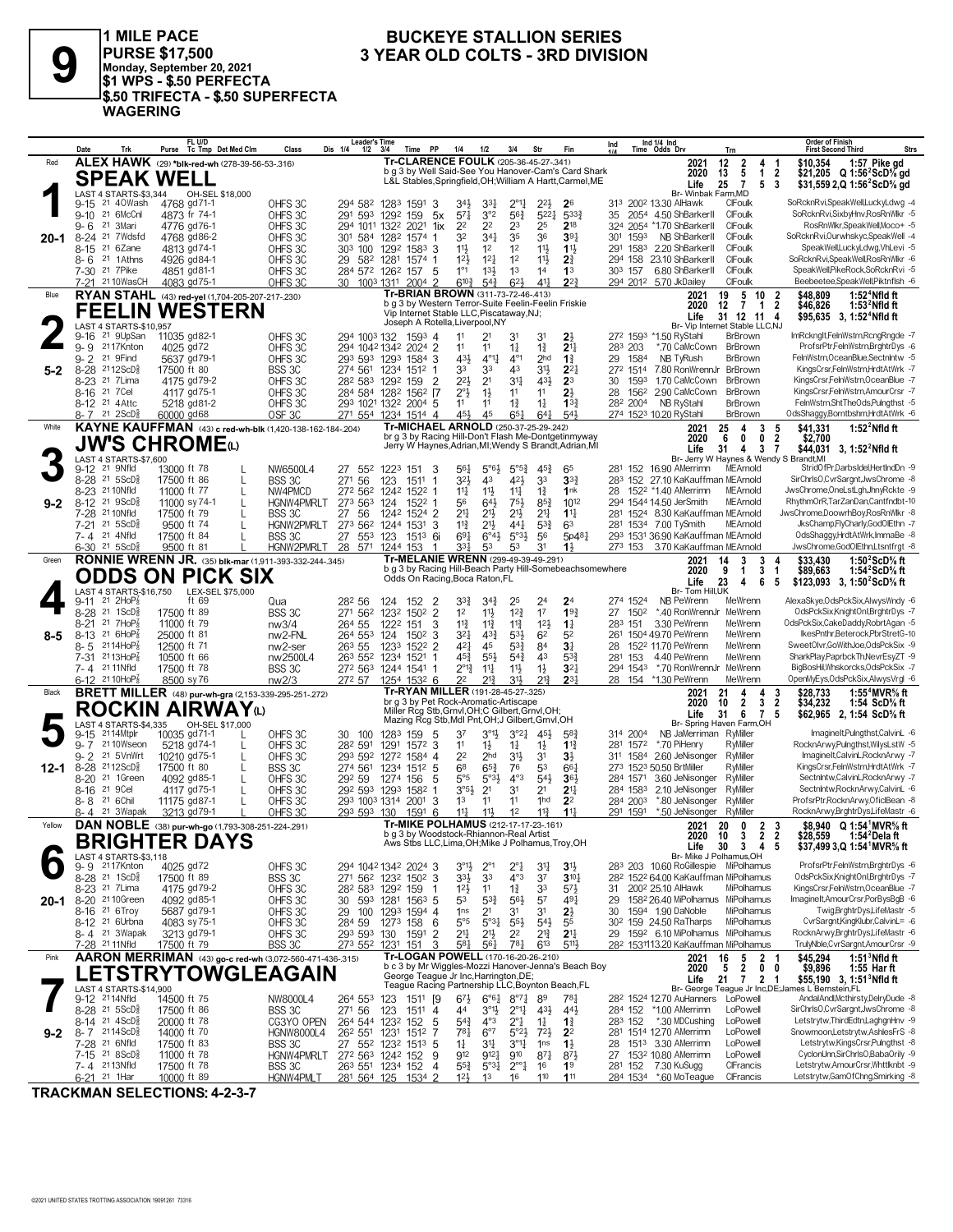

**9 PURSE \$17,500**<br> **9 PURSE \$17,500**<br> **9 PURSE \$17,500**<br> **9 9 PURSE \$17,500**<br> **9 9 PURSE \$17,500**<br> **9 9 PURSE \$17,500**<br> **9 PURSE \$17,500**<br> **9 9 PURSE \$17,500 1 MILE PACE \$1 WPS - \$.50 PERFECTA \$.50 TRIFECTA - \$.50 SUPERFECTA WAGERING**

# **BUCKEYE STALLION SERIES<br>3 YEAR OLD COLTS - 3RD DIVISION**

|          | Date            | Trk                                                     | FL U/D<br>Purse Tc Tmp Det Med Clm                               |                   | Class                                                         | Leader's Time<br>Dis 1/4<br>1/2                                                         | - 3/4    | Time                       | PP<br>1/4                                                                                 | 1/2                                           | 3/4                                                   | Str                               | Fin                                                       | Ind |                 | Ind 1/4 Ind<br>Time Odds Drv                                    | Trn                              |                                                                                | <b>Order of Finish</b><br><b>First Second Third</b>                                                        | <b>Strs</b> |
|----------|-----------------|---------------------------------------------------------|------------------------------------------------------------------|-------------------|---------------------------------------------------------------|-----------------------------------------------------------------------------------------|----------|----------------------------|-------------------------------------------------------------------------------------------|-----------------------------------------------|-------------------------------------------------------|-----------------------------------|-----------------------------------------------------------|-----|-----------------|-----------------------------------------------------------------|----------------------------------|--------------------------------------------------------------------------------|------------------------------------------------------------------------------------------------------------|-------------|
| Red      |                 |                                                         | ALEX HAWK (29) *blk-red-wh (278-39-56-53-.316)                   |                   |                                                               |                                                                                         |          |                            | Tr-CLARENCE FOULK (205-36-45-27-.341)                                                     |                                               |                                                       |                                   | b q 3 by Well Said-See You Hanover-Cam's Card Shark       |     |                 | 2021                                                            | 12<br>2                          | 4                                                                              | \$10.354<br>1:57 Pike gd                                                                                   |             |
|          |                 |                                                         | <b>SPEAK WELL</b>                                                |                   |                                                               |                                                                                         |          |                            |                                                                                           |                                               |                                                       |                                   | L&L Stables, Springfield, OH; William A Hartt, Carmel, ME |     |                 | 2020<br>Life                                                    | 13<br>5<br>25<br>$\overline{7}$  | $\mathbf{1}$<br>$\overline{2}$<br>5<br>-3                                      | \$21,205 Q 1:56 <sup>2</sup> ScD <sup>5</sup> / <sub>8</sub> gd<br>\$31,559 2,Q 1:56 <sup>2</sup> ScD% gd  |             |
|          |                 | LAST 4 STARTS-\$3,344                                   |                                                                  | OH-SEL \$18,000   |                                                               |                                                                                         |          |                            |                                                                                           |                                               |                                                       |                                   |                                                           |     |                 | Br- Winbak Farm, MD                                             |                                  |                                                                                |                                                                                                            |             |
|          | 9-15            | 21 40Wash                                               | 4768 gd71-1                                                      |                   | OHFS 3C                                                       | 294 582 1283 1591                                                                       |          |                            | -3<br>34}                                                                                 | 3 <sup>31</sup>                               | 2°1                                                   | 22}                               | 2 <sup>6</sup>                                            |     |                 | 313 2002 13.30 AlHawk                                           | CIFoulk                          |                                                                                | SoRcknRvi,SpeakWell,LuckyLdwg -4                                                                           |             |
|          |                 | 9-10 21 6McCnl                                          | 4873 fr 74-1                                                     |                   | OHFS 3C                                                       | 291 593 1292 159                                                                        |          |                            | $57\frac{1}{4}$<br>5x                                                                     | 3°2                                           | 56 <sup>3</sup>                                       | $5^{22}$                          | 5333<br>218                                               |     |                 | 35 2054 4.50 ShBarkerII                                         | CIFoulk<br>CIFoulk               |                                                                                | SoRcknRvi,SixbyHnv,RosRnWlkr -5<br>RosRnWlkr,SpeakWell,Moco+ -5                                            |             |
| $20 - 1$ | $9 - 6$         | 21 3Mari<br>8-24 <sup>21</sup> 7Wdsfd                   | 4776 gd76-1<br>4768 gd86-2                                       |                   | OHFS 3C<br>OHFS <sub>30</sub>                                 | 294 1011 1322 2021<br>301 584 1282 1574                                                 |          |                            | 22<br>1ix<br>32<br>-1                                                                     | 22<br>34 <sub>1</sub>                         | 23<br>35                                              | 25<br>36                          | 391                                                       | 301 | 1593            | 324 2054 *1.70 ShBarkerII<br>NB ShBarkerII                      | CIFoulk                          |                                                                                | SoRcknRvi, Ourwhskyc, Speak Well -4                                                                        |             |
|          | $8 - 15$        | 21 6Zane                                                | 4813 gd74-1                                                      |                   | OHFS 3C                                                       | 303 100 1292 1583 3                                                                     |          |                            | $11\frac{1}{2}$                                                                           | 1 <sup>2</sup>                                | 12                                                    | 11}                               | $1\frac{11}{2}$                                           | 291 |                 | 1583 2.20 ShBarkerll                                            | CIFoulk                          |                                                                                | SpeakWell,LuckyLdwg,VhLevi -5                                                                              |             |
|          | 8-6             | 21 1 Athns                                              | 4926 gd84-1                                                      |                   | OHFS 3C                                                       | 29                                                                                      |          | 582 1281 1574 1            | 12 <sub>3</sub>                                                                           | 12 <sub>1</sub>                               | 1 <sup>2</sup>                                        | 11}                               | $2\frac{3}{4}$                                            |     | 294 158         | 23.10 ShBarkerII                                                | CIFoulk                          |                                                                                | SoRcknRvi,SpeakWell,RosRnWlkr -6                                                                           |             |
|          |                 | 7-30 <sup>21</sup> 7Pike                                | 4851 gd81-1                                                      |                   | OHFS 3C                                                       | 284 572 1262 157                                                                        |          |                            | 1°1<br>-5                                                                                 | $13\frac{1}{2}$                               | 1 <sup>3</sup>                                        | 14                                | 1 <sup>3</sup>                                            |     | 303 157         | 6.80 ShBarkerII                                                 | CIFoulk                          |                                                                                | SpeakWell, PikeRock, SoRcknRvi -5                                                                          |             |
|          |                 | 7-21 2110WasCH                                          | 4083 gd75-1                                                      |                   | OHFS3C                                                        | 30                                                                                      |          | 1003 1311 2004 2           | $6^{10\frac{3}{4}}$                                                                       | $5^{4}3$                                      | $6^{2}$                                               | $4^{11}$                          | $2^{2}$                                                   |     |                 | 294 2012 5.70 JkDailey                                          | CIFoulk                          |                                                                                | Beebeetee,SpeakWell,Piktnflsh -6                                                                           |             |
| Blue     |                 |                                                         | RYAN STAHL (43) red-yel (1,704-205-207-217-.230)                 |                   |                                                               |                                                                                         |          |                            | Tr-BRIAN BROWN (311-73-72-46-.413)<br>b g 3 by Western Terror-Suite Feelin-Feelin Friskie |                                               |                                                       |                                   |                                                           |     |                 | 2021<br>2020                                                    | 19<br>12<br>7                    | 5 <sub>10</sub><br>$\overline{\mathbf{2}}$<br>$\overline{2}$<br>$\overline{1}$ | 1:52 $4$ Nfld ft<br>\$48.809<br>1:53 $^2$ Nfld ft<br>\$46,826                                              |             |
|          |                 |                                                         | <b>FEELIN WESTERN</b>                                            |                   |                                                               |                                                                                         |          |                            | Vip Internet Stable LLC, Piscataway, NJ;                                                  |                                               |                                                       |                                   |                                                           |     |                 | Life                                                            | 31 12 11 4                       |                                                                                | \$95,635 3, 1:52 <sup>4</sup> Nfld ft                                                                      |             |
|          |                 | LAST 4 STARTS-\$10,957                                  |                                                                  |                   |                                                               |                                                                                         |          |                            | Joseph A Rotella, Liverpool, NY                                                           |                                               |                                                       |                                   |                                                           |     |                 | Br- Vip Internet Stable LLC,NJ                                  |                                  |                                                                                |                                                                                                            |             |
|          | 9-16<br>$9 - 9$ | 21 9UpSan<br>2117Knton                                  | 11035 gd82-1<br>4025 gd72                                        |                   | OHFS 3C<br>OHFS 3C                                            | 294 1003 132<br>294 1042 1342 2024 2                                                    |          | 1593 4                     | 11<br>11                                                                                  | 21<br>11                                      | 31<br>$1\frac{1}{4}$                                  | 31<br>$1\frac{3}{4}$              | 2<br>2 <sup>11</sup>                                      |     | 283 203         | 272 1593 *1.50 RyStahl<br>*.70 CaMcCown                         | BrBrown<br>BrBrown               |                                                                                | ImRcknglt,FelnWstrn,RcngRngde -7<br>ProfsrPtr,FelnWstrn,BrghtrDys -6                                       |             |
|          | $9 - 2$         | 21 9Find                                                | 5637 gd79-1                                                      |                   | OHFS <sub>30</sub>                                            | 293 593 1293 1584 3                                                                     |          |                            | 431                                                                                       | $4^{\circ}1^{\circ}$                          | $4^{\circ}1$                                          | 2 <sub>hd</sub>                   | $1\frac{3}{4}$                                            | 29  | 1584            | NB TyRush                                                       | BrBrown                          |                                                                                | FelnWstrn, OceanBlue, Sectnintw -5                                                                         |             |
| 5-2      |                 | 8-28 2112ScD                                            | 17500 ft 80                                                      |                   | BSS 3C                                                        | 274 561 1234 1512 1                                                                     |          |                            | 33                                                                                        | 33                                            | 43                                                    | 3 <sup>1</sup>                    | $2^{2}$                                                   |     | 272 1514        | 7.80 RonWrennJr                                                 | BrBrown                          |                                                                                | KingsCrsr,FelnWstrn,HrdtAtWrk -7                                                                           |             |
|          | 8-23            | 21 7Lima                                                | 4175 gd79-2                                                      |                   | OHFS 3C                                                       | 28 <sup>2</sup> 583 129 <sup>2</sup> 159                                                |          |                            | $2^{2}$<br>$\overline{2}$                                                                 | 2 <sup>1</sup>                                | 31                                                    | 431                               | 2 <sup>3</sup>                                            | 30  | 1593            | 1.70 CaMcCown                                                   | <b>BrBrown</b>                   |                                                                                | KingsCrsr,FelnWstrn,OceanBlue -7                                                                           |             |
|          |                 | 8-16 21 7 Cel                                           | 4117 gd75-1                                                      |                   | OHFS 3C                                                       | 284 584 1282 1562 17                                                                    |          |                            | $2^{\circ}3$                                                                              | $1\frac{1}{2}$                                | 11                                                    | 11                                | 2 <sup>1</sup>                                            | 28  | 1562            | 2.90 CaMcCown                                                   | BrBrown                          |                                                                                | KingsCrsr,FelnWstrn,AmourCrsr -7<br>FelnWstrn,ShtTheOds,Pulngthst -5                                       |             |
|          | $8 - 12$        | 21 4 Attc<br>$8 - 7$ 21 $2$ ScD <sup>3</sup>            | 5218 gd81-2<br>60000 gd68                                        |                   | OHFS 3C<br>OSF <sub>3C</sub>                                  | 293 1021 1322 2004 5<br>271 554 1234 1514 4                                             |          |                            | 11<br>45}                                                                                 | 11<br>45                                      | $1\frac{3}{4}$<br>$65\frac{1}{4}$                     | $1\frac{1}{4}$<br>64              | $13\frac{3}{4}$<br>543                                    |     | 282 2004        | NB RyStahl<br>274 1523 10.20 RyStahl                            | <b>BrBrown</b><br><b>BrBrown</b> |                                                                                | OdsShaggy,Borntbshm,HrdtAtWrk -6                                                                           |             |
| White    |                 |                                                         |                                                                  |                   | KAYNE KAUFFMAN (43) c red-wh-blk (1,420-138-162-184-.204)     |                                                                                         |          |                            | Tr-MICHAEL ARNOLD (250-37-25-29-.242)                                                     |                                               |                                                       |                                   |                                                           |     |                 | 2021                                                            | 25<br>4                          | 3<br>5                                                                         | \$41,331<br>1:52 $^{2}$ Nfld ft                                                                            |             |
|          |                 |                                                         | <b>JW'S CHROME</b> (L)                                           |                   |                                                               |                                                                                         |          |                            |                                                                                           |                                               |                                                       |                                   | br g 3 by Racing Hill-Don't Flash Me-Dontgetinmyway       |     |                 | 2020                                                            | 6<br>0                           | $\overline{\mathbf{2}}$<br>0                                                   | \$2,700                                                                                                    |             |
|          |                 | LAST 4 STARTS-\$7,600                                   |                                                                  |                   |                                                               |                                                                                         |          |                            |                                                                                           |                                               |                                                       |                                   | Jerry W Haynes, Adrian, MI; Wendy S Brandt, Adrian, MI    |     |                 | Life<br>Br- Jerry W Haynes & Wendy S Brandt, MI                 | 31<br>4                          | 3<br>7                                                                         | \$44,031 3, 1:52 <sup>2</sup> Nfld ft                                                                      |             |
|          |                 | 9-12 <sup>21</sup> 9Nfld                                | 13000 ft 78                                                      |                   | NW6500L4                                                      | 27<br>552                                                                               | 1223 151 |                            | 3<br>56}                                                                                  | $5^{\circ}6\frac{1}{2}$                       | $5^{\circ 5^3}$                                       | $45\frac{3}{4}$                   | 65                                                        |     |                 | 281 152 16.90 AMerrimn                                          | MEArnold                         |                                                                                | StridOfPr,DarbsIdel,HertIndDn -9                                                                           |             |
|          |                 | 8-28 <sup>21</sup> 5ScD <sup>5</sup>                    | 17500 ft 86                                                      | L                 | BSS 3C                                                        | 271 56                                                                                  | 123      | 1511                       | 32}<br>-1                                                                                 | 43                                            | 421                                                   | 33                                | $3^{3}$                                                   |     |                 | 283 152 27.10 KaKauffman MEArnold                               |                                  |                                                                                | SirChrlsO.CvrSargnt.JwsChrome -8                                                                           |             |
|          |                 | 8-23 21 10Nfld                                          | 11000 ft 77                                                      | L                 | NW4PMCD                                                       | 272 562                                                                                 |          | 1242 1522 1                | $11\frac{1}{4}$                                                                           | $11\frac{1}{2}$                               | $11\frac{1}{4}$                                       | $1\frac{3}{4}$                    | 1nk                                                       | 28  |                 | 152 <sup>2</sup> *1.40 AMerrimn                                 | MEArnold                         |                                                                                | JwsChrome, OneLstLgh, JhnyRckte -9                                                                         |             |
| $9 - 2$  |                 | 8-12 <sup>21</sup> 9ScD <sup>5</sup><br>7-28 21 10 Nfld | 11000 sy 74-1                                                    | $\mathbf{L}$      | <b>HGNW4PMRIT</b>                                             | 273 563                                                                                 | 124      | 1522 1                     | 56<br>2 <sup>11</sup>                                                                     | 643                                           | 751                                                   | $85\frac{3}{4}$                   | 1012                                                      |     |                 | 294 1544 14.50 JerSmith                                         | MEArnold                         |                                                                                | RhythmOrR,TarZanDan,Cantfndbt-10<br>JwsChrome,DoowrhBoy,RosRnWlkr -8                                       |             |
|          |                 | 7-21 21 5ScD                                            | 17500 ft 79<br>9500 ft 74                                        |                   | <b>BSS 3C</b><br>HGNW2PMRLT                                   | 27<br>-56<br>273 562 1244 1531                                                          |          | 1242 1524 2                | $11\frac{3}{4}$<br>3                                                                      | 2 <sup>11</sup><br>$21\frac{1}{2}$            | $21\frac{1}{2}$<br>441                                | 2 <sup>11</sup><br>$5^{3}$        | $11\frac{1}{4}$<br>63                                     | 281 |                 | 281 1524 8.30 KaKauffman MEArnold<br>1534 7.00 TySmith          | MEArnold                         |                                                                                | JksChamp,FlyCharly,GodOlEthn -7                                                                            |             |
|          |                 | 7-4 21 4Nfld                                            | 17500 ft 84                                                      | $\mathsf{L}$      | <b>BSS 3C</b>                                                 | 27<br>553                                                                               | 123      | 151 <sup>3</sup> 6i        | $69\frac{1}{4}$                                                                           | $6^{\circ}4\frac{1}{2}$                       | $5°3\frac{1}{2}$                                      | 56                                | 5p481                                                     |     |                 | 293 1531 36.90 KaKauffman MEArnold                              |                                  |                                                                                | OdsShaggy,HrdtAtWrk,ImmaBe -8                                                                              |             |
|          |                 | $6-30$ <sup>21</sup> 5ScD <sup>3</sup>                  | 9500 ft 81                                                       |                   | HGNW2PMRLT                                                    | 28<br>571                                                                               | 1244 153 |                            | 331<br>-1                                                                                 | 53                                            | 53                                                    | 31                                | 11                                                        |     | 273 153         | 3.70 KaKauffman MEArnold                                        |                                  |                                                                                | JwsChrome.GodOlEthn.Ltsntfrat -8                                                                           |             |
| Green    |                 |                                                         |                                                                  |                   | <b>RONNIE WRENN JR.</b> (35) blk-mar (1,911-393-332-244-.345) |                                                                                         |          |                            | Tr-MELANIE WRENN (299-49-39-49-.291)                                                      |                                               |                                                       |                                   | b q 3 by Racing Hill-Beach Party Hill-Somebeachsomewhere  |     |                 | 2021                                                            | 3<br>14<br>9                     | 3                                                                              | 1:50 $2$ ScD $\%$ ft<br>\$33.430                                                                           |             |
|          |                 |                                                         | <b>ODDS ON PICK SIX</b>                                          |                   |                                                               |                                                                                         |          |                            | Odds On Racing, Boca Raton, FL                                                            |                                               |                                                       |                                   |                                                           |     |                 | 2020<br>Life                                                    | 1<br>23<br>4                     | 3<br>1<br>6<br>5                                                               | \$89,663<br>1:54 <sup>2</sup> ScD% ft<br>\$123,093 3, 1:50 <sup>2</sup> ScD <sup>5</sup> / <sub>8</sub> ft |             |
|          |                 | LAST 4 STARTS-\$16,750                                  |                                                                  | LEX-SEL \$75,000  |                                                               |                                                                                         |          |                            |                                                                                           |                                               |                                                       |                                   |                                                           |     |                 | Br- Tom Hill, UK                                                |                                  |                                                                                |                                                                                                            |             |
|          |                 | $9-11$ 21 $2HOP_8^T$<br>8-28 21 1ScD <sup>5</sup>       | ft 69                                                            |                   | Qua                                                           | 282 56                                                                                  | 124 152  |                            | 2<br>33}                                                                                  | $3^{4}3$                                      | 25<br>$12\frac{3}{4}$                                 | 24<br>17                          | 2 <sup>4</sup><br>193                                     |     | 274 1524        | NB PeWrenn                                                      | MeWrenn                          |                                                                                | AlexaSkye, OdsPckSix, AlwysWndy -6<br>OdsPckSix,KnightOnl,BrghtrDys -7                                     |             |
|          | $8 - 21$        | 21 7HoP                                                 | 17500 ft 89<br>11000 ft 79                                       |                   | <b>BSS 3C</b><br>nw3/4                                        | 271 562<br>264 55                                                                       | 1222 151 | 1232 1502 2                | 1 <sup>2</sup><br>$11\frac{3}{4}$<br>3                                                    | $11\frac{1}{2}$<br>$11\frac{3}{4}$            | $11\frac{3}{4}$                                       | 12 <sup>1</sup>                   | $1\frac{1}{4}$                                            | 27  | 1502<br>283 151 | *.40 RonWrennJr<br>3.30 PeWrenn                                 | MeWrenn<br>MeWrenn               |                                                                                | OdsPckSix,CakeDaddy,RobrtAgan -5                                                                           |             |
| 8-5      |                 | 8-13 21 6HoP                                            | 25000 ft 81                                                      |                   | nw2-FNL                                                       | 264 553                                                                                 | 124      | 1502                       | $3^{2}$<br>-3                                                                             | $4^{3}\frac{3}{4}$                            | 53}                                                   | 6 <sup>2</sup>                    | 52                                                        | 261 |                 | 1504 49.70 PeWrenn                                              | MeWrenn                          |                                                                                | IkesPnthr,Beterock,PbrStretG-10                                                                            |             |
|          | $8 - 5$         | $2114HOP_8$                                             | 12500 ft 71                                                      |                   | nw <sub>2</sub> -ser                                          | 263 55                                                                                  |          | 1233 1522 2                | 421                                                                                       | 45                                            | $5^{3}\frac{3}{4}$                                    | 84                                | 3 <sup>1</sup>                                            | 28  |                 | 1522 11.70 PeWrenn                                              | MeWrenn                          |                                                                                | SweetOlvr,GoWithJoe,OdsPckSix -9                                                                           |             |
|          | $7 - 31$        | 2113HoP                                                 | 10500 ft 66                                                      |                   | nw2500L4                                                      | 263 552                                                                                 |          | 1234 1521                  | 45}                                                                                       | $55\frac{1}{2}$                               | $5^{4}$                                               | 43                                | $5^{3}\frac{3}{4}$                                        | 281 | 153             | 4.40 PeWrenn                                                    | MeWrenn                          |                                                                                | SharkPlay,PaprbckTh,NevrEsyZT -9                                                                           |             |
|          |                 | 7-4 21 11 Nfld<br>6-12 21 10HoP <sub>8</sub>            | 17500 ft 78<br>8500 sy 76                                        |                   | BSS 3C<br>nw2/3                                               | 272 563 1244 1541<br>272 57                                                             |          | 1254 1532 6                | 2°1}<br>-1<br>2 <sup>2</sup>                                                              | $11\frac{1}{4}$<br>21}                        | $11\frac{1}{2}$<br>31}                                | $1\frac{1}{2}$<br>213             | 3 <sup>2</sup><br>2 <sup>31</sup>                         | 28  | 294 1543<br>154 | *.70 RonWrennJr<br>*1.30 PeWrenn                                | MeWrenn<br>MeWrenn               |                                                                                | BigBosHil, Whskorcks, OdsPckSix -7<br>OpenMyEys,OdsPckSix,AlwysVrgl -6                                     |             |
| Black    |                 |                                                         |                                                                  |                   | <b>BRETT MILLER</b> (48) pur-wh-gra (2,153-339-295-251-272)   |                                                                                         |          |                            | Tr-RYAN MILLER (191-28-45-27-.325)                                                        |                                               |                                                       |                                   |                                                           |     |                 | 2021                                                            | 21<br>4                          | 4<br>3                                                                         | \$28.733<br>1:55 $4$ MVR $\%$ ft                                                                           |             |
|          |                 |                                                         | ROCKIN AIRWAYധ                                                   |                   |                                                               |                                                                                         |          |                            | br g 3 by Pet Rock-Aromatic-Artiscape<br>Miller Rcg Stb, Grnvl, OH; C Gilbert, Grnvl, OH; |                                               |                                                       |                                   |                                                           |     |                 | 2020                                                            | $\overline{2}$<br>10             | $\overline{2}$<br>3                                                            | \$34,232<br>1:54 ScD% ft                                                                                   |             |
|          |                 | <b>LAST 4 STARTS-\$4.335</b>                            |                                                                  | OH-SEL \$17,000   |                                                               |                                                                                         |          |                            | Mazing Rcg Stb, Mdl Pnt, OH; J Gilbert, Grnvl, OH                                         |                                               |                                                       |                                   |                                                           |     |                 | Life<br>Br- Spring Haven Farm,OH                                | 31<br>6                          | $\overline{7}$<br>5                                                            | \$62,965 2, 1:54 ScD% ft                                                                                   |             |
|          | 9-15            | 2114Mtplr                                               | 10035 gd71-1                                                     |                   | OHFS 3C                                                       | 30<br>100                                                                               | 1283 159 |                            | 37<br>5                                                                                   | $3^{01}\frac{1}{2}$                           | $3^{°2}$                                              | 45}                               | $5^{8}{}_{4}^{3}$                                         |     | 314 2004        | NB JaMerriman                                                   | RyMiller                         |                                                                                | ImagineIt,Pulngthst,CalvinL -6                                                                             |             |
|          | $9 - 7$         | 2110Wseon                                               | 5218 gd74-1                                                      | L                 | OHFS 3C                                                       | 282 591                                                                                 |          | 1291 1572 3                | 11                                                                                        | 1}                                            | $1\frac{1}{4}$                                        | $1\frac{1}{2}$                    | $1^{13}$                                                  | 281 | 1572            | *.70 PiHenry                                                    | RyMiller                         |                                                                                | RocknArwy,Pulngthst,WilysLstW -5                                                                           |             |
| 12-1     |                 | 9-2 21 5VnWrt<br>8-28 2112ScD}                          | 10210 gd75-1<br>17500 ft 80                                      | L<br>$\mathbf{L}$ | OHFS 3C<br>BSS 3C                                             | 293 592<br>274 561                                                                      |          | 1272 1584 4<br>1234 1512 5 | 2 <sup>2</sup><br>6 <sup>8</sup>                                                          | 2 <sub>hd</sub><br>$65\frac{3}{4}$            | 3 <sup>1</sup><br>76                                  | 3 <sup>1</sup><br>53              | 31<br>$66\frac{1}{4}$                                     |     |                 | 311 1584 2.60 JeNisonger<br>273 1523 50.50 BrtMiller            | RyMiller<br>RyMiller             |                                                                                | ImagineIt,CalvinL,RocknArwy -7<br>KingsCrsr,FelnWstrn,HrdtAtWrk -7                                         |             |
|          |                 | 8-20 <sup>21</sup> 1Green                               | 4092 gd85-1                                                      | L                 | OHFS 3C                                                       | 292 59                                                                                  | 1274 156 |                            | 5°5<br>5                                                                                  | $5°3\frac{1}{2}$                              | $4^{\circ}3$                                          | 54}                               | 36}                                                       |     | 284 1571        | 3.60 JeNisonger                                                 | RyMiller                         |                                                                                | Sectnintw,CalvinL,RocknArwy -7                                                                             |             |
|          | 8-16            | 21 9 Cel                                                | 4117 gd75-1                                                      | L                 | OHFS 3C                                                       | 292 593 1293 1582 1                                                                     |          |                            | $3°5\frac{1}{2}$                                                                          | 2 <sup>1</sup>                                | 31                                                    | 2 <sup>1</sup>                    | 2 <sup>11</sup>                                           |     | 284 1583        | 2.10 JeNisonger                                                 | RyMiller                         |                                                                                | Sectnintw, RocknArwy, CalvinL -6                                                                           |             |
|          | 8-8             | 21 6Chil                                                | 11175 gd87-1                                                     | $\mathbf{L}$      | OHFS 3C                                                       | 293 1003 1314 2001                                                                      |          |                            | 3<br>1 <sup>3</sup>                                                                       | 11                                            | 11                                                    | 1hd                               | 2 <sup>2</sup>                                            |     | 284 2003        | *.80 JeNisonger                                                 | RyMiller                         |                                                                                | ProfsrPtr, RocknArwy, OficlBean -8                                                                         |             |
| Yellow   |                 | 8-4 21 3Wapak                                           | 3213 gd79-1<br>DAN NOBLE (38) pur-wh-go (1,793-308-251-224-.291) |                   | OHES 3C                                                       | 293 593 130                                                                             |          | 1591                       | $11\frac{1}{4}$<br>6<br>Tr-MIKE POLHAMUS (212-17-17-23-161)                               | $11\frac{1}{2}$                               | 1 <sup>2</sup>                                        | $11\frac{3}{4}$                   | $11\frac{1}{2}$                                           |     | 291 1591        | *.50 JeNisonger                                                 | RyMiller<br>0                    |                                                                                | RocknArwy,BrghtrDys,LifeMastr -6<br>\$8.940 Q 1:54 <sup>1</sup> MVR <sup>5</sup> / <sub>8</sub> ft         |             |
|          |                 |                                                         |                                                                  |                   |                                                               |                                                                                         |          |                            | b a 3 by Woodstock-Rhiannon-Real Artist                                                   |                                               |                                                       |                                   |                                                           |     |                 | 2021<br>2020                                                    | 20<br>10<br>3                    | 2<br>3<br>$\overline{2}$<br>2                                                  |                                                                                                            |             |
|          |                 |                                                         | <b>BRIGHTER DAYS</b>                                             |                   |                                                               |                                                                                         |          |                            | Aws Stbs LLC, Lima, OH; Mike J Polhamus, Troy, OH                                         |                                               |                                                       |                                   |                                                           |     |                 | Life                                                            | 30 <sub>3</sub>                  | 45                                                                             | \$37,499 3,Q 1:54 MVR% ft                                                                                  |             |
|          | 9- 9            | LAST 4 STARTS-\$3,118<br>2117Knton                      | 4025 gd72                                                        |                   | OHFS 3C                                                       | 294 1042 1342 2024 3                                                                    |          |                            | $3^{01}\frac{1}{2}$                                                                       | $2^{\circ}1$                                  | $2^{\circ}$ }                                         | 31                                | 3 <sup>1</sup>                                            |     |                 | Br- Mike J Polhamus, OH<br>283 203 10.60 RoGillespie MiPolhamus |                                  |                                                                                | ProfsrPtr,FelnWstrn,BrghtrDys -6                                                                           |             |
|          |                 | 8-28 <sup>21</sup> 1ScD <sup>3</sup>                    | 17500 ft 89                                                      |                   | BSS 3C                                                        | 271 562 1232 1502 3                                                                     |          |                            | 33}                                                                                       | 3 <sup>3</sup>                                | $4^{\circ}3$                                          | 3 <sup>7</sup>                    | $3^{10}\%$                                                |     |                 | 28 <sup>2</sup> 152 <sup>2</sup> 64.00 KaKauffman MiPolhamus    |                                  |                                                                                | OdsPckSix,KnightOnl,BrghtrDys -7                                                                           |             |
|          |                 | 8-23 <sup>21</sup> 7 Lima                               | 4175 gd79-2                                                      |                   | OHFS 3C                                                       | 282 583 1292 159                                                                        |          |                            | 12 <sup>1</sup><br>-1                                                                     | 11                                            | $1\frac{3}{4}$                                        | 33                                | 57}                                                       | 31  |                 | 2002 25.10 AlHawk                                               | MiPolhamus                       |                                                                                | KingsCrsrFelnWstrn,OceanBlue -7                                                                            |             |
|          |                 | 20-1 8-20 <sup>21</sup> 10Green                         | 4092 gd85-1                                                      |                   | OHFS 3C                                                       | 30                                                                                      |          | 593 1281 1563 5            | 53                                                                                        | $5^{3}\frac{3}{4}$                            | $56\frac{1}{2}$                                       | 57                                | $49\frac{1}{4}$                                           | 29  |                 | 158 <sup>2</sup> 26.40 MiPolhamus MiPolhamus                    |                                  |                                                                                | ImagineIt,AmourCrsr,PorBysBgB -6                                                                           |             |
|          |                 | 8-16 <sup>21</sup> 6Troy<br>8-12 <sup>21</sup> 6Urbna   | 5687 gd79-1                                                      |                   | OHFS 3C                                                       | 29 100 1293 1594 4                                                                      |          |                            | 1 <sub>ns</sub>                                                                           | 2 <sup>1</sup>                                | 31                                                    | 31                                | $2\frac{1}{2}$                                            | 30  |                 | 1594 1.90 DaNoble<br>30 <sup>2</sup> 159 24.50 RaTharps         | MiPolhamus<br>MiPolhamus         |                                                                                | Twig,BrghtrDys,LifeMastr -5<br>CvrSargnt,KingKlubr,CalvinL= -6                                             |             |
|          |                 | 8-4 21 3Wapak                                           | 4083 sy 75-1<br>3213 gd79-1                                      |                   | OHFS 3C<br>OHFS 3C                                            | 284 59<br>293 593 130                                                                   | 1273 158 | 1591                       | $5^{\circ}5$<br>6<br>21<br>2                                                              | $5^{\circ}3^{\frac{1}{4}}$<br>$21\frac{1}{2}$ | $55\frac{1}{2}$<br>2 <sup>2</sup>                     | $5^{4}$<br>$2^{13}$               | 55<br>2 <sup>11</sup>                                     |     |                 | 29 1592 6.10 MiPolhamus MiPolhamus                              |                                  |                                                                                | RocknArwy,BrghtrDys,LifeMastr -6                                                                           |             |
|          |                 | 7-28 21 11 Nfld                                         | 17500 ft 79                                                      |                   | BSS 3C                                                        | 273 552 1231 151                                                                        |          |                            | 581<br>3                                                                                  | 561                                           | 781                                                   | 613                               | 5113                                                      |     |                 | 28 <sup>2</sup> 1531113.20 KaKauffman MiPolhamus                |                                  |                                                                                | TrulyNble,CvrSargnt,AmourCrsr -9                                                                           |             |
| Pink     |                 |                                                         |                                                                  |                   | AARON MERRIMAN (43) go-c red-wh (3,072-560-471-436-.315)      |                                                                                         |          |                            | Tr-LOGAN POWELL (170-16-20-26-.210)                                                       |                                               |                                                       |                                   |                                                           |     |                 | 2021                                                            | 5<br>16                          | 2 <sub>1</sub>                                                                 | \$45,294<br>1:51 $3$ Nfld ft                                                                               |             |
|          |                 |                                                         |                                                                  |                   | <b>LETSTRYTOWGLEAGAIN</b>                                     |                                                                                         |          |                            | George Teague Jr Inc, Harrington, DE;                                                     |                                               |                                                       |                                   | b c 3 by Mr Wiggles-Mozzi Hanover-Jenna's Beach Boy       |     |                 | 2020                                                            | 5<br>$\mathbf{2}$                | $\mathbf 0$<br>0                                                               | \$9,896<br>1:55 Har ft                                                                                     |             |
|          |                 | LAST 4 STARTS-\$14,900                                  |                                                                  |                   |                                                               |                                                                                         |          |                            | Teague Racing Partnership LLC, Boynton Beach, FL                                          |                                               |                                                       |                                   |                                                           |     |                 | Life                                                            | 21 7                             | 2 1                                                                            | \$55,190 3, 1:51 <sup>3</sup> Nfld ft<br>Br- George Teague Jr Inc, DE; James L Bernstein, FL               |             |
|          |                 | 9-12 2114Nfld                                           | 14500 ft 75                                                      |                   | NW8000L4                                                      | 264 553                                                                                 | 123      | 1511 [9                    | $67\frac{1}{2}$                                                                           |                                               | $6^{\circ}6^{\frac{1}{4}}$ $8^{\circ}7^{\frac{1}{4}}$ | 89                                | 781                                                       |     |                 | 28 <sup>2</sup> 1524 12.70 AuHanners LoPowell                   |                                  |                                                                                | AndalAndl, Mcthirsty, DelryDude -8                                                                         |             |
|          |                 | 8-28 <sup>21</sup> 5ScD <sup>3</sup>                    | 17500 ft 86                                                      |                   | BSS 3C                                                        | 271 56                                                                                  | 123      | $151^1$ 4                  | 44                                                                                        | $3^{01}\frac{1}{2}$                           | $2^{\circ}$ 1 $\frac{1}{4}$                           | 43}                               | $44\frac{1}{2}$                                           |     |                 | 284 152 *1.00 AMerrimn                                          | LoPowell                         |                                                                                | SirChrlsO,CvrSargnt,JwsChrome -8<br>Letstrytw, ThirdEdtn, LaghgnHnv -9                                     |             |
| $9 - 2$  |                 | 8-14 <sup>21</sup> 4ScD <sup>5</sup><br>8-7 2114ScD     | 20000 ft 78<br>14000 ft 70                                       |                   | CG3YO OPEN<br><b>HGNW8000L4</b>                               | 264 544 1232 152<br>26 <sup>2</sup> 55 <sup>1</sup> 123 <sup>1</sup> 151 <sup>2</sup> 7 |          |                            | $5^{4}$<br>5<br>781                                                                       | $4^{\circ}3$<br>$6^{\circ}7$                  | $2^{\circ}$ }<br>$5^{\circ}2\frac{1}{2}$              | $1\frac{1}{4}$<br>$72\frac{1}{2}$ | $1\frac{3}{4}$<br>2 <sup>2</sup>                          |     | 283 152         | *.30 MDCushing<br>281 1514 12.70 AMerrimn                       | LoPowell<br>LoPowell             |                                                                                | Snowmoon,Letstrytw,AshlesFrS -8                                                                            |             |
|          |                 | 7-28 <sup>21</sup> 6Nfld                                | 17500 ft 83                                                      |                   | BSS 3C                                                        | 27 552 1232 1513 5                                                                      |          |                            | $1\frac{1}{4}$                                                                            | 34                                            | $3^{\circ}1\frac{1}{4}$                               | 1 <sub>ns</sub>                   | $1\frac{1}{2}$                                            | 28  |                 | 1513 3.30 AMerrimn                                              | LoPowell                         |                                                                                | Letstrytw,KingsCrsr,Pulngthst -8                                                                           |             |
|          |                 | 7-15 21 8ScD <sup>3</sup>                               | 11000 ft 78                                                      |                   | HGNW4PMRLT                                                    | 272 563 1242 152                                                                        |          |                            | 912<br>-9                                                                                 | $9^{12}$                                      | 910                                                   | $87\frac{1}{4}$                   | 874                                                       |     |                 | 27 1532 10.80 AMerrimn                                          | LoPowell                         |                                                                                | CyclonUnn,SirChrIsO,BabaOrily -9                                                                           |             |
|          |                 | 7-4 2113Nfld<br>6-21 <sup>21</sup> 1Har                 | 17500 ft 78<br>10000 ft 89                                       |                   | BSS 3C<br>HGNW4PMLT                                           | 263 551 1234 152                                                                        |          |                            | $55\frac{3}{4}$<br>4                                                                      | $5^{\circ}3^{\frac{1}{4}}$                    | $2^{\circ}$ <sup>2</sup>                              | 16                                | 1 <sup>9</sup>                                            |     | 281 152         | 7.30 KuSugg                                                     | CIFrancis<br>CIFrancis           |                                                                                | Letstrytw,AmourCrsr,Whttlknbt -9                                                                           |             |
|          |                 |                                                         |                                                                  |                   |                                                               | 281 564 125 1534 2                                                                      |          |                            | $12\frac{1}{2}$                                                                           | 1 <sup>3</sup>                                | 16                                                    | 110                               | 111                                                       |     |                 | 284 1534 *.60 MoTeague                                          |                                  |                                                                                | Letstrytw,GamOfChng,Smirking -8                                                                            |             |

**TRACKMAN SELECTIONS: 4-2-3-7**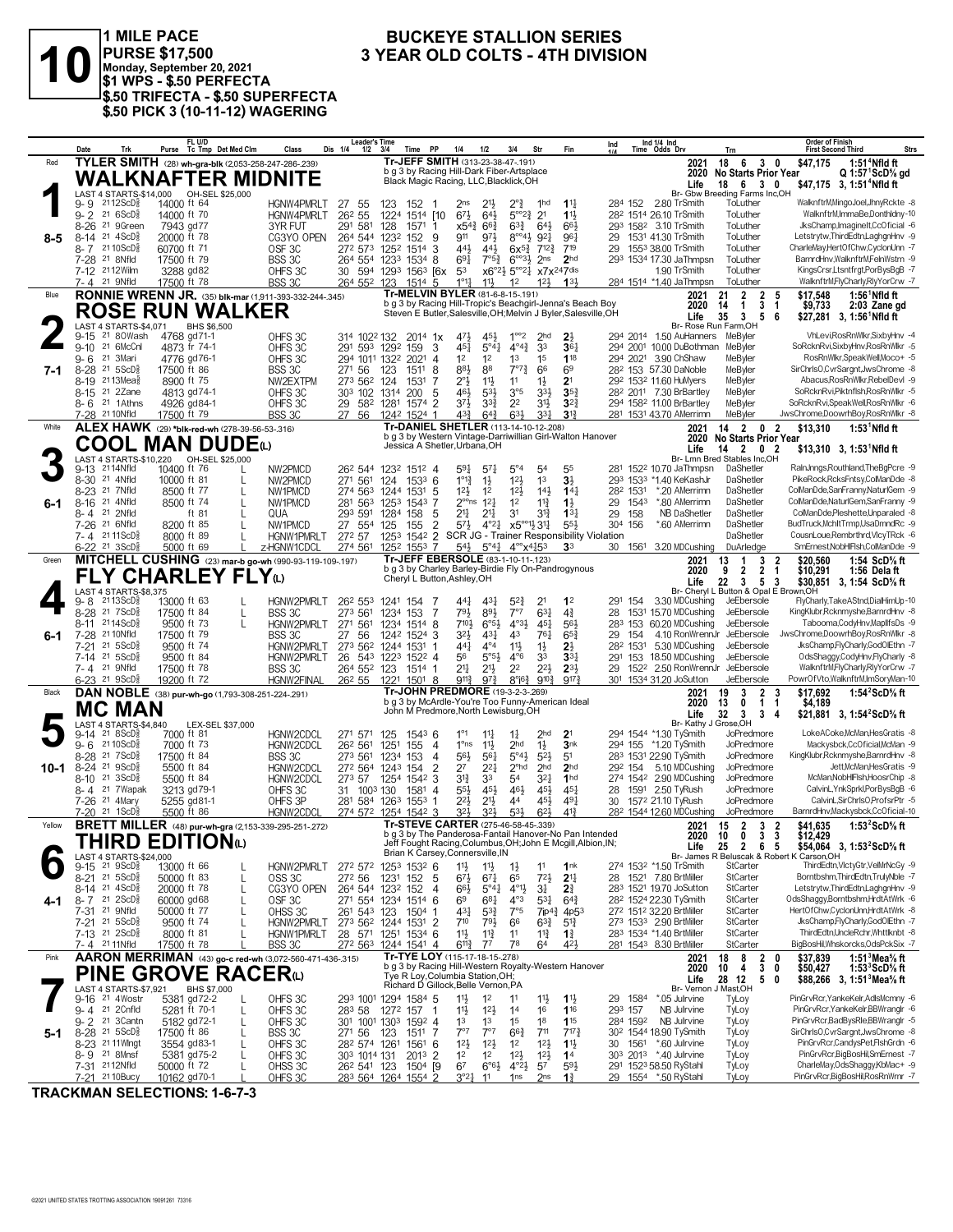

1 MILE PACE<br>PURSE \$17,500<br>Monday, September 20, 2021<br>\$1 WPS - \$.50 PERFECTA \$.50 TRIFECTA - \$.50 SUPERFECTA \$.50 PICK 3 (10-11-12) WAGERING

#### **BUCKEYE STALLION SERIES** 3 YEAR OLD COLTS - 4TH DIVISION

|        | Date                                                         | Trk                                                         |                             | FL U/D<br>Purse Tc Tmp Det Med Clm                              | Class                            | <b>Leader's Time</b><br>Dis 1/4<br>$1/2$ $3/4$                           |                  | <b>PP</b><br><b>Time</b>                                                             | 1/4                                     | 1/2                                     | 3/4                                                                                          | Str                                    | Fin                                                             | Ind            |          | Ind 1/4 Ind<br>Time Odds Drv                                  | <b>Trn</b>                                                                       | <b>Order of Finish</b><br><b>First Second Third</b>                           | <b>Strs</b>                 |
|--------|--------------------------------------------------------------|-------------------------------------------------------------|-----------------------------|-----------------------------------------------------------------|----------------------------------|--------------------------------------------------------------------------|------------------|--------------------------------------------------------------------------------------|-----------------------------------------|-----------------------------------------|----------------------------------------------------------------------------------------------|----------------------------------------|-----------------------------------------------------------------|----------------|----------|---------------------------------------------------------------|----------------------------------------------------------------------------------|-------------------------------------------------------------------------------|-----------------------------|
| Red    |                                                              |                                                             |                             | TYLER SMITH (28) wh-gra-blk (2,053-258-247-286-239)             |                                  |                                                                          |                  | Tr-JEFF SMITH (313-23-38-47-.191)                                                    |                                         |                                         |                                                                                              |                                        |                                                                 |                |          | 2021                                                          | 18 6<br>3 <sub>0</sub>                                                           | \$47.175                                                                      | $1:514$ Nfld ft             |
|        |                                                              |                                                             |                             | <b>WALKNAFTER MIDNITE</b>                                       |                                  |                                                                          |                  | b g 3 by Racing Hill-Dark Fiber-Artsplace<br>Black Magic Racing, LLC, Blacklick, OH  |                                         |                                         |                                                                                              |                                        |                                                                 |                |          | 2020<br>Life                                                  | <b>No Starts Prior Year</b><br>18 6 3 0                                          | \$47,175 3, 1:51 <sup>4</sup> Nfld ft                                         | $Q 1:57$ $ScD\%$ gd         |
|        |                                                              |                                                             |                             | LAST 4 STARTS-\$14,000 OH-SEL \$25,000                          |                                  |                                                                          |                  |                                                                                      |                                         |                                         |                                                                                              |                                        |                                                                 |                |          |                                                               | Br- Gbw Breeding Farms Inc,OH                                                    |                                                                               |                             |
|        | 9- 9<br>$9 - 2$                                              | $2112$ ScD $\frac{5}{8}$<br>21 6ScD§                        | 14000 ft 64<br>14000 ft 70  |                                                                 | <b>HGNW4PMRLT</b><br>HGNW4PMRLT  | 27<br>55<br>26 <sup>2</sup> 55                                           | 123<br>1224      | 152<br>1514 [10                                                                      | 2ns<br>$6^{7\frac{1}{2}}$               | $21\frac{1}{2}$<br>$64\frac{1}{2}$      | $2^{\circ}$<br>$5^{\circ}2^{\frac{3}{4}}$                                                    | 1hd<br>2 <sup>1</sup>                  | $1^{11}$<br>11                                                  | 284 152        |          | 2.80 TrSmith<br>282 1514 26.10 TrSmith                        | ToLuther<br>ToLuther                                                             | WalknftrM,MingoJoel,JhnyRckte -8<br>WalknftrM,ImmaBe,Donthldny-10             |                             |
|        | 8-26                                                         | 21 9Green                                                   | 7943 gd77                   |                                                                 | 3YR FUT                          | 291 581                                                                  | 128              | 1571 1                                                                               | $x54\frac{3}{4}$                        | $66\frac{3}{4}$                         | $63\frac{3}{4}$                                                                              | 64}                                    | 66                                                              |                |          | 293 1582 3.10 TrSmith                                         | ToLuther                                                                         | JksChamp, Imaginelt, CcOficial -6                                             |                             |
| 8-5    | 8-14                                                         | $21 \text{ } 4$ ScD $\frac{5}{8}$                           | 20000 ft 78                 |                                                                 | CG3YO OPEN                       | 264 544 1232                                                             |                  | 9<br>152                                                                             | 911                                     | 971                                     | $8^{\circ 4}$                                                                                | $9^{2}$                                | 961                                                             | 29             |          | 1531 41.30 TrSmith                                            | ToLuther                                                                         | Letstrytw, ThirdEdtn, LaghgnHnv -9                                            |                             |
|        | 7-28 <sup>21</sup> 8Nfld                                     | 8-7 2110ScD                                                 | 60700 ft 71<br>17500 ft 79  |                                                                 | OSF <sub>3C</sub><br>BSS 3C      | 272 573 1252 1514 3<br>264 554 1233                                      |                  | $1534$ 8                                                                             | 443<br>691                              | $44\frac{1}{2}$<br>$7°5\frac{3}{4}$     | $6x^{5}\frac{3}{4}$<br>$6^{\circ 3}$                                                         | $7^{12}\frac{3}{4}$<br>2 <sub>ns</sub> | 719<br>2 <sub>hd</sub>                                          | 29             |          | 1553 38.00 TrSmith<br>293 1534 17.30 JaThmpsn                 | ToLuther<br>ToLuther                                                             | CharleMay,HertOfChw,CyclonUnn -7<br>BarnrdHnv, WalknftrM, FelnWstrn -9        |                             |
|        |                                                              | 7-12 2112Wilm                                               | 3288 gd82                   |                                                                 | OHFS 3C                          | 30 594 1293 1563 [6x                                                     |                  |                                                                                      | 53                                      |                                         | $x6^{\circ}2\frac{1}{2}$ 5 <sup>oo</sup> 2 <sup>1</sup> / <sub>2</sub> x7x <sup>247dis</sup> |                                        |                                                                 |                |          | 1.90 TrSmith                                                  | ToLuther                                                                         | KingsCrsr,Ltsntfrgt,PorBysBgB -7                                              |                             |
|        | 7-4 21 9Nfld                                                 |                                                             | 17500 ft 78                 |                                                                 | BSS 3C                           | 264 552                                                                  | 123              | 1514 5                                                                               | $1^{\circ}1_{4}^{1}$                    | $11\frac{1}{2}$                         | 1 <sup>2</sup>                                                                               | $12\frac{1}{2}$                        | 13 <sup>1</sup>                                                 |                |          | 284 1514 *1.40 JaThmpsn                                       | ToLuther                                                                         | WalknftrM,FlyCharly,RlyYorCrw -7                                              |                             |
| Blue   |                                                              |                                                             |                             | <b>RONNIE WRENN JR.</b> (35) blk-mar (1,911-393-332-244-.345)   |                                  |                                                                          |                  | Tr-MELVIN BYLER (81-6-8-15-.191)                                                     |                                         |                                         |                                                                                              |                                        | b g 3 by Racing Hill-Tropic's Beachgirl-Jenna's Beach Boy       |                |          | 2021<br>2020                                                  | $\overline{2}$<br>$\overline{2}$<br>21<br>-5<br>$\mathbf{1}$<br>3<br>14<br>-1    | \$17,548<br>\$9,733                                                           | 1:56 <sup>1</sup> Nfld ft   |
|        |                                                              |                                                             |                             | <b>ROSE RUN WALKER</b>                                          |                                  |                                                                          |                  |                                                                                      |                                         |                                         |                                                                                              |                                        | Steven E Butler, Salesville, OH; Melvin J Byler, Salesville, OH |                |          | Life                                                          | 3<br>35<br>5 6                                                                   | \$27,281 3, 1:56 <sup>1</sup> Nfld ft                                         | 2:03 Zane gd                |
|        | 9-15                                                         | LAST 4 STARTS-\$4.071<br>21 80Wash                          | 4768 gd71-1                 | BHS \$6,500                                                     | OHFS 3C                          | 314 1022 132 2014 1x                                                     |                  |                                                                                      | 471                                     | 45}                                     | $1^{\circ}2$                                                                                 | 2 <sub>hd</sub>                        | $2\frac{1}{2}$                                                  |                |          | 294 2014 1.50 AuHanners                                       | Br- Rose Run Farm, OH<br>MeByler                                                 | VhLevi.RosRnWlkr.SixbvHnv -4                                                  |                             |
|        | $9 - 10$                                                     | 21 6McCnl                                                   | 4873 fr 74-1                |                                                                 | OHFS 3C                          | 291 593 1292 159                                                         |                  | 3                                                                                    | 451                                     | 5°4 <sup>1</sup>                        | $4^{04}\frac{3}{4}$                                                                          | 33                                     | 36 <sub>7</sub>                                                 |                |          | 294 2001 10.00 DuBothman                                      | MeByler                                                                          | SoRcknRvi,SixbyHnv,RosRnWlkr -5                                               |                             |
|        | 9-6                                                          | 21 3Mari                                                    | 4776 gd76-1                 |                                                                 | OHFS 3C                          | 294 1011 1322                                                            |                  | 2021<br>$\overline{4}$                                                               | 1 <sup>2</sup>                          | 1 <sup>2</sup>                          | 1 <sup>3</sup>                                                                               | 1 <sup>5</sup>                         | 118                                                             |                | 294 2021 | 3.90 ChShaw                                                   | MeByler                                                                          | RosRnWlkr,SpeakWell,Moco+ -5                                                  |                             |
| 7-1    | 8-28                                                         | $21 \, 5$ ScD $\frac{5}{8}$<br>8-19 2113Meas                | 17500 ft 86<br>8900 ft 75   |                                                                 | BSS 3C<br>NW2EXTPM               | 271 56<br>273 562 124                                                    | 123              | 8<br>1511<br>1531<br>7                                                               | 881<br>$2^{\circ}$                      | 88<br>$11\frac{1}{2}$                   | $7^{\circ}7^{\circ}$<br>11                                                                   | 66<br>$1\frac{1}{2}$                   | 69<br>2 <sup>1</sup>                                            |                |          | 28 <sup>2</sup> 153 57.30 DaNoble<br>292 1532 11.60 HuMyers   | MeByler<br>MeByler                                                               | SirChrlsO,CvrSargnt,JwsChrome -8<br>Abacus, Ros Rn Wikr, RebelDevi -9         |                             |
|        |                                                              | 8-15 21 2Zane                                               | 4813 gd74-1                 |                                                                 | OHFS 3C                          | 303 102                                                                  | 1314             | 200<br>5                                                                             | 461                                     | $5^{31}$                                | 3°5                                                                                          | $3^{3}\frac{1}{2}$                     | $35\frac{3}{4}$                                                 |                |          | 28 <sup>2</sup> 2011 7.30 BrBartley                           | MeByler                                                                          | SoRcknRvi,Piktnflsh,RosRnWlkr -5                                              |                             |
|        |                                                              | 8-6 21 1Athns                                               | 4926 gd84-1                 |                                                                 | OHFS 3C                          | 29 582                                                                   |                  | 1281 1574 2                                                                          | $3^{7}$                                 | $3^{3}$                                 | 2 <sup>2</sup>                                                                               | $3^{11}$                               | $3^{2}3$                                                        |                |          | 294 1582 11.00 BrBartley                                      | MeByler                                                                          | SoRcknRvi,SpeakWell,RosRnWlkr -6                                              |                             |
| White  | 7-28 <sup>21</sup> 10Nfld                                    |                                                             | 17500 ft 79                 |                                                                 | BSS 3C                           | 27<br>-56                                                                |                  | 1242 1524 1<br>Tr-DANIEL SHETLER (113-14-10-12-208)                                  | $4^{3}\frac{3}{4}$                      | $64\frac{3}{4}$                         | $63\frac{1}{2}$                                                                              | 3 <sup>31</sup>                        | $3\frac{13}{4}$                                                 |                |          | 281 1531 43.70 AMerrimn                                       | MeByler<br>14 2                                                                  | JwsChrome,DoowrhBoy,RosRnWlkr -8                                              |                             |
|        |                                                              |                                                             |                             | ALEX HAWK (29) *blk-red-wh (278-39-56-53-.316)                  |                                  |                                                                          |                  |                                                                                      |                                         |                                         |                                                                                              |                                        | b g 3 by Western Vintage-Darriwillian Girl-Walton Hanover       |                |          | 2021<br>2020                                                  | 0<br>No Starts Prior Year                                                        | \$13,310<br>$\overline{2}$                                                    | $1:53$ <sup>1</sup> Nfld ft |
|        |                                                              |                                                             |                             | <b>COOL MAN DUDE</b> t                                          |                                  |                                                                          |                  | Jessica A Shetler, Urbana, OH                                                        |                                         |                                         |                                                                                              |                                        |                                                                 |                |          | Life                                                          | 14 2 0 2<br>Br- Lmn Bred Stables Inc.OH                                          | $$13,310$ 3, 1:53 <sup>1</sup> Nfld ft                                        |                             |
|        | 9-13 2114Nfld                                                | LAST 4 STARTS-\$10,220                                      | 10400 ft 76                 | OH-SEL \$25,000                                                 | NW2PMCD                          | 26 <sup>2</sup> 544 123 <sup>2</sup> 151 <sup>2</sup> 4                  |                  |                                                                                      | 591                                     | $57\frac{1}{4}$                         | $5^{\circ}4$                                                                                 | 54                                     | 5 <sub>5</sub>                                                  |                |          | 281 1522 10.70 JaThmpsn                                       | DaShetler                                                                        | RalnJnngs, Routhland, The BgPcre -9                                           |                             |
|        | 8-30 <sup>21</sup> 4Nfld                                     |                                                             | 10000 ft 81                 | L                                                               | NW2PMCD                          | 271 561                                                                  | 124              | 153 <sup>3</sup> 6                                                                   | $1^{\circ}1^3$                          | $1\frac{1}{2}$                          | 12 <sup>1</sup>                                                                              | 1 <sup>3</sup>                         | $3\frac{1}{2}$                                                  | 293            | 1533     | *1.40 KeKashJr                                                | DaShetler                                                                        | PikeRock, RcksFntsy, ColManDde -8                                             |                             |
| 6-1    | 8-23 <sup>21</sup> 7Nfld<br>8-16                             | 21 4Nfld                                                    | 8500 ft 77<br>8500 ft 74    |                                                                 | NW1PMCD<br>NW1PMCD               | 274 563<br>281 563                                                       | 125 <sup>3</sup> | 1244 1531 5<br>1543 7                                                                | $12\frac{1}{2}$<br>$2^{\circ \circ}$ ns | 1 <sup>2</sup><br>$1^{2}$               | 12 <sup>1</sup><br>1 <sup>2</sup>                                                            | $14\frac{1}{2}$<br>$11\frac{3}{4}$     | $14\frac{1}{4}$<br>$1\frac{1}{2}$                               | 282 1531<br>29 | 1543     | *.20 AMerrimn<br>*.80 AMerrimn                                | DaShetler<br>DaShetler                                                           | ColManDde,SanFranny,NaturlGem -9<br>ColManDde, NaturlGem, SanFranny -9        |                             |
|        | 8-4 21 2Nfld                                                 |                                                             |                             | ft 81                                                           | QUA                              | 293 591                                                                  | 1284             | 158<br>5                                                                             | 21                                      | $21\frac{1}{4}$                         | 3 <sup>1</sup>                                                                               | 31}                                    | $13\frac{1}{4}$                                                 | 29             | 158      | <b>NB DaShetler</b>                                           | DaShetler                                                                        | ColManDde,Pleshette,Unparaled -8                                              |                             |
|        | 7-26 21 6Nfld                                                |                                                             | 8200 ft 85                  |                                                                 | NW1PMCD                          | 27 554                                                                   | 125              | $\overline{2}$<br>155                                                                | $5^{7}\frac{1}{2}$                      |                                         | $4^{\circ}2^{\frac{1}{4}}$ $x5^{\circ}2^{\circ}1^{\frac{1}{2}}3^{\circ}1^{\frac{1}{4}}$      |                                        | 553                                                             | 304            | 156      | *.60 AMerrimn                                                 | DaShetler                                                                        | BudTruck, MchltTrmp, UsaDmndRc -9                                             |                             |
|        |                                                              | 7-4 2111ScD<br>6-22 <sup>21</sup> 3ScD <sup>5</sup>         | 8000 ft 89<br>5000 ft 69    |                                                                 | <b>HGNW1PMRLT</b><br>z-HGNW1CDCL | 272 57<br>274 561                                                        | 125 <sup>3</sup> | $154^2$ 2<br>1252 1553 7                                                             | $54\frac{1}{2}$                         |                                         | $5^{\circ}4^{\circ}4$ $4^{\circ\circ}x^{4}45^{3}$                                            |                                        | SCR JG - Trainer Responsibility Violation<br>3 <sup>3</sup>     | 30             | 1561     | 3.20 MDCushing                                                | DaShetler<br>DuArledge                                                           | CousnLoue,Rembrthrd,VlcyTRck -6<br>SmErnest, NobHIFIsh, ColManDde -9          |                             |
| Green  |                                                              |                                                             |                             | MITCHELL CUSHING (23) mar-b go-wh (990-93-119-109-197)          |                                  |                                                                          |                  | Tr-JEFF EBERSOLE (83-1-10-11-123)                                                    |                                         |                                         |                                                                                              |                                        |                                                                 |                |          | 2021                                                          | 3<br>13<br>$\mathbf{1}$                                                          | \$20,560<br>2                                                                 | 1:54 ScD% ft                |
|        |                                                              |                                                             |                             | <b>FLY CHARLEY FLY</b> W                                        |                                  |                                                                          |                  | Cheryl L Button, Ashley, OH                                                          |                                         |                                         |                                                                                              |                                        | b g 3 by Charley Barley-Birdie Fly On-Pandrogynous              |                |          | 2020                                                          | $\overline{2}$<br>$\mathbf{2}$<br>9<br>$\mathbf 1$                               | \$10,291                                                                      | 1:56 Dela ft                |
|        |                                                              | LAST 4 STARTS-\$8,375                                       |                             |                                                                 |                                  |                                                                          |                  |                                                                                      |                                         |                                         |                                                                                              |                                        |                                                                 |                |          | Life                                                          | 22<br>$\mathbf{3}$<br>5 3<br>Br- Cheryl L Button & Opal E Brown, OH              | \$30,851 3, 1:54 ScD% ft                                                      |                             |
|        | 9-8                                                          | 2113ScD                                                     | 13000 ft 63                 |                                                                 | HGNW2PMRLT                       | 26 <sup>2</sup> 55 <sup>3</sup>                                          | 1241             | 154<br>7                                                                             | 441                                     | $4^{3}\frac{1}{4}$                      | $5^{2}$                                                                                      | 2 <sup>1</sup>                         | 1 <sup>2</sup>                                                  | 291 154        |          | 3.30 MDCushing                                                | JeEbersole                                                                       | FlyCharly,TakeAStnd,DialHimUp-10                                              |                             |
|        | 8-11                                                         | 8-28 <sup>21</sup> 7ScD <sup>3</sup><br>2114ScD             | 17500 ft 84<br>9500 ft 73   | L<br>L                                                          | BSS 3C<br>HGNW2PMRLT             | 273 561<br>271 561                                                       | 1234 153<br>1234 | 7<br>1514 8                                                                          | 793<br>$7^{10}$                         | 893<br>$6^{\circ 5\frac{1}{2}}$         | 7°7<br>$4^{03}\frac{1}{2}$                                                                   | $63\frac{1}{4}$<br>$45\frac{1}{4}$     | $4\frac{3}{4}$<br>563                                           | 28             |          | 1531 15.70 MDCushing<br>283 153 60.20 MDCushing               | JeEbersole<br>JeEbersole                                                         | KingKlubr, Rcknmyshe, BarnrdHnv -8<br>Tabooma,CodyHnv,MapllfsDs -9            |                             |
| 6-1    | 7-28                                                         | 21 10 Nfld                                                  | 17500 ft 79                 |                                                                 | BSS 3C                           | 56<br>27                                                                 |                  | 1242 1524 3                                                                          | $3^{21}$                                | $4^{3}\frac{1}{4}$                      | 43                                                                                           | $76\frac{1}{4}$                        | $65\frac{3}{4}$                                                 | 29             | 154      | 4.10 RonWrennJr                                               | JeEbersole                                                                       | JwsChrome,DoowrhBoy,RosRnWlkr -8                                              |                             |
|        | 7-21                                                         | 21 5ScD                                                     | 9500 ft 74                  |                                                                 | HGNW2PMRLT                       | 273 562                                                                  |                  | 1244 1531 1                                                                          | 441                                     | $4^{\circ}4$                            | $11\frac{1}{2}$                                                                              | $1\frac{1}{2}$                         | $2\frac{1}{2}$                                                  | 282 1531       |          | 5.30 MDCushing                                                | JeEbersole                                                                       | JksChamp,FlyCharly,GodOlEthn -7                                               |                             |
|        | 7-14<br>7-4 21 9Nfld                                         | $21 \, 5$ ScD $\frac{5}{8}$                                 | 9500 ft 84<br>17500 ft 78   |                                                                 | HGNW2PMRLT<br>BSS 3C             | 26 543<br>264 552 123 1514 1                                             |                  | 1223 1522 4                                                                          | 56<br>21                                | $5^{\circ}5^{\circ}$<br>$21\frac{1}{2}$ | $4^{\circ}6$<br>2 <sup>2</sup>                                                               | 33<br>$2^{21}$                         | 33 <sub>1</sub><br>$2^{3}\frac{1}{2}$                           | 291<br>29      | 153      | 18.50 MDCushing<br>152 <sup>2</sup> 2.50 RonWrennJr           | JeEbersole<br>JeEbersole                                                         | OdsShaggy,CodyHnv,FlyCharly -8<br>WalknftrM,FlyCharly,RlyYorCrw -7            |                             |
|        |                                                              | 6-23 <sup>21</sup> 9ScD <sup>3</sup>                        | 19200 ft 72                 |                                                                 | HGNW2FINAL                       | 26 <sup>2</sup> 55 122 <sup>1</sup> 150 <sup>1</sup> 8                   |                  |                                                                                      | $9^{11}\frac{3}{4}$                     | $9^{7\frac{3}{4}}$                      | $8^\circ$ i $6\frac{3}{4}$                                                                   | $9^{10}\frac{3}{4}$                    | 9173                                                            |                |          | 301 1534 31.20 JoSutton                                       | JeEbersole                                                                       | PowrOfVto,WalknftrM,ImSoryMan-10                                              |                             |
| Black  |                                                              |                                                             |                             | DAN NOBLE (38) pur-wh-go (1,793-308-251-224-.291)               |                                  |                                                                          |                  | Tr-JOHN PREDMORE (19-3-2-3-.269)<br>b g 3 by McArdle-You're Too Funny-American Ideal |                                         |                                         |                                                                                              |                                        |                                                                 |                |          | 2021                                                          | 3<br>2<br>19                                                                     | \$17,692<br>3                                                                 | 1:54 $2$ ScD $%$ ft         |
|        |                                                              | <b>MC MAN</b>                                               |                             |                                                                 |                                  |                                                                          |                  | John M Predmore, North Lewisburg, OH                                                 |                                         |                                         |                                                                                              |                                        |                                                                 |                |          | 2020<br>Life                                                  | 13<br>0<br>$\mathbf{1}$<br>-1<br>32<br>$\overline{\mathbf{3}}$<br>3 <sub>4</sub> | \$4,189<br>\$21,881 3, 1:54 <sup>2</sup> ScD <sup>5</sup> / <sub>8</sub> ft   |                             |
|        |                                                              | LAST 4 STARTS-\$4,840                                       |                             | LEX-SEL \$37,000                                                |                                  |                                                                          |                  |                                                                                      |                                         |                                         |                                                                                              |                                        |                                                                 |                |          | Br- Kathy J Grose, OH                                         |                                                                                  | LokeACoke,McMan,HesGratis -8                                                  |                             |
|        | 9-14<br>9-6                                                  | 21 8 ScD<br>21 10 ScD                                       | 7000 ft 81<br>7000 ft 73    |                                                                 | HGNW2CDCL<br>HGNW2CDCL           | 271 571<br>262 561                                                       | 125<br>1251      | $154^3$ 6<br>155<br>-4                                                               | $1^{\circ}1$<br>$1^{\circ}$ ns          | $11\frac{1}{4}$<br>$11\frac{1}{2}$      | $1\frac{1}{4}$<br>2 <sub>hd</sub>                                                            | 2 <sub>hd</sub><br>$1\frac{1}{2}$      | 2 <sup>1</sup><br>3nk                                           |                |          | 294 1544 *1.30 TySmith<br>294 155 *1.20 TvSmith               | JoPredmore<br>JoPredmore                                                         | Mackysbck.CcOficial.McMan -9                                                  |                             |
|        | 8-28                                                         | 21 7 ScD <sup>3</sup>                                       | 17500 ft 84                 |                                                                 | BSS 3C                           | 273 561                                                                  | 1234             | 153<br>$\overline{4}$                                                                | $56\frac{1}{2}$                         | 561                                     | $5^{\circ}4\frac{1}{2}$                                                                      | $5^{2}$                                | 5 <sup>1</sup>                                                  |                |          | 283 1531 22.90 TySmith                                        | JoPredmore                                                                       | KingKlubr, Rcknmyshe, BarnrdHnv -8                                            |                             |
| 10-1   | $8 - 24$<br>8-10                                             | 21 9ScD3<br>$21 \text{ 3ScD}$                               | 5500 ft 84                  |                                                                 | HGNW2CDCL                        | 272 564 1243 154<br>273 57                                               | 125 <sup>4</sup> | 2<br>3<br>1542                                                                       | 27<br>$3^{12}$                          | $2^{2}$<br>33                           | $2o$ hd<br>54                                                                                | 2 <sub>hd</sub><br>$3^{2}$             | 2 <sub>hd</sub><br>1 <sub>hd</sub>                              | 292 154        | 274 1542 | 5.10 MDCushing<br>2.90 MDCushing                              | JoPredmore<br>JoPredmore                                                         | McMan, NobHIFIsh, HoosrChip -8                                                | Jett, McMan, HesGratis -9   |
|        |                                                              | 8-4 <sup>21</sup> 7 Wapak                                   | 5500 ft 84<br>3213 gd79-1   |                                                                 | HGNW2CDCL<br>OHFS 3C             | 31 100 <sup>3</sup> 130                                                  |                  | 1581 4                                                                               | 5 <sup>5</sup>                          | $45\frac{1}{2}$                         | 461                                                                                          | $45\frac{1}{2}$                        | $45\frac{1}{4}$                                                 | 28             |          | 1591 2.50 TyRush                                              | JoPredmore                                                                       | CalvinL, YnkSprkl, PorBysBgB -6                                               |                             |
|        | 7-26 <sup>21</sup> 4Mary                                     |                                                             | 5255 gd81-1                 |                                                                 | OHFS 3P                          | 281 584 1263 1553                                                        |                  |                                                                                      | $2^{2}$                                 | 2 <sup>1</sup>                          | 44                                                                                           | 45}                                    | $49\frac{1}{4}$                                                 | 30             |          | 1572 21.10 TyRush                                             | JoPredmore                                                                       | CalvinL,SirChrlsO,ProfsrPtr -5                                                |                             |
| Yellow |                                                              | 7-20 21 1ScD                                                | 5500 ft 86                  |                                                                 | HGNW2CDCL                        | 274 572 1254 1542 3                                                      |                  | Tr-STEVE CARTER (275-46-58-45-.339)                                                  | 321                                     | $3^{21}$                                | $5^{3}$                                                                                      | $6^{2}$                                | $4^{13}$                                                        |                |          | 28 <sup>2</sup> 1544 12.60 MDCushing                          | JoPredmore                                                                       | BarnrdHnv,Mackysbck,CcOficial-10                                              | 1:53 $2$ ScD $%$ ft         |
|        |                                                              |                                                             |                             | <b>BRETT MILLER</b> (48) pur-wh-gra (2,153-339-295-251-272)     |                                  |                                                                          |                  |                                                                                      |                                         |                                         |                                                                                              |                                        | b g 3 by The Panderosa-Fantail Hanover-No Pan Intended          |                |          | 2021<br>ZUZU                                                  | $\overline{\mathbf{2}}$<br>- 2<br>15<br>3<br><b>10 U</b><br>. ა ა                | \$41,635<br>\$12,429                                                          |                             |
|        |                                                              |                                                             |                             | THIRD EDITION©                                                  |                                  |                                                                          |                  | Brian K Carsey, Connersville, IN                                                     |                                         |                                         |                                                                                              |                                        | Jeff Fought Racing, Columbus, OH; John E Mcgill, Albion, IN;    |                |          | Life                                                          | 25 2 6 5                                                                         | \$54,064 3, 1:53 <sup>2</sup> ScD <sup>5</sup> / <sub>8</sub> ft              |                             |
|        | 9-15                                                         | LAST 4 STARTS-\$24,000<br>$21 \text{ } 9$ ScD $\frac{5}{8}$ | 13000 ft 66                 |                                                                 | HGNW2PMRLT                       | 272 572 1253 1532 6                                                      |                  |                                                                                      | 11支                                     | $1\frac{11}{2}$                         | $1\frac{1}{2}$                                                                               | 11                                     | 1 <sup>nk</sup>                                                 |                |          | 274 1532 *1.50 TrSmith                                        | StCarter                                                                         | Br- James R Beluscak & Robert K Carson, OH<br>ThirdEdtn,VlctyGtr,VelMrNcGy -9 |                             |
|        |                                                              | 8-21 21 5ScD <sup>5</sup>                                   | 50000 ft 83                 | L                                                               | OSS <sub>3C</sub>                | 272 56                                                                   |                  | 1231 152 5                                                                           | $6^{71}$                                | $67\frac{1}{4}$                         | 65                                                                                           | $72\frac{1}{2}$                        | 2 <sup>11</sup>                                                 |                |          | 28 1521 7.80 BrtMiller                                        | StCarter                                                                         | Borntbshm, ThirdEdtn, TrulyNble -7                                            |                             |
| 4-1    | 8-14 21 4ScD <sup>5</sup><br>$8 - 7$ 21 $2$ ScD <sup>5</sup> |                                                             | 20000 ft 78<br>60000 gd68   | L<br>L                                                          | CG3YO OPEN<br>OSF <sub>3C</sub>  | 264 544 1232 152<br>271 554 1234 1514 6                                  |                  | 4                                                                                    | 66}<br>69                               | $5^{\circ}41$<br>$6^{81}$               | $4^{\circ}1\frac{1}{2}$<br>$4^{\circ}3$                                                      | $3\frac{1}{4}$<br>$5^{31}$             | 21<br>$64\frac{3}{4}$                                           |                |          | 283 1521 19.70 JoSutton<br>28 <sup>2</sup> 1524 22.30 TySmith | StCarter<br>StCarter                                                             | Letstrytw, ThirdEdtn, LaghgnHnv -9<br>OdsShaggy,Borntbshm,HrdtAtWrk -6        |                             |
|        | 7-31 <sup>21</sup> 9Nfld                                     |                                                             | 50000 ft 77                 | L                                                               | OHSS 3C                          | 261 543 123                                                              |                  | 1504 1                                                                               | 431                                     | $5^{3}\frac{3}{4}$                      | 7°5                                                                                          | $7$ ip $4\frac{3}{4}$                  | 4p5 <sup>3</sup>                                                |                |          | 272 1512 32.20 BrtMiller                                      | StCarter                                                                         | HertOfChw,CyclonUnn,HrdtAtWrk -8                                              |                             |
|        |                                                              | 7-21 <sup>21</sup> 5ScD <sup>3</sup>                        | 9500 ft 74                  |                                                                 | HGNW2PMRLT                       | 273 562 1244 1531 2                                                      |                  |                                                                                      | $7^{10}$                                | $79\frac{1}{2}$                         | 66                                                                                           | $63\frac{3}{4}$                        | $5^{13}$                                                        |                |          | 273 1533 2.90 BrtMiller                                       | StCarter                                                                         | JksChamp,FlyCharly,GodOlEthn -7                                               |                             |
|        | 7-4 2111Nfld                                                 | 7-13 21 2ScD <sup>3</sup>                                   | 8000 ft 81<br>17500 ft 78   |                                                                 | HGNW1PMRLT<br>BSS 3C             | 28 571 1251 1534 6<br>272 563                                            |                  | 1244 1541 4                                                                          | 11<br>$6^{11}\frac{3}{4}$               | $11\frac{3}{4}$<br>$7^7$                | 11<br>78                                                                                     | $11\frac{3}{4}$<br>64                  | $1\frac{3}{4}$<br>42}                                           |                |          | 283 1534 *1.40 BrtMiller<br>281 1543 8.30 BrtMiller           | StCarter<br>StCarter                                                             | ThirdEdtn.UncleRchr.Whttlknbt -8<br>BigBosHil, Whskorcks, OdsPckSix -7        |                             |
| Pink   |                                                              |                                                             |                             | <b>AARON MERRIMAN</b> (43) go-c red-wh (3,072-560-471-436-.315) |                                  |                                                                          |                  | Tr-TYE LOY (115-17-18-15-278)                                                        |                                         |                                         |                                                                                              |                                        |                                                                 |                |          | 2021                                                          | 8<br>2 <sub>0</sub><br>18                                                        | \$37,839                                                                      | 1:51 $3$ Mea $\%$ ft        |
|        |                                                              |                                                             |                             | <b>PINE GROVE RACER</b>                                         |                                  |                                                                          |                  | Tye R Loy, Columbia Station, OH;                                                     |                                         |                                         |                                                                                              |                                        | b g 3 by Racing Hill-Western Royalty-Western Hanover            |                |          | 2020                                                          | 10<br>4<br>3 <sub>0</sub>                                                        | \$50,427                                                                      | 1:53 $3$ ScD $\%$ ft        |
|        |                                                              | LAST 4 STARTS-\$7,921                                       |                             | BHS \$7,000                                                     |                                  |                                                                          |                  | Richard D Gillock, Belle Vernon, PA                                                  |                                         |                                         |                                                                                              |                                        |                                                                 |                |          | Life<br>Br- Vernon                                            | 28 12<br>50<br>J Mast, OH                                                        | \$88,266 3, 1:51 Mea <sup>5</sup> ft                                          |                             |
|        |                                                              | 9-16 21 4Wostr                                              | 5381 gd72-2                 |                                                                 | OHFS 3C                          | 293 1001 1294 1584 5                                                     |                  |                                                                                      | 11                                      | 1 <sup>2</sup>                          | 11                                                                                           | $1\frac{11}{2}$                        | $1\frac{11}{2}$                                                 |                | 29 1584  | *.05 Julrvine                                                 | TyLoy                                                                            | PinGrvRcr,YankeKelr,AdlsMcmny -6                                              |                             |
|        |                                                              | 9-4 21 2 Cnfld<br>9-2 <sup>21</sup> 3 Cantn                 | 5281 ft 70-1<br>5182 gd72-1 | L                                                               | OHFS 3C<br>OHFS 3C               | 283 58<br>301 1001 1303 1592 4                                           |                  | 1272 157 1                                                                           | 11<br>1 <sup>3</sup>                    | $12\frac{1}{2}$<br>1 <sup>3</sup>       | 1 <sup>4</sup><br>1 <sup>5</sup>                                                             | 16<br>1 <sup>8</sup>                   | 116<br>115                                                      | 293 157        | 284 1592 | NB Julrvine<br>NB Julrvine                                    | TyLoy<br>TyLoy                                                                   | PinGrvRcr, YankeKelr, BBWranglr -6<br>PinGrvRcr,BadBysRle,BBWranglr -5        |                             |
| 5-1    |                                                              | 8-28 <sup>21</sup> 5ScD <sup>5</sup>                        | 17500 ft 86                 |                                                                 | BSS 3C                           | 271 56                                                                   | 123              | 1511 7                                                                               | 7°7                                     | 7°7                                     | $66\frac{3}{4}$                                                                              | 711                                    | $7^{17}\frac{3}{4}$                                             |                |          | 30 <sup>2</sup> 1544 18.90 TySmith                            | TyLoy                                                                            | SirChrlsO,CvrSargnt,JwsChrome -8                                              |                             |
|        |                                                              | 8-23 <sup>21</sup> 11 Wingt                                 | 3554 gd83-1                 |                                                                 | OHFS3C                           | 282 574 1261                                                             |                  | 1561 6                                                                               | $12\frac{1}{2}$                         | $12\frac{1}{2}$                         | 1 <sup>2</sup>                                                                               | $12\frac{1}{2}$                        | $1\frac{11}{2}$                                                 | 30             | 1561     | *.60 Julrvine                                                 | TyLoy                                                                            | PinGrvRcr,CandysPet,FlshGrdn -6                                               |                             |
|        | 7-31 2112Nfld                                                | 8-9 21 8Mnsf                                                | 5381 gd75-2<br>50000 ft 72  |                                                                 | OHFS 3C<br>OHSS 3C               | 303 1014 131<br>26 <sup>2</sup> 54 <sup>1</sup> 123 150 <sup>4</sup> [9] |                  | 2013 2                                                                               | 1 <sup>2</sup><br>67                    | 1 <sup>2</sup><br>$6^{\circ}6^{\circ}2$ | $12\frac{1}{2}$<br>$4^{\circ}2\frac{1}{2}$                                                   | $12\frac{1}{2}$<br>$5^7$               | 1 <sup>4</sup><br>$59\frac{1}{2}$                               |                |          | 303 2013 *.40 Julrvine<br>291 1523 58.50 RyStahl              | TyLoy<br>TyLoy                                                                   | PinGrvRcr,BigBosHil,SmErnest -7<br>CharleMay, OdsShaggy, KbMac+ -9            |                             |
|        |                                                              | 7-21 21 10 Bucy                                             | 10162 gd70-1                |                                                                 | OHES 3C.                         | 283 564 1264 1554 2                                                      |                  |                                                                                      | 3°21                                    | -11                                     | 1ns                                                                                          | 2ns                                    | -13                                                             |                |          | 29 1554 *50 RvStahl                                           | Tyl ov                                                                           | PinGrvRcr.BigBosHil.RosRnWrnr -7                                              |                             |

TRACKMAN SELECTIONS: 1-6-7-3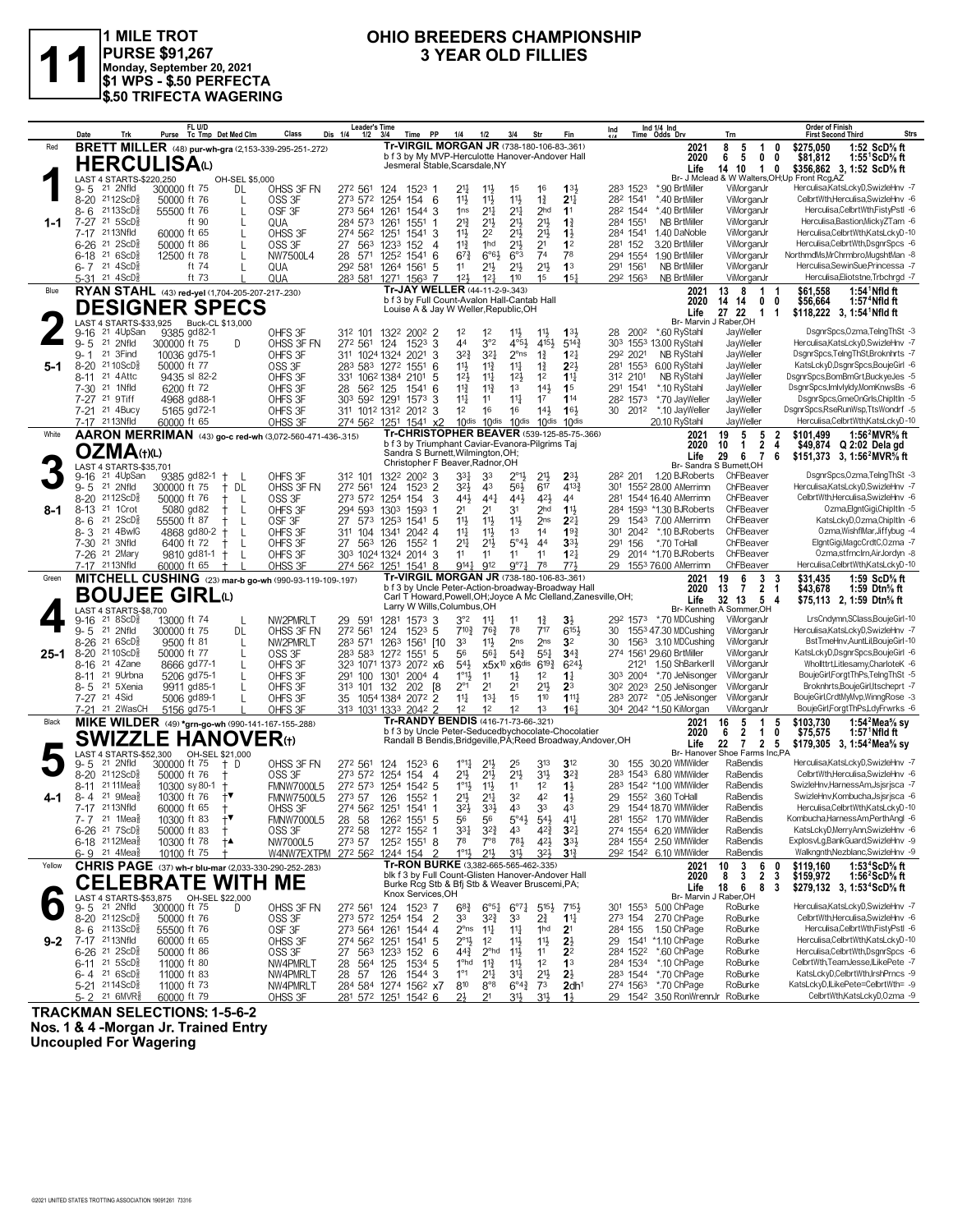

1 MILE TROT<br>|PURSE \$91,267<br>|Monday, September 20, 2021<br>|\$1 WPS - \$.50 PERFECTA<br>|\$.50 TRIFECTA WAGERING

#### OHIO BREEDERS CHAMPIONSHIP **3 YEAR OLD FILLIES**

|         | Date<br>Trk                                                                      | FL U/D<br>Purse Tc Tmp Det Med Clm                                             | Class                                  | Leader's Time<br>Dis 1/4<br>$1/2$ $3/4$<br>Time PP                             | 1/4<br>1/2<br>3/4                                                                                                                             | Fin<br>Str                                                                                                  | Ind 1/4 Ind<br>Ind<br>Time Odds Drv                           | Trn                                                                            | <b>Order of Finish</b><br>Strs<br><b>First Second Third</b>                                     |
|---------|----------------------------------------------------------------------------------|--------------------------------------------------------------------------------|----------------------------------------|--------------------------------------------------------------------------------|-----------------------------------------------------------------------------------------------------------------------------------------------|-------------------------------------------------------------------------------------------------------------|---------------------------------------------------------------|--------------------------------------------------------------------------------|-------------------------------------------------------------------------------------------------|
| Red     |                                                                                  | <b>BRETT MILLER</b> (48) pur-wh-gra (2,153-339-295-251-272)                    |                                        |                                                                                | Tr-VIRGIL MORGAN JR (738-180-106-83-.361)<br>b f 3 by My MVP-Herculotte Hanover-Andover Hall                                                  |                                                                                                             | 2021<br>2020                                                  | 8<br>5<br>1<br>0<br>5<br>6<br>0<br>0                                           | 1:52 ScD% ft<br>\$275.050<br>\$81,812<br>1:55 $1$ ScD $\%$ ft                                   |
|         | HERCULISAω<br>LAST 4 STARTS-\$220,250                                            | OH-SEL \$5,000                                                                 |                                        |                                                                                | Jesmeral Stable, Scarsdale, NY                                                                                                                |                                                                                                             | Life                                                          | 14 10<br>$\overline{1}$<br>0<br>Br- J Mclead & W Walters, OH; Up Front Rcg, AZ | \$356,862 3, 1:52 ScD% ft                                                                       |
|         | 21 2Nfld<br>$9 - 5$<br>8-20 2112ScD <sup>5</sup>                                 | 300000 ft 75<br>DL                                                             | OHSS 3F FN                             | 272 561<br>124<br>1523 1                                                       | 21<br>1 <sup>5</sup><br>$11\frac{1}{2}$                                                                                                       | 16<br>133                                                                                                   | 283 1523<br>*.90 BrtMiller<br>*.40 BrtMiller                  | ViMorganJr<br>ViMorganJr                                                       | Herculisa,KatsLckyD,SwizleHnv -7<br>CelbrtWth,Herculisa,SwizleHnv -6                            |
|         | 2113ScD៖<br>8-6                                                                  | 50000 ft 76<br>L<br>55500 ft 76<br>L                                           | OSS 3F<br>OSF 3F                       | 273 572 1254<br>154 6<br>273 564<br>1261<br>1544 3                             | $11\frac{1}{2}$<br>11}<br>$11\frac{1}{2}$<br>$21\frac{1}{4}$<br>2 <sup>11</sup><br>1 <sub>ns</sub>                                            | $1\frac{3}{4}$<br>2 <sup>11</sup><br>2 <sub>hd</sub><br>11                                                  | 282 1541<br>282 1544<br>*40 BrtMiller                         | ViMorganJr                                                                     | Herculisa, Celbrt Wth, FistyPstl -6                                                             |
| $1 - 1$ | $7 - 27$<br>$21 \, 5$ ScD $\frac{5}{8}$<br>2113Nfld<br>$7-17$                    | ft 90<br>60000 ft 65                                                           | QUA<br>OHSS 3F                         | 284 573<br>1261<br>1551<br>274 562<br>1251<br>1541 3                           | $2^{13}$<br>$21\frac{1}{2}$<br>$21\frac{1}{2}$<br>$21\frac{1}{2}$<br>11}<br>2 <sup>2</sup>                                                    | 2 <sup>11</sup><br>$1\frac{3}{4}$<br>2 <sup>11</sup><br>$1\frac{1}{2}$                                      | 284 1551<br><b>NB BrtMiller</b><br>284 1541<br>1.40 DaNoble   | ViMorganJr<br>ViMorganJr                                                       | Herculisa, Bastion, Micky ZTam - 6<br>Herculisa,CelbrtWth,KatsLckyD-10                          |
|         | 6-26 <sup>21</sup> 2ScD <sup>5</sup>                                             | 50000 ft 86                                                                    | OSS 3F                                 | 27<br>1233<br>152<br>563<br>4                                                  | $11\frac{3}{4}$<br>1hd<br>2 <sup>11</sup>                                                                                                     | 2 <sup>1</sup><br>1 <sup>2</sup>                                                                            | 281 152<br>3.20 BrtMiller                                     | ViMorganJr                                                                     | Herculisa,CelbrtWth,DsgnrSpcs -6                                                                |
|         | $216$ ScD $\frac{5}{8}$<br>$6 - 18$<br>$6 - 7$ 21 4ScD <sup>5</sup> <sub>8</sub> | 12500 ft 78<br>ft 74<br>$\mathbf{I}$                                           | NW7500L4<br>QUA                        | 571<br>28<br>1252<br>1541<br>6<br>292 581<br>1264<br>1561<br>5                 | $6°6\frac{1}{2}$<br>$6^{73}$<br>$21\frac{1}{2}$<br>11                                                                                         | 6°3<br>7 <sup>4</sup><br>78<br>2 <sup>11</sup><br>1 <sup>3</sup><br>21}                                     | 294 1554<br>1.90 BrtMiller<br>291 1561<br><b>NB BrtMiller</b> | ViMorganJr<br>ViMorganJr                                                       | NorthmdMs, MrChrmbro, MugshtMan -8<br>Herculisa, Sewin Sue, Princessa - 7                       |
| Blue    | 5-31 <sup>21</sup> 4ScD <sup>3</sup>                                             | ft 73                                                                          | QUA                                    | 283 581 1271 1563 7                                                            | 12 <sup>1</sup><br>12 <sup>1</sup><br>110<br>Tr-JAY WELLER (44-11-2-9-.343)                                                                   | 15 <sup>1</sup><br>1 <sup>5</sup>                                                                           | 292 1563<br><b>NB BrtMiller</b>                               | ViMorganJr                                                                     | Herculisa, Eliotstne, Trbchrgd -7                                                               |
|         |                                                                                  | RYAN STAHL (43) red-yel (1,704-205-207-217-.230)<br><b>DESIGNER SPECS</b>      |                                        |                                                                                | b f 3 by Full Count-Avalon Hall-Cantab Hall<br>Louise A & Jay W Weller, Republic, OH                                                          |                                                                                                             | 2021<br>2020                                                  | 13<br>8<br>1 1<br>0<br>14 14<br>0                                              | $1:54$ <sup>1</sup> Nfld ft<br>\$61,558<br>1:57 $4$ Nfld ft<br>\$56,664                         |
|         |                                                                                  | LAST 4 STARTS-\$33,925 Buck-CL \$13,000                                        |                                        |                                                                                |                                                                                                                                               |                                                                                                             | Life<br>Br- Marvin J Raber, OH                                | 27 22<br>$\overline{1}$<br>$\mathbf 1$                                         | \$118,222 3, 1:54 Nfld ft                                                                       |
|         | $9 - 16$<br>21 4UpSan<br>$9 - 5$<br>21 2Nfld                                     | 9385 gd82-1<br>300000 ft 75<br>D                                               | OHFS 3F<br>OHSS 3F FN                  | 312 101<br>1322<br>$200^2$ 2<br>272 561<br>1523<br>3<br>124                    | 1 <sup>2</sup><br>1 <sup>2</sup><br>$11\frac{1}{2}$<br>3°2<br>44                                                                              | 11<br>1 <sup>31</sup><br>4°5 <sup>1</sup><br>5143<br>4154                                                   | *.60 RyStahl<br>28 2002<br>303 1553 13.00 RvStahl             | JayWeller<br>JayWeller                                                         | DsgnrSpcs,Ozma,TelngThSt -3<br>Herculisa,KatsLckyD,SwizleHnv -7                                 |
|         | $9 - 1$<br>21 3Find<br>8-20 21 10 ScD <sup>5</sup>                               | 10036 gd75-1                                                                   | OHFS 3F                                | 311 1024 1324 2021<br>3                                                        | 321<br>$3^{2}\frac{3}{4}$                                                                                                                     | $2^{\circ}$ ns<br>$1\frac{3}{4}$<br>$12\frac{1}{4}$                                                         | 292 2021<br>NB RyStah<br>6.00 RyStahl                         | JayWeller<br>JayWeller                                                         | DsgnrSpcs,TelngThSt,Broknhrts -7<br>KatsLckyD,DsgnrSpcs,BoujeGirl -6                            |
| 5-1     | 21 4 Attc<br>$8 - 11$                                                            | 50000 ft 77<br>9435 sl 82-2                                                    | OSS 3F<br>OHFS 3F                      | 283 583 1272<br>1551<br>6<br>331 1062 1384<br>2101<br>5                        | 11}<br>$11\frac{3}{4}$<br>$11\frac{1}{4}$<br>$12\frac{1}{2}$<br>$12\frac{1}{2}$<br>$11\frac{1}{4}$                                            | $2^{2}$<br>$1\frac{3}{4}$<br>1 <sup>2</sup><br>$11\frac{1}{4}$                                              | 281 1553<br>312 2101<br>NB RyStahl                            | JayWeller                                                                      | DsgnrSpcs,BomBmGrt,BuckyeJes -5                                                                 |
|         | 7-30 <sup>21</sup> 1Nfld<br>7-27 21 9Tiff                                        | 6200 ft 72<br>4968 gd88-1                                                      | OHFS 3F<br>OHFS 3F                     | 28<br>56 <sup>2</sup> 125<br>1541<br>6<br>303 592 1291<br>1573<br>3            | $11\frac{3}{4}$<br>$11\frac{3}{4}$<br>1 <sup>3</sup><br>$11\frac{1}{4}$<br>11<br>$11\frac{1}{4}$                                              | $14\frac{1}{2}$<br>1 <sup>5</sup><br>17<br>114                                                              | *.10 RyStah<br>291 1541<br>282 1573<br>*.70 JayWeller         | JayWeller<br>JayWeller                                                         | DsgnrSpcs, ImlvlyIdy, MomKnwsBs -6<br>DsgnrSpcs,GmeOnGrls,ChipItIn -5                           |
|         | 7-21 <sup>21</sup> 4Bucy                                                         | 5165 gd72-1                                                                    | OHFS 3F                                | 311 1012 1312 2012 3                                                           | 1 <sup>2</sup><br>16<br>16                                                                                                                    | $14\frac{1}{2}$<br>16 <sup>1</sup>                                                                          | 30 2012<br>*.10 JayWeller                                     | JayWeller                                                                      | DsgnrSpcs,RseRunWsp,TtsWondrf -5                                                                |
| White   | 7-17 2113Nfld                                                                    | 60000 ft 65<br><b>AARON MERRIMAN</b> (43) go-c red-wh (3.072-560-471-436-.315) | OHSS 3F                                | 274 562 1251 1541 x2                                                           | 10 <sup>dis</sup><br>10 <sup>dis</sup>                                                                                                        | 10dis<br>10 <sup>dis</sup><br>10 <sup>dis</sup><br>Tr-CHRISTOPHER BEAVER (539-125-85-75-.366)               | 20.10 RyStahl<br>2021                                         | JayWeller<br>19<br>5<br>5<br>-2                                                | Herculisa,CelbrtWth,KatsLckyD-10<br>1:56 $^{2}$ MVR $\%$ ft<br>\$101.499                        |
|         | <b>OZMA</b> (t)(L)                                                               |                                                                                |                                        |                                                                                | b f 3 by Triumphant Caviar-Evanora-Pilgrims Taj<br>Sandra S Burnett, Wilmington, OH;                                                          |                                                                                                             | 2020<br>Life                                                  | 2<br>10<br>1<br>4<br>29<br>6<br>$\overline{7}$<br>6                            | \$49,874<br>Q 2:02 Dela gd<br>\$151,373 3, 1:56 <sup>2</sup> MVR <sup>5</sup> / <sub>8</sub> ft |
|         | <b>LAST 4 STARTS-\$35.701</b><br>21 4UpSan<br>$9 - 16$                           | 9385 gd82-1                                                                    | OHFS 3F                                | 312 101<br>1322 2002 3                                                         | Christopher F Beaver, Radnor, OH<br>$3^{3}$<br>33                                                                                             | $2^{\circ}1\frac{1}{2}$<br>2 <sup>1</sup><br>$2^{3\frac{1}{2}}$                                             | Br- Sandra S Burnett, OH<br>282 201<br>1.20 BJRoberts         | ChFBeaver                                                                      | DsgnrSpcs,Ozma,TelngThSt -3                                                                     |
|         | $9 - 5$<br>21 2Nfld                                                              | 300000 ft 75<br>DL<br>Ť.                                                       | OHSS 3F FN                             | 272 561<br>$1523$ 2<br>124                                                     | $3^{21}$<br>43                                                                                                                                | 4133<br>56}<br>617                                                                                          | 301 1552 28.00 AMerrimn                                       | ChFBeaver                                                                      | Herculisa,KatsLckyD,SwizleHnv -7                                                                |
| 8-1     | $2112$ ScD $\frac{5}{8}$<br>$8 - 20$<br>21 1 Crot<br>$8-13$                      | 50000 ft 76<br>-L<br>5080 gd82<br>L                                            | OSS 3F<br>OHFS 3F                      | 273 572 1254<br>154<br>3<br>294 593<br>1303<br>1593                            | 44}<br>44 <sup>1</sup><br>2 <sup>1</sup><br>2 <sup>1</sup><br>31                                                                              | 443<br>42}<br>44<br>2 <sub>hd</sub><br>11}                                                                  | 281 1544 16.40 AMerrimn<br>284 1593 *1.30 BJRoberts           | ChFBeaver<br>ChFBeaver                                                         | CelbrtWth,Herculisa,SwizleHnv -6<br>Ozma,ElgntGigi,ChipItIn -5                                  |
|         | $8 - 6$<br>21<br>$2ScD_{8}^{5}$                                                  | 55500 ft 87<br>L                                                               | OSF <sub>3F</sub>                      | 27<br>125 <sup>3</sup><br>573<br>1541 5                                        | 11}<br>11}<br>$11\frac{1}{2}$<br>1 <sup>3</sup>                                                                                               | $2^{2}$<br>2 <sub>ns</sub>                                                                                  | 1543 7.00 AMerrimn<br>29                                      | ChFBeaver                                                                      | KatsLckyD,Ozma,ChipItIn -6<br>Ozma, WishflMar, Jiffybug -4                                      |
|         | $8 - 3$<br>21 4BwlG<br>7-30 <sup>21</sup> 3Nfld                                  | 4868 gd80-2<br>6400 ft 72<br>L                                                 | OHFS 3F<br>OHFS 3F                     | 311 104 1341<br>2042 4<br>27<br>563<br>126<br>$155^2$ 1                        | $11\frac{1}{4}$<br>$11\frac{1}{2}$<br>$21\frac{1}{2}$<br>21                                                                                   | 14<br>$19\frac{3}{4}$<br>5°4 <sup>1</sup><br>3 <sup>3</sup><br>44                                           | 2042<br>*.10 BJRoberts<br>301<br>*.70 ToHall<br>291<br>156    | ChFBeaver<br>ChFBeaver                                                         | ElantGiai.MagcCrdtC.Ozma -7                                                                     |
|         | 7-26 21 2Mary<br>7-17 2113Nfld                                                   | 9810 gd81-1<br>$\pm$<br>60000 ft 65                                            | OHFS 3F<br>OHSS 3F                     | 303 1024 1324<br>$2014$ 3<br>274 562 1251 1541 8                               | 11<br>11<br>11<br>9141<br>912                                                                                                                 | 11<br>$12\frac{1}{4}$<br>773<br>9°7 <sub>4</sub><br>78                                                      | 2014 *1.70 BJRoberts<br>29<br>29<br>1553 76.00 AMerrimn       | ChFBeaver<br>ChFBeaver                                                         | Ozma.stfrnclrn.AirJordyn -8<br>Herculisa,CelbrtWth,KatsLckyD-10                                 |
| Green   |                                                                                  | MITCHELL CUSHING (23) mar-b go-wh (990-93-119-109-197)                         |                                        |                                                                                | Tr-VIRGIL MORGAN JR (738-180-106-83-.361)                                                                                                     | b f 3 by Uncle Peter-Action-broadway-Broadway Hall                                                          | 2021<br>2020                                                  | 19<br>6<br>3<br>- 3<br>$\overline{2}$<br>13<br>7<br>-1                         | \$31.435<br>1:59 ScD% ft<br>\$43,678<br>1:59 Dtn $\%$ ft                                        |
|         |                                                                                  | <b>BOUJEE GIRL</b>                                                             |                                        | Larry W Wills, Columbus, OH                                                    |                                                                                                                                               | Carl T Howard, Powell, OH; Joyce A Mc Clelland, Zanesville, OH;                                             | Life                                                          | 32 13<br>5<br>-4                                                               | \$75,113 2, 1:59 Dtn% ft                                                                        |
|         | LAST 4 STARTS-\$8.700<br>21 8 ScD <sup>3</sup><br>$9 - 16$                       | 13000 ft 74                                                                    | NW2PMRLT                               | 1281<br>29<br>591<br>$157^3$ 3                                                 | 3°2<br>$11\frac{1}{4}$<br>11                                                                                                                  | $1\frac{3}{4}$<br>$3\frac{1}{2}$                                                                            | 292 1573 *.70 MDCushing                                       | Br- Kenneth A Sommer, OH<br>ViMorganJr                                         | LrsCndymn,SClass,BoujeGirl-10                                                                   |
|         | 9-5 21 2Nfld<br>8-26 <sup>21</sup> 6ScD <sup>5</sup>                             |                                                                                | OHSS 3F FN                             | 124<br>$152^3$ 5                                                               | 78<br>710}<br>763                                                                                                                             | 717<br>6154                                                                                                 | 1553 47.30 MDCushing<br>30                                    | ViMorganJr                                                                     | Herculisa,KatsLckyD,SwizleHnv -7                                                                |
|         |                                                                                  | 300000 ft 75<br>DL<br>9500 ft 81<br>L                                          | NW2PMRLT                               | 272 561<br>283 571<br>1263<br>1561 I10                                         | 33<br>$11\frac{1}{2}$                                                                                                                         | 2 <sub>ns</sub><br>3 <sup>2</sup><br>2 <sub>ns</sub>                                                        | 30<br>1563<br>3.10 MDCushing                                  | ViMorganJr                                                                     | BstTmeHnv,AuntLil,BoujeGirl-10                                                                  |
| 25-1    | $8 - 20$<br>$2110$ ScD $\frac{5}{8}$                                             | 50000 ft 77                                                                    | OSS 3F                                 | 283 583 1272<br>1551<br>5                                                      | 56<br>$56\frac{1}{4}$                                                                                                                         | $5^{4}$<br>$55\frac{1}{4}$<br>$34\frac{3}{4}$                                                               | 274 1561 29.60 BrtMiller                                      | ViMorganJr                                                                     | KatsLckyD,DsgnrSpcs,BoujeGirl -6                                                                |
|         | 21 4Zane<br>$8 - 16$<br>21 9Urbna<br>$8 - 11$                                    | 8666 gd77-1<br>5206 gd75-1                                                     | OHFS 3F<br>OHFS 3F                     | 323 1071 1373<br>$207^2 \times 6$<br>100 1301<br>291<br>2004<br>$\overline{4}$ | 543<br>x5x <sup>10</sup> x6dis<br>$1^{\circ}1\frac{1}{2}$<br>11<br>$1\frac{1}{2}$                                                             | $6^{24}$<br>$6^{19\frac{3}{4}}$<br>1 <sup>2</sup><br>$1\frac{1}{4}$                                         | 2121 1.50 ShBarkerII<br>303 2004<br>*.70 JeNisonger           | ViMorganJr<br>ViMorganJr                                                       | Whollttrt,Litlesamy,CharloteK -6<br>BoujeGirl,ForgtThPs,TelngThSt -5                            |
|         | 21 5Xenia<br>8-5                                                                 | 9911 gd85-1                                                                    | OHFS 3F                                | <sup>8</sup><br>313 101 132<br>202                                             | $2^{\circ}1$<br>2 <sup>1</sup><br>2 <sup>1</sup>                                                                                              | $21\frac{1}{2}$<br>$2^3$                                                                                    | 2.50 JeNisonger<br>30 <sup>2</sup> 2023                       | ViMorganJr                                                                     | Broknhrts, BoujeGirl, Itscheprt -7                                                              |
|         | 7-27 <sup>21</sup> 4Sid<br>7-21 <sup>21</sup> 2WasCH                             | 5006 gd89-1<br>5156 gd75-1                                                     | OHFS 3F<br>OHFS 3F                     | 2072 2<br>1054 1384<br>35<br>313 1031 1333 2042 2                              | $11\frac{1}{4}$<br>$13\frac{1}{4}$<br>1 <sup>5</sup><br>1 <sup>2</sup><br>12<br>12                                                            | $111\frac{1}{2}$<br>110<br>1 <sup>3</sup><br>16 <sup>1</sup>                                                | 283 2072 *.05 JeNisonger<br>304 2042 *1.50 KiMorgan           | ViMorganJr<br>ViMorganJr                                                       | BoujeGirl,CrdtMyMvp,WinngRose -3<br>BoujeGirl,ForgtThPs,LdyFrwrks -6                            |
| Black   |                                                                                  | MIKE WILDER (49) *grn-go-wh (990-141-167-155-288)                              |                                        |                                                                                | Tr-RANDY BENDIS (416-71-73-66-.321)                                                                                                           | b f 3 by Uncle Peter-Seducedbychocolate-Chocolatier                                                         | 2021<br>2020                                                  | 16<br>5<br>$\overline{1}$<br>5<br>6<br>$\overline{2}$<br>$\overline{1}$<br>0   | \$103,730<br>1:54 $2$ Mea $\%$ sy<br>\$75,575<br>$1:57$ Nfld ft                                 |
|         | LAST 4 STARTS-\$52,300                                                           | <b>SWIZZLE HANOVER(1)</b><br>OH-SEL \$21,000                                   |                                        |                                                                                |                                                                                                                                               | Randall B Bendis, Bridgeville, PA; Reed Broadway, Andover, OH                                               | Life<br>Br- Hanover                                           | 22<br>$\overline{2}$<br>$\mathbf{7}$<br>5<br>Shoe Farms Inc,PA                 | \$179,305 3, 1:54 <sup>2</sup> Mea <sup>5</sup> / <sub>8</sub> sy                               |
|         | $9 - 5$<br>21 2Nfld                                                              | 300000 ft 75<br>$+$ D                                                          | OHSS 3F FN                             | 272 561<br>$152^3$ 6<br>124                                                    | $1^{\circ}1\frac{1}{4}$<br>$21\frac{1}{2}$<br>25                                                                                              | 313<br>3 <sup>12</sup>                                                                                      | 30 155 30.20 WMWilder                                         | RaBendis                                                                       | Herculisa,KatsLckyD,SwizleHnv -7                                                                |
|         | $8 - 20$<br>$2112$ ScD $\frac{5}{8}$<br>21 11 Mea<br>8-11                        | 50000 ft 76<br>10300 sy 80-1                                                   | OSS <sub>3F</sub><br><b>FMNW7000L5</b> | 273 572 1254<br>154 4<br>272 573<br>1254<br>$154^2$ 5                          | 2 <sup>11</sup><br>2 <sup>1</sup><br>$21\frac{1}{2}$<br>$1^{\circ}1\frac{1}{2}$<br>$11\frac{1}{2}$<br>11                                      | 3 <sup>1</sup><br>$3^{2}3$<br>1 <sup>2</sup><br>$1\frac{1}{2}$                                              | 283 1543 6.80 WMWilder<br>283 1542 *1.00 WMWilder             | RaBendis<br>RaBendis                                                           | CelbrtWth,Herculisa,SwizleHnv -6<br>SwizleHnv,HarnessAm,Jsjsrjsca -7                            |
| 4-1     | 21 9Mea<br>8-4<br>7-17 2113Nfld                                                  | 10300 ft 76<br>$\mathbf{f}$<br>60000 ft 65                                     | <b>FMNW7500L5</b><br>OHSS 3F           | 273 57<br>126<br>1552 1                                                        | 32<br>21}<br>$21\frac{1}{4}$<br>33}<br>43<br>$3^{2}\frac{1}{2}$                                                                               | 42<br>$1\frac{1}{2}$<br>33<br>43                                                                            | 29 1552 3.60 ToHall<br>29 1544 18.70 WMWilder                 | RaBendis<br>RaBendis                                                           | SwizleHnv,Kombucha,Jsjsrjsca -6<br>Herculisa,CelbrtWth,KatsLckyD-10                             |
|         | 7-7 21 1Mea <sup>5</sup>                                                         | 10300 ft 83<br>$^{+ \bullet}$                                                  | <b>FMNW7000L5</b>                      | 274 56 <sup>2</sup> 1251 1541 1<br>28<br>58<br>126 <sup>2</sup> 1551 5         | 56<br>56                                                                                                                                      | $5^{\circ}4\frac{1}{2}$<br>$4^{11}$<br>$5^{4}$                                                              | 281 1552 1.70 WMWilder                                        | RaBendis                                                                       | Kombucha,HarnessAm,PerthAngl -6                                                                 |
|         | 6-26 <sup>21</sup> 7ScD <sup>3</sup><br>6-18 2112Mea                             | 50000 ft 83<br>10300 ft 78<br>†▲                                               | OSS 3F<br>NW7000L5                     | 272 58<br>1272 1552 1<br>273 57<br>1252 1551 8                                 | $3^{2}\frac{3}{4}$<br>$3^{31}$<br>43<br>7°8<br>78                                                                                             | $4^{2}\frac{3}{4}$<br>$3^{2}$<br>$78\frac{1}{2}$<br>$4^{2}\frac{1}{2}$<br>$3^{3}\frac{1}{2}$                | 274 1554 6.20 WMWilder<br>284 1554 2.50 WMWilder              | RaBendis<br>RaBendis                                                           | KatsLckyD, MerryAnn, SwizleHnv -6<br>ExplosvLg,BankGuard,SwizleHnv -9                           |
| Yellow  | 6-9 21 4Mea                                                                      | 10100 ft 75                                                                    | W4NW7EXTPM                             | 272 562 1244 154                                                               | $1^{\circ}1\frac{1}{2}$<br>31}<br>21}                                                                                                         | 323<br>$3^{13}$                                                                                             | 292 1542 6.10 WMWilder                                        | RaBendis                                                                       | Walkngnth, Nezblanc, SwizleHnv -9                                                               |
|         |                                                                                  | <b>CHRIS PAGE</b> (37) wh-r blu-mar (2,033-330-290-252-.283)                   |                                        |                                                                                | Tr-RON BURKE (3,382-665-565-462-.335)<br>blk f 3 by Full Count-Glisten Hanover-Andover Hall<br>Burke Rcg Stb & Bfj Stb & Weaver Bruscemi, PA; |                                                                                                             | 2021<br>2020                                                  | 10<br>3<br>6<br>0<br>$\overline{2}$<br>$\overline{\mathbf{3}}$<br>8<br>3       | \$119.160<br>1:53 $4$ ScD $\%$ ft<br>\$159,972<br>1:56 $2$ ScD $\%$ ft                          |
|         | LAST 4 STARTS-\$53,875                                                           | <b>CELEBRATE WITH ME</b>                                                       |                                        | Knox Services, OH                                                              |                                                                                                                                               |                                                                                                             | Life<br>Br- Marvin J Raber, OH                                | 18<br>6<br>8<br>-3                                                             | \$279,132 3, 1:53 <sup>4</sup> ScD <sup>5</sup> / <sub>8</sub> ft                               |
|         | 21 2Nfld<br>9-5<br>8-20 2112ScD <sup>3</sup>                                     | 3,875 OH-SEL \$22,000<br>300000 ft 75 D<br>50000 ft 76                         | OHSS 3F FN<br>OSS 3F                   | 1523 7<br>272 561<br>124<br>$\overline{2}$<br>273 572 1254<br>154              | $6^{8}$ <sub>4</sub><br>$6^{o_{51}}$<br>33<br>$3^{2}\frac{3}{4}$<br>33                                                                        | $6^{97}\frac{1}{4}$<br>$5^{15}\frac{1}{2}$<br>$715\frac{1}{2}$<br>$2\frac{3}{4}$<br>$11\frac{1}{4}$         | 301 1553 5.00 ChPage<br>2.70 ChPage<br>273 154                | RoBurke<br>RoBurke                                                             | Herculisa,KatsLckyD,SwizleHnv -7<br>CelbrtWth.Herculisa.SwizleHnv -6                            |
|         | $8 - 6$ 2113ScD $\frac{5}{8}$                                                    | 55500 ft 76                                                                    | OSF 3F                                 | 273 564 1261<br>1544 4                                                         | $2^{\circ}$ ns<br>$11\frac{1}{4}$<br>$11\frac{1}{4}$                                                                                          | 1 <sup>hd</sup><br>2 <sup>1</sup>                                                                           | 1.50 ChPage<br>284 155                                        | RoBurke                                                                        | Herculisa,CelbrtWth,FistyPstl -6<br>Herculisa,CelbrtWth,KatsLckyD-10                            |
| $9 - 2$ | 7-17 2113Nfld<br>6-26 <sup>21</sup> 2ScD <sup>3</sup>                            | 60000 ft 65<br>50000 ft 86                                                     | OHSS 3F<br>OSS 3F                      | 274 562 1251<br>1541 5<br>27 563 1233<br>152 6                                 | $2^{\circ}1\frac{1}{2}$<br>1 <sup>2</sup><br>$11\frac{1}{2}$<br>$44\frac{3}{4}$<br>$2^{\circ}$ hd<br>$11\frac{1}{2}$                          | 11<br>$2\frac{1}{2}$<br>11<br>2 <sup>2</sup>                                                                | 29 1541 *1.10 ChPage<br>284 1522 *.60 ChPage                  | RoBurke<br>RoBurke                                                             | Herculisa, Celbrt Wth, DsgnrSpcs -6                                                             |
|         | 6-11 $^{21}$ 5ScD <sup>3</sup><br>$6 - 4$ 21 6 ScD <sup>5</sup>                  | 11000 ft 80<br>11000 ft 83                                                     | NW4PMRLT<br>NW4PMRLT                   | 1534 5<br>28<br>564 125<br>57<br>1544 3<br>28<br>126                           | 1 <sup>o</sup> hd<br>$11\frac{3}{4}$<br>$11\frac{1}{2}$<br>$1^{\circ}1$<br>$21\frac{1}{4}$<br>34                                              | 1 <sup>2</sup><br>1 <sup>3</sup><br>2 <sup>11</sup><br>$2\frac{1}{2}$                                       | 284 1534<br>*.10 ChPage<br>283 1544 *.70 ChPage               | RoBurke<br>RoBurke                                                             | CelbrtWth,TeamJesse,ILikePete -7<br>KatsLckyD,CelbrtWth,IrshPrncs -9                            |
|         | 5-21 2114ScD <sup>5</sup><br>5-2 <sup>21</sup> 6MVR <sup>§</sup>                 | 11000 ft 73<br>60000 ft 79                                                     | NW4PMRLT<br>OHSS 3F                    | 284 584 1274 1562 x7<br>281 572 1251 1542 6                                    | 810<br>$8^{\circ}8$<br>2 <sup>1</sup><br>21                                                                                                   | 7 <sup>3</sup><br>$6^{\circ}4^{\frac{3}{4}}$<br>2dh <sup>1</sup><br>3 <sup>1</sup><br>31}<br>$1\frac{1}{2}$ | 274 1563 *.70 ChPage<br>29 1542 3.50 RonWrennJr RoBurke       | RoBurke                                                                        | KatsLckyD,ILikePete=CelbrtWth= -9<br>CelbrtWth,KatsLckyD,Ozma -9                                |

**TRACKMAN SELECTIONS: 1-5-6-2** 

Nos. 1 & 4 -Morgan Jr. Trained Entry<br>Uncoupled For Wagering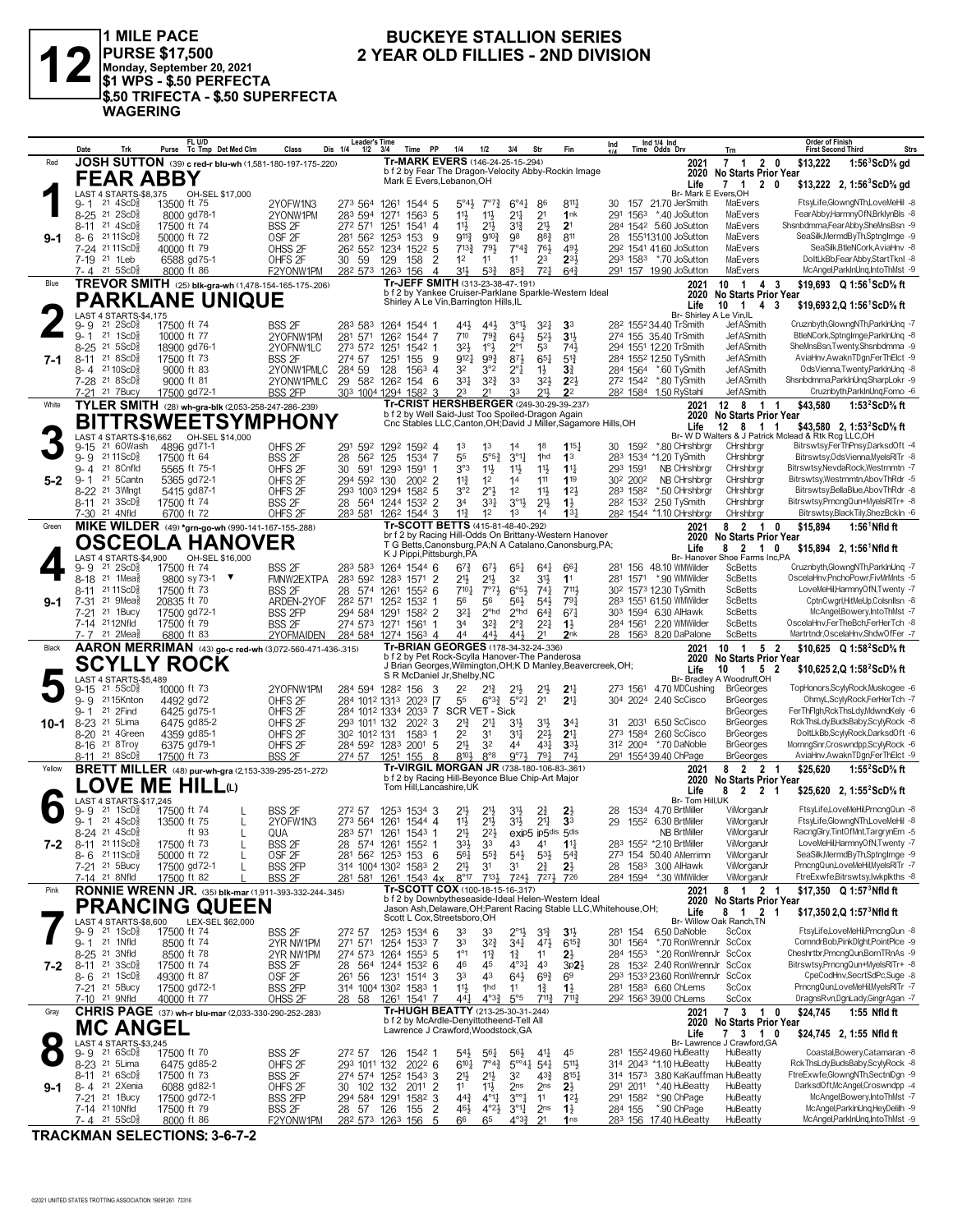

1 MILE PACE<br>|PURSE \$17,500<br>|Monday, September 20, 2021<br>|\$1 WPS - \$.50 PERFECTA \$.50 TRIFECTA - \$.50 SUPERFECTA **WAGERING** 

#### **BUCKEYE STALLION SERIES** 2 YEAR OLD FILLIES - 2ND DIVISION

|         | Date<br>Trk                                                                    | FL U/D<br>Tc Tmp Det Med Clm<br>Purse                         | Class                               | Leader's lime<br>Dis 1/4<br>1/2                                     | Time PP<br>3/4               | 1/4                                                                                           | 1/2                                          | 3/4                                           | Str                               | Fin                                   | Ind                              |                  | Ind $1/4$ Ind<br>Time Odds Drv                  | Trn                                           | Order of Finish<br><b>Strs</b><br><b>First Second Third</b>             |
|---------|--------------------------------------------------------------------------------|---------------------------------------------------------------|-------------------------------------|---------------------------------------------------------------------|------------------------------|-----------------------------------------------------------------------------------------------|----------------------------------------------|-----------------------------------------------|-----------------------------------|---------------------------------------|----------------------------------|------------------|-------------------------------------------------|-----------------------------------------------|-------------------------------------------------------------------------|
| Red     |                                                                                | JOSH SUTTON (39) c red-r blu-wh (1,581-180-197-175-220)       |                                     |                                                                     |                              | <b>Tr-MARK EVERS (146-24-25-15-294)</b>                                                       |                                              |                                               |                                   |                                       |                                  |                  | 2021                                            | 7 1 2 0                                       | \$13,222<br>$1:56^3$ ScD% gd                                            |
|         | FEAR ABBY                                                                      |                                                               |                                     |                                                                     |                              | b f 2 by Fear The Dragon-Velocity Abby-Rockin Image                                           |                                              |                                               |                                   |                                       |                                  |                  | 2020                                            | <b>No Starts Prior Year</b>                   |                                                                         |
|         |                                                                                |                                                               |                                     |                                                                     |                              | Mark E Evers, Lebanon, OH                                                                     |                                              |                                               |                                   |                                       |                                  |                  | Life                                            | 7 1 2 0                                       | \$13,222 2, 1:56 $SCD\%$ gd                                             |
|         | LAST 4 STARTS-\$8,375                                                          | OH-SEL \$17,000                                               |                                     |                                                                     |                              |                                                                                               |                                              |                                               |                                   |                                       |                                  |                  | Br- Mark E Evers, OH                            |                                               |                                                                         |
|         | $21 \text{ } 4$ ScD $\frac{3}{8}$<br>9- 1<br>21 2ScD <sup>3</sup>              | 13500 ft 75<br>8000 gd78-1                                    | 2YOFW1N3                            | 273 564<br>283 594                                                  | 1261<br>1544 5<br>$156^3$ 5  | $5^{\circ}4\frac{1}{2}$                                                                       | $7^{07}\frac{3}{4}$                          | $6^{\circ}4^{\frac{1}{4}}$<br>2 <sup>11</sup> | 86                                | $8^{11}\frac{1}{4}$<br>1nk            | 30<br>291                        | 1563             | 157 21.70 JerSmith<br>*.40 JoSutton             | MaEvers<br>MaEvers                            | FtsyLife,GlowngNTh,LoveMeHil -8<br>FearAbby,HarmnyOfN,BrklynBls -8      |
|         | 8-25<br>21 $4$ ScD $\frac{5}{8}$<br>8-11                                       | 17500 ft 74                                                   | 2YONW1PM<br><b>BSS 2F</b>           | 272 571                                                             | 1271<br>1541 4<br>1251       | 11}<br>11}                                                                                    | $11\frac{1}{2}$<br>$21\frac{1}{2}$           | 3 <sup>13</sup>                               | 2 <sup>1</sup><br>2 <sup>11</sup> | 2 <sup>1</sup>                        |                                  |                  | 284 1542 5.60 JoSutton                          | MaEvers                                       | Shsnbdmma,FearAbby,SheMnsBsn -9                                         |
| 9-1     | 21 11 ScD <sup>5</sup><br>8-6                                                  | 50000 ft 72                                                   | OSF <sub>2F</sub>                   | 281 562 1253                                                        | 153                          | $9^{11}\frac{3}{4}$<br>9                                                                      | $9^{10}\frac{3}{4}$                          | 98                                            | $8^{8}$ <sub>2</sub>              | 811                                   | 28                               |                  | 1551131.00 JoSutton                             | MaEvers                                       | SeaSilk, MermdByTh, SptngImge -9                                        |
|         | 7-24 2111ScD <sup>5</sup>                                                      | 40000 ft 79                                                   | OHSS 2F                             | 26 <sup>2</sup> 55 <sup>2</sup> 123 <sup>4</sup> 152 <sup>2</sup> 5 |                              | $7^{13}$                                                                                      | 791                                          | $7^{\circ}4^{\frac{3}{4}}$                    | 761                               | 491                                   |                                  |                  | 292 1541 41.60 JoSutton                         | MaEvers                                       | SeaSilk, BtleNCork, AviaHnv -8                                          |
|         | 7-19 <sup>21</sup> 1 Leb                                                       | 6588 gd75-1                                                   | OHFS <sub>2F</sub>                  | 30 59                                                               | 129<br>158                   | 1 <sup>2</sup><br>2                                                                           | 11                                           | 11                                            | 23                                | $2^{3}$                               |                                  | 293 1583         | *.70 JoSutton                                   | MaEvers                                       | DoltLkBb,FearAbby,StartTknl -8                                          |
|         | 7-4 21 5ScD <sup>3</sup>                                                       | 8000 ft 86                                                    | F2YONW1PM                           | 28 <sup>2</sup> 573                                                 | 1263<br>156                  | 3 <sup>1</sup><br>$\overline{4}$                                                              | $5^{3}{}_{4}^{3}$                            | $85\frac{3}{4}$                               | 72 <sub>7</sub>                   | $64\frac{3}{4}$                       |                                  |                  | 291 157 19.90 JoSutton                          | MaEvers                                       | McAngel,ParkInUnq,IntoThMst -9                                          |
| Blue    |                                                                                | TREVOR SMITH (25) blk-gra-wh (1,478-154-165-175-.206)         |                                     |                                                                     |                              | Tr-JEFF SMITH (313-23-38-47-.191)                                                             |                                              |                                               |                                   |                                       |                                  |                  | 2021                                            | 10 1<br>4 3                                   | \$19,693 Q 1:56 <sup>1</sup> ScD <sup>5</sup> / <sub>8</sub> ft         |
|         |                                                                                |                                                               |                                     |                                                                     |                              | b f 2 by Yankee Cruiser-Parklane Sparkle-Western Ideal                                        |                                              |                                               |                                   |                                       |                                  |                  | 2020                                            | <b>No Starts Prior Year</b>                   |                                                                         |
|         |                                                                                | <b>PARKLANE UNIQUE</b>                                        |                                     |                                                                     |                              | Shirley A Le Vin, Barrington Hills, IL                                                        |                                              |                                               |                                   |                                       |                                  |                  | Life                                            | $10 \t1 \t4 \t3$                              | \$19.693 2.Q 1:56 ScD% ft                                               |
|         | LAST 4 STARTS-\$4,175                                                          |                                                               |                                     |                                                                     |                              |                                                                                               |                                              |                                               |                                   |                                       |                                  |                  | Br- Shirley A Le Vin, IL                        |                                               |                                                                         |
|         | $9 - 9$<br>$21 \quad 2$ ScD $\frac{3}{8}$<br>$21 \text{ } 1$ ScD $\frac{5}{8}$ | 17500 ft 74                                                   | BSS 2F                              | 283 583                                                             | 1264 1544 1                  | 443                                                                                           | $44\frac{1}{2}$                              | $3^{\circ}1\frac{1}{2}$                       | 321                               | 3 <sup>3</sup>                        |                                  |                  | 28 <sup>2</sup> 155 <sup>2</sup> 34.40 TrSmith  | JefASmith<br><b>JefASmith</b>                 | Cruznbyth,GlowngNTh,ParkInUng -7                                        |
|         | $9 - 1$<br>$21 \text{ } 5$ ScD $\frac{5}{8}$<br>$8 - 25$                       | 10000 ft 77<br>18900 gd76-1                                   | 2YOFNW1PM                           | 281 571<br>273 572                                                  | 126 <sup>2</sup> 1544 7      | 710<br>32}                                                                                    | $79\frac{3}{4}$<br>1°3                       | $64\frac{1}{2}$<br>$2^{\circ}1$               | $5^{21}$<br>53                    | 3 <sup>1</sup><br>741                 |                                  |                  | 274 155 35.40 TrSmith<br>294 1551 12.20 TrSmith | JefASmith                                     | BtleNCork,SptngImge,ParkInUnq -8<br>SheMnsBsn,Twenty,Shsnbdmma -9       |
| 7-1     | $218SCD\frac{5}{8}$<br>8-11                                                    | 17500 ft 73                                                   | 2YOFNW1LC<br><b>BSS 2F</b>          | 274 57                                                              | 1251<br>1542 1<br>1251       | $9^{12}$<br>155 9                                                                             | $99\frac{3}{4}$                              | 873                                           | $65\frac{1}{4}$                   | $5^{13}$                              |                                  |                  | 284 1552 12.50 TySmith                          | <b>JefASmith</b>                              | AviaHnv, AwaknTDgn, FerThElct -9                                        |
|         | 8-4 <sup>21</sup> 10ScD∮                                                       | 9000 ft 83                                                    | 2YONW1PMLC                          | 284 59                                                              | 128<br>1563                  | 32<br>$\overline{4}$                                                                          | 3°2                                          | $2^{\circ}1$                                  | $1\frac{1}{2}$                    | $3\frac{3}{4}$                        |                                  | 284 1564         | *.60 TySmith                                    | JefASmith                                     | OdsVienna,Twenty,ParkInUng -8                                           |
|         | 7-28 <sup>21</sup> 8ScD}                                                       | 9000 ft 81                                                    | 2YONW1PMLC                          | 29 582                                                              | 126 <sup>2</sup> 154 6       | $3^{3}$                                                                                       | $3^{2}\frac{3}{4}$                           | 33                                            | $3^{2}\frac{1}{2}$                | $2^{21}$                              | 272 1542                         |                  | *.80 TySmith                                    | <b>JefASmith</b>                              | Shsnbdmma,ParkInUng,SharpLokr -9                                        |
|         | 21 7 Bucy<br>7-21                                                              | 17500 gd72-1                                                  | <b>BSS 2FP</b>                      | 303 1004 1294 1582                                                  |                              | 23<br>3                                                                                       | 21                                           | 33                                            | $21\frac{1}{5}$                   | 2 <sup>2</sup>                        |                                  | 282 1584         | 1.50 RyStahl                                    | JefASmith                                     | Cruznbyth,ParkInUnq,Fomo -6                                             |
| White   |                                                                                | TYLER SMITH (28) wh-gra-blk (2,053-258-247-286-239)           |                                     |                                                                     |                              | Tr-CRIST HERSHBERGER (249-30-29-39-237)                                                       |                                              |                                               |                                   |                                       |                                  |                  | 2021                                            | 12 8 1 1                                      | \$43,580<br>1:53 $2$ ScD $\%$ ft                                        |
|         |                                                                                |                                                               |                                     |                                                                     |                              | b f 2 by Well Said-Just Too Spoiled-Dragon Again                                              |                                              |                                               |                                   |                                       |                                  |                  | 2020                                            | <b>No Starts Prior Year</b>                   |                                                                         |
|         |                                                                                | <b>BITTRSWEETSYMPHONY</b>                                     |                                     |                                                                     |                              | Cnc Stables LLC, Canton, OH; David J Miller, Sagamore Hills, OH                               |                                              |                                               |                                   |                                       |                                  |                  | Life                                            | 12 8 1                                        | \$43,580 2, 1:53 <sup>2</sup> ScD <sup>5</sup> / <sub>8</sub> ft<br>-1  |
|         |                                                                                | LAST 4 STARTS-\$16,662 OH-SEL \$14,000                        |                                     |                                                                     |                              |                                                                                               |                                              |                                               |                                   |                                       |                                  |                  |                                                 |                                               | Br- W D Walters & J Patrick Mclead & Rtk Rcg LLC, OH                    |
|         | 21 60Wash<br>9-15<br>21 11 ScD <sup>3</sup><br>$9 - 9$                         | 4896 gd71-1<br>17500 ft 64                                    | OHFS <sub>2F</sub><br><b>BSS 2F</b> | 291 592<br>28<br>562                                                | 1292 1592 4<br>125<br>1534 7 | 1 <sup>3</sup><br>55                                                                          | 1 <sup>3</sup><br>$5^{\circ}5^{\frac{3}{4}}$ | 14<br>$3^{\circ}1\frac{1}{4}$                 | 18<br>1hd                         | 115 <sup>1</sup><br>1 <sup>3</sup>    | 30                               | 1592<br>283 1534 | *.80 CHrshbrgr<br>*1.20 TySmith                 | CHrshbrgr<br>CHrshbrgr                        | Bitrswtsy,FerThPnsy,DarksdOft -4<br>Bitrswtsy, Ods Vienna, MyelsRITr -8 |
|         | 21 8 Cnfld<br>9- 4                                                             | 5565 ft 75-1                                                  | OHFS <sub>2F</sub>                  | 30<br>591                                                           | 1293<br>1591                 | 3°3                                                                                           | 11}                                          | $11\frac{1}{2}$                               | 11}                               | $1^{11}$                              | 293 1591                         |                  | NB CHrshbrgr                                    | CHrshbrgr                                     | Bitrswtsy, NevdaRock, Westrnmtn -7                                      |
| $5 - 2$ | 21 5Cantn<br>$9 - 1$                                                           | 5365 gd72-1                                                   | OHFS <sub>2F</sub>                  | 294 592 130                                                         | $2002$ 2                     | $11\frac{3}{4}$                                                                               | 1 <sup>2</sup>                               | 14                                            | 111                               | 119                                   | 30 <sup>2</sup> 200 <sup>2</sup> |                  | NB CHrshbrgr                                    | CHrshbrgr                                     | Bitrswtsy,Westmmtn,AbovThRdr -5                                         |
|         | 8-22 <sup>21</sup> 3Wlngt                                                      | 5415 gd87-1                                                   | OHFS <sub>2F</sub>                  | 293 1003 1294 1582 5                                                |                              | 3°2                                                                                           | $2^{\circ}$                                  | 1 <sup>2</sup>                                | 11}                               | 12 <sup>1</sup>                       | 283 1582                         |                  | *.50 CHrshbrgr                                  | CHrshbrgr                                     | Bitrswtsv.BellaBlue.AbovThRdr -8                                        |
|         | 8-11 21 3ScD <sup>3</sup>                                                      | 17500 ft 74                                                   | <b>BSS 2F</b>                       | 28 564 1244 1532 2                                                  |                              | 34                                                                                            | $3^{3}$                                      | $3^{01}\frac{1}{2}$                           | 2 <sup>1</sup>                    | $1\frac{1}{2}$                        |                                  | 282 1532         | 2.50 TySmith                                    | CHrshbrgr                                     | Bitrswtsv.PrncnaQun+MvelsRITr+ -8                                       |
|         | 7-30 <sup>21</sup> 4Nfld                                                       | 6700 ft 72                                                    | OHFS <sub>2F</sub>                  | 283 581                                                             | 1262 1544                    | $11\frac{3}{4}$                                                                               | 12                                           | 1 <sup>3</sup>                                | 14                                | 13 <sup>1</sup>                       |                                  |                  | 282 1544 *1.10 CHrshbrgr                        | CHrshbrgr                                     | Bitrswtsy,BlackTily,ShezBckIn -6                                        |
| Green   |                                                                                | MIKE WILDER (49) *grn-go-wh (990-141-167-155-288)             |                                     |                                                                     |                              | Tr-SCOTT BETTS (415-81-48-40-292)                                                             |                                              |                                               |                                   |                                       |                                  |                  | 2021                                            | 8 2 1 0                                       | \$15,894<br>$1:56^1$ Nfld ft                                            |
|         |                                                                                | <b>OSCEOLA HANOVER</b>                                        |                                     |                                                                     |                              | br f 2 by Racing Hill-Odds On Brittany-Western Hanover                                        |                                              |                                               |                                   |                                       |                                  |                  | 2020                                            | <b>No Starts Prior Year</b>                   |                                                                         |
|         |                                                                                |                                                               |                                     |                                                                     |                              | T G Betts, Canonsburg, PA; N A Catalano, Canonsburg, PA;<br>K J Pippi, Pittsburgh, PA         |                                              |                                               |                                   |                                       |                                  |                  | Life                                            | 8 2 1                                         | 0<br>$$15,894$ 2, 1:56 Nfld ft                                          |
|         | LAST 4 STARTS-\$4,900<br>$9 - 9$<br>$21 \, 2$ ScD $\frac{3}{8}$                | OH-SEL \$16,000<br>17500 ft 74                                |                                     |                                                                     |                              |                                                                                               |                                              |                                               |                                   | $66\frac{1}{4}$                       |                                  |                  | 281 156 48.10 WMWilder                          | Br- Hanover Shoe Farms Inc,PA<br>ScBetts      | Cruznbyth.GlowngNTh.ParklnUng -7                                        |
|         | 21 1 Mea <sub>8</sub><br>$8 - 18$                                              | 9800 sy 73-1 ▼                                                | BSS 2F<br>FMNW2EXTPA                | 283 583<br>283 592                                                  | 1264 1544 6<br>1283 1571 2   | $6^{7}\frac{3}{4}$<br>21}                                                                     | $67\frac{1}{2}$<br>$21\frac{1}{2}$           | $65\frac{1}{4}$<br>32                         | $64\frac{1}{4}$<br>31}            | 11                                    |                                  | 281 1571         | *.90 WMWilder                                   | <b>ScBetts</b>                                | OscelaHnv,PnchoPowr,FivMrMnts -5                                        |
|         | 21 11 ScD <sup>5</sup><br>8-11                                                 | 17500 ft 73                                                   | <b>BSS 2F</b>                       | 28 574                                                              | $155^2$ 6<br>1261            | 7101                                                                                          | $7°7\frac{1}{2}$                             | $6^{\circ}5\frac{1}{2}$                       | $74\frac{1}{4}$                   | 7111                                  |                                  |                  | 30 <sup>2</sup> 1573 12.30 TySmith              | <b>ScBetts</b>                                | LoveMeHil,HarmnyOfN,Twenty -7                                           |
| $9-1$   | $21 \text{ 9}$ Mea $\frac{5}{8}$<br>7-31                                       | 20835 ft 70                                                   | ARDEN-2YOF                          | 282 571                                                             | 1252<br>$153^2$ 1            | 56                                                                                            | 56                                           | 56}                                           | $54\frac{1}{2}$                   | $79\frac{1}{4}$                       |                                  |                  | 283 1551 61.50 WMWilder                         | <b>ScBetts</b>                                | CptnCwgrl,HitMeUp,Colsnllsn -8                                          |
|         | 21 1Bucy<br>7-21                                                               | 17500 gd72-1                                                  | <b>BSS 2FP</b>                      | 294 584                                                             | 1291<br>1582 2               | $3^{21}$                                                                                      | 2 <sup>ohd</sup>                             | 2 <sup>ohd</sup>                              | $64\frac{3}{4}$                   | $67\frac{1}{4}$                       |                                  |                  | 303 1594 6.30 AlHawk                            | <b>ScBetts</b>                                | McAngel,Bowery,IntoThMst -7                                             |
|         | 7-14 2112Nfld                                                                  | 17500 ft 79                                                   | <b>BSS 2F</b>                       | 274 573 1271 1561 1                                                 |                              | 34                                                                                            | $3^{2}\frac{3}{4}$                           | $2^{\circ}$ $\frac{3}{4}$                     | $2^{21}$                          | $1\frac{1}{2}$                        | 284 1561                         |                  | 2.20 WMWilder                                   | <b>ScBetts</b>                                | OscelaHnv,FerTheBch,FerHerTch -8                                        |
|         |                                                                                |                                                               |                                     |                                                                     |                              |                                                                                               |                                              |                                               |                                   |                                       |                                  |                  |                                                 |                                               |                                                                         |
|         | 21 2Mea <sup>3</sup><br>7- 7                                                   | 6800 ft 83                                                    | 2YOFMAIDEN                          | 284 584 1274 1563 4                                                 |                              | 44                                                                                            | $44\frac{1}{2}$                              | 443                                           | 2 <sup>1</sup>                    | 2nk                                   |                                  |                  | 28 1563 8.20 DaPalone                           | <b>ScBetts</b>                                | Martrtndr, OscelaHnv, ShdwOfFer -7                                      |
| Black   |                                                                                | AARON MERRIMAN (43) go-c red-wh (3,072-560-471-436-315)       |                                     |                                                                     |                              | Tr-BRIAN GEORGES (178-34-32-24-.336)                                                          |                                              |                                               |                                   |                                       |                                  |                  | 2021                                            | 10 1<br>5 2                                   | \$10,625 Q 1:58 <sup>2</sup> ScD% ft                                    |
|         |                                                                                |                                                               |                                     |                                                                     |                              | b f 2 by Pet Rock-Scylla Hanover-The Panderosa                                                |                                              |                                               |                                   |                                       |                                  |                  | 2020                                            | <b>No Starts Prior Year</b>                   |                                                                         |
|         |                                                                                | <b>SCYLLY ROCK</b>                                            |                                     |                                                                     |                              | J Brian Georges, Wilmington, OH; K D Manley, Beavercreek, OH;<br>S R McDaniel Jr, Shelby, NC  |                                              |                                               |                                   |                                       |                                  |                  | Life                                            | $10 \t1 \t5 \t2$                              | \$10,625 2, Q 1:58 <sup>2</sup> ScD <sup>5</sup> / <sub>8</sub> ft      |
|         | LAST 4 STARTS-\$5,489<br>$21 \, 5$ ScD $\frac{3}{8}$<br>9-15                   | 10000 ft 73                                                   | 2YOFNW1PM                           | 284 594 1282                                                        | 156                          | 22<br>З                                                                                       | 21}                                          | $2^{11}$                                      | 21}                               | 2 <sup>11</sup>                       | 273 1561                         |                  | 4.70 MDCushing                                  | Br- Bradley A Woodruff,OH<br><b>BrGeorges</b> | TopHonors,ScylyRock,Muskogee -6                                         |
|         | $9 - 9$<br>2115Knton                                                           | 4492 gd72                                                     | OHFS <sub>2F</sub>                  | 284 1012 1313 2023 [7                                               |                              | 55                                                                                            | $6^{o_{32}}$                                 | $5^{\circ}2^{\frac{1}{4}}$                    | 2 <sup>1</sup>                    | $21\frac{1}{4}$                       |                                  | 304 2024         | 2.40 ScCisco                                    | <b>BrGeorges</b>                              | OhmyL,ScylyRock,FerHerTch -7                                            |
|         | 21 2Find<br>9-1                                                                | 6425 gd75-1                                                   | OHFS <sub>2F</sub>                  | 284 1012 1334 2033 7                                                |                              | SCR VET - Sick                                                                                |                                              |                                               |                                   |                                       |                                  |                  |                                                 | <b>BrGeorges</b>                              | FerThFlgh,RckThsLdy,MdwndKely -6                                        |
| 10-1    | 8-23 <sup>21</sup> 5 Lima                                                      | 6475 gd85-2                                                   | OHFS <sub>2F</sub>                  | 293 1011 132                                                        | 2022 3                       | $2^{13}$                                                                                      | $2^{11}$                                     | 3 <sup>1</sup>                                | 31}                               | $34\frac{1}{4}$                       | 31                               | 2031             | 6.50 ScCisco                                    | <b>BrGeorges</b>                              | RckThsLdy,BudsBaby,ScylyRock -8                                         |
|         | 8-20 <sup>21</sup> 4Green                                                      | 4359 gd85-1                                                   | OHFS <sub>2F</sub>                  | 30 <sup>2</sup> 101 <sup>2</sup> 131                                | 1583 1                       | 2 <sup>2</sup>                                                                                | 3 <sup>1</sup>                               | 34                                            | $2^{2}\frac{1}{2}$                | 2 <sup>11</sup>                       |                                  | 273 1584         | 2.60 ScCisco                                    | <b>BrGeorges</b>                              | DoltLkBb,ScylyRock,DarksdOft -6                                         |
|         | 8-16 <sup>21</sup> 8Troy                                                       | 6375 gd79-1                                                   | OHFS <sub>2F</sub>                  | 284 592 1283 2001 5                                                 |                              | 2 <sup>1</sup>                                                                                | 3 <sup>2</sup>                               | 44                                            | $43\frac{1}{4}$                   | 3 <sup>3</sup>                        | 312 2004                         |                  | *.70 DaNoble                                    | <b>BrGeorges</b>                              | MornngSnr,Croswndpp,ScylyRock -6                                        |
|         | 8-11 21 8 ScD <sup>3</sup>                                                     | 17500 ft 73                                                   | <b>BSS 2F</b>                       | 274 57                                                              | 1251 155 8                   | 810}                                                                                          | $8^{\circ}8$                                 | $9°7\frac{1}{2}$                              | 791                               | 741                                   |                                  |                  | 291 1554 39.40 ChPage                           | <b>BrGeorges</b>                              | AviaHnv, AwaknTDgn, FerThElct -9                                        |
| Yellow  |                                                                                | <b>BRETT MILLER</b> (48) pur-wh-gra (2,153-339-295-251-272)   |                                     |                                                                     |                              | Tr-VIRGIL MORGAN JR (738-180-106-83-.361)<br>b f 2 by Racing Hill-Beyonce Blue Chip-Art Major |                                              |                                               |                                   |                                       |                                  |                  | 2021<br>2020                                    | 8 2 2 1                                       | \$25,620<br>1:55 $2$ ScD $\%$ ft                                        |
|         |                                                                                | LOVE ME HILLധ                                                 |                                     |                                                                     |                              | Tom Hill.Lancashire.UK                                                                        |                                              |                                               |                                   |                                       |                                  |                  | Life                                            | No Starts Prior Year<br>8 2 2 1               | \$25,620 2, 1:55 <sup>2</sup> ScD% ft                                   |
|         | LAST 4 STARTS-\$17,245                                                         |                                                               |                                     |                                                                     |                              |                                                                                               |                                              |                                               |                                   |                                       |                                  |                  | Br- Tom Hill.UK                                 |                                               |                                                                         |
|         | $21 \text{ } 1$ ScD $\frac{3}{2}$<br>9- 9                                      | 17500 ft 74                                                   | <b>BSS 2F</b>                       | 272 57                                                              | 1253 1534 3                  | 21}                                                                                           |                                              | 3 <sup>1</sup>                                | 2∛                                | $2\frac{1}{2}$                        | 28                               | 1534             | 4.70 BrtMiller                                  | ViMorganJr                                    | FtsyLife,LoveMeHil,PrncngQun -8                                         |
|         | 21 4ScD <sup>3</sup><br>$9 - 1$                                                | 13500 ft 75<br>L                                              | 2YOFW1N3                            | 273 564                                                             | 1261 1544 4                  | 11}                                                                                           | $21\frac{1}{2}$                              | 31}                                           | 2 <sup>11</sup>                   | 3 <sup>3</sup>                        | 29                               |                  | 1552 6.30 BrtMiller                             | ViMorganJr                                    | FtsyLife,GlowngNTh,LoveMeHil -8                                         |
|         | 8-24 21 4ScD <sup>5</sup>                                                      | ft 93                                                         | QUA                                 | 283 571 1261 1543 1                                                 |                              | $21\frac{1}{2}$                                                                               | $2^{2}$                                      | exip5 ip5dis 5dis                             |                                   |                                       |                                  |                  | <b>NB BrtMiller</b>                             | ViMorganJr                                    | RacngGlry,TintOfMnt,TargrynEm -5                                        |
| 7-2     | $8 - 11$<br>21 11 ScD <sup>5</sup>                                             | 17500 ft 73                                                   | <b>BSS 2F</b>                       | 28<br>574                                                           | 1261<br>1552                 | 33}                                                                                           | 33                                           | 43                                            | 4 <sup>1</sup>                    | $1^{11}$                              |                                  |                  | 283 1552 *2.10 BrtMiller                        | ViMorganJr                                    | LoveMeHil,HarmnyOfN,Twenty -7                                           |
|         | 8-6 2111ScD }<br>7-21 <sup>21</sup> 5Bucy                                      | 50000 ft 72                                                   | OSF <sub>2F</sub>                   | 281 562 1253 153 6                                                  |                              | 561                                                                                           | $55\frac{3}{4}$                              | $5^{4}$                                       | $5^{31}$                          | $5^{4}$                               |                                  |                  | 273 154 50.40 AMerrimn<br>28 1583 3.00 AlHawk   | ViMorganJr                                    | SeaSilk, MermdByTh, SptngImge -9<br>PrncngQun,LoveMeHil,MyelsRITr -7    |
|         | 7-14 21 8Nfld                                                                  | 17500 gd72-1<br>17500 ft 82                                   | <b>BSS 2FP</b><br><b>BSS 2F</b>     | 314 1004 1302 1583 2<br>281 581                                     | 1261 1543 4x                 | $21\frac{1}{2}$<br>$8^{\circ}17$                                                              | 3 <sup>1</sup><br>$7^{13}$                   | 31<br>7241                                    | 21<br>7271                        | $2\frac{1}{2}$<br>726                 |                                  |                  | 284 1594 *.30 WMWilder                          | ViMorganJr<br>ViMorganJr                      | FtreExwfe,Bitrswtsy,Iwkplkths -8                                        |
| Pink    |                                                                                | <b>RONNIE WRENN JR.</b> (35) blk-mar (1,911-393-332-244-.345) |                                     |                                                                     |                              | Tr-SCOTT COX (100-18-15-16-.317)                                                              |                                              |                                               |                                   |                                       |                                  |                  | 2021                                            | 8 1 2 1                                       | \$17,350 $Q$ 1:57 <sup>3</sup> Nfld ft                                  |
|         |                                                                                |                                                               |                                     |                                                                     |                              | b f 2 by Downbytheseaside-Ideal Helen-Western Ideal                                           |                                              |                                               |                                   |                                       |                                  |                  | 2020                                            | <b>No Starts Prior Year</b>                   |                                                                         |
|         |                                                                                | <b>PRANCING QUEEN</b>                                         |                                     |                                                                     |                              | Jason Ash, Delaware, OH; Parent Racing Stable LLC, Whitehouse, OH;                            |                                              |                                               |                                   |                                       |                                  |                  | Life                                            | 8 1 2 1                                       | \$17,350 2, Q 1:57 <sup>3</sup> Nfld ft                                 |
|         | LAST 4 STARTS-\$8,600                                                          | LEX-SEL \$62,000                                              |                                     |                                                                     |                              | Scott L Cox, Streetsboro, OH                                                                  |                                              |                                               |                                   |                                       |                                  |                  |                                                 | Br- Willow Oak Ranch.TN                       |                                                                         |
|         | $21 \text{ 1ScD}$ $\frac{5}{8}$<br>$9 - 9$<br>21 1Nfld                         | 17500 ft 74                                                   | BSS 2F                              | 272 57                                                              | 1253 1534 6                  | 33                                                                                            | 33                                           | $2^{\circ}1\frac{1}{2}$                       | $3^{12}$                          | $3\frac{11}{2}$                       |                                  | 281 154          | 6.50 DaNoble                                    | ScCox<br>ScCox                                | FtsyLife,LoveMeHil,PrncngQun -8<br>ComndrBob,PinkDlght,PointPlce -9     |
|         | 9- 1<br>21 3Nfld<br>$8 - 25$                                                   | 8500 ft 74<br>8500 ft 78                                      | 2YR NW1PM<br>2YR NW1PM              | 271 571<br>274 573 1264 1553 5                                      | 1254 1533 7                  | 33<br>$1^{\circ}1$                                                                            | $3^{2}\frac{3}{4}$<br>$11\frac{3}{4}$        | $34\frac{1}{4}$<br>$1\frac{3}{4}$             | $47\frac{1}{2}$<br>11             | $6^{15\frac{3}{4}}$<br>$2\frac{1}{2}$ | 301 1564<br>284 1553             |                  | *.70 RonWrennJr<br>*.20 RonWrennJr ScCox        |                                               | Cheshrtbr, PrncngQun, BornTRnAs -9                                      |
| 7-2     | $21 \text{ } 3ScD\frac{5}{8}$<br>8-11                                          | 17500 ft 74                                                   | BSS <sub>2F</sub>                   | 28 564 1244 1532 6                                                  |                              | 46                                                                                            | 45                                           | $4^{\circ}3\frac{1}{4}$                       | 4 <sup>3</sup>                    | $3p2\frac{1}{2}$                      |                                  |                  | 28 1532 2.40 RonWrennJr ScCox                   |                                               | Bitrswtsy, PrncngQun+MyelsRITr+ -8                                      |
|         | $8 - 6$ 21 1ScD $\frac{5}{8}$                                                  | 49300 ft 87                                                   | OSF <sub>2F</sub>                   | 261 56                                                              | 1231 1514 3                  | 33                                                                                            | 43                                           | $64\frac{1}{2}$                               | $69\frac{3}{4}$                   | 6 <sup>9</sup>                        |                                  |                  | 293 1533 23.60 RonWrennJr ScCox                 |                                               | CpeCodHnv,SecrtSdPc,Suge -8                                             |
|         | 7-21 <sup>21</sup> 5Bucy                                                       | 17500 gd72-1                                                  | <b>BSS 2FP</b>                      | 314 1004 1302 1583 1                                                |                              | 11}                                                                                           | 1hd                                          | 11                                            | $1\frac{3}{4}$                    | $1\frac{1}{2}$                        |                                  |                  | 281 1583 6.60 ChLems                            | ScCox                                         | PrncngQun.LoveMeHil.MvelsRITr -7                                        |
|         | 7-10 21 9Nfld                                                                  | 40000 ft 77                                                   | OHSS <sub>2F</sub>                  | 28 58                                                               | 1261 1541 7                  | $44\frac{1}{4}$                                                                               | $4^{o_3}\frac{3}{4}$                         | 5°5                                           | $711\frac{3}{4}$                  | 7113                                  |                                  |                  | 292 1563 39.00 ChLems                           | ScCox                                         | DragnsRvn,DgnLady,GingrAgan -7                                          |
| Gray    |                                                                                | CHRIS PAGE (37) wh-r blu-mar (2,033-330-290-252-283)          |                                     |                                                                     |                              | Tr-HUGH BEATTY (213-25-30-31-.244)                                                            |                                              |                                               |                                   |                                       |                                  |                  | 2021                                            | 7 3 1 0                                       | \$24,745<br>1:55 Nfld ft                                                |
|         |                                                                                |                                                               |                                     |                                                                     |                              | b f 2 by McArdle-Denyittotheend-Tell All                                                      |                                              |                                               |                                   |                                       |                                  |                  | 2020                                            | <b>No Starts Prior Year</b>                   |                                                                         |
|         | <b>MC ANGEL</b>                                                                |                                                               |                                     |                                                                     |                              | Lawrence J Crawford, Woodstock, GA                                                            |                                              |                                               |                                   |                                       |                                  |                  | Life                                            | 7 3 1 0                                       | \$24,745 2, 1:55 Nfld ft                                                |
|         | LAST 4 STARTS-\$3,245<br>$216$ ScD $\frac{5}{8}$<br>9-9                        | 17500 ft 70                                                   | BSS 2F                              | 272 57                                                              | 126<br>1542 1                | $54\frac{1}{2}$                                                                               | $56\frac{1}{4}$                              | $56\frac{1}{2}$                               | 41                                | 45                                    |                                  |                  | 281 1552 49.60 HuBeatty                         | Br- Lawrence J Crawford, GA<br>HuBeatty       | Coastal, Bowery, Catamaran -8                                           |
|         | 8-23 <sup>21</sup> 5 Lima                                                      | 6475 gd85-2                                                   | OHFS <sub>2F</sub>                  | 293 1011 132                                                        | $202^2$ 6                    | $6^{10}\frac{1}{4}$                                                                           | $7^{\circ}4^{\frac{3}{4}}$                   | $5^{\circ 4}$ <sup>1</sup>                    | $5^{41}$                          | $5^{11}$                              |                                  |                  | 314 2043 *1.10 HuBeatty                         | HuBeatty                                      | RckThsLdy,BudsBaby,ScylyRock -8                                         |
|         | 8-11 21 6ScD $\frac{5}{8}$                                                     | 17500 ft 73                                                   | BSS 2F                              | 274 574 1252 1543 3                                                 |                              | $21\frac{1}{2}$                                                                               | $21\frac{1}{2}$                              | 3 <sup>2</sup>                                | $4^{3}\frac{3}{4}$                | $8^{15}$                              |                                  |                  | 314 1573 3.80 KaKauffman HuBeatty               |                                               | FtreExwfe,GlowngNTh,SectnlDgn -9                                        |
| 9-1     | 8-4 <sup>21</sup> 2Xenia                                                       | 6088 gd82-1                                                   | OHFS <sub>2F</sub>                  | 102<br>30                                                           | 2011 2<br>132                | 11                                                                                            | $11\frac{1}{2}$                              | 2 <sub>ns</sub>                               | 2 <sub>ns</sub>                   | $2\frac{1}{2}$                        | 291 2011                         |                  | *.40 HuBeatty                                   | HuBeatty                                      | DarksdOft,McAngel,Croswndpp -4                                          |
|         | 7-21 21 1Bucy                                                                  | 17500 gd72-1                                                  | <b>BSS 2FP</b>                      | 294 584 1291                                                        | 1582 3                       | $44\frac{3}{4}$                                                                               | $4^{011}$                                    | $3^{\circ}4$                                  | 11                                | $12\frac{1}{2}$                       |                                  | 291 1582         | *.90 ChPage                                     | HuBeatty                                      | McAngel,Bowery,IntoThMst -7                                             |
|         | 7-14 21 10 Nfld<br>7- $\Delta$ 21 5 ScD <sup>5</sup> <sub>2</sub>              | 17500 ft 79<br>8000 ft 86                                     | BSS 2F<br>F2YONW1PM                 | 28 57<br>282 573 1263 156                                           | 126<br>155                   | $46\frac{1}{2}$<br>2<br>5<br>66                                                               | $4^{\circ}2\frac{1}{2}$<br>65                | $3^{011}$<br>$4^{\circ}3^{\frac{3}{2}}$       | 2 <sub>ns</sub><br>21             | $1\frac{1}{2}$<br>1 <sub>ns</sub>     | 284 155                          |                  | *.90 ChPage<br>283 156 17.40 HuBeatty           | HuBeatty<br>HuBeatty                          | McAngel,ParkInUnq,HeyDelilh -9<br>McAngel.ParkInUng.IntoThMst -9        |

**TRACKMAN SELECTIONS: 3-6-7-2**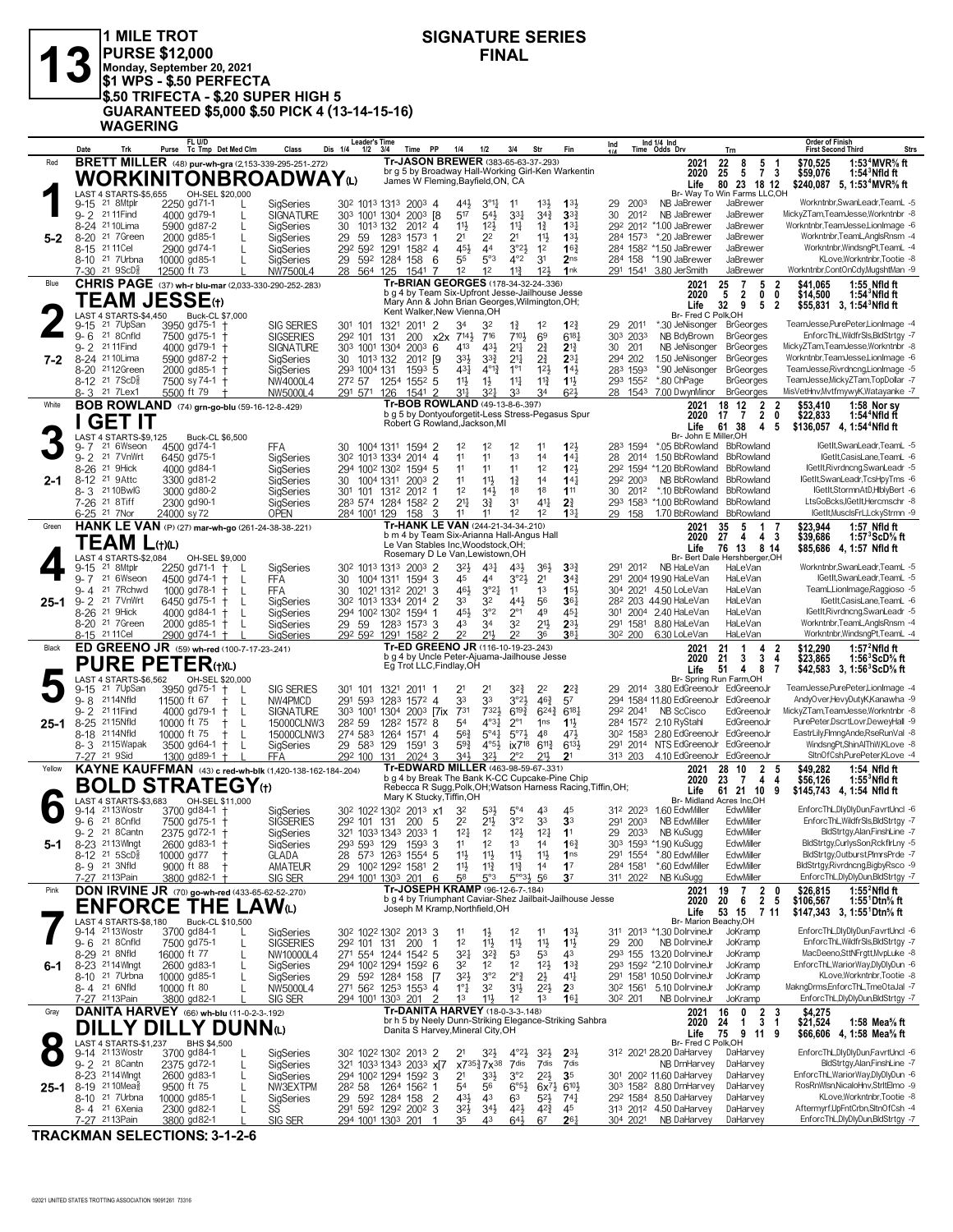#### **13** PURSE \$12,000<br>
Monday, September 20, 2021<br>
\$1 WPS - \$.50 PERFECTA **1 MILE TROT PURSE \$12,000 Monday, September 20, 2021 \$1 WPS - \$.50 PERFECTA \$.50 TRIFECTA - \$.20 SUPER HIGH 5 GUARANTEED \$5,000 \$.50 PICK 4 (13-14-15-16) WAGERING**

### **SIGNATURE SERIES**

<u>Date Trk Purse Tc Tmp Det Med Clm Class Dis 1/4 1/2 3/4 Time PP 1/4 1/2 3/4 Str Fin 4/2 Time Odds Drv<br>Red BRETT MILLER (48) pur-wh-gra (2,153-339-295-251-272) Tr**-JASON BREWER** (383-65-63-37-293) free to the 2021</u> **FL U/D Det Med Clm Class Dis 1/4 1/2 3/4 Time PP 1/4 1/2 3/4 Str Fin Ind Tc Tmp 1/4 Time Odds Drv Leader's Time Ind 1/4 Ind Order of Finish Trn First Second Third Strs** 444 3°14 11 29 9003 NB JaBrewer JaBrewer JaBrewer JaBrewer JaBrewer Workntnbr,SwanLeadr,TeamL<br>19-15 21 8Mtplr 2250 gd 71-1 L SIGNATURE 303 1001 1304 2003 18 517 54 34 34 34 35 30 2012 NB JaBrewer JaBrewer<br>19-24 21 10Lima 5 517 54½ 33¼ 30 9- 2 NB JaBrewer JaBrewer MickyZTam,TeamJesse,Workntnbr -8 21 11Find 4000 gd 79-1 L SIGNATURE 303 1001 1304 2003 [8 34¾ **3**3¾ 2012 14% 110Lima 5900 gd87-2 L SigSeries 30 1013 132 2012 4 111 12 12 111 13 123 2012 11.00 JaBrewer JaBrewer Workntnbr,TeamJesse,LionImage 5<br>129 31 7Green 2000 gd85-1 L SigSeries 29 59 1283 1573 1 21 2<sup>2</sup> 21 11½ 13½ 284 1573 21 21 7 Green 2000 gd85-1 L SigSeries 29 59 1283 1573 1 21 22 21 1<sup>11</sup> 13<sup>3</sup> 284 1573 20JaBrewer JaBrewer Workntnbr,TeamL,AnglsRnsm 4<br>21 21 11 2900 gd74-1 L SigSeries 29<sup>2</sup> 592 1291 1582 4 453 44 3°23 12 16<sup>3</sup> 284 1582 1.5 8-15 <sup>21</sup>11Cel 2900 gd74-1 L SigSeries 29<sup>2</sup> 59<sup>2</sup> 1291 158<sup>2</sup> 4 45½ 44 3°2½ 12 **1**6½ 284 158<sup>2 ×</sup>1.50 JaBrewer JaBrewer Workntnbr,WindsngPt,TeamL -4<br>8-10 <sup>21</sup> 7Urbna 10000 gd85-1 L SigS 7-30 <sup>21 SCD</sup> 12500 ft 73 L NW7500L4 28 564 125 1541 7 12 12 11½ 12 1nk 291 1541 3.80 JerSmith JaBrewer Workntnbr,ContOnCdy,MugshtMan -9<br>**CHRIS PAGE** (37) wh-r blu-mar (2,033-330-290-252-283) **5-2** Br- Way To Win Farms LLC,OH **Life 5,** br g 5 by Broadway Hall-Working Girl-Ken Warkentin James W Fleming,Bayfield,ON, CA  **25 5 7 3 \$59,076 1:54<sup>3</sup>Nfld ft 22 8 5 1 \$70,525 1:53<sup>4</sup>MVR⅝ ft 80 23 18 12 \$240,087 1:53<sup>4</sup>MVR⅝ ft 2020 Tr-JASON BREWER** (383-65-63-37-.293) **WORKINITONBROADWAY**(L) LAST 4 STARTS-\$5,655<br>9-15 <sup>21</sup> 8Mtplr 22 34 32 1¾ 29 9-15 \*.30 JeNisonger BrGeorges TeamJesse,PurePeter,LionImage -4 21 7UpSan 3950 gd 75-1 † SIG SERIES 301 101 1321 2011 2 12 **1**2¾ 2011 9-6 <sup>21 g</sup>Cnfld 7500 gd75-1 † SIGSERIES 29<sup>2</sup> 101 131 200 x2x 7<sup>141</sup> 7<sup>16</sup> 7<sup>103</sup> 6<sup>9</sup> 61<sup>81</sup> 30<sup>3</sup> 2033 NB-BdyBrown BrGeorges EnforcThL,WildfrSls,BldStrtgy 7<br>9-2 <sup>21</sup>11Find 4000 gd79-1 † SIGNATURE 303 1001 1304 2003 6 413 9- 2 2111Find 4000 gd79-1 † SIGNATURE 30<sup>3</sup> 1001 1304 2003 6 41<sup>3</sup> 431 214<sup>7</sup> 2 **2**14<sup>7</sup> 23 214<sup>7</sup> 30 201 NB JeNisonger BrGeorges MickyZTam,TeamJesse,Workntnbr -8 31 1011 1304 2003 6 413 431 214<sup>7</sup> 24 234 294 202 1.50 JeN 8-20 <sup>21</sup>12Green 2000 gd85-1 † SigSeries 293 1004 131 1593 5 43½ 4°1½ 1°1 12½ **1**4½ 283 1593 \*.90 JeNisonger BrGeorges TeamJesse,Rivrdnong,LionImage 5<br>8-12 <sup>21</sup> 7ScD៖ 7500 sy 74-1 † NW4000L4 272 57 1254 1552 5 11½ 11½ 11½ 8- 3<sup>21</sup> 7Lex1 5500 ft 79 † NW5000L4 291 571 126 1541 2 31 $\frac{13}{4}$  32 $\frac{1}{4}$  3<sup>3</sup> 34 6<sup>21</sup> 28 154<sup>3</sup> 7.00 DwynMinor BrGeorges MisVetHnv,MvtfmywyK,Watayanke -7<br>**BOB ROWLAND** (74) **grn-go-blu CHRIS PAGE** (37) **wh-r blu-mar** (2,033-330-290-252-.283) Blue **2021 7-2** Br- Fred C Polk, OH<br>
\*.30 JeNisonger BrGeorges b g 4 by Team Six-Upfront Jesse-Jailhouse Jesse Mary Ann & John Brian Georges,Wilmington,OH; Kent Walker,New Vienna,OH  **5 2 0 0 \$14,500 1:54<sup>3</sup>Nfld ft 25 7 5 2 \$41,065 1:55 Nfld ft** Life 32 9 5 2 \$55,831 3, 1:54<sup>3</sup>Nfld ft **2020 TEAM JESSE**(†) **2** LAST 4 STARTS-\$4,450 Buck-CL \$7,000 12 12 12 283 9- 7 \*.05 BbRowland BbRowland IGetIt,SwanLeadr,TeamL -5 21 6Wseon 4500 gd 74-1 FFA 30 1004 1311 1594 2 11 **1**2½ 1594 11 12 12 17 12 11 12 28 2014 150 BbRowland BbRowland Cettl,CasisLane,TeamL -6 2014 160 BbRowland IGettl,CasisLane,TeamL -6 2014 14 160 11 12 28 2014 150 BbRowland BbRowland Cettl,CasisLane,TeamL -6 2014 150 BbRowland BbRow 11 12 12 19 Binds and the SigSeries 11 2002 1594 5 11 12 12 12<sup>3</sup> 1294 1594 \*1.20 BbRowland BoRowland IGetIt,Rivrdncng,SwanLeadr 5 294 1002 1302 1594 5 11 11 12 12 12 12 1304 \*1.20 BbRowland BbRowland IGetIt,Rivrdncng,Swan 11 114 144 292 2003 NB BbRowland BbRowland Cettit,SwanLeadr,TcsHpyTms -6 21 21 9Attc 3300 gd81-2 SigSeries 20 1004 1311 2003 2 11 14 14 14 292 2003 NB BbRowland BbRowland Cettit,SwanLeadr,TcsHpyTms -6 21 912 14 14% 2012 11 12 12 12 18 3000 8160-2 5 300 101 1312 2012 1 12 14 1<sup>8</sup> 1<sup>8</sup> 1<sup>8</sup> 1<sup>1</sup> 30 2012 10 BbRowland BbRowland IGetIt,StormnAtD,HlblyBert -6 21 101 1312 2012 1 12 14 16 16 11 18 21 19 10 10 BbRowland BbRowland LtsGoBcks,IGetIt,Her 7-26 <sup>21</sup> 8Tiff 2300 gd90-1 SigSeries 283 574 1284 1582 2 214 33 31 414 **2**3 293 1583 \*1.00 BbRowland BbRowland LtsGoBcks,lGetIt,Hercmschr -8<br><u>6-25 <sup>21</sup> 7Nor 24000 sy 72 OPEN 284 1001 129 158 3 11 11 12 12 **1**34 29 1</u> **BOB ROWLAND** (74) **grn-go-blu** (59-16-12-8-.429) White **2021 2-1 Life 61 38 4 5 \$136,057 4,**<br>Br- John E Miller, OH b g 5 by Dontyouforgetit-Less Stress-Pegasus Spur Robert G Rowland,Jackson,MI  **17 7 2 0 \$22,833 1:54<sup>4</sup>Nfld ft 18 12 2 2 \$53,410 1:58 Nor sy 2020 61 38 4 5 \$136,057 1:54<sup>4</sup>Nfld ft I GET IT**<br> **3** 5-7 21 6Wseom<br> **3** 5-2 21 7 Wilter LAST 4 STARTS-\$9,125 Buck-CL \$6,500 32½ 43¼ 43½ 291 9-15 NB HaLeVan HaLeVan Workntnbr,SwanLeadr,TeamL -5 21 8Mtplr 2250 gd 71-1 † L SigSeries 302 1013 1313 2003 2 36½ **3**3¾ 2012 45 44 3°2½ 291 9- 7 19.90 HaLeVan HaLeVan IGetIt,SwanLeadr,TeamL -5 21 6Wseon 4500 gd 74-1 † L FFA 30 1004 1311 1594 3 21 **3**4¾ 2004 9-7 21 6Wseon 4500 gd74-1 † L FFA 30 1004 1311 1594 3 45 44 3°24 21 344 291 2004 1990 HaLeVan HaLeVan Gettt,SwanLeadr,TeamL<br>19-4 21 7Rchwd 1000 gd78-1 † L FFA 30 1021 1312 2021 3 464 3°24 11 13 154 304 2021 450 LoLeVan Ha 9- 2 <sup>21</sup> 7VnWrt 6450 gd75-1 † L SiqSeries 30<sup>2</sup> 101<sup>3</sup> 1334 2014 2 3<sup>3</sup> 3<sup>2</sup> 44½ 56 **3**6½ 282 203 44.90 HaLeVan HaLeVan Beltl,CasisLane,TeamL 6 8-26 <sup>21</sup> 9Hick 4000 gd84-1 † L SigSeries 294 100<sup>2</sup> 130<sup>2</sup> 1594 1 45½ 3°<sup>2</sup> 2°1 49 45½ 301 2004 240 HaLeVan HaLeVan lGetIt,Rivrdncng,SwanLeadr -5 8-20 <sup>21</sup> 7Green 2000 gd85-1 † L SigSeries 29 59 1283 1573 3 43 34 32 21½ **2**3½ 291 1581 8.80 HaLeVan HaLeVan Workntnbr,TeamL,AnglsRnsm -4 <u>8-15 2111Cel 2900 gd74-1 † L SiqSeries 292 592 1291 1582 2 22 214 22 36 **3**8 $\frac{1}{4}$  302 200 6.30 LoLeVan HaLeVan Workntnbr,WindsngPt,TeamL -4 2 \$12,**290 1:57<sup>2</sup>Nfld ft**<br>**ED GREENO JR** (59) wh-red (100-7-17-23-.241) </u> **HANK LE VAN** (P) (27) **mar-wh-go** (261-24-38-38-.221) Green **2021 25-1** Br- Bert Dale Hershberger, OH<br>NB HaLeVan HaLeVan b m 4 by Team Six-Arianna Hall-Angus Hall Le Van Stables Inc,Woodstock,OH; Rosemary D Le Van,Lewistown,OH  **27 4 4 3 \$39,686 1:57<sup>3</sup>ScD⅝ ft 35 5 1 7 \$23,944 1:57 Nfld ft 76 13 8 14 \$85,686 1:57 Nfld ft 2021** 35 5<br> **2020** 27 4<br> **Life** 76 13 **Life 4, TEAM L(+)(L)**<br> **AST** 4 STARTS-\$2,084<br>
9-15 <sup>21</sup> 8Mtplr 225<br>
9-7 21 6Wseon 450 LAST 4 STARTS-\$2,084 OH-SEL \$9,000 21 21 2012 21 2012 21 2012 22 224 29 2014 380 EdGreenoJr EdGreenoJr TeamJesse,PurePeter,LionImage 4<br>21 21 20 2014 2015 2016 2017 2017 2017 2017 2017 2017 21 21 22 22 22 224 2014 380 EdGreenoJr EdGreenoJr TeamJesse,PurePete 9-8 <sup>211</sup>4Nfld 11500ft 67 † L NW4PMCD 291 593 1283 1572 4 33 33 3°2½ 46½ 57 294 1584 11.80 EdGreenoJr EdGreenoJr AndyOverHevyDutyK,Kanawha 9<br>9-2 211Find 4000 gd79-1 † L SIGNATURE 303 1001 1304 2003 [7ix 731 732½ 61<sup>9½</sup> 624 19-25 2115Nfld 10000 ft 75 **t** interveter,DScrtLovr,DeweyHall -9 1282 1572 8 54 4°34 2°1 1ns 11<sup>3</sup> 284 1572 2.10 RyStahl EdGreenoJr PurePeter,DscrtLovr,DeweyHall -9 15000CLNW3 282 59 1282 1572 8 1ns 11<sup>3</sup> 284 1572 2.10 Ry 6418 10000 ft 75 **+ L 15000CLNW3 274 583 1264 1571 4** 56<sup>3</sup> 5°4<sup>1</sup> 5°7<sup>2</sup> 48 47<sup>3</sup> 30<sup>2</sup> 1583 280 EdGreenoJr EdGreenoJr EastrLily,FlmngAnde,RseRunVal 8<br>19 3 2115 Wapak 3500 gd64-1 † L SigSeries 29 583 129 1591 3 59<sup>3</sup> 4°5 8-3 <sup>21</sup>15Wapak 3500 gd64-1 † L SiqSeries - 29 583 129 1591 3 5<sup>93</sup> 4°<sup>53</sup> ix718 611<sup>3</sup> 6133 - 291 2014 NTS EdGreenoJr EdGreenoJr - WindsngPt,ShinAlThW,KLove 8<br>7-<u>27 <sup>21 gSid - 1300 gd89-1 † L FFA - 292 100 131 2024 3 343 </u></sup> **ED GREENO JR** (59) **wh-red** (100-7-17-23-.241) Black **2021 25-1** Br- Spring Run Farm,OH b g 4 by Uncle Peter-Ajuama-Jailhouse Jesse Eg Trot LLC,Findlay,OH  **21 3 3 4 \$23,865 1:56<sup>3</sup>ScD⅝ ft 21 1 4 2 \$12,290 1:57<sup>2</sup>Nfld ft 51 4 8 7 \$42,583 1:56<sup>3</sup>ScD⅝ ft Life 3, 2020 PURE PETER(+)(L)**<br> **PURE PETER(+)(L)**<br>
9-15 <sup>21</sup> 7UpSan 3950 gd75-1 1<br>
9- 8 2114Wild 11500 ft 67 1 L<br>
9- 2 2111Find 4000 gd79-1 1 LAST 4 STARTS-\$6,562 9-14 <sup>21</sup>13Wostr 3700 gd84-1 † SigSeries 30<sup>2</sup> 102<sup>2</sup> 130<sup>2</sup> 2013 x1 3<sup>2</sup> 5<sup>3</sup>½ 5°4 43 45 31<sup>2</sup> 202<sup>3</sup> 1.60 EdwMiller EdwMiller EnforcThL,DlyDUn,FavrtUncl 6 22 21½ 3°2 291 9- 6 NB EdwMiller EdwMiller EnforcThL,WildfrSls,BldStrtgy -7 21 8Cnfld 7500 gd 75-1 † SIGSERIES 292 101 131 200 5 33 **3**3 2003 12¼ 12 12½ 29 9- 2 NB KuSugg EdwMiller BldStrtgy,Alan,FinshLine -7 21 8Cantn 2375 gd 72-1 † SigSeries 321 1033 1343 2033 1 12¼ **1**1 2033 11 12 13 13 14 5 16 12 13 503 129 1593 3 11 12 13 14 16<sup>3</sup> 303 1593 1904 KuSugg EdwMiller BldStrtgy,CurlysSon,RckflrLny 5<br>10000 gd77 † GLADA 28 573 1263 1554 5 11<sup>3</sup> 11<sup>3</sup> 11<sup>3</sup> 11<sup>4</sup> 15 291 1554 80 EdwMiller EdwMiller Bld 11½ 11½ 11½ 291 8-12 \*.80 EdwMiller EdwMiller BldStrtgy,Outburst,PlmrsPrde -7 21 5ScDÁ 10000 gd 77 † GLADA 28 573 1263 1554 5 11½ **1**ns 1554 11½ 11¾ 11¾ 284 8- 9 \*.60 EdwMiller EdwMiller BldStrtgy,Rivrdncng,BigbyRsco -9 21 3Nfld 9000 ft 88 † AMATEUR 29 1002 1292 1581 2 14 **1**7 1581 7-<u>27 2113Pain 3800 gd82-1 † SIG SER 294 1001 1303 201 6 58 5°33 5°33 56 **3**7 311 2022 NB KuSugg EdwMiller EnforcThL,DlyDlyDun,BldStrtgy -7<br>**DON IRVINE JR** (70) go-wh-red (433-65-62-52-270) </u> **KAYNE KAUFFMAN** (43) **c red-wh-blk** (1,420-138-162-184-.204) Yellow **2021 5-1** 1, OH;<br>Br- Midland Acres Inc, OH<br>31<sup>2</sup> 202<sup>3</sup> 1.60 EdwMiller EdwMiller b g 4 by Break The Bank K-CC Cupcake-Pine Chip Rebecca R Sugg,Polk,OH;Watson Harness Racing,Tiffin,OH; Mary K Stucky,Tiffin,OH  **23 7 4 4 \$56,126 1:55<sup>3</sup>Nfld ft 28 10 2 5 \$49,282 1:54 Nfld ft 61 21 10 9 \$145,743 1:54 Nfld ft Life 4, 2020 BOLD STRATEGY**(†) **6** LAST 4 STARTS-\$3,683 OH-SEL \$11,000 11 14 12 113 DolivineJr Jokston Business (UP) 12 12 13 14 14 14 14 14 1542 1311 2013 PolivineJr JoKramp EnforcThL,DlyDlyDun,FavrtUncl 6<br>19 11 21 13Wostr 3700 gd75-1 L SIGSERIES 292 101 131 200 1 12 11½ 11½ 11½ 29 200 NB D 12 11½ 11½ 29 9- 6 NB DoIrvineJr JoKramp EnforcThL,WildfrSls,BldStrtgy -7 21 8Cnfld 7500 gd 75-1 L SIGSERIES 292 101 131 200 1 11½ **1**1½ 200 8-29 <sup>21</sup> 8Nfld 16000 ft 77 L NW10000L4 271 554 1244 1542 5 32 $\frac{1}{4}$  32 $\frac{3}{4}$  53 53 43 293 155 13.20 DolrvineJr JoKramp MacDeeno,SttNFrgtt,MvpLuke 8 32 114 Whigt 2000 gd83-1 L StigSeries 294 1002 1294 1592 6 32 12 12 123 13<sup>3</sup> 293 1592 \*2.10 DolrvineJr JoKramp EnforcThL,WariorWay,DlyDlyDun -6 21 121 14Whrts 2600 gd83-1 L StigSeries 29 592 1284 159 2<sup>2</sup> 12<sup>3</sup> 12<sup>3</sup> 14 320 321 7 10 300 3085-1 L SigSeries 29 592 1284 158 [7 321 3°2 2° 31 414 291 1581 10.50 DolrvineJr JoKramp KLove,Workntnbr,Tootie -8 29 592 1284 158 [7 321 3°2 2° 21 414 291 1581 10.50 DolrvineJr JoKramp KLove,Workntnbr,T 8- 4 <sup>21</sup> 6Nfid 10000 ft 80 L NW5000L4 271 562 1253 1553 4 1° $\frac{1}{4}$  32 31 $\frac{1}{2}$  22 $\frac{1}{2}$  **2**3 302 1561 5.10 DolrvineJr JoKramp MakngDrms,EnforcThL,TmeOtaJal -7<br>7-<u>27 2113Pain 3800 gd82-1 L SIGSER 294 1001 1303 201</u> **DON IRVINE JR** (70) **go-wh-red** (433-65-62-52-.270) Pink **2021 6-1** Br- Marion Beachy,OH b g 4 by Triumphant Caviar-Shez Jailbait-Jailhouse Jesse Joseph M Kramp,Northfield,OH **20 6 2 5 \$26,815 1:55<sup>2</sup>Nfld ft**<br>**20 6 2 5 \$106,567 1:55<sup>1</sup>Dtn<sup>5</sup><sub>6</sub> ft<br><b>53 15 7 11 \$147,343 3**, 1:55<sup>1</sup>Dtn<sup>5</sup><sub>6</sub> ft  **19 7 2 0 \$26,815 1:55<sup>2</sup>Nfld ft 53 15 7 11 \$147,343 1:55<sup>1</sup>Dtn⅝ ft Life 3, 2020 ENFORCE THE LAW**(L) **7 LAST 4 STARTS-\$8,180** 21 32½ 4°2½ 312 9-14 28.20 DaHarvey DaHarvey EnforcThL,DlyDlyDun,FavrtUncl -6 21 13Wostr 3700 gd84-1 L SigSeries 302 1022 1302 2013 2 32½ **2**3½ 2021 9-2 <sup>21</sup> 8Cantn 2375 gd72-1 L SigSeries 321 103<sup>3</sup> 1343 2033 x**(7** x735½7x38 7dis 7dis 7dis NB DrnHarvey DaHarvey BldStrtgy,Alan,FinshLine 7<br>8-23 2114Whgt 2600 gd83-1 L SigSeries 294 1002 1294 1592 3 21 33½ 3°2 22½ **3**5 30 8-10 <sup>21</sup> 7Urbna 10000 gd85-1 L SigSeries 29 59<sup>2</sup> 1284 158 2 43½ 43 63 52½ 74½ 29<sup>2</sup> 1584 8.50 DaHarvey DaHarvey KLove,Workntnbr,Tootie 8<br>8-4 <sup>21</sup> 6Xenia 2300 gd82-1 L SS 291 592 1292 2002 3 32½ 34½ 42½ 42½ 45 313 201 7-27 2113Pain 3800 gd82-1 L SIG SER 294 1001 1303 201 1 35 43 64 $\frac{2}{9}$  67 261 304 2021 NB DaHarvey DaHarvey EnforcThL,DlyDlyDun,BldStrtgy -7 **DANITA HARVEY** (66) **wh-blu** (11-0-2-3-.192) Gray **2021 25-1** Br- Fred C Polk,OH **Life 4,** br h 5 by Neely Dunn-Striking Elegance-Striking Sahbra Danita S Harvey,Mineral City,OH  **24 1 3 1 \$21,524 1:58 Mea⅝ ft 16 0 2 3 \$4,275 75 9 11 9 \$66,606 1:58 Mea⅝ ft 2020 DILLY DILLY DUNN**(L)<br> **8**  $\frac{1487487487837.237}{9.14}$  **BHS \$4.500**<br> **8**  $\frac{9.14}{9.2}$  2113Wostr 3700 gd84-1<br> **8**  $\frac{2375}{214400}$  gd72-1 LAST 4 STARTS-\$1,237 BHS \$4,500

**TRACKMAN SELECTIONS: 3-1-2-6**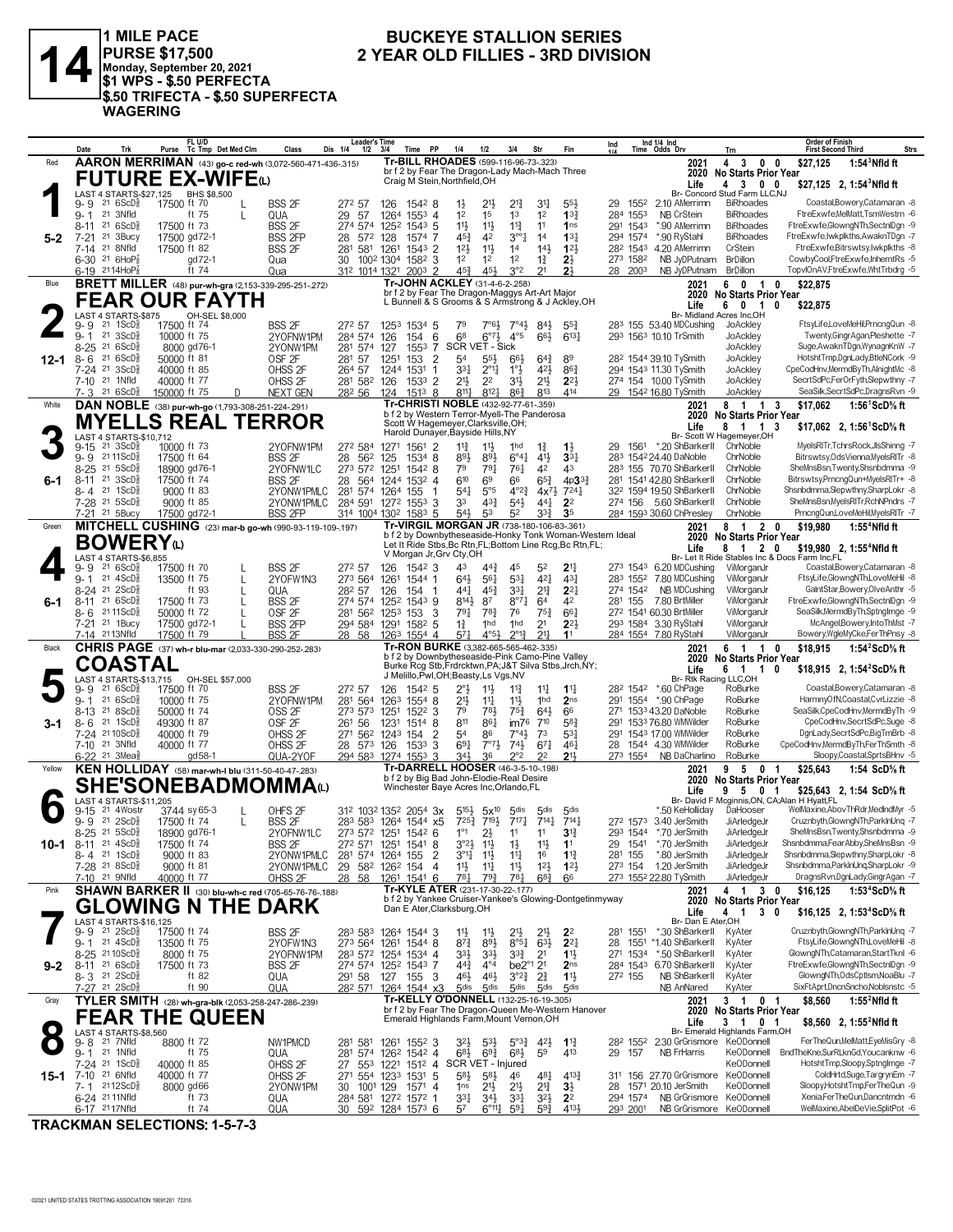

1 MILE PACE<br>|PURSE \$17,500<br>|Monday, September 20, 2021<br>|\$1 WPS - \$.50 PERFECTA \$.50 TRIFECTA - \$.50 SUPERFECTA **WAGERING** 

### **BUCKEYE STALLION SERIES** 2 YEAR OLD FILLIES - 3RD DIVISION

|         | Date                                                               | FL U/D<br>Purse Tc Tmp Det Med Clm                                         | Class                                  | <b>Leader's Time</b><br>1/2<br>Dis 1/4 | 3/4<br>Time PP                                                                                             | 1/4<br>1/2                                                                        | 3/4<br>Str                                                                 | Fin                                   | Ind 1/4 Ind<br>Ind<br>Time Odds Drv                                    | Trn                                                                  | <b>Order of Finish</b><br><b>First Second Third</b><br>Strs                      |
|---------|--------------------------------------------------------------------|----------------------------------------------------------------------------|----------------------------------------|----------------------------------------|------------------------------------------------------------------------------------------------------------|-----------------------------------------------------------------------------------|----------------------------------------------------------------------------|---------------------------------------|------------------------------------------------------------------------|----------------------------------------------------------------------|----------------------------------------------------------------------------------|
| Red     |                                                                    | AARON MERRIMAN (43) go-c red-wh (3,072-560-471-436-.315)                   |                                        |                                        | Tr-BILL RHOADES (599-116-96-73-.323)                                                                       |                                                                                   |                                                                            |                                       | 2021                                                                   | 4 3 0                                                                | 0<br>\$27.125<br>1:54 $3$ Nfld ft                                                |
|         |                                                                    | <b>FUTURE EX-WIFE</b> @                                                    |                                        |                                        | br f 2 by Fear The Dragon-Lady Mach-Mach Three<br>Craig M Stein, Northfield, OH                            |                                                                                   |                                                                            |                                       | 2020<br>Life                                                           | <b>No Starts Prior Year</b><br>4 3 0 0                               | \$27,125 2, 1:54 Nfld ft                                                         |
|         | LAST 4 STARTS-\$27,125                                             | BHS \$8,500                                                                |                                        |                                        |                                                                                                            |                                                                                   |                                                                            |                                       |                                                                        | Br- Concord Stud Farm LLC,NJ                                         |                                                                                  |
|         | 21 6ScD <sup>3</sup><br>9- 9<br>21 3Nfld                           | 17500 ft 70<br>L<br>ft 75                                                  | <b>BSS 2F</b>                          | 272 57                                 | 126<br>15428                                                                                               | 21}<br>$1\frac{1}{2}$<br>1 <sup>2</sup><br>1 <sup>5</sup>                         | $2^{13}$<br>3 <sup>11</sup><br>1 <sup>3</sup><br>1 <sup>2</sup>            | $55\frac{1}{2}$<br>$13\frac{3}{4}$    | 1552<br>2.10 AMerrimn<br>29<br><b>NB CrStein</b><br>284 1553           | <b>BiRhoades</b><br><b>BiRhoades</b>                                 | Coastal, Bowery, Catamaran - 8<br>FtreExwfe,MelMatt,TsmWestrn -6                 |
|         | $9 - 1$<br>216SCD <sub>8</sub><br>8-11                             | L<br>17500 ft 73                                                           | QUA<br><b>BSS 2F</b>                   | 29<br>-57<br>274 574                   | 1264<br>$155^3$ 4<br>1252<br>$154^3$ 5                                                                     | 11}<br>11}                                                                        | $11\frac{3}{4}$<br>11                                                      | 1 <sub>ns</sub>                       | *.90 AMerrimn<br>291 1543                                              | <b>BiRhoades</b>                                                     | FtreExwfe,GlowngNTh,SectnlDgn -9                                                 |
| $5 - 2$ | $21.3$ Bucy<br>$7 - 21$                                            | 17500 gd72-1                                                               | <b>BSS 2FP</b>                         | 28 572                                 | 128<br>1574 7                                                                                              | $45\frac{3}{4}$<br>42                                                             | $3^{\circ}$ <sup>2</sup><br>1 <sup>4</sup>                                 | $13\frac{1}{4}$                       | 294 1574<br>*.90 RyStahl                                               | <b>BiRhoades</b>                                                     | FtreExwfe,lwkplkths,AwaknTDgn -7                                                 |
|         | 21 8Nfld<br>7-14                                                   | 17500 ft 82                                                                | <b>BSS 2F</b>                          | 281 581 1261                           | $1543$ 2                                                                                                   | 12 <sup>1</sup><br>$11\frac{1}{2}$                                                | 1 <sup>4</sup><br>$14\frac{1}{2}$                                          | $12\frac{1}{2}$                       | 282 1543 4.20 AMerrimn                                                 | CrStein                                                              | FtreExwfe.Bitrswtsv.lwkplkths -8                                                 |
|         | 6-30 21 6HoP*<br>$6-19$ 2114HoP <sub>8</sub>                       | gd72-1<br>ft 74                                                            | Qua<br>Qua                             | 312 1014 1321                          | 30 1002 1304 1582 3<br>$200^3$ 2                                                                           | 1 <sup>2</sup><br>1 <sup>2</sup><br>$45\frac{3}{4}$<br>454                        | 1 <sup>2</sup><br>$1\frac{3}{4}$<br>3°2<br>21                              | $2\frac{1}{2}$<br>2 <sup>1</sup>      | 273 1582<br>NB JyDPutnam<br>28 2003<br>NB JyDPutnam                    | <b>BrDillon</b><br><b>BrDillon</b>                                   | CowbyCool,FtreExwfe,InherntRs -5<br>TopvlOnAV,FtreExwfe,WhtTrbdrg -5             |
| Blue    |                                                                    | <b>BRETT MILLER</b> (48) pur-wh-gra (2,153-339-295-251-.272)               |                                        |                                        | Tr-JOHN ACKLEY (31-4-6-2-.258)                                                                             |                                                                                   |                                                                            |                                       | 2021                                                                   | 6<br>$\mathbf{0}$<br>$\mathbf{1}$                                    | $\mathbf 0$<br>\$22,875                                                          |
|         |                                                                    | <b>FEAR OUR FAYTH</b>                                                      |                                        |                                        | br f 2 by Fear The Dragon-Maggys Art-Art Major<br>L Bunnell & S Grooms & S Armstrong & J Ackley, OH        |                                                                                   |                                                                            |                                       | 2020                                                                   | No Starts Prior Year                                                 |                                                                                  |
|         | LAST 4 STARTS-\$875                                                | OH-SEL \$8,000                                                             |                                        |                                        |                                                                                                            |                                                                                   |                                                                            |                                       | Life                                                                   | 6<br>0 <sub>1</sub><br>Br- Midland Acres Inc.OH                      | 0<br>\$22,875                                                                    |
|         | 21 1ScD <sup>3</sup><br>9-9                                        | 17500 ft 74                                                                | BSS 2F                                 | 272 57                                 | 1253 1534 5                                                                                                | $7°6\frac{1}{2}$<br>79                                                            | $7^\circ 4\frac{1}{2}$<br>$84\frac{1}{2}$                                  | $55\frac{3}{4}$                       | 283 155 53.40 MDCushing                                                | JoAckley                                                             | FtsyLife,LoveMeHil,PrncngQun -8                                                  |
|         | 21 3ScD<br>$9 - 1$                                                 | 10000 ft 75                                                                | 2YOFNW1PM                              | 284 574                                | 126<br>154<br>6                                                                                            | 6 <sup>8</sup><br>$6^{07}\frac{1}{2}$                                             | $4^{\circ}5$<br>66}                                                        | $6^{13}$                              | 293 1563 10.10 TrSmith                                                 | JoAckley                                                             | Twenty, Gingr Agan, Pleshette -7                                                 |
| 12-1    | $8 - 25$<br>21 6ScD<br>$216SCD_2^2$<br>8-6                         | 8000 gd76-1<br>50000 ft 81                                                 | 2YONW1PM<br>OSF <sub>2F</sub>          | 281 574<br>281 57                      | 127<br>$155^3$ 7<br>1251<br>$\overline{2}$<br>153                                                          | SCR VET - Sick<br>54<br>$5^{5}\frac{1}{2}$                                        | $64\frac{3}{4}$<br>66}                                                     | 89                                    | 28 <sup>2</sup> 1544 39.10 TySmith                                     | JoAckley<br>JoAckley                                                 | Suge, AwaknTDgn, WynagnKnW -7<br>HotshtTmp,DgnLady,BtleNCork -9                  |
|         | 7-24 21 3ScD <sup>5</sup>                                          | 40000 ft 85                                                                | OHSS <sub>2F</sub>                     | 264 57                                 | 1244 1531 1                                                                                                | $3^{31}$<br>$2^{\circ}1\frac{1}{4}$                                               | $1^{\circ}$<br>$4^{2}\frac{1}{2}$                                          | $86\frac{3}{4}$                       | 294 1543 11.30 TySmith                                                 | JoAckley                                                             | CpeCodHnv,MermdByTh,AlnightMc -8                                                 |
|         | 7-10 <sup>21</sup> 1Nfld                                           | 40000 ft 77                                                                | OHSS <sub>2F</sub>                     | 281 582 126                            | 1533 2                                                                                                     | 21}<br>22                                                                         | $21\frac{1}{2}$<br>34                                                      | $2^{21}$                              | 274 154 10.00 TySmith                                                  | JoAckley                                                             | SecrtSdPc,FerOrFyth,Slepwthny -7                                                 |
| White   | 7-3 21 6ScD <sup>3</sup>                                           | 150000 ft 75<br>D                                                          | <b>NEXT GEN</b>                        | 28 <sup>2</sup> 56 124                 | $151^3$ 8<br>Tr-CHRISTI NOBLE (432-92-77-61-.359)                                                          | $8^{11}\frac{1}{4}$<br>$8^{12}$                                                   | 813<br>$86\frac{3}{4}$                                                     | 414                                   | 29 1542 16.80 TySmith                                                  | JoAckley                                                             | SeaSilk,SecrtSdPc,DragnsRvn -9<br>\$17.062                                       |
|         |                                                                    | DAN NOBLE (38) pur-wh-go (1,793-308-251-224-.291)                          |                                        |                                        | b f 2 by Western Terror-Myell-The Panderosa                                                                |                                                                                   |                                                                            |                                       | 2021<br>2020                                                           | 8 1 1 3<br>No Starts Prior Year                                      | 1:56 $1$ ScD $\%$ ft                                                             |
|         |                                                                    | <b>MYELLS REAL TERROR</b>                                                  |                                        |                                        | Scott W Hagemeyer, Clarksville, OH;<br>Harold Dunayer, Bayside Hills, NY                                   |                                                                                   |                                                                            |                                       | Life                                                                   | 8 1 1 3                                                              | \$17,062 2, 1:56 ScD <sup>5</sup> / <sub>8</sub> ft                              |
|         | LAST 4 STARTS-\$10,712<br>$21 \text{ } 3ScDg$<br>9-15              | 10000 ft 73                                                                | 2YOFNW1PM                              |                                        | 272 584 1271 1561 2                                                                                        | $11\frac{3}{4}$<br>$11\frac{1}{2}$                                                | 1 <sub>hd</sub><br>$1\frac{3}{4}$                                          | $1\frac{1}{2}$                        | *.20 ShBarkerII<br>29<br>1561                                          | Br- Scott W Hagemeyer, OH<br>ChrNoble                                | MyelsRITr,TchrsRock,JlsShinng -7                                                 |
|         | 21 11 ScD<br>9-9                                                   | 17500 ft 64                                                                | <b>BSS 2F</b>                          | 28<br>562                              | 125<br>$1534$ 8                                                                                            | $89\frac{1}{2}$<br>893                                                            | $6^\circ 44$<br>41}                                                        | $33\frac{1}{4}$                       | 283 1542 24.40 DaNoble                                                 | ChrNoble                                                             | Bitrswtsy, Ods Vienna, MyelsRITr -8                                              |
|         | 21 5ScD <sup>3</sup><br>$8 - 25$                                   | 18900 gd76-1                                                               | 2YOFNW1LC                              | 273 572                                | 1251<br>1542 8                                                                                             | 79<br>791                                                                         | 761<br>42                                                                  | 43                                    | 283 155 70.70 ShBarkerll                                               | ChrNoble                                                             | SheMnsBsn,Twenty,Shsnbdmma -9                                                    |
| 6-1     | $21 \text{ } 3SCD\frac{5}{8}$<br>$8 - 11$<br>8-4 21 1ScD           | 17500 ft 74<br>9000 ft 83                                                  | <b>BSS 2F</b><br>2YONW1PMLC            | 28 564                                 | 1244 1532 4<br>281 574 1264 155<br>$\overline{1}$                                                          | 610<br>6 <sup>9</sup><br>$54\frac{1}{4}$<br>$5^{\circ}5$                          | 66<br>$65\frac{3}{4}$<br>$4^{\circ}2^{\frac{3}{4}}$<br>$4x^{7}\frac{1}{2}$ | $4p33\frac{3}{4}$<br>$724\frac{1}{4}$ | 281 1541 42.80 ShBarkerII<br>322 1594 19.50 ShBarkerII                 | ChrNoble<br>ChrNoble                                                 | Bitrswtsy,PrncngQun+MyelsRITr+ -8<br>Shsnbdmma, Slepwthny, SharpLokr -8          |
|         | 7-28 <sup>21</sup> 5ScD <sup>5</sup>                               | 9000 ft 85                                                                 | 2YONW1PMLC                             |                                        | 284 591 1272 1553 3                                                                                        | $43\frac{3}{4}$<br>33                                                             | $5^{4}$<br>441                                                             | 2 <sup>2</sup>                        | 274 156 5.60 ShBarkerll                                                | ChrNoble                                                             | SheMnsBsn,MyelsRITr,RchNPndrs -7                                                 |
|         | 7-21 21 5Bucy                                                      | 17500 gd72-1                                                               | <b>BSS 2FP</b>                         |                                        | 314 1004 1302 1583 5                                                                                       | $54\frac{1}{2}$<br>53                                                             | $3^{3}\frac{3}{4}$<br>52                                                   | 3 <sub>5</sub>                        | 284 1593 30.60 ChPreslev                                               | ChrNoble                                                             | PrncngQun,LoveMeHil,MyelsRITr -7                                                 |
| Green   |                                                                    | MITCHELL CUSHING (23) mar-b go-wh (990-93-119-109-197)                     |                                        |                                        | Tr-VIRGIL MORGAN JR (738-180-106-83-.361)<br>b f 2 by Downbytheseaside-Honky Tonk Woman-Western Ideal      |                                                                                   |                                                                            |                                       | 2021<br>2020                                                           | $8 \quad 1$<br>20<br>No Starts Prior Year                            | \$19,980<br>1:55 <sup>4</sup> Nfld ft                                            |
|         | <b>BOWERY</b>                                                      |                                                                            |                                        |                                        | Let It Ride Stbs, Bc Rtn, FL; Bottom Line Rcg, Bc Rtn, FL;                                                 |                                                                                   |                                                                            |                                       | Life                                                                   | 1 2 0<br>8                                                           | \$19,980 2, 1:55 <sup>4</sup> Nfld ft                                            |
|         | LAST 4 STARTS-\$6.855<br>21 6ScD                                   |                                                                            |                                        |                                        | V Morgan Jr, Grv Cty, OH                                                                                   |                                                                                   |                                                                            |                                       | 273 1543 6.20 MDCushing                                                |                                                                      | Br- Let It Ride Stables Inc & Docs Farm Inc,FL<br>Coastal, Bowery, Catamaran - 8 |
|         | 9- 9<br>21 4ScD<br>$9 - 1$                                         | 17500 ft 70<br>13500 ft 75<br>L                                            | BSS 2F<br>2YOFW1N3                     | 272 57<br>273 564                      | 1542 3<br>126<br>1261<br>1544 1                                                                            | 43<br>$44\frac{3}{4}$<br>$64\frac{1}{2}$<br>561                                   | 45<br>5 <sup>2</sup><br>$4^{2}$<br>$53\frac{1}{4}$                         | $2^{11}$<br>$43\frac{1}{4}$           | 283 1552 7.80 MDCushing                                                | ViMorganJr<br>ViMorganJr                                             | FtsyLife,GlowngNTh,LoveMeHil -8                                                  |
|         | 8-24 <sup>21</sup> 2ScD <sup>5</sup>                               | ft 93<br>L                                                                 | QUA                                    | 282 57                                 | 126<br>154 1                                                                                               | 441<br>453                                                                        | $3^{3}$<br>$2^{13}$                                                        | $2^{2}$                               | NB MDCushing<br>274 1542                                               | ViMorganJr                                                           | GaintStar,Bowery,OlveAnthr -5                                                    |
| 6-1     | $216SCD_2^2$<br>8-11                                               | 17500 ft 73<br>L                                                           | <b>BSS 2F</b>                          | 274 574 1252                           | 1543 9                                                                                                     | 8141<br>87                                                                        | $8^{\circ}7\frac{1}{4}$<br>6 <sup>4</sup>                                  | 42                                    | 281 155 7.80 BrtMiller                                                 | ViMorganJr                                                           | FtreExwfe,GlowngNTh,SectnlDgn -9                                                 |
|         | 21 11 ScD $\frac{5}{8}$<br>8-6<br>7-21 <sup>21</sup> 1Bucy         | 50000 ft 72<br>17500 gd72-1                                                | OSF <sub>2F</sub><br><b>BSS 2FP</b>    | 281 562 1253<br>294 584 1291           | 153 3<br>1582 5                                                                                            | 791<br>$78\frac{3}{4}$<br>$1\frac{3}{4}$<br>1hd                                   | 76<br>$75\frac{3}{4}$<br>1 <sub>hd</sub><br>2 <sup>1</sup>                 | 661<br>$2^{2}$                        | 272 1541 60.30 BrtMiller<br>293 1584 3.30 RyStahl                      | ViMorganJr<br>ViMorganJr                                             | SeaSilk, MermdBy Th, Sptnglmge -9<br>McAngel,Bowery,IntoThMst -7                 |
|         | 7-14 2113Nfld                                                      | 17500 ft 79                                                                | <b>BSS 2F</b>                          |                                        | 28 58 1263 1554 4                                                                                          | $4^{\circ}5\frac{1}{2}$<br>$5^{71}$                                               | $2^{\circ}1\frac{3}{2}$<br>$21\frac{1}{2}$                                 | 11                                    | 284 1554 7.80 RyStahl                                                  | ViMorganJr                                                           | Bowery,WgleMyCke,FerThPnsy -8                                                    |
| Black   |                                                                    | <b>CHRIS PAGE</b> (37) wh-r blu-mar (2,033-330-290-252-.283)               |                                        |                                        | Tr-RON BURKE (3,382-665-565-462-.335)                                                                      |                                                                                   |                                                                            |                                       | 2021                                                                   | 6 1<br>$1\quad 0$                                                    | \$18,915<br>1:54 $^2$ ScD $\%$ ft                                                |
|         |                                                                    |                                                                            |                                        |                                        |                                                                                                            |                                                                                   |                                                                            |                                       |                                                                        |                                                                      |                                                                                  |
|         |                                                                    |                                                                            |                                        |                                        | b f 2 by Downbytheseaside-Pink Camo-Pine Valley<br>Burke Rcg Stb, Frdrcktwn, PA; J&T Silva Stbs, Jrch, NY; |                                                                                   |                                                                            |                                       | 2020                                                                   | No Starts Prior Year                                                 |                                                                                  |
|         | <b>COASTAL</b>                                                     | LAST 4 STARTS-\$13,715 OH-SEL \$57,000                                     |                                        |                                        | J Melillo, Pwl, OH; Beasty, Ls Vgs, NV                                                                     |                                                                                   |                                                                            |                                       | Life                                                                   | 6 1 1 0<br>Br- Rtk Racing LLC, OH                                    | \$18,915 2, 1:54 <sup>2</sup> ScD% ft                                            |
|         | 216SCD <sub>8</sub><br>9-9                                         | 17500 ft 70                                                                | BSS 2F                                 | 272 57                                 | 126<br>1542 5                                                                                              | $2^{\circ}$<br>$11\frac{1}{2}$                                                    | $11\frac{3}{4}$<br>11                                                      | $1^{11}$                              | 28 <sup>2</sup> 154 <sup>2</sup> *.60 ChPage                           | RoBurke                                                              | Coastal, Bowery, Catamaran - 8                                                   |
|         | 21 6ScD <sup>3</sup><br>$9 - 1$<br>218SCD <sub>8</sub>             | 10000 ft 75<br>50000 ft 74                                                 | 2YOFNW1PM                              | 281 564                                | 1263<br>$1554$ 8<br>1251<br>$152^2$ 3                                                                      | 21}<br>$11\frac{1}{4}$<br>79<br>783                                               | $11\frac{1}{2}$<br>1hd<br>641                                              | 2 <sub>ns</sub><br>66                 | 291 1554 *.90 ChPage<br>271 1533 43.20 DaNoble                         | RoBurke<br>RoBurke                                                   | HarmnyOfN,Coastal,CvrLizzie -8<br>SeaSilk,CpeCodHnv,MermdByTh -9                 |
| 3-1     | 8-13<br>$21 \text{ } 1$ ScD $\frac{5}{2}$<br>8-6                   | 49300 ft 87                                                                | OSS <sub>2F</sub><br>OSF <sub>2F</sub> | 273 573<br>261 56                      | 1231<br>1514 8                                                                                             | 811<br>861                                                                        | $75\frac{3}{4}$<br>$7^{10}$<br>im76                                        | $58\frac{3}{4}$                       | 291 1533 76.80 WMWilder                                                | RoBurke                                                              | CpeCodHnv,SecrtSdPc,Suge -8                                                      |
|         | 7-24 2110ScD <sup>5</sup>                                          | 40000 ft 79                                                                | OHSS <sub>2F</sub>                     |                                        | 271 562 1243 154<br>2                                                                                      | 54<br>86                                                                          | $7^{\circ}4\frac{1}{2}$<br>7 <sup>3</sup>                                  | 5 <sup>31</sup>                       | 1543 17.00 WMWilder<br>291                                             | RoBurke                                                              | DgnLady,SecrtSdPc,BigTmBrb -8                                                    |
|         | 7-10 21 3Nfld                                                      | 40000 ft 77<br>gd 58-1                                                     | OHSS <sub>2F</sub>                     | 28 573 126                             | $1533$ 3                                                                                                   | $69\frac{1}{4}$<br>$7^{\circ}7^{\frac{1}{2}}$<br>36                               | $74\frac{1}{2}$<br>$67\frac{1}{4}$<br>$2^{\circ}2$<br>22                   | $46\frac{1}{4}$<br>21,                | 1544 4.30 WMWilder<br>28<br>273 1554<br>NB DaCharlino                  | RoBurke<br>RoBurke                                                   | CpeCodHnv.MermdBvTh.FerThSmth -8<br>Sloopy,Coastal,SprtsBHnv -5                  |
| Yellow  | 6-22 <sup>21</sup> 3Mea <sup>5</sup>                               |                                                                            | QUA-2YOF                               |                                        | 294 583 1274 1553 3<br>Tr-DARRELL HOOSER (46-3-5-10-.198)                                                  | 343                                                                               |                                                                            |                                       | 2021                                                                   | $5\overline{ }$<br>0 <sub>1</sub><br>9                               | \$25,643<br>1:54 ScD% ft                                                         |
|         |                                                                    | KEN HOLLIDAY (58) mar-wh-I blu (311-50-40-47-283)                          |                                        |                                        | b f 2 by Big Bad John-Elodie-Real Desire                                                                   |                                                                                   |                                                                            |                                       | 2020                                                                   | No Starts Prior Year                                                 |                                                                                  |
|         | LAST 4 STARTS-\$11.205                                             | <b>SHE'SONEBADMOMMA</b> ധ                                                  |                                        |                                        | Winchester Baye Acres Inc, Orlando, FL                                                                     |                                                                                   |                                                                            |                                       | Life                                                                   | 5<br>9<br>$\mathbf 0$<br>Br- David F Mcginnis.ON, CA:Alan H Hyatt.FL | \$25,643 2, 1:54 ScD% ft<br>1                                                    |
|         | 21 4Wostr<br>9-15                                                  | 3744 sy 65-3                                                               | OHFS <sub>2F</sub>                     |                                        | 312 1032 1352 2054 3x                                                                                      | $5^{15}\frac{1}{2}$<br>$5x^{10}$                                                  | 5 <sub>dis</sub><br>5 <sub>dis</sub>                                       | 5 <sub>dis</sub>                      | *.50 KeHolliday                                                        | DaHooser                                                             | WelMaxine, Abov ThRdr, MedIndMyr -5                                              |
|         | $9 - 9$ 21 $2$ ScD $\frac{5}{8}$                                   | 17500 ft 74<br>L                                                           | <b>BSS 2F</b>                          |                                        | 283 583 1264 1544 x5                                                                                       | 7253 7193 7171                                                                    | $7^{14}$                                                                   | 7141                                  | 272 1573 3.40 JerSmith                                                 | JiArledgeJr                                                          | Cruznbyth,GlowngNTh,ParkInUng -7                                                 |
|         | 8-25 21 5ScD <sup>5</sup><br>10-1 8-11 $^{21}$ 4ScD <sup>§</sup>   | 18900 gd76-1<br>17500 ft 74                                                | 2YOFNW1LC<br>BSS <sub>2F</sub>         | 272 571                                | 273 572 1251 1542 6<br>1251<br>1541 8                                                                      | $1^{\circ}1$<br>$2\frac{1}{2}$<br>$3^{o_2}\frac{1}{2}$<br>$11\frac{1}{2}$         | 1 <sup>1</sup><br>11<br>11물<br>$1\frac{1}{2}$                              | 3 <sup>12</sup><br>1 <sup>1</sup>     | 293 1544 *.70 JerSmith<br>*.70 JerSmith<br>29 1541                     | JiArledgeJr<br>JiArledgeJr                                           | SheMnsBsn,Twenty,Shsnbdmma -9<br>Shsnbdmma,FearAbby,SheMnsBsn -9                 |
|         | $8 - 4$ 21 1ScD <sup>5</sup> <sub>8</sub>                          | 9000 ft 83                                                                 | 2YONW1PMLC                             |                                        | $\overline{2}$<br>281 574 1264 155                                                                         | $3^{01}$<br>11}                                                                   | 1 <sup>6</sup><br>$11\frac{1}{4}$                                          | $1\frac{13}{4}$                       | 281 155<br>*.80 JerSmith                                               | JiArledgeJr                                                          | Shsnbdmma, Slepwthny, SharpLokr -8                                               |
|         | 7-28 <sup>21</sup> 8ScD <sup>5</sup>                               | 9000 ft 81                                                                 | 2YONW1PMLC                             | 29 582 1262 154                        | $\overline{4}$                                                                                             | $11\frac{1}{2}$<br>$11\frac{1}{4}$                                                | $11\frac{1}{2}$<br>$12\frac{1}{2}$                                         | $12\frac{1}{2}$                       | 1.20 JerSmith<br>273 154                                               | JiArledgeJr                                                          | Shsnbdmma,ParkInUng,SharpLokr -9                                                 |
| Pink    | 7-10 21 9Nfld                                                      | 40000 ft 77<br><b>SHAWN BARKER II</b> (30) blu-wh-c red (705-65-76-76-188) | OHSS <sub>2F</sub>                     | 28 58                                  | 1261 1541 6<br>Tr-KYLE ATER (231-17-30-22-.177)                                                            | 781<br>79}                                                                        | $6^{8}$ <sub>4</sub><br>781                                                | 66                                    | 273 1552 22.80 TySmith<br>2021                                         | JiArledgeJr<br>4 1 3 0                                               | DragnsRvn,DgnLady,GingrAgan -7<br>1:53 <sup>4</sup> ScD% ft<br>\$16,125          |
|         |                                                                    |                                                                            |                                        |                                        | b f 2 by Yankee Cruiser-Yankee's Glowing-Dontgetinmyway                                                    |                                                                                   |                                                                            |                                       |                                                                        | 2020 No Starts Prior Year                                            |                                                                                  |
|         |                                                                    | <b>GLOWING N THE DARK</b>                                                  |                                        |                                        | Dan E Ater, Clarksburg, OH                                                                                 |                                                                                   |                                                                            |                                       | Life                                                                   | 4 1 3 0                                                              | \$16,125 2, 1:53 <sup>4</sup> ScD% ft                                            |
|         | LAST 4 STARTS-\$16,125<br>$21 \text{ } 2\text{ScD}^5_8$<br>$9 - 9$ | 17500 ft 74                                                                | BSS <sub>2F</sub>                      |                                        | 283 583 1264 1544 3                                                                                        | 11<br>$1^{11}$                                                                    | 21}<br>2 <sup>1</sup>                                                      | 2 <sup>2</sup>                        | *.30 ShBarkerII<br>281 1551                                            | Br- Dan E Ater, OH<br>KyAter                                         | Cruznbyth.GlowngNTh.ParklnUng -7                                                 |
|         | $9 - 1$ 21 4ScD <sup>5</sup>                                       | 13500 ft 75                                                                | 2YOFW1N3                               | 273 564 1261                           | 1544 8                                                                                                     | $8^{7}\frac{3}{4}$<br>$89\frac{1}{2}$                                             | $63\frac{1}{2}$<br>$8^{\circ 5}$                                           | $2^{2}$                               | *1.40 ShBarkerII<br>28<br>1551                                         | KyAter                                                               | FtsyLife,GlowngNTh,LoveMeHil -8                                                  |
|         | $8 - 25$<br>21 10 ScD                                              | 8000 ft 75                                                                 | 2YOFNW1PM                              |                                        | 283 572 1254 1534 4                                                                                        | $3^{3}\frac{1}{2}$<br>333                                                         | $3^{34}$<br>2 <sup>1</sup>                                                 | $1\frac{11}{2}$                       | 271 1534 *.50 ShBarkerII                                               | KyAter                                                               | GlowngNTh,Catamaran,StartTknl -6<br>FtreExwfe,GlowngNTh,SectnlDgn -9             |
| $9 - 2$ | 8-11 21 6ScD<br>8-3 <sup>21</sup> 2ScD <sup>3</sup>                | 17500 ft 73<br>ft $82$                                                     | <b>BSS 2F</b><br>QUA                   |                                        | 274 574 1252 1543 7<br>291 58 127 155 3                                                                    | $44\frac{3}{4}$<br>$4^{\circ}4$<br>46}<br>$46\frac{1}{2}$                         | be2 <sup>o1</sup> 2 <sup>1</sup><br>$3^{°2}\frac{3}{4}$<br>$2\frac{3}{4}$  | 2 <sub>ns</sub><br>$1\frac{11}{2}$    | 284 1543 6.70 ShBarkerII<br>272 155<br>NB ShBarkerII                   | KyAter<br>KyAter                                                     | GlowngNTh,OdsCptlsm,NoaBlu -7                                                    |
|         | 7-27 <sup>21</sup> 2ScD <sup>3</sup>                               | ft 90                                                                      | QUA                                    |                                        | 28 <sup>2</sup> 571 1264 1544 x3                                                                           | 5 <sub>dis</sub><br>5 <sub>dis</sub>                                              | $5$ dis<br>5 <sup>dis</sup>                                                | 5 <sub>dis</sub>                      | NB AnNared                                                             | KyAter                                                               | SixFtAprt,DncnSncho,Noblsnstc -5                                                 |
| Gray    |                                                                    | TYLER SMITH (28) wh-gra-blk (2,053-258-247-286-239)                        |                                        |                                        | Tr-KELLY O'DONNELL (132-25-16-19-.305)                                                                     |                                                                                   |                                                                            |                                       | 2021                                                                   | 3 1 0 1                                                              | \$8,560<br>1:55 $^2$ Nfld ft                                                     |
|         |                                                                    | <b>FEAR THE QUEEN</b>                                                      |                                        |                                        | br f 2 by Fear The Dragon-Queen Me-Western Hanover<br>Emerald Highlands Farm, Mount Vernon, OH             |                                                                                   |                                                                            |                                       | Life                                                                   | 2020 No Starts Prior Year<br>3 1 0 1                                 | \$8,560 2, 1:55 <sup>2</sup> Nfld ft                                             |
|         | LAST 4 STARTS-\$8,560                                              |                                                                            |                                        |                                        |                                                                                                            |                                                                                   |                                                                            |                                       |                                                                        | Br- Emerald Highlands Farm, OH                                       |                                                                                  |
|         | 21 7Nfld<br>9-8<br>21 1Nfld<br>$9 - 1$                             | 8800 ft 72<br>ft 75                                                        | NW1PMCD                                | 281 581                                | 1261 1552 3<br>281 574 1262 1542 4                                                                         | $3^{2}\frac{1}{2}$<br>$5^{3}\frac{1}{2}$<br>$69\frac{3}{4}$<br>$6^{8}\frac{1}{2}$ | $5^{\circ}3^{\frac{3}{4}}$<br>$4^{21}$<br>$6^{8}\frac{1}{2}$<br>59         | $1^{13}$<br>413                       | 282 1552 2.30 GrGrismore KeODonnell<br><b>NB FrHarris</b><br>29<br>157 | <b>KeODonnell</b>                                                    | FerTheQun,MeMatt,EyeMisGry -8<br>BndTheKne,SurRLknGd,Youcanknw -6                |
|         | 7-24 21 1ScD                                                       | 40000 ft 85                                                                | QUA<br>OHSS 2F                         | 27 553                                 | 1221                                                                                                       | 1512 4 SCR VET - Injured                                                          |                                                                            |                                       |                                                                        | KeODonnell                                                           | HotshtTmp,Sloopy,SptngImge -7                                                    |
| 15-1    | 7-10 21 6Nfld                                                      | 40000 ft 77                                                                | OHSS <sub>2F</sub>                     |                                        | 271 554 1233 1531 5                                                                                        | $5^{8}$<br>583                                                                    | 481<br>46                                                                  | 4133                                  | 311 156 27.70 GrGrismore KeODonnell                                    |                                                                      | ColdHrtd,Suge,TargrynEm -7                                                       |
|         | $7 - 1$ 2112ScD <sup>5</sup><br>6-24 <sup>21</sup> 11Nfld          | 8000 gd66<br>ft 73                                                         | 2YONW1PM<br>QUA                        | 1001 129<br>30                         | 1571 4<br>284 581 1272 1572 1                                                                              | 2 <sup>11</sup><br>1 <sub>ns</sub><br>$3^{31}$<br>$34\frac{1}{2}$                 | $2^{13}$<br>2 <sup>1</sup><br>3 <sup>31</sup><br>$3^{2}\frac{1}{2}$        | $3\frac{1}{2}$<br>2 <sup>2</sup>      | 28 1571 20.10 JerSmith<br>294 1574                                     | KeODonnell<br>NB GrGrismore KeODonnell                               | Sloopy,HotshtTmp,FerTheQun -9<br>Xenia,FerTheQun,Dancntmdn -6                    |

**TRACKMAN SELECTIONS: 1-5-7-3**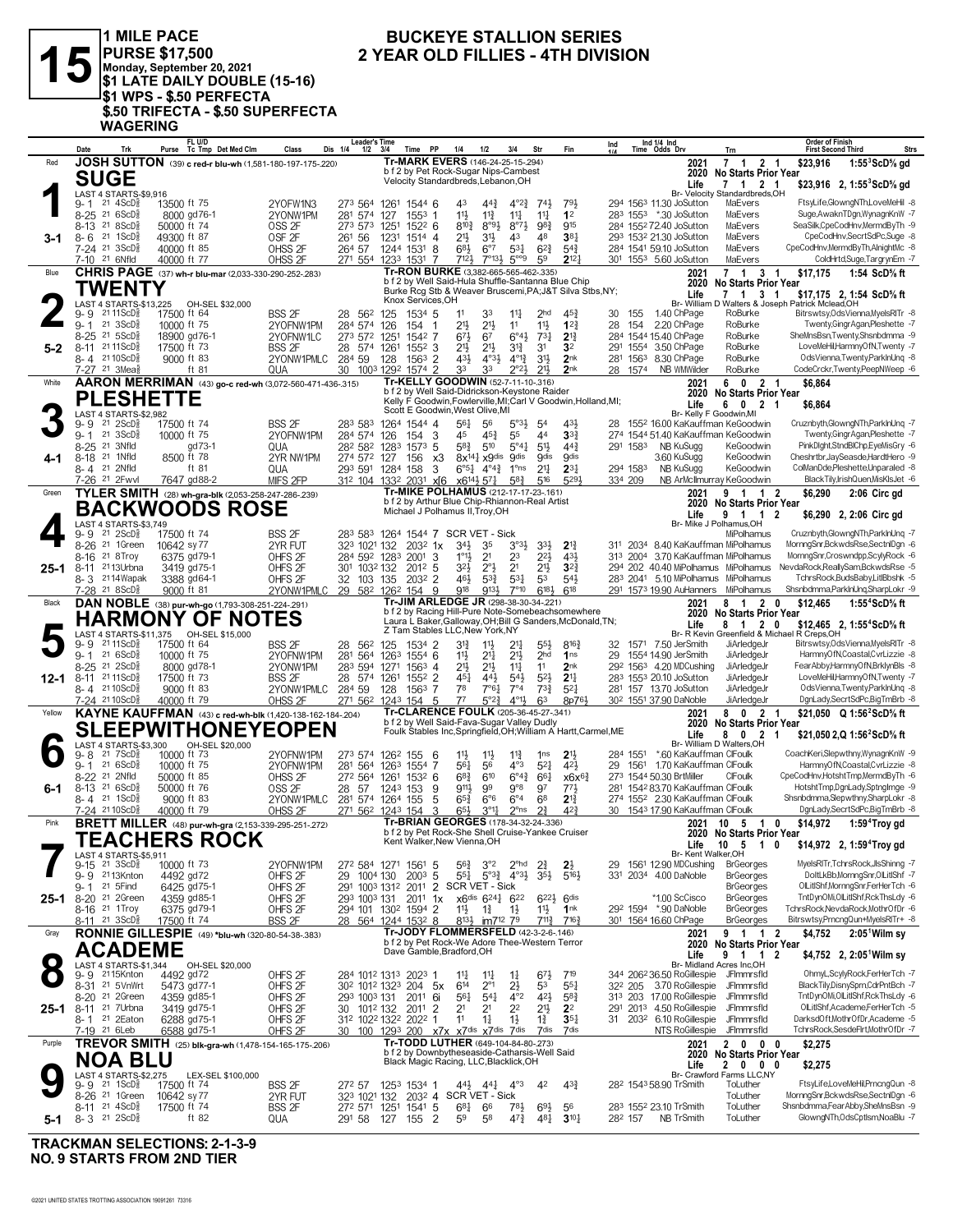

1 MILE PACE PURSE \$17,500<br>Monday, September 20, 2021<br>\$1 LATE DAILY DOUBLE (15-16) STRIPS - \$.50 PERFECTA<br>\$1 WPS - \$.50 PERFECTA<br>\$.50 TRIFECTA - \$.50 SUPERFECTA **WAGERING** 

#### **BUCKEYE STALLION SERIES** 2 YEAR OLD FILLIES - 4TH DIVISION

|           | Date<br>Trk                                                            | FL U/D<br>Purse Tc Tmp Det Med Clm                          | Class                                    | Leader's Time<br>Dis 1/4<br>$1/2$ $3/4$                                                                    | Time             | <b>PP</b>                                                                               | 1/4                     | 1/2                                                                  | 3/4                                    | Str                                | Fin                                                             | Ind     |          | Ind $1/4$ Ind<br>Time Odds Drv                    | Trn                                   | <b>Order of Finish</b><br><b>First Second Third</b> | <b>Strs</b>                                                        |
|-----------|------------------------------------------------------------------------|-------------------------------------------------------------|------------------------------------------|------------------------------------------------------------------------------------------------------------|------------------|-----------------------------------------------------------------------------------------|-------------------------|----------------------------------------------------------------------|----------------------------------------|------------------------------------|-----------------------------------------------------------------|---------|----------|---------------------------------------------------|---------------------------------------|-----------------------------------------------------|--------------------------------------------------------------------|
| Red       |                                                                        | JOSH SUTTON (39) c red-r blu-wh (1,581-180-197-175-220)     |                                          |                                                                                                            |                  | Tr-MARK EVERS (146-24-25-15-294)                                                        |                         |                                                                      |                                        |                                    |                                                                 |         |          | 2021                                              | 7 1 2 1                               | \$23.916                                            | $1:55^3$ ScD% gd                                                   |
|           | <b>SUGE</b>                                                            |                                                             |                                          |                                                                                                            |                  | b f 2 by Pet Rock-Sugar Nips-Cambest                                                    |                         |                                                                      |                                        |                                    |                                                                 |         |          |                                                   | 2020 No Starts Prior Year             |                                                     |                                                                    |
|           |                                                                        |                                                             |                                          |                                                                                                            |                  | Velocity Standardbreds, Lebanon, OH                                                     |                         |                                                                      |                                        |                                    |                                                                 |         |          | Life                                              | 7 1 2 1                               |                                                     | \$23,916 2, 1:55 $^{\circ}$ ScD $\%$ gd                            |
|           | LAST 4 STARTS-\$9,916                                                  |                                                             |                                          |                                                                                                            |                  |                                                                                         |                         |                                                                      |                                        |                                    |                                                                 |         |          |                                                   | Br- Velocity Standardbreds, OH        |                                                     | FtsyLife,GlowngNTh,LoveMeHil -8                                    |
|           | $21 \text{ } 4$ ScD $\frac{5}{8}$<br>9- 1<br>8-25 21 6ScD <sup>5</sup> | 13500 ft 75                                                 | 2YOFW1N3                                 | 273 564 1261 1544 6                                                                                        |                  |                                                                                         | 43                      | $44\frac{3}{4}$                                                      | $4^{o}2^{3}$                           | $74\frac{1}{2}$<br>$11\frac{1}{4}$ | 791<br>1 <sup>2</sup>                                           |         |          | 294 1563 11.30 JoSutton<br>283 1553 *.30 JoSutton | MaEvers<br>MaEvers                    |                                                     | Suge,AwaknTDgn,WynagnKnW -7                                        |
|           | 8-13 21 8 ScD <sup>3</sup>                                             | 8000 gd76-1<br>50000 ft 74                                  | 2YONW1PM<br>OSS <sub>2F</sub>            | 281 574<br>273 573 1251 1522 6                                                                             | 127              | $155^3$ 1                                                                               | $11\frac{1}{2}$<br>8103 | $11\frac{3}{4}$<br>$8^{\circ}9\frac{1}{2}$                           | $11\frac{1}{4}$<br>$8^{97}\frac{1}{2}$ | 983                                | 915                                                             |         |          | 284 155272.40 JoSutton                            | MaEvers                               |                                                     | SeaSilk,CpeCodHnv,MermdByTh -9                                     |
| 3-1       | $21 \text{ } 1$ ScD $\frac{5}{8}$<br>8-6                               | 49300 ft 87                                                 | OSF <sub>2F</sub>                        | 261 56                                                                                                     | 1231             | 1514 4                                                                                  | 21}                     | 3 <sup>1</sup>                                                       | 43                                     | 48                                 | 38 <sub>1</sub>                                                 |         |          | 293 1532 21.30 JoSutton                           | MaEvers                               |                                                     | CpeCodHnv,SecrtSdPc,Suge -8                                        |
|           | 7-24 <sup>21</sup> 3ScD <sup>3</sup>                                   | 40000 ft 85                                                 | OHSS 2F                                  | 264 57 1244 1531 8                                                                                         |                  |                                                                                         | $6^{8}$                 | $6^{\circ}7$                                                         | $5^{3}$                                | $6^{2}\frac{3}{4}$                 | $5^{4}$                                                         |         |          | 284 1541 59.10 JoSutton                           | MaEvers                               |                                                     | CpeCodHnv,MermdByTh,AlnightMc -8                                   |
|           | 7-10 <sup>21</sup> 6Nfld                                               | 40000 ft 77                                                 | OHSS <sub>2F</sub>                       | 271 554 1233 1531 7                                                                                        |                  |                                                                                         | $712\frac{1}{2}$        | $7^{\circ}13\frac{1}{2}$                                             | $5^{\circ\circ}9$                      | 59                                 | $2^{12}$                                                        |         |          | 301 1553 5.60 JoSutton                            | MaEvers                               |                                                     | ColdHrtd,Suge,TargrynEm -7                                         |
| Blue      |                                                                        | CHRIS PAGE (37) wh-r blu-mar (2,033-330-290-252-.283)       |                                          |                                                                                                            |                  | Tr-RON BURKE (3,382-665-565-462-.335)                                                   |                         |                                                                      |                                        |                                    |                                                                 |         |          | 2021                                              | 7 1 3 1                               | \$17,175                                            | 1:54 ScD% ft                                                       |
|           |                                                                        |                                                             |                                          |                                                                                                            |                  | b f 2 by Well Said-Hula Shuffle-Santanna Blue Chip                                      |                         |                                                                      |                                        |                                    |                                                                 |         |          | 2020                                              | <b>No Starts Prior Year</b>           |                                                     |                                                                    |
|           | TWENTY                                                                 |                                                             |                                          |                                                                                                            |                  |                                                                                         |                         |                                                                      |                                        |                                    | Burke Rcg Stb & Weaver Bruscemi, PA; J&T Silva Stbs, NY;        |         |          | Life                                              | 7 1 3 1                               |                                                     | \$17,175 2, 1:54 ScD% ft                                           |
|           | LAST 4 STARTS-\$13,225                                                 | OH-SEL \$32,000                                             |                                          |                                                                                                            |                  | Knox Services.OH                                                                        |                         |                                                                      |                                        |                                    |                                                                 |         |          |                                                   |                                       | Br- William D Walters & Joseph Patrick Mclead, OH   |                                                                    |
|           | 21 11 ScD $\frac{5}{8}$<br>9-9                                         | 17500 ft 64                                                 | <b>BSS 2F</b>                            | 28 562 125                                                                                                 |                  | 1534 5                                                                                  | 11                      | 33                                                                   | $11\frac{1}{4}$                        | 2 <sub>hd</sub>                    | $45\frac{3}{4}$                                                 | 30      | 155      | 1.40 ChPage                                       | RoBurke                               |                                                     | Bitrswtsy, Ods Vienna, MyelsRITr -8                                |
|           | $21 \text{ 3ScD}$<br>$9 - 1$                                           | 10000 ft 75                                                 | 2YOFNW1PM                                | 284 574                                                                                                    | 126              | 154<br>$\overline{1}$                                                                   | 21}                     | $21\frac{1}{2}$                                                      | 11                                     | 11                                 | $1^{2}$                                                         | 28      | 154      | 2.20 ChPage                                       | RoBurke                               |                                                     | Twenty, Gingr Agan, Pleshette -7                                   |
|           | 21 5ScD <sup>3</sup><br>$8 - 25$                                       | 18900 gd76-1                                                | 2YOFNW1LC                                | 273 572 1251                                                                                               |                  | 1542 7                                                                                  | $6^{71}$                | 6 <sup>7</sup>                                                       | $6^{\circ}4\frac{1}{2}$                | $73\frac{1}{4}$                    | $2^{13}$                                                        |         |          | 284 1544 15.40 ChPage                             | RoBurke                               |                                                     | SheMnsBsn,Twenty,Shsnbdmma -9                                      |
| $5 - 2$   | 8-11 2111ScD <sup>5</sup>                                              | 17500 ft 73                                                 | <b>BSS 2F</b>                            | 28 574 1261                                                                                                |                  | $155^2$ 3                                                                               | 21}                     | $21\frac{1}{2}$                                                      | $3^{12}$                               | 31                                 | 3 <sup>2</sup>                                                  |         |          | 291 1554 3.50 ChPage                              | RoBurke                               |                                                     | LoveMeHil,HarmnyOfN,Twenty -7                                      |
|           | 8-4 2110ScD                                                            | 9000 ft 83                                                  | 2YONW1PMLC                               | 284 59                                                                                                     | 128              | $1563$ 2                                                                                | 431                     | $4^{\circ}3\frac{1}{2}$                                              | $4^{013}$                              | $31\frac{1}{2}$                    | 2 <sub>nk</sub>                                                 |         |          | 281 1563 8.30 ChPage                              | RoBurke                               |                                                     | OdsVienna, Twenty, ParklnUng -8                                    |
|           | 7-27 <sup>21</sup> 3Mea <sup>5</sup>                                   | ft 81                                                       | QUA                                      | 30                                                                                                         | 1003 1292 1574 2 |                                                                                         | 33                      | 33                                                                   | $2^{\circ}2^{\frac{1}{2}}$             | $21\frac{1}{2}$                    | 2nk                                                             |         | 28 1574  | NB WMWilder                                       | RoBurke                               |                                                     | CodeCrckr,Twenty,PeepNWeep -6                                      |
| White     |                                                                        | AARON MERRIMAN (43) go-c red-wh (3,072-560-471-436-.315)    |                                          |                                                                                                            |                  | Tr-KELLY GOODWIN (52-7-11-10-.316)<br>b f 2 by Well Said-Didrickson-Keystone Raider     |                         |                                                                      |                                        |                                    |                                                                 |         |          | 2021                                              | 6 0 2 1                               | \$6,864                                             |                                                                    |
|           | <b>PLESHETTE</b>                                                       |                                                             |                                          |                                                                                                            |                  |                                                                                         |                         |                                                                      |                                        |                                    | Kelly F Goodwin, Fowlerville, MI; Carl V Goodwin, Holland, MI;  |         |          |                                                   | 2020 No Starts Prior Year             |                                                     |                                                                    |
|           | LAST 4 STARTS-\$2,982                                                  |                                                             |                                          |                                                                                                            |                  | Scott E Goodwin, West Olive, MI                                                         |                         |                                                                      |                                        |                                    |                                                                 |         |          | Life                                              | 0 2 1<br>6<br>Br- Kelly F Goodwin, MI | \$6,864                                             |                                                                    |
|           | $21 \text{ } 2SCD\frac{5}{8}$<br>$9 - 9$                               | 17500 ft 74                                                 | <b>BSS 2F</b>                            | 283 583                                                                                                    | 1264 1544 4      |                                                                                         | 561                     | 56                                                                   | $5^{\circ}3\frac{1}{2}$                | 54                                 | 431                                                             | 28      |          |                                                   | 1552 16.00 KaKauffman KeGoodwin       |                                                     | Cruznbyth, GlowngNTh, ParkInUnq -7                                 |
|           | $21 \text{ 3ScD}$<br>$9 - 1$                                           | 10000 ft 75                                                 | 2YOFNW1PM                                | 284 574 126                                                                                                |                  | 154 3                                                                                   | 45                      | $45\frac{3}{4}$                                                      | 55                                     | 44                                 | 3 <sup>3</sup>                                                  |         |          |                                                   | 274 1544 51.40 KaKauffman KeGoodwin   |                                                     | Twenty, Gingr Agan, Pleshette -7                                   |
|           | 8-25 <sup>21</sup> 3Nfld                                               | gd73-1                                                      | QUA                                      | 282 582 1283 1573 5                                                                                        |                  |                                                                                         | 58}                     | 510                                                                  | $5^{\circ}4\frac{1}{4}$                | $51\frac{1}{2}$                    | $44\frac{3}{4}$                                                 |         | 291 1583 | NB KuSugg                                         | KeGoodwin                             |                                                     | PinkDlght,StndBlChp,EyeMisGry -6                                   |
| 4-1       | 21 1Nfld<br>$8 - 18$                                                   | 8500 ft 78                                                  | 2YR NW1PM                                | 274 572 127                                                                                                |                  | 156<br>x3                                                                               |                         | 8x <sup>141</sup> x9dis 9dis                                         |                                        | <b>gdis</b>                        | <b>O</b> dis                                                    |         |          | 3.60 KuSugg                                       | KeGoodwin                             |                                                     | Cheshrtbr, JaySeasde, HardtHero -9                                 |
|           | 8-4 21 2Nfld                                                           | ft 81                                                       | QUA                                      | 293 591 1284 158                                                                                           |                  | 3                                                                                       |                         | $6^{\circ}5^{\frac{1}{4}}$ $4^{\circ}4^{\frac{3}{4}}$ $1^{\circ}$ ns |                                        | 2 <sup>11</sup>                    | $2^{3}$                                                         |         | 294 1583 | NB KuSugg                                         | KeGoodwin                             |                                                     | ColManDde,Pleshette,Unparaled -8                                   |
|           | 7-26 <sup>21</sup> 2Fwvl                                               | 7647 gd88-2                                                 | MIFS 2FP                                 | 31 <sup>2</sup> 104 133 <sup>2</sup> 203 <sup>1</sup> x[6 x6 <sup>14</sup> 2 <sup>1</sup> 5 <sup>7</sup> 2 |                  |                                                                                         |                         |                                                                      | $5^{8}$ <sub>4</sub>                   | 516                                | 5291                                                            | 334 209 |          |                                                   | NB ArMcIlmurray KeGoodwin             |                                                     | BlackTily,IrishQuen,MisKIsJet -6                                   |
| Green     |                                                                        | TYLER SMITH (28) wh-gra-blk (2,053-258-247-286-239)         |                                          |                                                                                                            |                  | Tr-MIKE POLHAMUS (212-17-17-23-161)                                                     |                         |                                                                      |                                        |                                    |                                                                 |         |          | 2021                                              | 9 1 1 2                               | \$6,290                                             | 2:06 Circ gd                                                       |
|           |                                                                        | <b>BACKWOODS ROSE</b>                                       |                                          |                                                                                                            |                  | b f 2 by Arthur Blue Chip-Rhiannon-Real Artist                                          |                         |                                                                      |                                        |                                    |                                                                 |         |          |                                                   | 2020 No Starts Prior Year             |                                                     |                                                                    |
|           |                                                                        |                                                             |                                          |                                                                                                            |                  | Michael J Polhamus II, Troy, OH                                                         |                         |                                                                      |                                        |                                    |                                                                 |         |          | Life                                              | 9 1 1                                 | $\overline{\mathbf{2}}$                             | \$6,290 2, 2:06 Circ gd                                            |
|           | LAST 4 STARTS-\$3.749<br>21 2ScD <sup>3</sup>                          |                                                             |                                          | 283 583 1264 1544 7 SCR VET - Sick                                                                         |                  |                                                                                         |                         |                                                                      |                                        |                                    |                                                                 |         |          |                                                   | Br- Mike J Polhamus, OH<br>MiPolhamus |                                                     | Cruznbyth,GlowngNTh,ParkInUnq -7                                   |
|           | 9-9<br>8-26 <sup>21</sup> 1Green                                       | 17500 ft 74<br>10642 sv77                                   | BSS 2F<br>2YR FUT                        | 323 1021 132                                                                                               |                  | $203^2$ 1x                                                                              | $34\frac{1}{2}$         | 35                                                                   | $3°3\frac{1}{2}$                       | 3 <sup>3</sup>                     | $2^{13}$                                                        |         |          |                                                   | 311 2034 8.40 KaKauffman MiPolhamus   |                                                     | MornngSnr,BckwdsRse,SectnlDgn -6                                   |
|           | 21 8 Troy<br>$8 - 16$                                                  | 6375 gd79-1                                                 | OHFS <sub>2F</sub>                       | 284 592 1283 2001                                                                                          |                  | -3                                                                                      | $1^{\circ}1\frac{1}{2}$ | 2 <sup>1</sup>                                                       | 23                                     | $2^{21}$                           | 431                                                             |         |          |                                                   | 313 2004 3.70 KaKauffman MiPolhamus   |                                                     | MornngSnr,Croswndpp,ScylyRock -6                                   |
| $25 - 1$  | 8-11 <sup>21</sup> 13Urbna                                             | 3419 gd75-1                                                 | OHFS <sub>2F</sub>                       | 301 1032 132                                                                                               |                  | 2012 5                                                                                  | 32}                     | $2^{\circ}$                                                          | 2 <sup>1</sup>                         | 2 <sup>1</sup>                     | $3^{2}$                                                         |         |          |                                                   | 294 202 40.40 MiPolhamus MiPolhamus   |                                                     | NevdaRock,ReallySam,BckwdsRse -5                                   |
|           | 8-3 2114 Wapak                                                         | 3388 gd64-1                                                 | OHFS <sub>2F</sub>                       | 32 103 135                                                                                                 |                  | 2032 2                                                                                  | 46}                     | $5^{3}\frac{3}{4}$                                                   | $53\frac{1}{4}$                        | 53                                 | $5^{4}$                                                         |         |          |                                                   | 283 2041 5.10 MiPolhamus MiPolhamus   |                                                     | TchrsRock,BudsBaby,LitlBbshk -5                                    |
|           | 7-28 21 8 ScD <sup>3</sup>                                             | 9000 ft 81                                                  | 2YONW1PMLC                               | 29 582 1262 154 9                                                                                          |                  |                                                                                         | 918                     | 9131                                                                 | $7^{\circ}10$                          | 6183                               | $6^{18}$                                                        |         |          |                                                   | 291 1573 19.90 AuHanners MiPolhamus   |                                                     | Shsnbdmma,ParkInUnq,SharpLokr -9                                   |
| Black     |                                                                        | DAN NOBLE (38) pur-wh-go (1,793-308-251-224-.291)           |                                          |                                                                                                            |                  | Tr-JIM ARLEDGE JR (298-38-30-34-.221)                                                   |                         |                                                                      |                                        |                                    |                                                                 |         |          | 2021                                              | 8 1 2 0                               | \$12,465                                            | 1:55 <sup>4</sup> ScD% ft                                          |
|           |                                                                        |                                                             |                                          |                                                                                                            |                  |                                                                                         |                         |                                                                      |                                        |                                    | b f 2 by Racing Hill-Pure Note-Somebeachsomewhere               |         |          |                                                   | 2020 No Starts Prior Year             |                                                     |                                                                    |
|           |                                                                        | HARMONY OF NOTES                                            |                                          |                                                                                                            |                  |                                                                                         |                         |                                                                      |                                        |                                    | Laura L Baker, Galloway, OH; Bill G Sanders, McDonald, TN;      |         |          | Life                                              | 8 1 2 0                               |                                                     | \$12,465 2, 1:55 <sup>4</sup> ScD <sup>5</sup> / <sub>8</sub> ft   |
|           | LAST 4 STARTS-\$11,375                                                 | OH-SEL \$15,000                                             |                                          |                                                                                                            |                  |                                                                                         |                         |                                                                      |                                        |                                    |                                                                 |         |          |                                                   |                                       |                                                     |                                                                    |
|           |                                                                        |                                                             |                                          |                                                                                                            |                  | Z Tam Stables LLC, New York, NY                                                         |                         |                                                                      |                                        |                                    |                                                                 |         |          |                                                   |                                       | Br- R Kevin Greenfield & Michael R Creps, OH        |                                                                    |
|           | 21 11 ScD ಕ<br>9-9                                                     | 17500 ft 64                                                 | BSS 2F                                   | 28<br>562 125                                                                                              |                  | 1534 2                                                                                  | 31}                     | $11\frac{1}{2}$                                                      | 21                                     | $55\frac{1}{2}$                    | $8^{16}\frac{3}{4}$                                             |         |          | 32 1571 7.50 JerSmith                             | JiArledgeJr                           |                                                     | Bitrswtsy, Ods Vienna, MyelsRITr -8                                |
|           | $9 - 1$ 21 6 ScD <sup>3</sup>                                          | 10000 ft 75                                                 | 2YOFNW1PM                                | 281<br>564                                                                                                 | 1263 1554 6      |                                                                                         | $11\frac{1}{2}$         | $21\frac{1}{4}$                                                      | 213                                    | 2 <sub>hd</sub>                    | 1 <sub>ns</sub>                                                 | 29      |          | 1554 14.90 JerSmith                               | JiArledgeJr                           |                                                     | HarmnyOfN,Coastal,CvrLizzie -8                                     |
|           | 8-25 <sup>21</sup> 2ScD <sup>3</sup>                                   | 8000 gd78-1                                                 | 2YONW1PM                                 | 283 594 1271 1563 4                                                                                        |                  |                                                                                         | 213                     | $21\frac{1}{2}$                                                      | $11\frac{1}{4}$                        | 11                                 | 2 <sub>nk</sub>                                                 |         |          | 292 1563 4.20 MDCushing                           | JiArledgeJr                           |                                                     | FearAbby,HarmnyOfN,BrklynBls -8                                    |
| 12-1      | 8-11 2111ScD <sup>5</sup>                                              | 17500 ft 73                                                 | <b>BSS 2F</b>                            | 28 574 1261                                                                                                |                  | 1552 2                                                                                  | $45\frac{1}{4}$         | 443                                                                  | $54\frac{1}{2}$                        | $5^{21}$                           | 2 <sup>11</sup>                                                 |         |          | 283 1553 20.10 JoSutton                           | JiArledgeJr                           |                                                     | LoveMeHil,HarmnyOfN,Twenty -7                                      |
|           | 8-4 2110ScD                                                            | 9000 ft 83                                                  | 2YONW1PMLC                               | 284 59                                                                                                     | 128              | 1563 7                                                                                  | 78                      | 7°64                                                                 | $7^{\circ}4$                           | $73\frac{3}{4}$                    | $5^{2}$                                                         |         |          | 281 157 13.70 JoSutton                            | JiArledgeJr                           |                                                     | OdsVienna,Twenty,ParkInUng -8                                      |
|           | 7-24 2110ScD <sup>3</sup>                                              | 40000 ft 79                                                 | OHSS <sub>2F</sub>                       | 271 562 1243 154                                                                                           |                  | - 5                                                                                     | 77                      | 5°2?                                                                 | $4^{011}$                              | 63                                 | 8p76}                                                           |         |          | 30 <sup>2</sup> 1551 37.90 DaNoble                | JiArledgeJr                           |                                                     | DgnLady,SecrtSdPc,BigTmBrb -8                                      |
| Yellow    |                                                                        | KAYNE KAUFFMAN (43) c red-wh-blk (1,420-138-162-184-.204)   |                                          |                                                                                                            |                  | Tr-CLARENCE FOULK (205-36-45-27-.341)                                                   |                         |                                                                      |                                        |                                    |                                                                 |         |          | 2021                                              | 8 0 2 1                               |                                                     | \$21,050 Q 1:56 <sup>2</sup> ScD <sup>5</sup> / <sub>8</sub> ft    |
|           |                                                                        |                                                             |                                          |                                                                                                            |                  | b f 2 by Well Said-Fava-Sugar Valley Dudly                                              |                         |                                                                      |                                        |                                    |                                                                 |         |          |                                                   | 2020 No Starts Prior Year             |                                                     |                                                                    |
|           |                                                                        | <b>SLEEPWITHONEYEOPEN</b>                                   |                                          |                                                                                                            |                  |                                                                                         |                         |                                                                      |                                        |                                    | Foulk Stables Inc, Springfield, OH; William A Hartt, Carmel, ME |         |          | Life                                              | $\mathbf{0}$<br>$\overline{2}$<br>8   | -1                                                  | \$21,050 2,Q 1:56 ScD% ft                                          |
|           | LAST 4 STARTS-\$3.300<br>$21 \text{ } 7$ ScD $\frac{5}{8}$<br>9-8      | OH-SEL \$20,000<br>10000 ft 73                              |                                          | 273 574 1262 155                                                                                           |                  |                                                                                         | $11\frac{1}{2}$         |                                                                      |                                        | 1 <sub>ns</sub>                    |                                                                 |         | 284 1551 | *.60 KaKauffman ClFoulk                           | Br- William D Walters.OH              |                                                     | CoachKeri,Slepwthny,WynagnKnW -9                                   |
|           | 216SCD <sub>8</sub><br>$9 - 1$                                         | 10000 ft 75                                                 | 2YOFNW1PM<br>2YOFNW1PM                   | 281 564                                                                                                    | 1263 1554 7      | - 6                                                                                     | 561                     | $11\frac{1}{2}$<br>56                                                | $11\frac{3}{4}$<br>$4^{\circ}3$        | $5^{21}$                           | 2 <sup>11</sup><br>$4^{2}\frac{1}{2}$                           |         |          | 29 1561 1.70 KaKauffman ClFoulk                   |                                       |                                                     | HarmnyOfN,Coastal,CvrLizzie -8                                     |
|           | 8-22 <sup>21</sup> 2Nfld                                               | 50000 ft 85                                                 | OHSS 2F                                  | 272 564                                                                                                    | 1261             | $153^2$ 6                                                                               | $68\frac{3}{4}$         | 610                                                                  | $6^{\circ}4^{\frac{3}{2}}$             | $66\frac{1}{4}$                    | $x6x^{6}$                                                       |         |          | 273 1544 50.30 BrtMiller                          | CIFoulk                               |                                                     | CpeCodHnv,HotshtTmp,MermdByTh -6                                   |
| 6-1       | $8-13$ 21 6ScD <sup>3</sup>                                            | 50000 ft 76                                                 | OSS <sub>2F</sub>                        | 28<br>57                                                                                                   | 1243 153         | 9                                                                                       | 9111                    | 99                                                                   | 9°8                                    | 97                                 | 771                                                             |         |          | 281 1542 83.70 KaKauffman ClFoulk                 |                                       |                                                     | HotshtTmp,DgnLady,SptngImge -9                                     |
|           | $8 - 4$ 21 1ScD <sup>3</sup>                                           | 9000 ft 83                                                  | 2YONW1PMLC                               | 281 574 1264 155                                                                                           |                  | 5                                                                                       | $65\frac{3}{4}$         | $6^{\circ}6$                                                         | $6^{\circ}4$                           | 68                                 | $2^{13}$                                                        |         |          | 274 1552 2.30 KaKauffman ClFoulk                  |                                       |                                                     | Shsnbdmma, Slepwthny, SharpLokr -8                                 |
|           | 7-24 2110ScD <sup>§</sup>                                              | 40000 ft 79                                                 | OHSS <sub>2F</sub>                       | 271 562 1243 154                                                                                           |                  | 3                                                                                       | $65\frac{1}{2}$         | $3^{\circ}1\frac{1}{4}$                                              | $2^{\circ}$ ns                         | $2^{3}$                            | 42 <sup>3</sup>                                                 |         |          | 30 1543 17.90 KaKauffman ClFoulk                  |                                       |                                                     | DgnLady,SecrtSdPc,BigTmBrb -8                                      |
| Pink      |                                                                        | <b>BRETT MILLER</b> (48) pur-wh-gra (2,153-339-295-251-272) |                                          |                                                                                                            |                  | Tr-BRIAN GEORGES (178-34-32-24-.336)                                                    |                         |                                                                      |                                        |                                    |                                                                 |         |          |                                                   | 2021 10 5 1                           | 0<br>\$14,972                                       | 1:59 <sup>4</sup> Troy gd                                          |
|           |                                                                        |                                                             |                                          |                                                                                                            |                  | b f 2 by Pet Rock-She Shell Cruise-Yankee Cruiser                                       |                         |                                                                      |                                        |                                    |                                                                 |         |          |                                                   | 2020 No Starts Prior Year             |                                                     |                                                                    |
|           |                                                                        | <b>TEACHERS ROCK</b>                                        |                                          |                                                                                                            |                  | Kent Walker, New Vienna, OH                                                             |                         |                                                                      |                                        |                                    |                                                                 |         |          | Life                                              | 10 <sub>5</sub>                       | 10                                                  | \$14,972 2, 1:59 <sup>4</sup> Troy gd                              |
|           | LAST 4 STARTS-\$5,911                                                  |                                                             |                                          |                                                                                                            |                  |                                                                                         |                         |                                                                      |                                        |                                    |                                                                 |         |          |                                                   | Br- Kent Walker, OH                   |                                                     |                                                                    |
|           | $9-15$ 21 $3ScD$ }                                                     | 10000 ft 73                                                 | 2YOFNW1PM                                | 272 584 1271 1561 5                                                                                        |                  |                                                                                         | $56\frac{3}{4}$         | $3^{\circ}2$                                                         | $2^{\circ}$ hd                         | $2^{3}$                            | $2\frac{1}{2}$                                                  |         |          | 29 1561 12.90 MDCushing                           | <b>BrGeorges</b>                      |                                                     | MyelsRITr,TchrsRock,JlsShinng -7<br>DoltLkBbMornngSnr.OlLitIShf -7 |
|           | 9-9 2113Knton<br>21 5Find<br>$9 - 1$                                   | 4492 gd72                                                   | OHFS <sub>2F</sub>                       | 29<br>1004 130                                                                                             |                  | $200^3$ 5                                                                               | 551                     | $5^{\circ}3^{\frac{3}{4}}$ $4^{\circ}3^{\frac{1}{2}}$                |                                        | $3^{5}\frac{1}{2}$                 | $5^{16}$                                                        |         |          | 331 2034 4.00 DaNoble                             | <b>BrGeorges</b><br><b>BrGeorges</b>  |                                                     | OlLitIShf, MornngSnr, FerHerTch -6                                 |
|           |                                                                        | 6425 gd75-1<br>4359 gd85-1                                  | OHFS <sub>2F</sub>                       | 291 1003 1312 2011 2 SCR VET - Sick<br>293 1003 131                                                        |                  | $201^1$ 1x                                                                              |                         |                                                                      |                                        | $6^{22}$ $6^{dis}$                 |                                                                 |         |          | *1.00 ScCisco                                     | <b>BrGeorges</b>                      |                                                     | TntDynOMi,OILitIShf,RckThsLdy -6                                   |
|           | 25-1 8-20 <sup>21</sup> 2Green<br>8-16 <sup>21</sup> 1Troy             | 6375 gd79-1                                                 | OHFS <sub>2F</sub><br>OHFS <sub>2F</sub> | 294 101 130 <sup>2</sup> 1594 2                                                                            |                  |                                                                                         | $11\frac{1}{2}$         | x6dis 6241 622<br>$1\frac{3}{4}$                                     | $1\frac{1}{2}$                         | $11\frac{1}{2}$                    | 1 <sup>nk</sup>                                                 |         |          | 292 1594 *.90 DaNoble                             | <b>BrGeorges</b>                      |                                                     | TchrsRock, NevdaRock, MothrOfDr -6                                 |
|           | 8-11 21 3ScD <sup>3</sup>                                              | 17500 ft 74                                                 | <b>BSS 2F</b>                            | 28 564 1244 1532 8                                                                                         |                  |                                                                                         | $8^{13}\frac{1}{2}$     | im7 <sup>12</sup> 7 <sup>9</sup>                                     |                                        | $7^{11\frac{3}{4}}$                | $7^{16}\frac{3}{4}$                                             |         |          | 301 1564 16.60 ChPage                             | <b>BrGeorges</b>                      |                                                     | Bitrswtsy, PrncngQun+MyelsRITr+ -8                                 |
| Gray      |                                                                        |                                                             |                                          |                                                                                                            |                  | Tr-JODY FLOMMERSFELD (42-3-2-6-.146)                                                    |                         |                                                                      |                                        |                                    |                                                                 |         |          | 2021                                              | 9 1 1 2                               | \$4,752                                             |                                                                    |
|           |                                                                        | RONNIE GILLESPIE (49) *blu-wh (320-80-54-38-.383)           |                                          |                                                                                                            |                  | b f 2 by Pet Rock-We Adore Thee-Western Terror                                          |                         |                                                                      |                                        |                                    |                                                                 |         |          |                                                   | 2020 No Starts Prior Year             |                                                     | $2:05^{\circ}$ Wilm sy                                             |
|           | <b>ACADEME</b>                                                         |                                                             |                                          |                                                                                                            |                  | Dave Gamble, Bradford, OH                                                               |                         |                                                                      |                                        |                                    |                                                                 |         |          | Life                                              | 9<br>1 1 2                            |                                                     | \$4,752 2, 2:05 <sup>1</sup> Wilm sy                               |
| $\bullet$ | LAST 4 STARTS-\$1,344                                                  | OH-SEL \$20,000                                             |                                          |                                                                                                            |                  |                                                                                         |                         |                                                                      |                                        |                                    |                                                                 |         |          |                                                   | Br- Midland Acres Inc,OH              |                                                     |                                                                    |
|           | 9-9 2115Knton                                                          | 4492 gd72                                                   | OHFS <sub>2F</sub>                       | 284 1012 1313 2023 1                                                                                       |                  |                                                                                         | $11\frac{1}{4}$         | $11\frac{1}{4}$                                                      | $1\frac{1}{4}$                         | $6^{7}\frac{1}{2}$                 | 719                                                             |         |          | 344 2062 36.50 RoGillespie                        | JFImmrsfld                            |                                                     | OhmyL,ScylyRock,FerHerTch -7                                       |
|           | 8-31 <sup>21</sup> 5 Vn Wrt                                            | 5473 gd77-1                                                 | OHFS <sub>2F</sub>                       | 30 <sup>2</sup> 101 <sup>2</sup> 132 <sup>3</sup> 204 5x                                                   |                  |                                                                                         | 614                     | $2^{\circ}1$                                                         | $2\frac{1}{2}$                         | 53                                 | $55\frac{1}{4}$                                                 |         |          | 32 <sup>2</sup> 205 3.70 RoGillespie              | JFImmrsfld                            |                                                     | BlackTily,DisnySprn,CdrPntBch -7                                   |
|           | 8-20 <sup>21</sup> 2Green                                              | 4359 gd85-1                                                 | OHFS <sub>2F</sub>                       | 293 1003 131                                                                                               |                  | 201 <sup>1</sup> 6i                                                                     | $56\frac{1}{4}$         | $5^{41}$                                                             | $4^{\circ}2$                           | 42}                                | $5^{8}{}_{4}^{3}$                                               |         |          |                                                   | 313 203 17.00 RoGillespie JFImmrsfld  |                                                     | TntDynOMi,OILitIShf,RckThsLdy -6                                   |
| $25 - 1$  | 8-11 21 7Urbna                                                         | 3419 gd75-1                                                 | OHFS <sub>2F</sub>                       | 30 101 <sup>2</sup> 132                                                                                    |                  | $\overline{2}$<br>2011                                                                  | 21                      | 2 <sup>1</sup>                                                       | 22                                     | 2 <sup>11</sup>                    | 2 <sup>2</sup>                                                  |         |          | 291 2013 4.50 RoGillespie                         | JFImmrsfld                            |                                                     | OlLitIShf, Academe, FerHerTch -5                                   |
|           | 8-1 21 2Eaton                                                          | 6288 gd75-1                                                 | OHFS <sub>2F</sub>                       | 312 1022 1322 2022 1                                                                                       |                  |                                                                                         | 11                      | $1\frac{1}{4}$                                                       | $1\frac{1}{2}$                         | $1\frac{3}{4}$                     | $35\frac{1}{4}$<br>7dis                                         |         |          |                                                   | 31 2032 6.10 RoGillespie JFImmrsfld   |                                                     | DarksdOft,MothrOfDr,Academe -5                                     |
|           | 7-19 <sup>21</sup> 6Leb                                                | 6588 gd75-1                                                 | OHFS <sub>2F</sub>                       | 30 100 1293 200 x7x x7dis x7dis 7dis                                                                       |                  |                                                                                         |                         |                                                                      |                                        | 7dis                               |                                                                 |         |          | NTS RoGillespie                                   | JFImmrsfld                            |                                                     | TchrsRock,SesdeFlrt,MothrOfDr -7                                   |
| Purple    |                                                                        | TREVOR SMITH (25) blk-gra-wh (1,478-154-165-175-206)        |                                          |                                                                                                            |                  | Tr-TODD LUTHER (649-104-84-80-273)                                                      |                         |                                                                      |                                        |                                    |                                                                 |         |          | 2021                                              | 2 0                                   | \$2,275<br>$0\quad 0$                               |                                                                    |
|           | <b>NOA BLU</b>                                                         |                                                             |                                          |                                                                                                            |                  | b f 2 by Downbytheseaside-Catharsis-Well Said<br>Black Magic Racing, LLC, Blacklick, OH |                         |                                                                      |                                        |                                    |                                                                 |         |          |                                                   | 2020 No Starts Prior Year             |                                                     |                                                                    |
|           | LAST 4 STARTS-\$2,275                                                  | LEX-SEL \$100,000                                           |                                          |                                                                                                            |                  |                                                                                         |                         |                                                                      |                                        |                                    |                                                                 |         |          | Life                                              | 2 0 0 0<br>Br- Crawford Farms LLC,NY  | \$2,275                                             |                                                                    |
|           | $9 - 9$ 21 1ScD <sup>5</sup> <sub>8</sub>                              | 17500 ft 74                                                 | BSS 2F                                   | 272 57 1253 1534 1                                                                                         |                  |                                                                                         |                         | $4^{4\frac{1}{2}}$ $4^{4\frac{1}{4}}$ $4^{03}$                       |                                        | 42                                 | $43\frac{3}{4}$                                                 |         |          | 28 <sup>2</sup> 1543 58.90 TrSmith                | ToLuther                              |                                                     | FtsyLife,LoveMeHil,PrncngQun -8                                    |
|           | 8-26 <sup>21</sup> 1Green                                              | 10642 sy 77                                                 | 2YR FUT                                  | 323 1021 132                                                                                               |                  | 2032 4 SCR VET - Sick                                                                   |                         |                                                                      |                                        |                                    |                                                                 |         |          |                                                   | ToLuther                              |                                                     | MornngSnr,BckwdsRse,SectnlDgn -6                                   |
|           | 8-11 21 4ScD <sup>3</sup>                                              | 17500 ft 74                                                 | BSS <sub>2F</sub>                        | 272 571 1251 1541 5                                                                                        |                  |                                                                                         | $6^{81}$                | 66                                                                   | $78\frac{1}{2}$                        | $69\frac{1}{2}$                    | 56                                                              |         |          | 283 1552 23.10 TrSmith                            | ToLuther                              |                                                     | Shsnbdmma,FearAbby,SheMnsBsn -9                                    |
| $5-1$     | 8-3 21 2ScD <sup>5</sup>                                               | ft $82$                                                     | QUA                                      | 291 58 127 155 2                                                                                           |                  |                                                                                         | 5 <sup>9</sup>          | 58                                                                   | $47\frac{3}{4}$                        | 481                                | $3^{10}\frac{1}{4}$                                             |         | 282 157  | NB TrSmith                                        | ToLuther                              |                                                     | GlowngNTh,OdsCptlsm,NoaBlu -7                                      |

#### **TRACKMAN SELECTIONS: 2-1-3-9 NO. 9 STARTS FROM 2ND TIER**